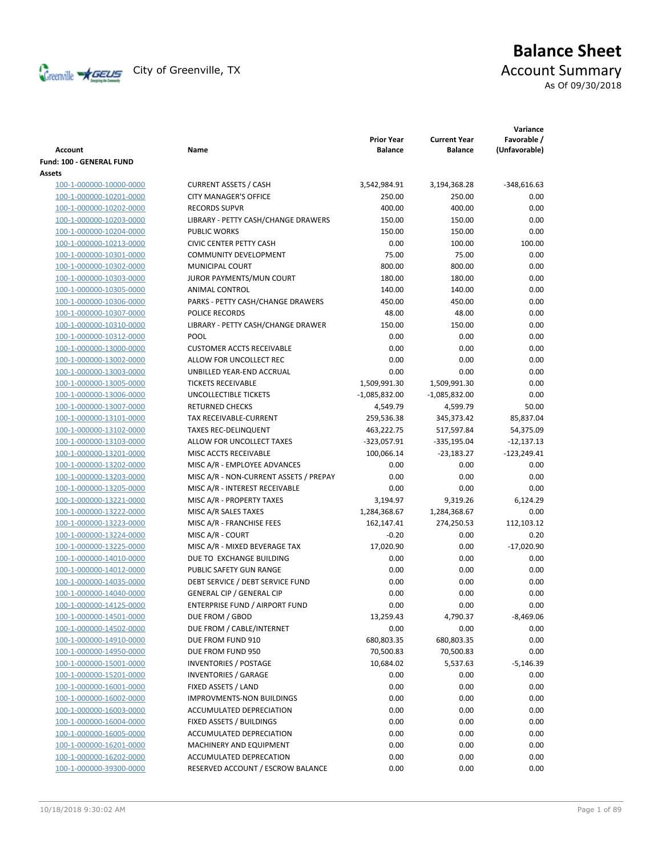

# **Balance Sheet** Creenville  $\star$  GEUS</del> City of Greenville, TX **ACCOUNT** Summary

As Of 09/30/2018

|                                                    |                                                                          | <b>Prior Year</b>         | <b>Current Year</b>  | Variance<br>Favorable / |
|----------------------------------------------------|--------------------------------------------------------------------------|---------------------------|----------------------|-------------------------|
| Account                                            | Name                                                                     | <b>Balance</b>            | <b>Balance</b>       | (Unfavorable)           |
| Fund: 100 - GENERAL FUND                           |                                                                          |                           |                      |                         |
| Assets                                             |                                                                          |                           |                      |                         |
| 100-1-000000-10000-0000                            | <b>CURRENT ASSETS / CASH</b>                                             | 3,542,984.91              | 3,194,368.28         | $-348,616.63$           |
| 100-1-000000-10201-0000                            | <b>CITY MANAGER'S OFFICE</b>                                             | 250.00                    | 250.00               | 0.00                    |
| 100-1-000000-10202-0000                            | <b>RECORDS SUPVR</b>                                                     | 400.00                    | 400.00               | 0.00                    |
| 100-1-000000-10203-0000                            | LIBRARY - PETTY CASH/CHANGE DRAWERS                                      | 150.00                    | 150.00               | 0.00                    |
| 100-1-000000-10204-0000                            | <b>PUBLIC WORKS</b>                                                      | 150.00                    | 150.00               | 0.00                    |
| 100-1-000000-10213-0000                            | <b>CIVIC CENTER PETTY CASH</b><br><b>COMMUNITY DEVELOPMENT</b>           | 0.00                      | 100.00               | 100.00                  |
| 100-1-000000-10301-0000                            |                                                                          | 75.00                     | 75.00                | 0.00                    |
| 100-1-000000-10302-0000                            | MUNICIPAL COURT                                                          | 800.00                    | 800.00               | 0.00                    |
| 100-1-000000-10303-0000                            | JUROR PAYMENTS/MUN COURT                                                 | 180.00                    | 180.00               | 0.00                    |
| 100-1-000000-10305-0000                            | ANIMAL CONTROL                                                           | 140.00                    | 140.00               | 0.00                    |
| 100-1-000000-10306-0000                            | PARKS - PETTY CASH/CHANGE DRAWERS                                        | 450.00                    | 450.00               | 0.00                    |
| 100-1-000000-10307-0000                            | <b>POLICE RECORDS</b>                                                    | 48.00                     | 48.00                | 0.00                    |
| 100-1-000000-10310-0000                            | LIBRARY - PETTY CASH/CHANGE DRAWER<br><b>POOL</b>                        | 150.00                    | 150.00               | 0.00                    |
| 100-1-000000-10312-0000                            |                                                                          | 0.00                      | 0.00                 | 0.00                    |
| 100-1-000000-13000-0000                            | <b>CUSTOMER ACCTS RECEIVABLE</b>                                         | 0.00                      | 0.00                 | 0.00                    |
| 100-1-000000-13002-0000                            | ALLOW FOR UNCOLLECT REC                                                  | 0.00                      | 0.00                 | 0.00                    |
| 100-1-000000-13003-0000                            | UNBILLED YEAR-END ACCRUAL                                                | 0.00                      | 0.00                 | 0.00                    |
| 100-1-000000-13005-0000                            | <b>TICKETS RECEIVABLE</b><br><b>UNCOLLECTIBLE TICKETS</b>                | 1,509,991.30              | 1,509,991.30         | 0.00                    |
| 100-1-000000-13006-0000                            | <b>RETURNED CHECKS</b>                                                   | -1,085,832.00             | -1,085,832.00        | 0.00                    |
| 100-1-000000-13007-0000                            |                                                                          | 4,549.79                  | 4,599.79             | 50.00                   |
| 100-1-000000-13101-0000                            | TAX RECEIVABLE-CURRENT                                                   | 259,536.38<br>463,222.75  | 345,373.42           | 85,837.04               |
| 100-1-000000-13102-0000                            | <b>TAXES REC-DELINQUENT</b>                                              |                           | 517,597.84           | 54,375.09               |
| 100-1-000000-13103-0000                            | ALLOW FOR UNCOLLECT TAXES<br>MISC ACCTS RECEIVABLE                       | -323,057.91<br>100,066.14 | -335,195.04          | $-12,137.13$            |
| 100-1-000000-13201-0000                            | MISC A/R - EMPLOYEE ADVANCES                                             | 0.00                      | $-23,183.27$<br>0.00 | $-123,249.41$<br>0.00   |
| 100-1-000000-13202-0000                            |                                                                          | 0.00                      | 0.00                 | 0.00                    |
| 100-1-000000-13203-0000<br>100-1-000000-13205-0000 | MISC A/R - NON-CURRENT ASSETS / PREPAY<br>MISC A/R - INTEREST RECEIVABLE | 0.00                      | 0.00                 | 0.00                    |
|                                                    | MISC A/R - PROPERTY TAXES                                                |                           | 9,319.26             | 6,124.29                |
| 100-1-000000-13221-0000<br>100-1-000000-13222-0000 | MISC A/R SALES TAXES                                                     | 3,194.97<br>1,284,368.67  | 1,284,368.67         | 0.00                    |
|                                                    | MISC A/R - FRANCHISE FEES                                                | 162,147.41                | 274,250.53           | 112,103.12              |
| 100-1-000000-13223-0000<br>100-1-000000-13224-0000 | MISC A/R - COURT                                                         | $-0.20$                   | 0.00                 | 0.20                    |
| 100-1-000000-13225-0000                            | MISC A/R - MIXED BEVERAGE TAX                                            | 17,020.90                 | 0.00                 | $-17,020.90$            |
| 100-1-000000-14010-0000                            | DUE TO EXCHANGE BUILDING                                                 |                           | 0.00                 |                         |
| 100-1-000000-14012-0000                            | PUBLIC SAFETY GUN RANGE                                                  | 0.00<br>0.00              | 0.00                 | 0.00<br>0.00            |
| 100-1-000000-14035-0000                            | DEBT SERVICE / DEBT SERVICE FUND                                         | 0.00                      | 0.00                 | 0.00                    |
| 100-1-000000-14040-0000                            | <b>GENERAL CIP / GENERAL CIP</b>                                         | 0.00                      | 0.00                 | 0.00                    |
| 100-1-000000-14125-0000                            | ENTERPRISE FUND / AIRPORT FUND                                           | 0.00                      | 0.00                 | 0.00                    |
| 100-1-000000-14501-0000                            | DUE FROM / GBOD                                                          | 13,259.43                 | 4,790.37             | $-8,469.06$             |
| 100-1-000000-14502-0000                            | DUE FROM / CABLE/INTERNET                                                | 0.00                      | 0.00                 | 0.00                    |
| 100-1-000000-14910-0000                            | DUE FROM FUND 910                                                        | 680,803.35                | 680,803.35           | 0.00                    |
| 100-1-000000-14950-0000                            | DUE FROM FUND 950                                                        | 70,500.83                 | 70,500.83            | 0.00                    |
| 100-1-000000-15001-0000                            | <b>INVENTORIES / POSTAGE</b>                                             | 10,684.02                 | 5,537.63             | $-5,146.39$             |
| 100-1-000000-15201-0000                            | <b>INVENTORIES / GARAGE</b>                                              | 0.00                      | 0.00                 | 0.00                    |
| 100-1-000000-16001-0000                            | FIXED ASSETS / LAND                                                      | 0.00                      | 0.00                 | 0.00                    |
| 100-1-000000-16002-0000                            | <b>IMPROVMENTS-NON BUILDINGS</b>                                         | 0.00                      | 0.00                 | 0.00                    |
| 100-1-000000-16003-0000                            | ACCUMULATED DEPRECIATION                                                 | 0.00                      | 0.00                 | 0.00                    |
| 100-1-000000-16004-0000                            | FIXED ASSETS / BUILDINGS                                                 | 0.00                      | 0.00                 | 0.00                    |
| 100-1-000000-16005-0000                            | ACCUMULATED DEPRECIATION                                                 | 0.00                      | 0.00                 | 0.00                    |
| 100-1-000000-16201-0000                            | MACHINERY AND EQUIPMENT                                                  | 0.00                      | 0.00                 | 0.00                    |
| 100-1-000000-16202-0000                            | ACCUMULATED DEPRECATION                                                  | 0.00                      | 0.00                 | 0.00                    |
| 100-1-000000-39300-0000                            | RESERVED ACCOUNT / ESCROW BALANCE                                        | 0.00                      | 0.00                 | 0.00                    |
|                                                    |                                                                          |                           |                      |                         |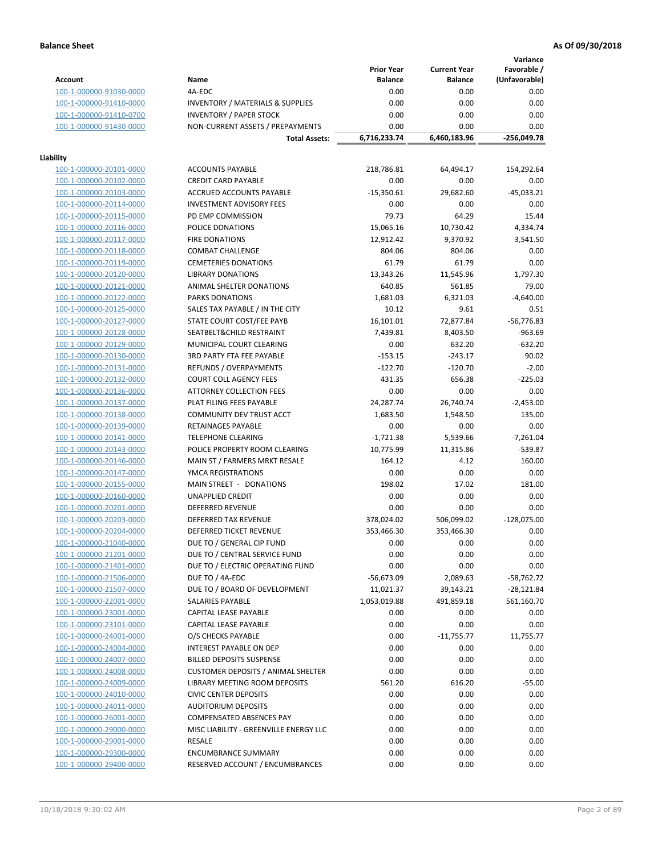**Variance**

|                         |                                             | <b>Prior Year</b> | <b>Current Year</b> | Favorable /   |
|-------------------------|---------------------------------------------|-------------------|---------------------|---------------|
| <b>Account</b>          | Name                                        | <b>Balance</b>    | <b>Balance</b>      | (Unfavorable) |
| 100-1-000000-91030-0000 | 4A-EDC                                      | 0.00              | 0.00                | 0.00          |
| 100-1-000000-91410-0000 | <b>INVENTORY / MATERIALS &amp; SUPPLIES</b> | 0.00              | 0.00                | 0.00          |
| 100-1-000000-91410-0700 | <b>INVENTORY / PAPER STOCK</b>              | 0.00              | 0.00                | 0.00          |
| 100-1-000000-91430-0000 | NON-CURRENT ASSETS / PREPAYMENTS            | 0.00              | 0.00                | 0.00          |
|                         | <b>Total Assets:</b>                        | 6,716,233.74      | 6,460,183.96        | $-256,049.78$ |
|                         |                                             |                   |                     |               |
| Liability               |                                             |                   |                     |               |
| 100-1-000000-20101-0000 | <b>ACCOUNTS PAYABLE</b>                     | 218,786.81        | 64,494.17           | 154,292.64    |
| 100-1-000000-20102-0000 | <b>CREDIT CARD PAYABLE</b>                  | 0.00              | 0.00                | 0.00          |
| 100-1-000000-20103-0000 | ACCRUED ACCOUNTS PAYABLE                    | $-15,350.61$      | 29,682.60           | $-45,033.21$  |
| 100-1-000000-20114-0000 | <b>INVESTMENT ADVISORY FEES</b>             | 0.00              | 0.00                | 0.00          |
| 100-1-000000-20115-0000 | PD EMP COMMISSION                           | 79.73             | 64.29               | 15.44         |
| 100-1-000000-20116-0000 | POLICE DONATIONS                            | 15,065.16         | 10,730.42           | 4,334.74      |
| 100-1-000000-20117-0000 | <b>FIRE DONATIONS</b>                       | 12,912.42         | 9,370.92            | 3,541.50      |
| 100-1-000000-20118-0000 | <b>COMBAT CHALLENGE</b>                     | 804.06            | 804.06              | 0.00          |
| 100-1-000000-20119-0000 | <b>CEMETERIES DONATIONS</b>                 | 61.79             | 61.79               | 0.00          |
| 100-1-000000-20120-0000 | <b>LIBRARY DONATIONS</b>                    | 13,343.26         | 11,545.96           | 1,797.30      |
| 100-1-000000-20121-0000 | ANIMAL SHELTER DONATIONS                    | 640.85            | 561.85              | 79.00         |
| 100-1-000000-20122-0000 | <b>PARKS DONATIONS</b>                      | 1,681.03          | 6,321.03            | $-4,640.00$   |
| 100-1-000000-20125-0000 | SALES TAX PAYABLE / IN THE CITY             | 10.12             | 9.61                | 0.51          |
| 100-1-000000-20127-0000 | STATE COURT COST/FEE PAYB                   | 16,101.01         | 72,877.84           | $-56,776.83$  |
| 100-1-000000-20128-0000 | SEATBELT&CHILD RESTRAINT                    | 7,439.81          | 8,403.50            | $-963.69$     |
| 100-1-000000-20129-0000 | MUNICIPAL COURT CLEARING                    | 0.00              | 632.20              | $-632.20$     |
| 100-1-000000-20130-0000 | 3RD PARTY FTA FEE PAYABLE                   | $-153.15$         | $-243.17$           | 90.02         |
| 100-1-000000-20131-0000 | REFUNDS / OVERPAYMENTS                      | $-122.70$         | $-120.70$           | $-2.00$       |
| 100-1-000000-20132-0000 | <b>COURT COLL AGENCY FEES</b>               | 431.35            | 656.38              | $-225.03$     |
| 100-1-000000-20136-0000 | ATTORNEY COLLECTION FEES                    | 0.00              | 0.00                | 0.00          |
| 100-1-000000-20137-0000 | PLAT FILING FEES PAYABLE                    | 24,287.74         | 26,740.74           | $-2,453.00$   |
| 100-1-000000-20138-0000 | COMMUNITY DEV TRUST ACCT                    | 1,683.50          | 1,548.50            | 135.00        |
| 100-1-000000-20139-0000 | RETAINAGES PAYABLE                          | 0.00              | 0.00                | 0.00          |
| 100-1-000000-20141-0000 | <b>TELEPHONE CLEARING</b>                   | $-1,721.38$       | 5,539.66            | $-7,261.04$   |
| 100-1-000000-20143-0000 | POLICE PROPERTY ROOM CLEARING               | 10,775.99         | 11,315.86           | $-539.87$     |
| 100-1-000000-20146-0000 | MAIN ST / FARMERS MRKT RESALE               | 164.12            | 4.12                | 160.00        |
| 100-1-000000-20147-0000 | YMCA REGISTRATIONS                          | 0.00              | 0.00                | 0.00          |
| 100-1-000000-20155-0000 | MAIN STREET - DONATIONS                     | 198.02            | 17.02               | 181.00        |
| 100-1-000000-20160-0000 | <b>UNAPPLIED CREDIT</b>                     | 0.00              | 0.00                | 0.00          |
| 100-1-000000-20201-0000 | <b>DEFERRED REVENUE</b>                     | 0.00              | 0.00                | 0.00          |
| 100-1-000000-20203-0000 | DEFERRED TAX REVENUE                        | 378,024.02        | 506,099.02          | $-128,075.00$ |
| 100-1-000000-20204-0000 | DEFERRED TICKET REVENUE                     | 353,466.30        | 353,466.30          | 0.00          |
| 100-1-000000-21040-0000 | DUE TO / GENERAL CIP FUND                   | 0.00              | 0.00                | 0.00          |
| 100-1-000000-21201-0000 | DUE TO / CENTRAL SERVICE FUND               | 0.00              | 0.00                | 0.00          |
| 100-1-000000-21401-0000 | DUE TO / ELECTRIC OPERATING FUND            | 0.00              | 0.00                | 0.00          |
| 100-1-000000-21506-0000 | DUE TO / 4A-EDC                             | $-56,673.09$      | 2,089.63            | $-58,762.72$  |
| 100-1-000000-21507-0000 | DUE TO / BOARD OF DEVELOPMENT               | 11,021.37         | 39,143.21           | $-28,121.84$  |
| 100-1-000000-22001-0000 | SALARIES PAYABLE                            | 1,053,019.88      | 491,859.18          | 561,160.70    |
| 100-1-000000-23001-0000 | CAPITAL LEASE PAYABLE                       | 0.00              | 0.00                | 0.00          |
| 100-1-000000-23101-0000 | CAPITAL LEASE PAYABLE                       | 0.00              | 0.00                | 0.00          |
| 100-1-000000-24001-0000 | O/S CHECKS PAYABLE                          | 0.00              | $-11,755.77$        | 11,755.77     |
| 100-1-000000-24004-0000 | INTEREST PAYABLE ON DEP                     | 0.00              | 0.00                | 0.00          |
| 100-1-000000-24007-0000 | <b>BILLED DEPOSITS SUSPENSE</b>             | 0.00              | 0.00                | 0.00          |
| 100-1-000000-24008-0000 | <b>CUSTOMER DEPOSITS / ANIMAL SHELTER</b>   | 0.00              | 0.00                | 0.00          |
| 100-1-000000-24009-0000 | LIBRARY MEETING ROOM DEPOSITS               | 561.20            | 616.20              | $-55.00$      |
| 100-1-000000-24010-0000 | <b>CIVIC CENTER DEPOSITS</b>                | 0.00              | 0.00                | 0.00          |
| 100-1-000000-24011-0000 | <b>AUDITORIUM DEPOSITS</b>                  | 0.00              | 0.00                | 0.00          |
| 100-1-000000-26001-0000 | COMPENSATED ABSENCES PAY                    | 0.00              | 0.00                | 0.00          |
| 100-1-000000-29000-0000 | MISC LIABILITY - GREENVILLE ENERGY LLC      | 0.00              | 0.00                | 0.00          |
| 100-1-000000-29001-0000 | <b>RESALE</b>                               | 0.00              | 0.00                | 0.00          |
| 100-1-000000-29300-0000 | <b>ENCUMBRANCE SUMMARY</b>                  | 0.00              | 0.00                | 0.00          |
| 100-1-000000-29400-0000 | RESERVED ACCOUNT / ENCUMBRANCES             | 0.00              | 0.00                | 0.00          |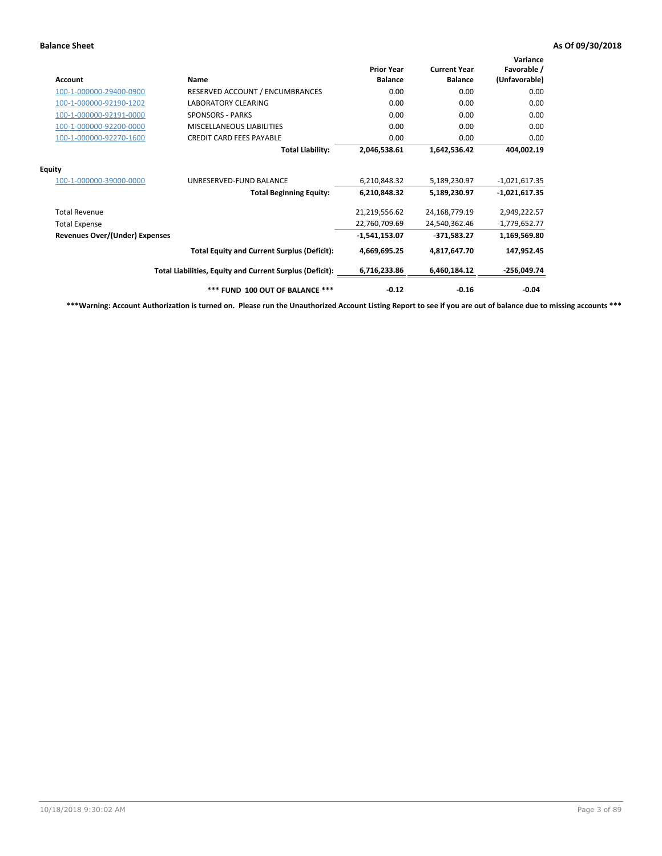| <b>Account</b>                        | Name                                                     | <b>Prior Year</b><br><b>Balance</b> | <b>Current Year</b><br><b>Balance</b> | Variance<br>Favorable /<br>(Unfavorable) |
|---------------------------------------|----------------------------------------------------------|-------------------------------------|---------------------------------------|------------------------------------------|
| 100-1-000000-29400-0900               | RESERVED ACCOUNT / ENCUMBRANCES                          | 0.00                                | 0.00                                  | 0.00                                     |
| 100-1-000000-92190-1202               | <b>LABORATORY CLEARING</b>                               | 0.00                                | 0.00                                  | 0.00                                     |
| 100-1-000000-92191-0000               | <b>SPONSORS - PARKS</b>                                  | 0.00                                | 0.00                                  | 0.00                                     |
| 100-1-000000-92200-0000               | MISCELLANEOUS LIABILITIES                                | 0.00                                | 0.00                                  | 0.00                                     |
| 100-1-000000-92270-1600               | <b>CREDIT CARD FEES PAYABLE</b>                          | 0.00                                | 0.00                                  | 0.00                                     |
|                                       | <b>Total Liability:</b>                                  | 2,046,538.61                        | 1,642,536.42                          | 404,002.19                               |
| <b>Equity</b>                         |                                                          |                                     |                                       |                                          |
| 100-1-000000-39000-0000               | UNRESERVED-FUND BALANCE                                  | 6,210,848.32                        | 5,189,230.97                          | $-1,021,617.35$                          |
|                                       | <b>Total Beginning Equity:</b>                           | 6,210,848.32                        | 5,189,230.97                          | $-1,021,617.35$                          |
| <b>Total Revenue</b>                  |                                                          | 21,219,556.62                       | 24,168,779.19                         | 2,949,222.57                             |
| <b>Total Expense</b>                  |                                                          | 22,760,709.69                       | 24,540,362.46                         | $-1,779,652.77$                          |
| <b>Revenues Over/(Under) Expenses</b> |                                                          | $-1,541,153.07$                     | $-371.583.27$                         | 1,169,569.80                             |
|                                       | <b>Total Equity and Current Surplus (Deficit):</b>       | 4,669,695.25                        | 4,817,647.70                          | 147,952.45                               |
|                                       | Total Liabilities, Equity and Current Surplus (Deficit): | 6,716,233.86                        | 6,460,184.12                          | $-256,049.74$                            |
|                                       | *** FUND 100 OUT OF BALANCE ***                          | $-0.12$                             | $-0.16$                               | $-0.04$                                  |

**\*\*\*Warning: Account Authorization is turned on. Please run the Unauthorized Account Listing Report to see if you are out of balance due to missing accounts \*\*\***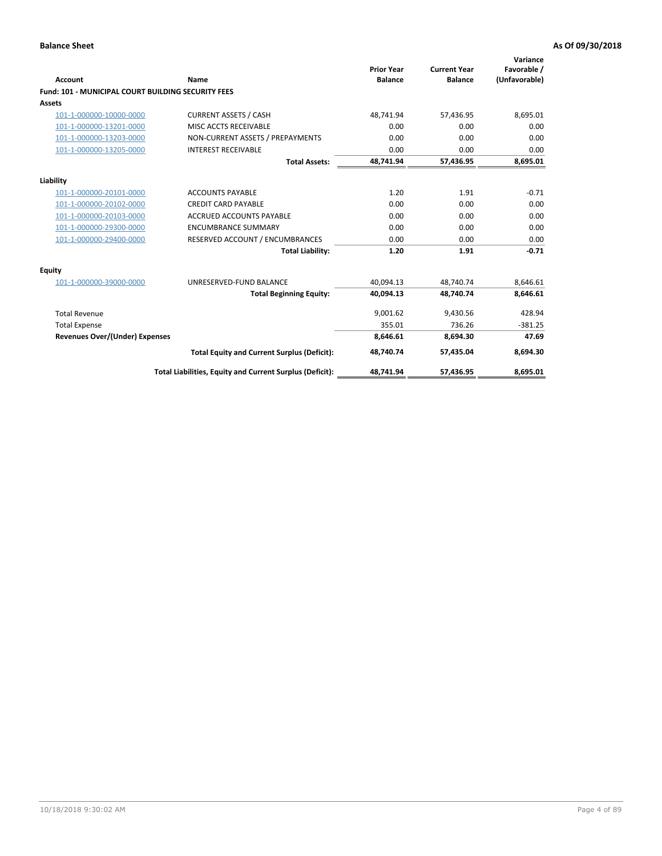| <b>Account</b>                                            | Name                                                     | <b>Prior Year</b><br><b>Balance</b> | <b>Current Year</b><br><b>Balance</b> | Variance<br>Favorable /<br>(Unfavorable) |
|-----------------------------------------------------------|----------------------------------------------------------|-------------------------------------|---------------------------------------|------------------------------------------|
| <b>Fund: 101 - MUNICIPAL COURT BUILDING SECURITY FEES</b> |                                                          |                                     |                                       |                                          |
| <b>Assets</b>                                             |                                                          |                                     |                                       |                                          |
| 101-1-000000-10000-0000                                   | <b>CURRENT ASSETS / CASH</b>                             | 48,741.94                           | 57,436.95                             | 8,695.01                                 |
| 101-1-000000-13201-0000                                   | MISC ACCTS RECEIVABLE                                    | 0.00                                | 0.00                                  | 0.00                                     |
| 101-1-000000-13203-0000                                   | NON-CURRENT ASSETS / PREPAYMENTS                         | 0.00                                | 0.00                                  | 0.00                                     |
| 101-1-000000-13205-0000                                   | <b>INTEREST RECEIVABLE</b>                               | 0.00                                | 0.00                                  | 0.00                                     |
|                                                           | <b>Total Assets:</b>                                     | 48,741.94                           | 57,436.95                             | 8,695.01                                 |
| Liability                                                 |                                                          |                                     |                                       |                                          |
| 101-1-000000-20101-0000                                   | <b>ACCOUNTS PAYABLE</b>                                  | 1.20                                | 1.91                                  | $-0.71$                                  |
| 101-1-000000-20102-0000                                   | <b>CREDIT CARD PAYABLE</b>                               | 0.00                                | 0.00                                  | 0.00                                     |
| 101-1-000000-20103-0000                                   | <b>ACCRUED ACCOUNTS PAYABLE</b>                          | 0.00                                | 0.00                                  | 0.00                                     |
| 101-1-000000-29300-0000                                   | <b>ENCUMBRANCE SUMMARY</b>                               | 0.00                                | 0.00                                  | 0.00                                     |
| 101-1-000000-29400-0000                                   | RESERVED ACCOUNT / ENCUMBRANCES                          | 0.00                                | 0.00                                  | 0.00                                     |
|                                                           | <b>Total Liability:</b>                                  | 1.20                                | 1.91                                  | $-0.71$                                  |
| <b>Equity</b>                                             |                                                          |                                     |                                       |                                          |
| 101-1-000000-39000-0000                                   | UNRESERVED-FUND BALANCE                                  | 40.094.13                           | 48.740.74                             | 8,646.61                                 |
|                                                           | <b>Total Beginning Equity:</b>                           | 40.094.13                           | 48.740.74                             | 8.646.61                                 |
| <b>Total Revenue</b>                                      |                                                          | 9,001.62                            | 9,430.56                              | 428.94                                   |
| <b>Total Expense</b>                                      |                                                          | 355.01                              | 736.26                                | $-381.25$                                |
| <b>Revenues Over/(Under) Expenses</b>                     |                                                          | 8.646.61                            | 8,694.30                              | 47.69                                    |
|                                                           | <b>Total Equity and Current Surplus (Deficit):</b>       | 48,740.74                           | 57,435.04                             | 8,694.30                                 |
|                                                           | Total Liabilities, Equity and Current Surplus (Deficit): | 48,741.94                           | 57,436.95                             | 8,695.01                                 |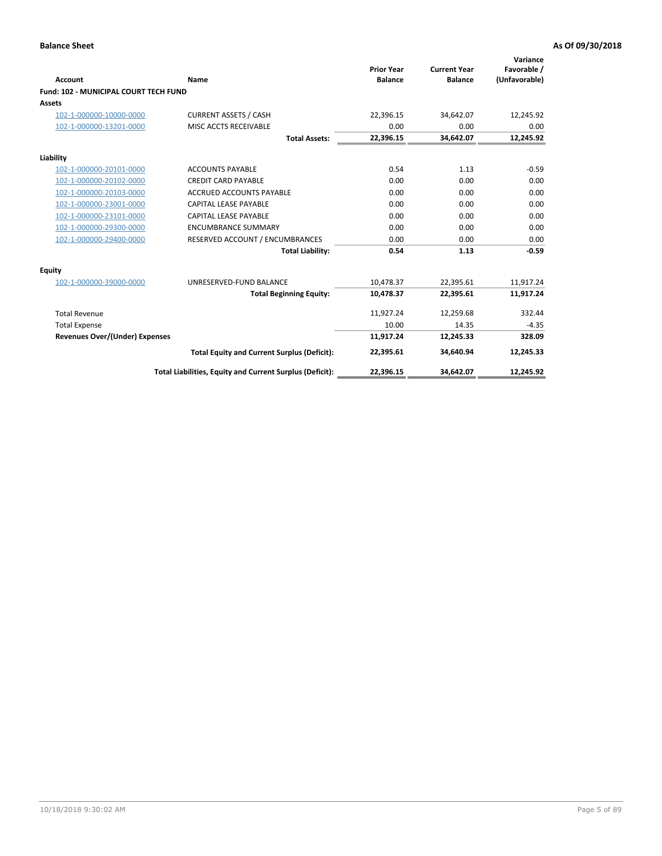| Account                                      | Name                                                     | <b>Prior Year</b><br><b>Balance</b> | <b>Current Year</b><br><b>Balance</b> | Variance<br>Favorable /<br>(Unfavorable) |
|----------------------------------------------|----------------------------------------------------------|-------------------------------------|---------------------------------------|------------------------------------------|
| <b>Fund: 102 - MUNICIPAL COURT TECH FUND</b> |                                                          |                                     |                                       |                                          |
| <b>Assets</b>                                |                                                          |                                     |                                       |                                          |
| 102-1-000000-10000-0000                      | <b>CURRENT ASSETS / CASH</b>                             | 22,396.15                           | 34,642.07                             | 12,245.92                                |
| 102-1-000000-13201-0000                      | MISC ACCTS RECEIVABLE                                    | 0.00                                | 0.00                                  | 0.00                                     |
|                                              | <b>Total Assets:</b>                                     | 22,396.15                           | 34,642.07                             | 12,245.92                                |
| Liability                                    |                                                          |                                     |                                       |                                          |
| 102-1-000000-20101-0000                      | <b>ACCOUNTS PAYABLE</b>                                  | 0.54                                | 1.13                                  | $-0.59$                                  |
| 102-1-000000-20102-0000                      | <b>CREDIT CARD PAYABLE</b>                               | 0.00                                | 0.00                                  | 0.00                                     |
| 102-1-000000-20103-0000                      | <b>ACCRUED ACCOUNTS PAYABLE</b>                          | 0.00                                | 0.00                                  | 0.00                                     |
| 102-1-000000-23001-0000                      | CAPITAL LEASE PAYABLE                                    | 0.00                                | 0.00                                  | 0.00                                     |
| 102-1-000000-23101-0000                      | CAPITAL LEASE PAYABLE                                    | 0.00                                | 0.00                                  | 0.00                                     |
| 102-1-000000-29300-0000                      | <b>ENCUMBRANCE SUMMARY</b>                               | 0.00                                | 0.00                                  | 0.00                                     |
| 102-1-000000-29400-0000                      | RESERVED ACCOUNT / ENCUMBRANCES                          | 0.00                                | 0.00                                  | 0.00                                     |
|                                              | <b>Total Liability:</b>                                  | 0.54                                | 1.13                                  | $-0.59$                                  |
| <b>Equity</b>                                |                                                          |                                     |                                       |                                          |
| 102-1-000000-39000-0000                      | UNRESERVED-FUND BALANCE                                  | 10,478.37                           | 22,395.61                             | 11,917.24                                |
|                                              | <b>Total Beginning Equity:</b>                           | 10,478.37                           | 22,395.61                             | 11,917.24                                |
| <b>Total Revenue</b>                         |                                                          | 11,927.24                           | 12,259.68                             | 332.44                                   |
| <b>Total Expense</b>                         |                                                          | 10.00                               | 14.35                                 | $-4.35$                                  |
| <b>Revenues Over/(Under) Expenses</b>        |                                                          | 11,917.24                           | 12,245.33                             | 328.09                                   |
|                                              | <b>Total Equity and Current Surplus (Deficit):</b>       | 22,395.61                           | 34,640.94                             | 12,245.33                                |
|                                              | Total Liabilities, Equity and Current Surplus (Deficit): | 22,396.15                           | 34,642.07                             | 12,245.92                                |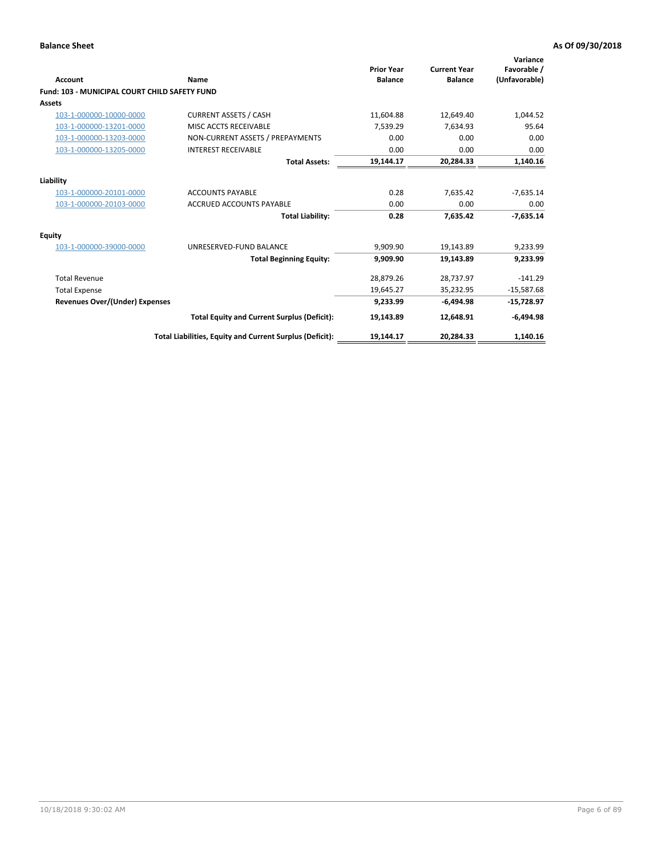| <b>Account</b>                                       | Name                                                     | <b>Prior Year</b><br><b>Balance</b> | <b>Current Year</b><br><b>Balance</b> | Variance<br>Favorable /<br>(Unfavorable) |
|------------------------------------------------------|----------------------------------------------------------|-------------------------------------|---------------------------------------|------------------------------------------|
| <b>Fund: 103 - MUNICIPAL COURT CHILD SAFETY FUND</b> |                                                          |                                     |                                       |                                          |
| <b>Assets</b>                                        |                                                          |                                     |                                       |                                          |
| 103-1-000000-10000-0000                              | <b>CURRENT ASSETS / CASH</b>                             | 11,604.88                           | 12,649.40                             | 1,044.52                                 |
| 103-1-000000-13201-0000                              | MISC ACCTS RECEIVABLE                                    | 7,539.29                            | 7,634.93                              | 95.64                                    |
| 103-1-000000-13203-0000                              | NON-CURRENT ASSETS / PREPAYMENTS                         | 0.00                                | 0.00                                  | 0.00                                     |
| 103-1-000000-13205-0000                              | <b>INTEREST RECEIVABLE</b>                               | 0.00                                | 0.00                                  | 0.00                                     |
|                                                      | <b>Total Assets:</b>                                     | 19,144.17                           | 20,284.33                             | 1,140.16                                 |
| Liability                                            |                                                          |                                     |                                       |                                          |
| 103-1-000000-20101-0000                              | <b>ACCOUNTS PAYABLE</b>                                  | 0.28                                | 7,635.42                              | $-7,635.14$                              |
| 103-1-000000-20103-0000                              | <b>ACCRUED ACCOUNTS PAYABLE</b>                          | 0.00                                | 0.00                                  | 0.00                                     |
|                                                      | <b>Total Liability:</b>                                  | 0.28                                | 7,635.42                              | $-7,635.14$                              |
| Equity                                               |                                                          |                                     |                                       |                                          |
| 103-1-000000-39000-0000                              | UNRESERVED-FUND BALANCE                                  | 9,909.90                            | 19,143.89                             | 9,233.99                                 |
|                                                      | <b>Total Beginning Equity:</b>                           | 9,909.90                            | 19,143.89                             | 9,233.99                                 |
| <b>Total Revenue</b>                                 |                                                          | 28,879.26                           | 28,737.97                             | $-141.29$                                |
| <b>Total Expense</b>                                 |                                                          | 19,645.27                           | 35,232.95                             | $-15,587.68$                             |
| <b>Revenues Over/(Under) Expenses</b>                |                                                          | 9,233.99                            | $-6.494.98$                           | $-15,728.97$                             |
|                                                      | <b>Total Equity and Current Surplus (Deficit):</b>       | 19,143.89                           | 12,648.91                             | $-6,494.98$                              |
|                                                      | Total Liabilities, Equity and Current Surplus (Deficit): | 19,144.17                           | 20,284.33                             | 1,140.16                                 |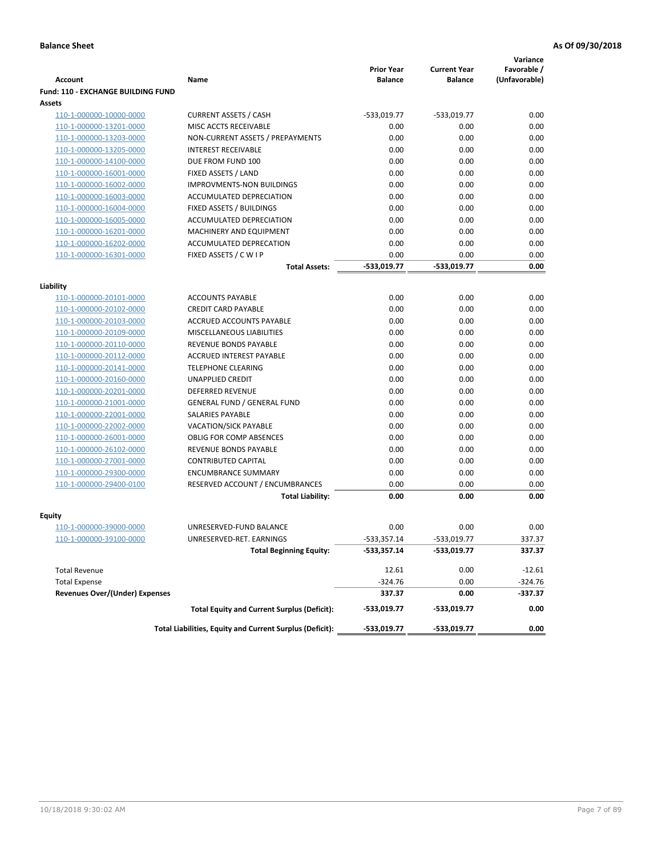|                                           |                                                          |                                     |                                       | Variance                     |
|-------------------------------------------|----------------------------------------------------------|-------------------------------------|---------------------------------------|------------------------------|
| <b>Account</b>                            | Name                                                     | <b>Prior Year</b><br><b>Balance</b> | <b>Current Year</b><br><b>Balance</b> | Favorable /<br>(Unfavorable) |
| <b>Fund: 110 - EXCHANGE BUILDING FUND</b> |                                                          |                                     |                                       |                              |
| Assets                                    |                                                          |                                     |                                       |                              |
| 110-1-000000-10000-0000                   | <b>CURRENT ASSETS / CASH</b>                             | -533,019.77                         | $-533,019.77$                         | 0.00                         |
| 110-1-000000-13201-0000                   | MISC ACCTS RECEIVABLE                                    | 0.00                                | 0.00                                  | 0.00                         |
| 110-1-000000-13203-0000                   | NON-CURRENT ASSETS / PREPAYMENTS                         | 0.00                                | 0.00                                  | 0.00                         |
| 110-1-000000-13205-0000                   | <b>INTEREST RECEIVABLE</b>                               | 0.00                                | 0.00                                  | 0.00                         |
| 110-1-000000-14100-0000                   | DUE FROM FUND 100                                        | 0.00                                | 0.00                                  | 0.00                         |
| 110-1-000000-16001-0000                   | FIXED ASSETS / LAND                                      | 0.00                                | 0.00                                  | 0.00                         |
| 110-1-000000-16002-0000                   | <b>IMPROVMENTS-NON BUILDINGS</b>                         | 0.00                                | 0.00                                  | 0.00                         |
| 110-1-000000-16003-0000                   | ACCUMULATED DEPRECIATION                                 | 0.00                                | 0.00                                  | 0.00                         |
| 110-1-000000-16004-0000                   | FIXED ASSETS / BUILDINGS                                 | 0.00                                | 0.00                                  | 0.00                         |
| 110-1-000000-16005-0000                   | ACCUMULATED DEPRECIATION                                 | 0.00                                | 0.00                                  | 0.00                         |
| 110-1-000000-16201-0000                   | <b>MACHINERY AND EQUIPMENT</b>                           | 0.00                                | 0.00                                  | 0.00                         |
| 110-1-000000-16202-0000                   | ACCUMULATED DEPRECATION                                  | 0.00                                | 0.00                                  | 0.00                         |
| 110-1-000000-16301-0000                   | FIXED ASSETS / C W I P                                   | 0.00                                | 0.00                                  | 0.00                         |
|                                           | <b>Total Assets:</b>                                     | $-533,019.77$                       | -533,019.77                           | 0.00                         |
| Liability                                 |                                                          |                                     |                                       |                              |
| 110-1-000000-20101-0000                   | <b>ACCOUNTS PAYABLE</b>                                  | 0.00                                | 0.00                                  | 0.00                         |
| 110-1-000000-20102-0000                   | <b>CREDIT CARD PAYABLE</b>                               | 0.00                                | 0.00                                  | 0.00                         |
| 110-1-000000-20103-0000                   | ACCRUED ACCOUNTS PAYABLE                                 | 0.00                                | 0.00                                  | 0.00                         |
| 110-1-000000-20109-0000                   | MISCELLANEOUS LIABILITIES                                | 0.00                                | 0.00                                  | 0.00                         |
| 110-1-000000-20110-0000                   | REVENUE BONDS PAYABLE                                    | 0.00                                | 0.00                                  | 0.00                         |
| 110-1-000000-20112-0000                   | <b>ACCRUED INTEREST PAYABLE</b>                          | 0.00                                | 0.00                                  | 0.00                         |
| 110-1-000000-20141-0000                   | <b>TELEPHONE CLEARING</b>                                | 0.00                                | 0.00                                  | 0.00                         |
| 110-1-000000-20160-0000                   | <b>UNAPPLIED CREDIT</b>                                  | 0.00                                | 0.00                                  | 0.00                         |
| 110-1-000000-20201-0000                   | <b>DEFERRED REVENUE</b>                                  | 0.00                                | 0.00                                  | 0.00                         |
| 110-1-000000-21001-0000                   | <b>GENERAL FUND / GENERAL FUND</b>                       | 0.00                                | 0.00                                  | 0.00                         |
| 110-1-000000-22001-0000                   | SALARIES PAYABLE                                         | 0.00                                | 0.00                                  | 0.00                         |
| 110-1-000000-22002-0000                   | <b>VACATION/SICK PAYABLE</b>                             | 0.00                                | 0.00                                  | 0.00                         |
| 110-1-000000-26001-0000                   | <b>OBLIG FOR COMP ABSENCES</b>                           | 0.00                                | 0.00                                  | 0.00                         |
| 110-1-000000-26102-0000                   | REVENUE BONDS PAYABLE                                    | 0.00                                | 0.00                                  | 0.00                         |
| 110-1-000000-27001-0000                   | <b>CONTRIBUTED CAPITAL</b>                               | 0.00                                | 0.00                                  | 0.00                         |
| 110-1-000000-29300-0000                   | <b>ENCUMBRANCE SUMMARY</b>                               | 0.00                                | 0.00                                  | 0.00                         |
| 110-1-000000-29400-0100                   | RESERVED ACCOUNT / ENCUMBRANCES                          | 0.00                                | 0.00                                  | 0.00                         |
|                                           | <b>Total Liability:</b>                                  | 0.00                                | 0.00                                  | 0.00                         |
|                                           |                                                          |                                     |                                       |                              |
| <b>Equity</b><br>110-1-000000-39000-0000  | UNRESERVED-FUND BALANCE                                  | 0.00                                | 0.00                                  | 0.00                         |
| 110-1-000000-39100-0000                   | UNRESERVED-RET. EARNINGS                                 | -533,357.14                         | -533,019.77                           | 337.37                       |
|                                           | <b>Total Beginning Equity:</b>                           | $-533,357.14$                       | -533,019.77                           | 337.37                       |
|                                           |                                                          |                                     |                                       |                              |
| <b>Total Revenue</b>                      |                                                          | 12.61                               | 0.00                                  | $-12.61$                     |
| <b>Total Expense</b>                      |                                                          | $-324.76$                           | 0.00                                  | $-324.76$                    |
| <b>Revenues Over/(Under) Expenses</b>     |                                                          | 337.37                              | 0.00                                  | -337.37                      |
|                                           | <b>Total Equity and Current Surplus (Deficit):</b>       | -533,019.77                         | -533,019.77                           | 0.00                         |
|                                           | Total Liabilities, Equity and Current Surplus (Deficit): | -533,019.77                         | -533,019.77                           | 0.00                         |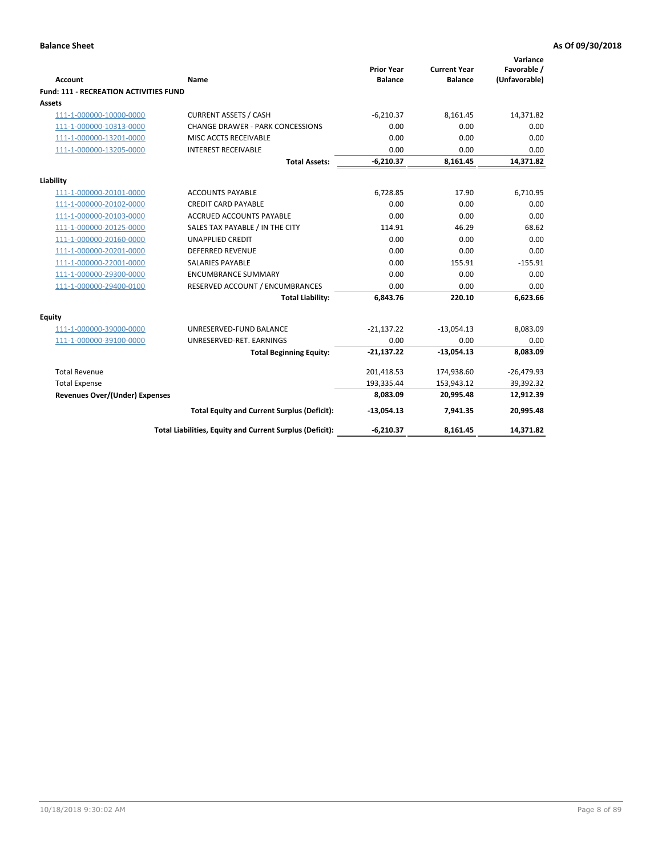| <b>Account</b>                                     | Name                                                       | <b>Prior Year</b><br><b>Balance</b> | <b>Current Year</b><br><b>Balance</b> | Variance<br>Favorable /<br>(Unfavorable) |
|----------------------------------------------------|------------------------------------------------------------|-------------------------------------|---------------------------------------|------------------------------------------|
| <b>Fund: 111 - RECREATION ACTIVITIES FUND</b>      |                                                            |                                     |                                       |                                          |
| <b>Assets</b>                                      |                                                            |                                     |                                       |                                          |
| 111-1-000000-10000-0000                            | <b>CURRENT ASSETS / CASH</b>                               | $-6,210.37$                         | 8,161.45                              | 14,371.82                                |
| 111-1-000000-10313-0000                            | <b>CHANGE DRAWER - PARK CONCESSIONS</b>                    | 0.00                                | 0.00                                  | 0.00                                     |
| 111-1-000000-13201-0000                            | MISC ACCTS RECEIVABLE                                      | 0.00                                | 0.00                                  | 0.00                                     |
| 111-1-000000-13205-0000                            | <b>INTEREST RECEIVABLE</b>                                 | 0.00                                | 0.00                                  | 0.00                                     |
|                                                    | <b>Total Assets:</b>                                       | $-6,210.37$                         | 8,161.45                              | 14,371.82                                |
|                                                    |                                                            |                                     |                                       |                                          |
| Liability                                          |                                                            |                                     |                                       |                                          |
| 111-1-000000-20101-0000                            | <b>ACCOUNTS PAYABLE</b>                                    | 6,728.85                            | 17.90                                 | 6,710.95                                 |
| 111-1-000000-20102-0000                            | <b>CREDIT CARD PAYABLE</b>                                 | 0.00                                | 0.00                                  | 0.00                                     |
| 111-1-000000-20103-0000                            | <b>ACCRUED ACCOUNTS PAYABLE</b>                            | 0.00                                | 0.00                                  | 0.00                                     |
| 111-1-000000-20125-0000<br>111-1-000000-20160-0000 | SALES TAX PAYABLE / IN THE CITY<br><b>UNAPPLIED CREDIT</b> | 114.91<br>0.00                      | 46.29<br>0.00                         | 68.62<br>0.00                            |
| 111-1-000000-20201-0000                            | <b>DEFERRED REVENUE</b>                                    | 0.00                                | 0.00                                  | 0.00                                     |
| 111-1-000000-22001-0000                            | <b>SALARIES PAYABLE</b>                                    | 0.00                                | 155.91                                | $-155.91$                                |
| 111-1-000000-29300-0000                            | <b>ENCUMBRANCE SUMMARY</b>                                 | 0.00                                | 0.00                                  | 0.00                                     |
| 111-1-000000-29400-0100                            |                                                            | 0.00                                | 0.00                                  | 0.00                                     |
|                                                    | RESERVED ACCOUNT / ENCUMBRANCES<br><b>Total Liability:</b> | 6,843.76                            | 220.10                                | 6,623.66                                 |
|                                                    |                                                            |                                     |                                       |                                          |
| <b>Equity</b>                                      |                                                            |                                     |                                       |                                          |
| 111-1-000000-39000-0000                            | UNRESERVED-FUND BALANCE                                    | $-21,137.22$                        | $-13,054.13$                          | 8,083.09                                 |
| 111-1-000000-39100-0000                            | UNRESERVED-RET. EARNINGS                                   | 0.00                                | 0.00                                  | 0.00                                     |
|                                                    | <b>Total Beginning Equity:</b>                             | $-21,137.22$                        | $-13,054.13$                          | 8,083.09                                 |
| <b>Total Revenue</b>                               |                                                            | 201,418.53                          | 174,938.60                            | $-26,479.93$                             |
| <b>Total Expense</b>                               |                                                            | 193,335.44                          | 153,943.12                            | 39,392.32                                |
| <b>Revenues Over/(Under) Expenses</b>              |                                                            | 8,083.09                            | 20,995.48                             | 12,912.39                                |
|                                                    | <b>Total Equity and Current Surplus (Deficit):</b>         | $-13,054.13$                        | 7,941.35                              | 20,995.48                                |
|                                                    | Total Liabilities, Equity and Current Surplus (Deficit):   | $-6,210.37$                         | 8,161.45                              | 14,371.82                                |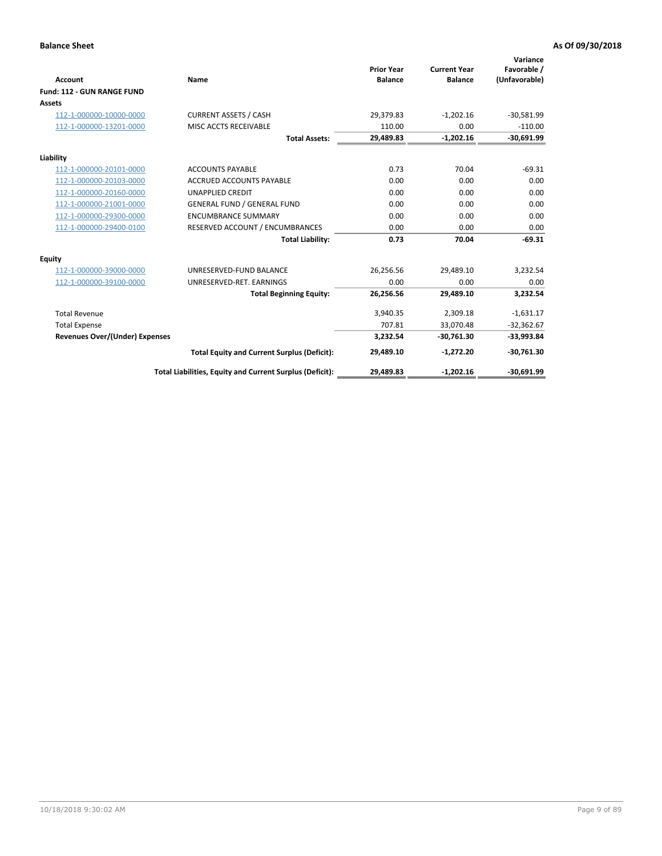|                                       |                                                          |                                     |                                       | Variance                     |
|---------------------------------------|----------------------------------------------------------|-------------------------------------|---------------------------------------|------------------------------|
| <b>Account</b>                        | Name                                                     | <b>Prior Year</b><br><b>Balance</b> | <b>Current Year</b><br><b>Balance</b> | Favorable /<br>(Unfavorable) |
| Fund: 112 - GUN RANGE FUND            |                                                          |                                     |                                       |                              |
| <b>Assets</b>                         |                                                          |                                     |                                       |                              |
| 112-1-000000-10000-0000               | <b>CURRENT ASSETS / CASH</b>                             | 29,379.83                           | $-1,202.16$                           | $-30,581.99$                 |
| 112-1-000000-13201-0000               | MISC ACCTS RECEIVABLE                                    | 110.00                              | 0.00                                  | $-110.00$                    |
|                                       | <b>Total Assets:</b>                                     | 29,489.83                           | $-1,202.16$                           | $-30,691.99$                 |
| Liability                             |                                                          |                                     |                                       |                              |
| 112-1-000000-20101-0000               | <b>ACCOUNTS PAYABLE</b>                                  | 0.73                                | 70.04                                 | $-69.31$                     |
| 112-1-000000-20103-0000               | <b>ACCRUED ACCOUNTS PAYABLE</b>                          | 0.00                                | 0.00                                  | 0.00                         |
| 112-1-000000-20160-0000               | <b>UNAPPLIED CREDIT</b>                                  | 0.00                                | 0.00                                  | 0.00                         |
| 112-1-000000-21001-0000               | <b>GENERAL FUND / GENERAL FUND</b>                       | 0.00                                | 0.00                                  | 0.00                         |
| 112-1-000000-29300-0000               | <b>ENCUMBRANCE SUMMARY</b>                               | 0.00                                | 0.00                                  | 0.00                         |
| 112-1-000000-29400-0100               | RESERVED ACCOUNT / ENCUMBRANCES                          | 0.00                                | 0.00                                  | 0.00                         |
|                                       | <b>Total Liability:</b>                                  | 0.73                                | 70.04                                 | $-69.31$                     |
| Equity                                |                                                          |                                     |                                       |                              |
| 112-1-000000-39000-0000               | UNRESERVED-FUND BALANCE                                  | 26,256.56                           | 29,489.10                             | 3,232.54                     |
| 112-1-000000-39100-0000               | UNRESERVED-RET. EARNINGS                                 | 0.00                                | 0.00                                  | 0.00                         |
|                                       | <b>Total Beginning Equity:</b>                           | 26,256.56                           | 29.489.10                             | 3.232.54                     |
| <b>Total Revenue</b>                  |                                                          | 3,940.35                            | 2,309.18                              | $-1,631.17$                  |
| <b>Total Expense</b>                  |                                                          | 707.81                              | 33,070.48                             | $-32,362.67$                 |
| <b>Revenues Over/(Under) Expenses</b> |                                                          | 3,232.54                            | $-30,761.30$                          | $-33,993.84$                 |
|                                       | <b>Total Equity and Current Surplus (Deficit):</b>       | 29,489.10                           | $-1,272.20$                           | $-30,761.30$                 |
|                                       | Total Liabilities, Equity and Current Surplus (Deficit): | 29,489.83                           | $-1,202.16$                           | $-30,691.99$                 |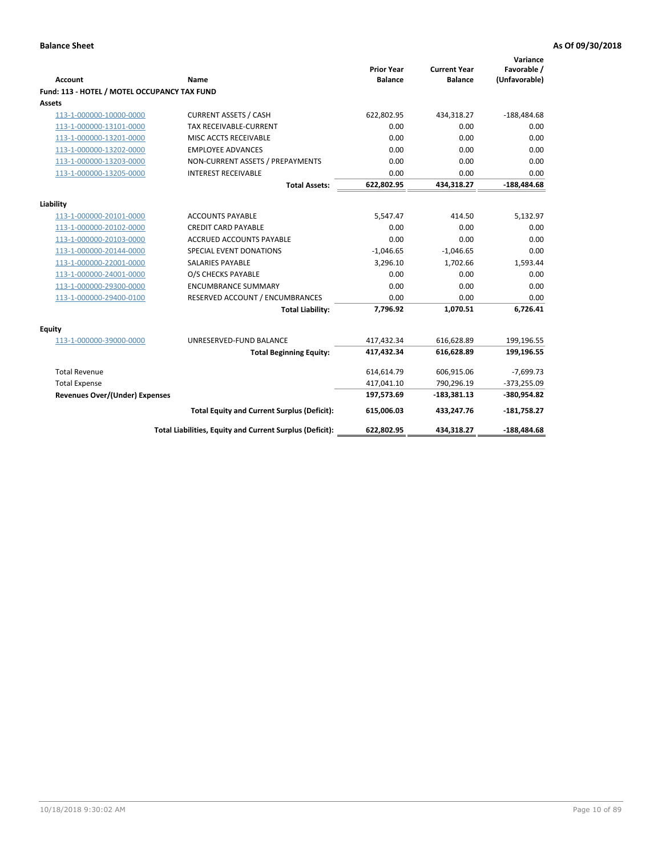| <b>Account</b>                               | <b>Name</b>                                              | <b>Prior Year</b><br><b>Balance</b> | <b>Current Year</b><br><b>Balance</b> | Variance<br>Favorable /<br>(Unfavorable) |
|----------------------------------------------|----------------------------------------------------------|-------------------------------------|---------------------------------------|------------------------------------------|
| Fund: 113 - HOTEL / MOTEL OCCUPANCY TAX FUND |                                                          |                                     |                                       |                                          |
| Assets                                       |                                                          |                                     |                                       |                                          |
| 113-1-000000-10000-0000                      | <b>CURRENT ASSETS / CASH</b>                             | 622,802.95                          | 434,318.27                            | $-188,484.68$                            |
| 113-1-000000-13101-0000                      | TAX RECEIVABLE-CURRENT                                   | 0.00                                | 0.00                                  | 0.00                                     |
| 113-1-000000-13201-0000                      | MISC ACCTS RECEIVABLE                                    | 0.00                                | 0.00                                  | 0.00                                     |
| 113-1-000000-13202-0000                      | <b>EMPLOYEE ADVANCES</b>                                 | 0.00                                | 0.00                                  | 0.00                                     |
| 113-1-000000-13203-0000                      | NON-CURRENT ASSETS / PREPAYMENTS                         | 0.00                                | 0.00                                  | 0.00                                     |
| 113-1-000000-13205-0000                      | <b>INTEREST RECEIVABLE</b>                               | 0.00                                | 0.00                                  | 0.00                                     |
|                                              | <b>Total Assets:</b>                                     | 622,802.95                          | 434,318.27                            | $-188,484.68$                            |
|                                              |                                                          |                                     |                                       |                                          |
| Liability<br>113-1-000000-20101-0000         | <b>ACCOUNTS PAYABLE</b>                                  | 5,547.47                            | 414.50                                | 5,132.97                                 |
| 113-1-000000-20102-0000                      | <b>CREDIT CARD PAYABLE</b>                               | 0.00                                | 0.00                                  | 0.00                                     |
| 113-1-000000-20103-0000                      | <b>ACCRUED ACCOUNTS PAYABLE</b>                          | 0.00                                | 0.00                                  | 0.00                                     |
| 113-1-000000-20144-0000                      | SPECIAL EVENT DONATIONS                                  | $-1,046.65$                         | $-1,046.65$                           | 0.00                                     |
| 113-1-000000-22001-0000                      | <b>SALARIES PAYABLE</b>                                  | 3,296.10                            | 1,702.66                              | 1,593.44                                 |
|                                              |                                                          | 0.00                                |                                       |                                          |
| 113-1-000000-24001-0000                      | O/S CHECKS PAYABLE                                       |                                     | 0.00                                  | 0.00                                     |
| 113-1-000000-29300-0000                      | <b>ENCUMBRANCE SUMMARY</b>                               | 0.00                                | 0.00                                  | 0.00                                     |
| 113-1-000000-29400-0100                      | RESERVED ACCOUNT / ENCUMBRANCES                          | 0.00                                | 0.00                                  | 0.00                                     |
|                                              | <b>Total Liability:</b>                                  | 7,796.92                            | 1,070.51                              | 6,726.41                                 |
| Equity                                       |                                                          |                                     |                                       |                                          |
| 113-1-000000-39000-0000                      | UNRESERVED-FUND BALANCE                                  | 417,432.34                          | 616,628.89                            | 199,196.55                               |
|                                              | <b>Total Beginning Equity:</b>                           | 417,432.34                          | 616,628.89                            | 199,196.55                               |
| <b>Total Revenue</b>                         |                                                          | 614,614.79                          | 606,915.06                            | $-7,699.73$                              |
| <b>Total Expense</b>                         |                                                          | 417,041.10                          | 790,296.19                            | $-373,255.09$                            |
| <b>Revenues Over/(Under) Expenses</b>        |                                                          | 197,573.69                          | $-183,381.13$                         | -380,954.82                              |
|                                              | <b>Total Equity and Current Surplus (Deficit):</b>       | 615,006.03                          | 433,247.76                            | $-181,758.27$                            |
|                                              | Total Liabilities, Equity and Current Surplus (Deficit): | 622,802.95                          | 434,318.27                            | -188.484.68                              |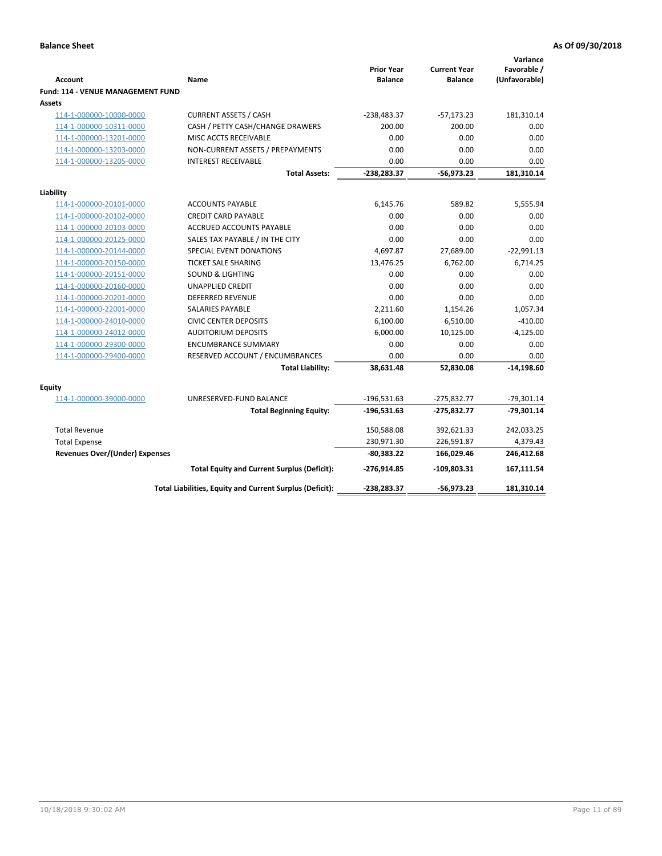| <b>Account</b>                                     | Name                                                     | <b>Prior Year</b><br><b>Balance</b> | <b>Current Year</b><br><b>Balance</b> | Variance<br>Favorable /<br>(Unfavorable) |
|----------------------------------------------------|----------------------------------------------------------|-------------------------------------|---------------------------------------|------------------------------------------|
| <b>Fund: 114 - VENUE MANAGEMENT FUND</b><br>Assets |                                                          |                                     |                                       |                                          |
| 114-1-000000-10000-0000                            | <b>CURRENT ASSETS / CASH</b>                             | $-238,483.37$                       | $-57,173.23$                          | 181,310.14                               |
| 114-1-000000-10311-0000                            | CASH / PETTY CASH/CHANGE DRAWERS                         | 200.00                              | 200.00                                | 0.00                                     |
| 114-1-000000-13201-0000                            | MISC ACCTS RECEIVABLE                                    | 0.00                                | 0.00                                  | 0.00                                     |
| 114-1-000000-13203-0000                            | NON-CURRENT ASSETS / PREPAYMENTS                         | 0.00                                | 0.00                                  | 0.00                                     |
| 114-1-000000-13205-0000                            | <b>INTEREST RECEIVABLE</b>                               | 0.00                                | 0.00                                  | 0.00                                     |
|                                                    | <b>Total Assets:</b>                                     | $-238,283.37$                       | $-56,973.23$                          | 181,310.14                               |
| Liability                                          |                                                          |                                     |                                       |                                          |
| 114-1-000000-20101-0000                            | <b>ACCOUNTS PAYABLE</b>                                  | 6,145.76                            | 589.82                                | 5,555.94                                 |
| 114-1-000000-20102-0000                            | <b>CREDIT CARD PAYABLE</b>                               | 0.00                                | 0.00                                  | 0.00                                     |
| 114-1-000000-20103-0000                            | ACCRUED ACCOUNTS PAYABLE                                 | 0.00                                | 0.00                                  | 0.00                                     |
| 114-1-000000-20125-0000                            | SALES TAX PAYABLE / IN THE CITY                          | 0.00                                | 0.00                                  | 0.00                                     |
| 114-1-000000-20144-0000                            | SPECIAL EVENT DONATIONS                                  | 4,697.87                            | 27,689.00                             | $-22,991.13$                             |
| 114-1-000000-20150-0000                            | <b>TICKET SALE SHARING</b>                               | 13,476.25                           | 6,762.00                              | 6,714.25                                 |
| 114-1-000000-20151-0000                            | <b>SOUND &amp; LIGHTING</b>                              | 0.00                                | 0.00                                  | 0.00                                     |
| 114-1-000000-20160-0000                            | <b>UNAPPLIED CREDIT</b>                                  | 0.00                                | 0.00                                  | 0.00                                     |
| 114-1-000000-20201-0000                            | <b>DEFERRED REVENUE</b>                                  | 0.00                                | 0.00                                  | 0.00                                     |
| 114-1-000000-22001-0000                            | <b>SALARIES PAYABLE</b>                                  | 2,211.60                            | 1,154.26                              | 1,057.34                                 |
| 114-1-000000-24010-0000                            | <b>CIVIC CENTER DEPOSITS</b>                             | 6,100.00                            | 6,510.00                              | $-410.00$                                |
| 114-1-000000-24012-0000                            | <b>AUDITORIUM DEPOSITS</b>                               | 6,000.00                            | 10,125.00                             | $-4,125.00$                              |
| 114-1-000000-29300-0000                            | <b>ENCUMBRANCE SUMMARY</b>                               | 0.00                                | 0.00                                  | 0.00                                     |
| 114-1-000000-29400-0000                            | RESERVED ACCOUNT / ENCUMBRANCES                          | 0.00                                | 0.00                                  | 0.00                                     |
|                                                    | <b>Total Liability:</b>                                  | 38,631.48                           | 52,830.08                             | $-14,198.60$                             |
| Equity                                             |                                                          |                                     |                                       |                                          |
| 114-1-000000-39000-0000                            | UNRESERVED-FUND BALANCE                                  | $-196,531.63$                       | $-275,832.77$                         | $-79,301.14$                             |
|                                                    | <b>Total Beginning Equity:</b>                           | $-196,531.63$                       | $-275,832.77$                         | $-79,301.14$                             |
| <b>Total Revenue</b>                               |                                                          | 150,588.08                          | 392,621.33                            | 242,033.25                               |
| <b>Total Expense</b>                               |                                                          | 230,971.30                          | 226,591.87                            | 4,379.43                                 |
| <b>Revenues Over/(Under) Expenses</b>              |                                                          | $-80,383.22$                        | 166,029.46                            | 246,412.68                               |
|                                                    | <b>Total Equity and Current Surplus (Deficit):</b>       | $-276,914.85$                       | $-109,803.31$                         | 167,111.54                               |
|                                                    | Total Liabilities, Equity and Current Surplus (Deficit): | -238,283.37                         | $-56,973.23$                          | 181,310.14                               |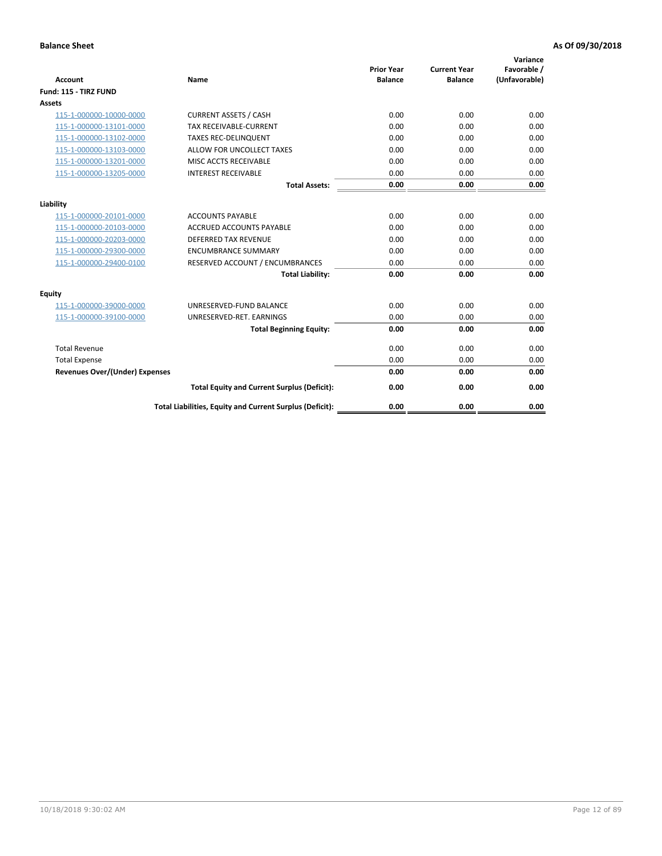| <b>Account</b>                        | <b>Name</b>                                              | <b>Prior Year</b><br><b>Balance</b> | <b>Current Year</b><br><b>Balance</b> | Variance<br>Favorable /<br>(Unfavorable) |
|---------------------------------------|----------------------------------------------------------|-------------------------------------|---------------------------------------|------------------------------------------|
| Fund: 115 - TIRZ FUND                 |                                                          |                                     |                                       |                                          |
| <b>Assets</b>                         |                                                          |                                     |                                       |                                          |
| 115-1-000000-10000-0000               | <b>CURRENT ASSETS / CASH</b>                             | 0.00                                | 0.00                                  | 0.00                                     |
| 115-1-000000-13101-0000               | TAX RECEIVABLE-CURRENT                                   | 0.00                                | 0.00                                  | 0.00                                     |
| 115-1-000000-13102-0000               | <b>TAXES REC-DELINQUENT</b>                              | 0.00                                | 0.00                                  | 0.00                                     |
| 115-1-000000-13103-0000               | ALLOW FOR UNCOLLECT TAXES                                | 0.00                                | 0.00                                  | 0.00                                     |
| 115-1-000000-13201-0000               | MISC ACCTS RECEIVABLE                                    | 0.00                                | 0.00                                  | 0.00                                     |
| 115-1-000000-13205-0000               | <b>INTEREST RECEIVABLE</b>                               | 0.00                                | 0.00                                  | 0.00                                     |
|                                       | <b>Total Assets:</b>                                     | 0.00                                | 0.00                                  | 0.00                                     |
| Liability                             |                                                          |                                     |                                       |                                          |
| 115-1-000000-20101-0000               | <b>ACCOUNTS PAYABLE</b>                                  | 0.00                                | 0.00                                  | 0.00                                     |
| 115-1-000000-20103-0000               | <b>ACCRUED ACCOUNTS PAYABLE</b>                          | 0.00                                | 0.00                                  | 0.00                                     |
| 115-1-000000-20203-0000               | <b>DEFERRED TAX REVENUE</b>                              | 0.00                                | 0.00                                  | 0.00                                     |
| 115-1-000000-29300-0000               | <b>ENCUMBRANCE SUMMARY</b>                               | 0.00                                | 0.00                                  | 0.00                                     |
| 115-1-000000-29400-0100               | RESERVED ACCOUNT / ENCUMBRANCES                          | 0.00                                | 0.00                                  | 0.00                                     |
|                                       | <b>Total Liability:</b>                                  | 0.00                                | 0.00                                  | 0.00                                     |
| Equity                                |                                                          |                                     |                                       |                                          |
| 115-1-000000-39000-0000               | UNRESERVED-FUND BALANCE                                  | 0.00                                | 0.00                                  | 0.00                                     |
| 115-1-000000-39100-0000               | UNRESERVED-RET. EARNINGS                                 | 0.00                                | 0.00                                  | 0.00                                     |
|                                       | <b>Total Beginning Equity:</b>                           | 0.00                                | 0.00                                  | 0.00                                     |
| <b>Total Revenue</b>                  |                                                          | 0.00                                | 0.00                                  | 0.00                                     |
| <b>Total Expense</b>                  |                                                          | 0.00                                | 0.00                                  | 0.00                                     |
| <b>Revenues Over/(Under) Expenses</b> |                                                          | 0.00                                | 0.00                                  | 0.00                                     |
|                                       | <b>Total Equity and Current Surplus (Deficit):</b>       | 0.00                                | 0.00                                  | 0.00                                     |
|                                       | Total Liabilities, Equity and Current Surplus (Deficit): | 0.00                                | 0.00                                  | 0.00                                     |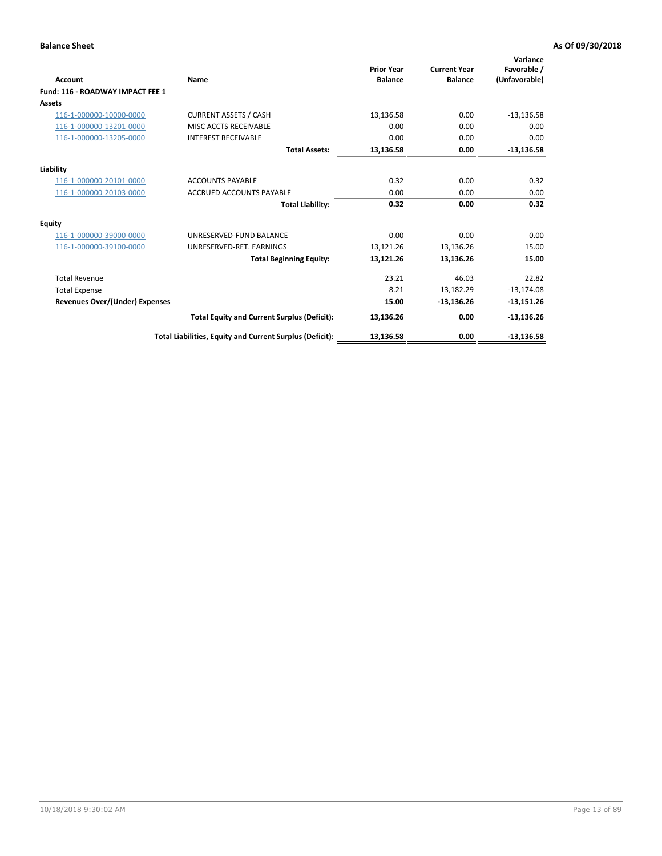| Account                               | Name                                                     | <b>Prior Year</b><br><b>Balance</b> | <b>Current Year</b><br><b>Balance</b> | Variance<br>Favorable /<br>(Unfavorable) |
|---------------------------------------|----------------------------------------------------------|-------------------------------------|---------------------------------------|------------------------------------------|
| Fund: 116 - ROADWAY IMPACT FEE 1      |                                                          |                                     |                                       |                                          |
| Assets                                |                                                          |                                     |                                       |                                          |
| 116-1-000000-10000-0000               | <b>CURRENT ASSETS / CASH</b>                             | 13,136.58                           | 0.00                                  | $-13,136.58$                             |
| 116-1-000000-13201-0000               | MISC ACCTS RECEIVABLE                                    | 0.00                                | 0.00                                  | 0.00                                     |
| 116-1-000000-13205-0000               | <b>INTEREST RECEIVABLE</b>                               | 0.00                                | 0.00                                  | 0.00                                     |
|                                       | <b>Total Assets:</b>                                     | 13,136.58                           | 0.00                                  | $-13,136.58$                             |
| Liability                             |                                                          |                                     |                                       |                                          |
| 116-1-000000-20101-0000               | <b>ACCOUNTS PAYABLE</b>                                  | 0.32                                | 0.00                                  | 0.32                                     |
| 116-1-000000-20103-0000               | <b>ACCRUED ACCOUNTS PAYABLE</b>                          | 0.00                                | 0.00                                  | 0.00                                     |
|                                       | <b>Total Liability:</b>                                  | 0.32                                | 0.00                                  | 0.32                                     |
| Equity                                |                                                          |                                     |                                       |                                          |
| 116-1-000000-39000-0000               | UNRESERVED-FUND BALANCE                                  | 0.00                                | 0.00                                  | 0.00                                     |
| 116-1-000000-39100-0000               | UNRESERVED-RET. EARNINGS                                 | 13,121.26                           | 13,136.26                             | 15.00                                    |
|                                       | <b>Total Beginning Equity:</b>                           | 13,121.26                           | 13,136.26                             | 15.00                                    |
| <b>Total Revenue</b>                  |                                                          | 23.21                               | 46.03                                 | 22.82                                    |
| <b>Total Expense</b>                  |                                                          | 8.21                                | 13.182.29                             | $-13,174.08$                             |
| <b>Revenues Over/(Under) Expenses</b> |                                                          | 15.00                               | $-13,136.26$                          | $-13,151.26$                             |
|                                       | <b>Total Equity and Current Surplus (Deficit):</b>       | 13,136.26                           | 0.00                                  | $-13,136.26$                             |
|                                       | Total Liabilities, Equity and Current Surplus (Deficit): | 13,136.58                           | 0.00                                  | $-13,136.58$                             |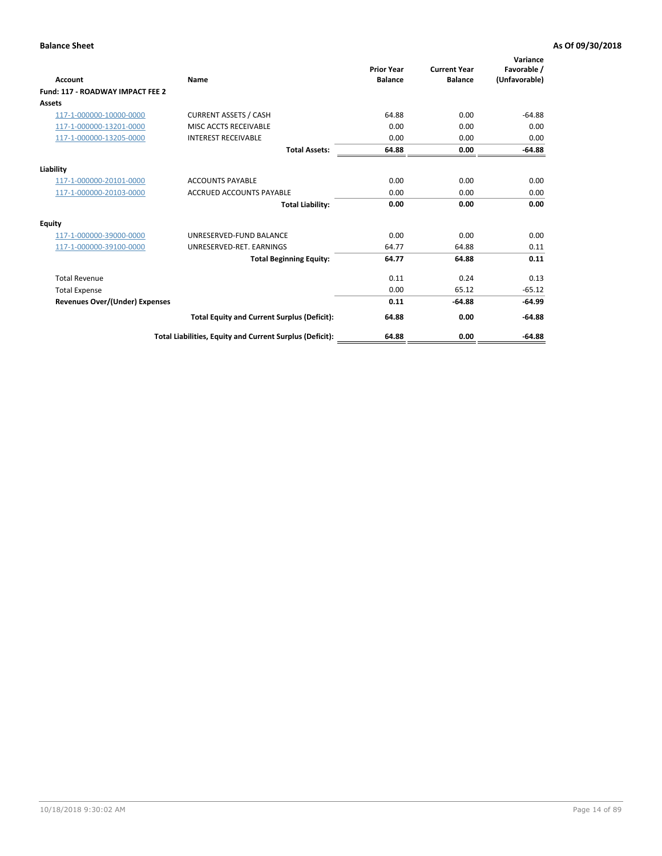| <b>Account</b>                        | Name                                                     | <b>Prior Year</b><br><b>Balance</b> | <b>Current Year</b><br><b>Balance</b> | Variance<br>Favorable /<br>(Unfavorable) |
|---------------------------------------|----------------------------------------------------------|-------------------------------------|---------------------------------------|------------------------------------------|
| Fund: 117 - ROADWAY IMPACT FEE 2      |                                                          |                                     |                                       |                                          |
| <b>Assets</b>                         |                                                          |                                     |                                       |                                          |
| 117-1-000000-10000-0000               | <b>CURRENT ASSETS / CASH</b>                             | 64.88                               | 0.00                                  | $-64.88$                                 |
| 117-1-000000-13201-0000               | MISC ACCTS RECEIVABLE                                    | 0.00                                | 0.00                                  | 0.00                                     |
| 117-1-000000-13205-0000               | <b>INTEREST RECEIVABLE</b>                               | 0.00                                | 0.00                                  | 0.00                                     |
|                                       | <b>Total Assets:</b>                                     | 64.88                               | 0.00                                  | $-64.88$                                 |
| Liability                             |                                                          |                                     |                                       |                                          |
| 117-1-000000-20101-0000               | <b>ACCOUNTS PAYABLE</b>                                  | 0.00                                | 0.00                                  | 0.00                                     |
| 117-1-000000-20103-0000               | <b>ACCRUED ACCOUNTS PAYABLE</b>                          | 0.00                                | 0.00                                  | 0.00                                     |
|                                       | <b>Total Liability:</b>                                  | 0.00                                | 0.00                                  | 0.00                                     |
| Equity                                |                                                          |                                     |                                       |                                          |
| 117-1-000000-39000-0000               | UNRESERVED-FUND BALANCE                                  | 0.00                                | 0.00                                  | 0.00                                     |
| 117-1-000000-39100-0000               | UNRESERVED-RET. EARNINGS                                 | 64.77                               | 64.88                                 | 0.11                                     |
|                                       | <b>Total Beginning Equity:</b>                           | 64.77                               | 64.88                                 | 0.11                                     |
| <b>Total Revenue</b>                  |                                                          | 0.11                                | 0.24                                  | 0.13                                     |
| <b>Total Expense</b>                  |                                                          | 0.00                                | 65.12                                 | $-65.12$                                 |
| <b>Revenues Over/(Under) Expenses</b> |                                                          | 0.11                                | $-64.88$                              | $-64.99$                                 |
|                                       | <b>Total Equity and Current Surplus (Deficit):</b>       | 64.88                               | 0.00                                  | $-64.88$                                 |
|                                       | Total Liabilities, Equity and Current Surplus (Deficit): | 64.88                               | 0.00                                  | $-64.88$                                 |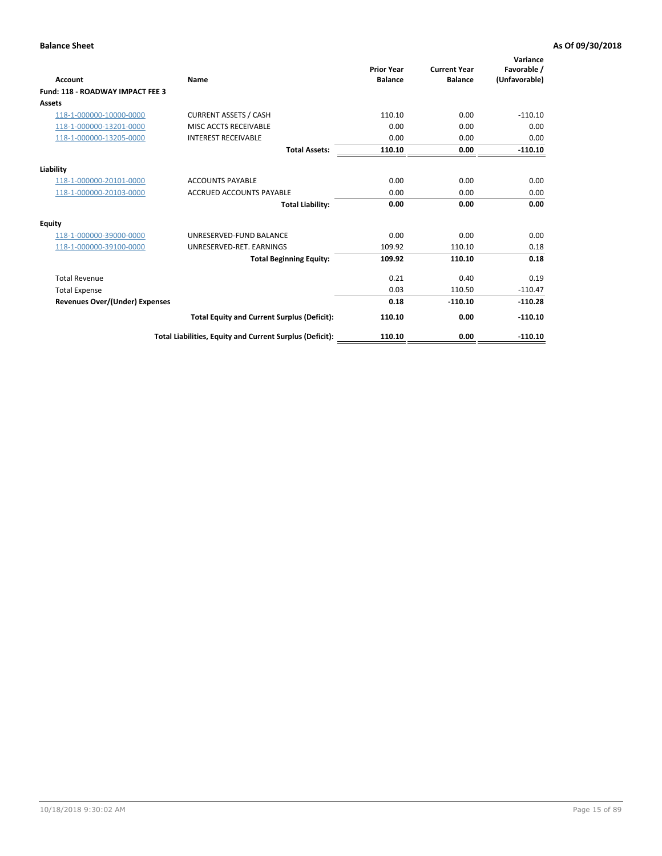| <b>Account</b>                        | Name                                                     | <b>Prior Year</b><br><b>Balance</b> | <b>Current Year</b><br><b>Balance</b> | Variance<br>Favorable /<br>(Unfavorable) |
|---------------------------------------|----------------------------------------------------------|-------------------------------------|---------------------------------------|------------------------------------------|
| Fund: 118 - ROADWAY IMPACT FEE 3      |                                                          |                                     |                                       |                                          |
| <b>Assets</b>                         |                                                          |                                     |                                       |                                          |
| 118-1-000000-10000-0000               | <b>CURRENT ASSETS / CASH</b>                             | 110.10                              | 0.00                                  | $-110.10$                                |
| 118-1-000000-13201-0000               | MISC ACCTS RECEIVABLE                                    | 0.00                                | 0.00                                  | 0.00                                     |
| 118-1-000000-13205-0000               | <b>INTEREST RECEIVABLE</b>                               | 0.00                                | 0.00                                  | 0.00                                     |
|                                       | <b>Total Assets:</b>                                     | 110.10                              | 0.00                                  | $-110.10$                                |
| Liability                             |                                                          |                                     |                                       |                                          |
| 118-1-000000-20101-0000               | <b>ACCOUNTS PAYABLE</b>                                  | 0.00                                | 0.00                                  | 0.00                                     |
| 118-1-000000-20103-0000               | <b>ACCRUED ACCOUNTS PAYABLE</b>                          | 0.00                                | 0.00                                  | 0.00                                     |
|                                       | <b>Total Liability:</b>                                  | 0.00                                | 0.00                                  | 0.00                                     |
| <b>Equity</b>                         |                                                          |                                     |                                       |                                          |
| 118-1-000000-39000-0000               | UNRESERVED-FUND BALANCE                                  | 0.00                                | 0.00                                  | 0.00                                     |
| 118-1-000000-39100-0000               | UNRESERVED-RET. EARNINGS                                 | 109.92                              | 110.10                                | 0.18                                     |
|                                       | <b>Total Beginning Equity:</b>                           | 109.92                              | 110.10                                | 0.18                                     |
| <b>Total Revenue</b>                  |                                                          | 0.21                                | 0.40                                  | 0.19                                     |
| <b>Total Expense</b>                  |                                                          | 0.03                                | 110.50                                | $-110.47$                                |
| <b>Revenues Over/(Under) Expenses</b> |                                                          | 0.18                                | $-110.10$                             | $-110.28$                                |
|                                       | <b>Total Equity and Current Surplus (Deficit):</b>       | 110.10                              | 0.00                                  | $-110.10$                                |
|                                       | Total Liabilities, Equity and Current Surplus (Deficit): | 110.10                              | 0.00                                  | $-110.10$                                |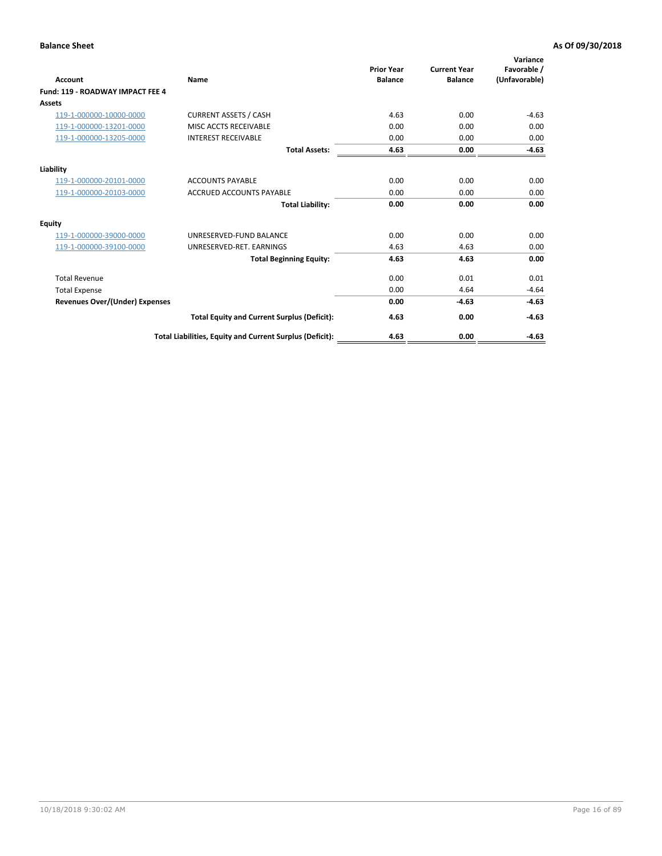| Account                               | Name                                                     | <b>Prior Year</b><br><b>Balance</b> | <b>Current Year</b><br><b>Balance</b> | Variance<br>Favorable /<br>(Unfavorable) |
|---------------------------------------|----------------------------------------------------------|-------------------------------------|---------------------------------------|------------------------------------------|
| Fund: 119 - ROADWAY IMPACT FEE 4      |                                                          |                                     |                                       |                                          |
| Assets                                |                                                          |                                     |                                       |                                          |
| 119-1-000000-10000-0000               | <b>CURRENT ASSETS / CASH</b>                             | 4.63                                | 0.00                                  | $-4.63$                                  |
| 119-1-000000-13201-0000               | <b>MISC ACCTS RECEIVABLE</b>                             | 0.00                                | 0.00                                  | 0.00                                     |
| 119-1-000000-13205-0000               | <b>INTEREST RECEIVABLE</b>                               | 0.00                                | 0.00                                  | 0.00                                     |
|                                       | <b>Total Assets:</b>                                     | 4.63                                | 0.00                                  | $-4.63$                                  |
| Liability                             |                                                          |                                     |                                       |                                          |
| 119-1-000000-20101-0000               | <b>ACCOUNTS PAYABLE</b>                                  | 0.00                                | 0.00                                  | 0.00                                     |
| 119-1-000000-20103-0000               | <b>ACCRUED ACCOUNTS PAYABLE</b>                          | 0.00                                | 0.00                                  | 0.00                                     |
|                                       | <b>Total Liability:</b>                                  | 0.00                                | 0.00                                  | 0.00                                     |
| Equity                                |                                                          |                                     |                                       |                                          |
| 119-1-000000-39000-0000               | UNRESERVED-FUND BALANCE                                  | 0.00                                | 0.00                                  | 0.00                                     |
| 119-1-000000-39100-0000               | UNRESERVED-RET. EARNINGS                                 | 4.63                                | 4.63                                  | 0.00                                     |
|                                       | <b>Total Beginning Equity:</b>                           | 4.63                                | 4.63                                  | 0.00                                     |
| <b>Total Revenue</b>                  |                                                          | 0.00                                | 0.01                                  | 0.01                                     |
| <b>Total Expense</b>                  |                                                          | 0.00                                | 4.64                                  | $-4.64$                                  |
| <b>Revenues Over/(Under) Expenses</b> |                                                          | 0.00                                | $-4.63$                               | $-4.63$                                  |
|                                       | <b>Total Equity and Current Surplus (Deficit):</b>       | 4.63                                | 0.00                                  | $-4.63$                                  |
|                                       | Total Liabilities, Equity and Current Surplus (Deficit): | 4.63                                | 0.00                                  | $-4.63$                                  |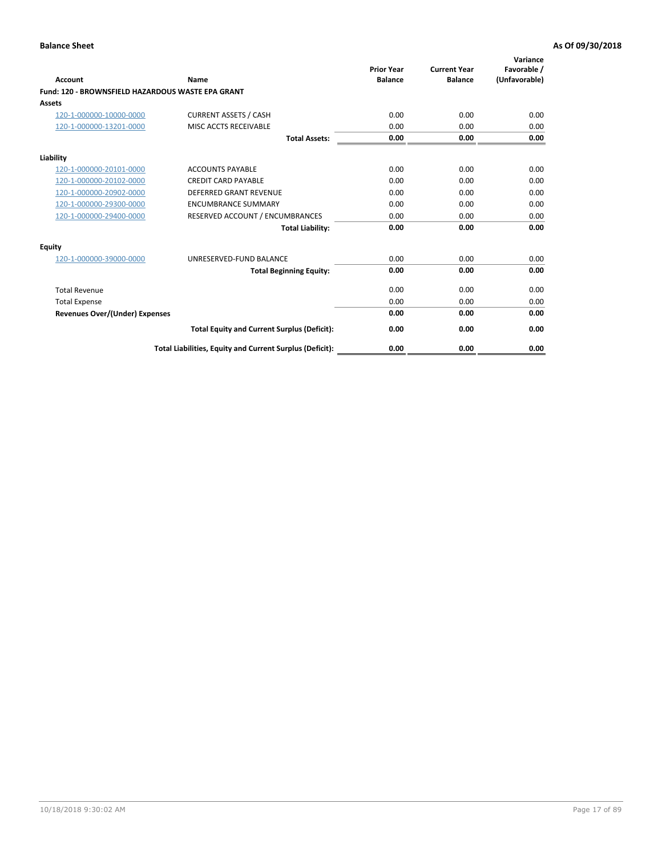| Account                                           | Name                                                     | <b>Prior Year</b><br><b>Balance</b> | <b>Current Year</b><br><b>Balance</b> | Variance<br>Favorable /<br>(Unfavorable) |
|---------------------------------------------------|----------------------------------------------------------|-------------------------------------|---------------------------------------|------------------------------------------|
| Fund: 120 - BROWNSFIELD HAZARDOUS WASTE EPA GRANT |                                                          |                                     |                                       |                                          |
| <b>Assets</b>                                     |                                                          |                                     |                                       |                                          |
| 120-1-000000-10000-0000                           | <b>CURRENT ASSETS / CASH</b>                             | 0.00                                | 0.00                                  | 0.00                                     |
| 120-1-000000-13201-0000                           | MISC ACCTS RECEIVABLE                                    | 0.00                                | 0.00                                  | 0.00                                     |
|                                                   | <b>Total Assets:</b>                                     | 0.00                                | 0.00                                  | 0.00                                     |
| Liability                                         |                                                          |                                     |                                       |                                          |
| 120-1-000000-20101-0000                           | <b>ACCOUNTS PAYABLE</b>                                  | 0.00                                | 0.00                                  | 0.00                                     |
| 120-1-000000-20102-0000                           | <b>CREDIT CARD PAYABLE</b>                               | 0.00                                | 0.00                                  | 0.00                                     |
| 120-1-000000-20902-0000                           | <b>DEFERRED GRANT REVENUE</b>                            | 0.00                                | 0.00                                  | 0.00                                     |
| 120-1-000000-29300-0000                           | <b>ENCUMBRANCE SUMMARY</b>                               | 0.00                                | 0.00                                  | 0.00                                     |
| 120-1-000000-29400-0000                           | RESERVED ACCOUNT / ENCUMBRANCES                          | 0.00                                | 0.00                                  | 0.00                                     |
|                                                   | <b>Total Liability:</b>                                  | 0.00                                | 0.00                                  | 0.00                                     |
| Equity                                            |                                                          |                                     |                                       |                                          |
| 120-1-000000-39000-0000                           | UNRESERVED-FUND BALANCE                                  | 0.00                                | 0.00                                  | 0.00                                     |
|                                                   | <b>Total Beginning Equity:</b>                           | 0.00                                | 0.00                                  | 0.00                                     |
| <b>Total Revenue</b>                              |                                                          | 0.00                                | 0.00                                  | 0.00                                     |
| <b>Total Expense</b>                              |                                                          | 0.00                                | 0.00                                  | 0.00                                     |
| <b>Revenues Over/(Under) Expenses</b>             |                                                          | 0.00                                | 0.00                                  | 0.00                                     |
|                                                   | <b>Total Equity and Current Surplus (Deficit):</b>       | 0.00                                | 0.00                                  | 0.00                                     |
|                                                   | Total Liabilities, Equity and Current Surplus (Deficit): | 0.00                                | 0.00                                  | 0.00                                     |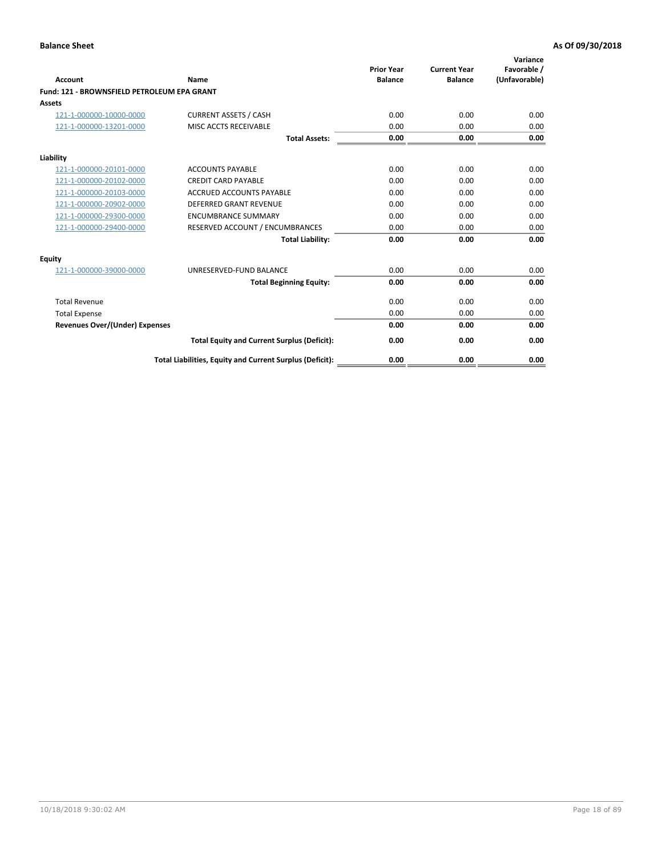| Account                                     | Name                                                     | <b>Prior Year</b><br><b>Balance</b> | <b>Current Year</b><br><b>Balance</b> | Variance<br>Favorable /<br>(Unfavorable) |
|---------------------------------------------|----------------------------------------------------------|-------------------------------------|---------------------------------------|------------------------------------------|
| Fund: 121 - BROWNSFIELD PETROLEUM EPA GRANT |                                                          |                                     |                                       |                                          |
| <b>Assets</b>                               |                                                          |                                     |                                       |                                          |
| 121-1-000000-10000-0000                     | <b>CURRENT ASSETS / CASH</b>                             | 0.00                                | 0.00                                  | 0.00                                     |
| 121-1-000000-13201-0000                     | MISC ACCTS RECEIVABLE                                    | 0.00                                | 0.00                                  | 0.00                                     |
|                                             |                                                          |                                     |                                       |                                          |
|                                             | <b>Total Assets:</b>                                     | 0.00                                | 0.00                                  | 0.00                                     |
| Liability                                   |                                                          |                                     |                                       |                                          |
| 121-1-000000-20101-0000                     | <b>ACCOUNTS PAYABLE</b>                                  | 0.00                                | 0.00                                  | 0.00                                     |
| 121-1-000000-20102-0000                     | <b>CREDIT CARD PAYABLE</b>                               | 0.00                                | 0.00                                  | 0.00                                     |
| 121-1-000000-20103-0000                     | <b>ACCRUED ACCOUNTS PAYABLE</b>                          | 0.00                                | 0.00                                  | 0.00                                     |
| 121-1-000000-20902-0000                     | <b>DEFERRED GRANT REVENUE</b>                            | 0.00                                | 0.00                                  | 0.00                                     |
| 121-1-000000-29300-0000                     | <b>ENCUMBRANCE SUMMARY</b>                               | 0.00                                | 0.00                                  | 0.00                                     |
| 121-1-000000-29400-0000                     | RESERVED ACCOUNT / ENCUMBRANCES                          | 0.00                                | 0.00                                  | 0.00                                     |
|                                             | <b>Total Liability:</b>                                  | 0.00                                | 0.00                                  | 0.00                                     |
| <b>Equity</b>                               |                                                          |                                     |                                       |                                          |
| 121-1-000000-39000-0000                     | UNRESERVED-FUND BALANCE                                  | 0.00                                | 0.00                                  | 0.00                                     |
|                                             | <b>Total Beginning Equity:</b>                           | 0.00                                | 0.00                                  | 0.00                                     |
| <b>Total Revenue</b>                        |                                                          | 0.00                                | 0.00                                  | 0.00                                     |
| <b>Total Expense</b>                        |                                                          | 0.00                                | 0.00                                  | 0.00                                     |
| <b>Revenues Over/(Under) Expenses</b>       |                                                          | 0.00                                | 0.00                                  | 0.00                                     |
|                                             | <b>Total Equity and Current Surplus (Deficit):</b>       | 0.00                                | 0.00                                  | 0.00                                     |
|                                             | Total Liabilities, Equity and Current Surplus (Deficit): | 0.00                                | 0.00                                  | 0.00                                     |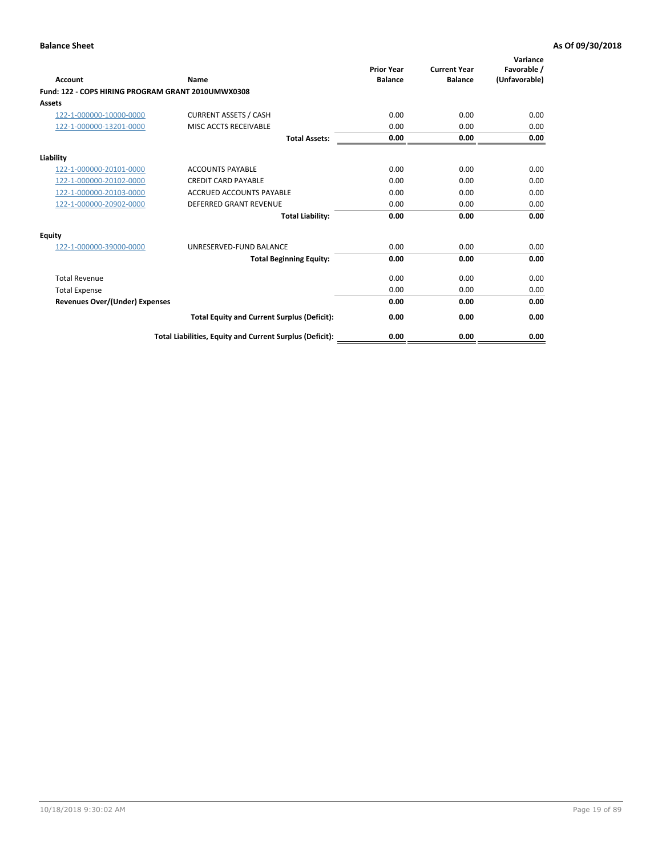| <b>Account</b>                                     | Name                                                     | <b>Prior Year</b><br><b>Balance</b> | <b>Current Year</b><br><b>Balance</b> | Variance<br>Favorable /<br>(Unfavorable) |
|----------------------------------------------------|----------------------------------------------------------|-------------------------------------|---------------------------------------|------------------------------------------|
| Fund: 122 - COPS HIRING PROGRAM GRANT 2010UMWX0308 |                                                          |                                     |                                       |                                          |
| Assets                                             |                                                          |                                     |                                       |                                          |
| 122-1-000000-10000-0000                            | <b>CURRENT ASSETS / CASH</b>                             | 0.00                                | 0.00                                  | 0.00                                     |
| 122-1-000000-13201-0000                            | MISC ACCTS RECEIVABLE                                    | 0.00                                | 0.00                                  | 0.00                                     |
|                                                    | <b>Total Assets:</b>                                     | 0.00                                | 0.00                                  | 0.00                                     |
| Liability                                          |                                                          |                                     |                                       |                                          |
| 122-1-000000-20101-0000                            | <b>ACCOUNTS PAYABLE</b>                                  | 0.00                                | 0.00                                  | 0.00                                     |
| 122-1-000000-20102-0000                            | <b>CREDIT CARD PAYABLE</b>                               | 0.00                                | 0.00                                  | 0.00                                     |
| 122-1-000000-20103-0000                            | <b>ACCRUED ACCOUNTS PAYABLE</b>                          | 0.00                                | 0.00                                  | 0.00                                     |
| 122-1-000000-20902-0000                            | <b>DEFERRED GRANT REVENUE</b>                            | 0.00                                | 0.00                                  | 0.00                                     |
|                                                    | <b>Total Liability:</b>                                  | 0.00                                | 0.00                                  | 0.00                                     |
| Equity                                             |                                                          |                                     |                                       |                                          |
| 122-1-000000-39000-0000                            | UNRESERVED-FUND BALANCE                                  | 0.00                                | 0.00                                  | 0.00                                     |
|                                                    | <b>Total Beginning Equity:</b>                           | 0.00                                | 0.00                                  | 0.00                                     |
| <b>Total Revenue</b>                               |                                                          | 0.00                                | 0.00                                  | 0.00                                     |
| <b>Total Expense</b>                               |                                                          | 0.00                                | 0.00                                  | 0.00                                     |
| <b>Revenues Over/(Under) Expenses</b>              |                                                          | 0.00                                | 0.00                                  | 0.00                                     |
|                                                    | <b>Total Equity and Current Surplus (Deficit):</b>       | 0.00                                | 0.00                                  | 0.00                                     |
|                                                    | Total Liabilities, Equity and Current Surplus (Deficit): | 0.00                                | 0.00                                  | 0.00                                     |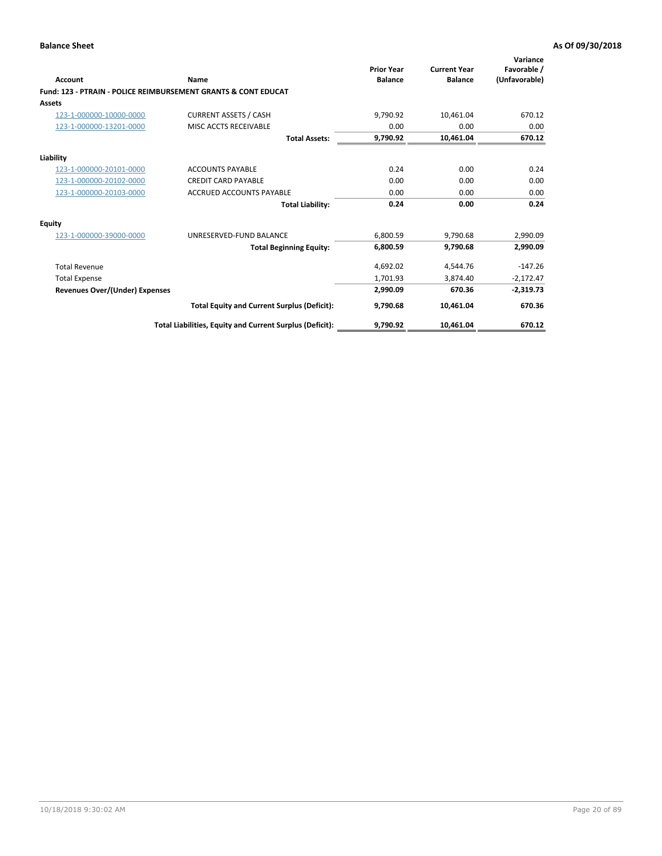| Account                        | Name                                                           | <b>Prior Year</b><br><b>Balance</b> | <b>Current Year</b><br><b>Balance</b> | Variance<br>Favorable /<br>(Unfavorable) |
|--------------------------------|----------------------------------------------------------------|-------------------------------------|---------------------------------------|------------------------------------------|
|                                | Fund: 123 - PTRAIN - POLICE REIMBURSEMENT GRANTS & CONT EDUCAT |                                     |                                       |                                          |
| Assets                         |                                                                |                                     |                                       |                                          |
| 123-1-000000-10000-0000        | <b>CURRENT ASSETS / CASH</b>                                   | 9,790.92                            | 10,461.04                             | 670.12                                   |
| 123-1-000000-13201-0000        | MISC ACCTS RECEIVABLE                                          | 0.00                                | 0.00                                  | 0.00                                     |
|                                | <b>Total Assets:</b>                                           | 9,790.92                            | 10,461.04                             | 670.12                                   |
| Liability                      |                                                                |                                     |                                       |                                          |
| 123-1-000000-20101-0000        | <b>ACCOUNTS PAYABLE</b>                                        | 0.24                                | 0.00                                  | 0.24                                     |
| 123-1-000000-20102-0000        | <b>CREDIT CARD PAYABLE</b>                                     | 0.00                                | 0.00                                  | 0.00                                     |
| 123-1-000000-20103-0000        | <b>ACCRUED ACCOUNTS PAYABLE</b>                                | 0.00                                | 0.00                                  | 0.00                                     |
|                                | <b>Total Liability:</b>                                        | 0.24                                | 0.00                                  | 0.24                                     |
| Equity                         |                                                                |                                     |                                       |                                          |
| 123-1-000000-39000-0000        | UNRESERVED-FUND BALANCE                                        | 6,800.59                            | 9,790.68                              | 2,990.09                                 |
|                                | <b>Total Beginning Equity:</b>                                 | 6,800.59                            | 9,790.68                              | 2,990.09                                 |
| <b>Total Revenue</b>           |                                                                | 4,692.02                            | 4,544.76                              | $-147.26$                                |
| <b>Total Expense</b>           |                                                                | 1,701.93                            | 3.874.40                              | $-2,172.47$                              |
| Revenues Over/(Under) Expenses |                                                                | 2,990.09                            | 670.36                                | $-2,319.73$                              |
|                                | <b>Total Equity and Current Surplus (Deficit):</b>             | 9,790.68                            | 10,461.04                             | 670.36                                   |
|                                | Total Liabilities, Equity and Current Surplus (Deficit):       | 9,790.92                            | 10,461.04                             | 670.12                                   |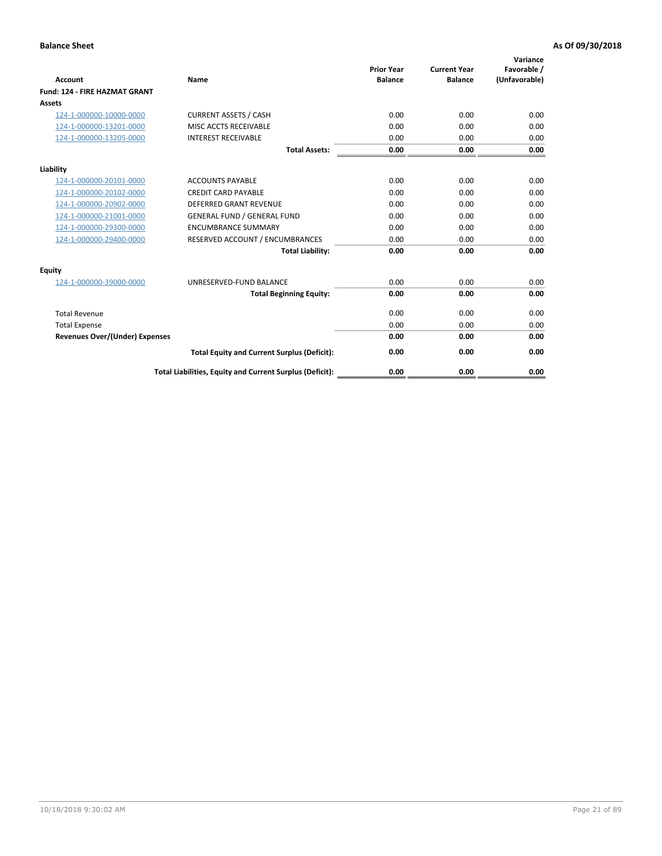| <b>Account</b>                        | Name                                                     | <b>Prior Year</b><br><b>Balance</b> | <b>Current Year</b><br><b>Balance</b> | Variance<br>Favorable /<br>(Unfavorable) |
|---------------------------------------|----------------------------------------------------------|-------------------------------------|---------------------------------------|------------------------------------------|
| <b>Fund: 124 - FIRE HAZMAT GRANT</b>  |                                                          |                                     |                                       |                                          |
| <b>Assets</b>                         |                                                          |                                     |                                       |                                          |
| 124-1-000000-10000-0000               | <b>CURRENT ASSETS / CASH</b>                             | 0.00                                | 0.00                                  | 0.00                                     |
| 124-1-000000-13201-0000               | MISC ACCTS RECEIVABLE                                    | 0.00                                | 0.00                                  | 0.00                                     |
| 124-1-000000-13205-0000               | <b>INTEREST RECEIVABLE</b>                               | 0.00                                | 0.00                                  | 0.00                                     |
|                                       | <b>Total Assets:</b>                                     | 0.00                                | 0.00                                  | 0.00                                     |
| Liability                             |                                                          |                                     |                                       |                                          |
| 124-1-000000-20101-0000               | <b>ACCOUNTS PAYABLE</b>                                  | 0.00                                | 0.00                                  | 0.00                                     |
| 124-1-000000-20102-0000               | <b>CREDIT CARD PAYABLE</b>                               | 0.00                                | 0.00                                  | 0.00                                     |
| 124-1-000000-20902-0000               | <b>DEFERRED GRANT REVENUE</b>                            | 0.00                                | 0.00                                  | 0.00                                     |
| 124-1-000000-21001-0000               | <b>GENERAL FUND / GENERAL FUND</b>                       | 0.00                                | 0.00                                  | 0.00                                     |
| 124-1-000000-29300-0000               | <b>ENCUMBRANCE SUMMARY</b>                               | 0.00                                | 0.00                                  | 0.00                                     |
| 124-1-000000-29400-0000               | RESERVED ACCOUNT / ENCUMBRANCES                          | 0.00                                | 0.00                                  | 0.00                                     |
|                                       | <b>Total Liability:</b>                                  | 0.00                                | 0.00                                  | 0.00                                     |
| <b>Equity</b>                         |                                                          |                                     |                                       |                                          |
| 124-1-000000-39000-0000               | UNRESERVED-FUND BALANCE                                  | 0.00                                | 0.00                                  | 0.00                                     |
|                                       | <b>Total Beginning Equity:</b>                           | 0.00                                | 0.00                                  | 0.00                                     |
| <b>Total Revenue</b>                  |                                                          | 0.00                                | 0.00                                  | 0.00                                     |
| <b>Total Expense</b>                  |                                                          | 0.00                                | 0.00                                  | 0.00                                     |
| <b>Revenues Over/(Under) Expenses</b> |                                                          | 0.00                                | 0.00                                  | 0.00                                     |
|                                       | <b>Total Equity and Current Surplus (Deficit):</b>       | 0.00                                | 0.00                                  | 0.00                                     |
|                                       | Total Liabilities, Equity and Current Surplus (Deficit): | 0.00                                | 0.00                                  | 0.00                                     |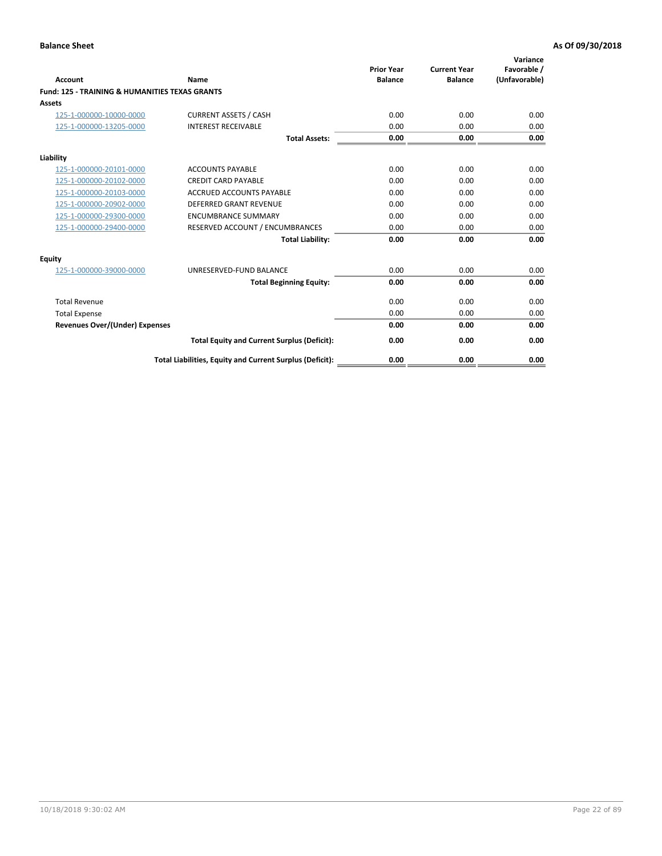| Account                                                   | Name                                                     | <b>Prior Year</b><br><b>Balance</b> | <b>Current Year</b><br><b>Balance</b> | Variance<br>Favorable /<br>(Unfavorable) |
|-----------------------------------------------------------|----------------------------------------------------------|-------------------------------------|---------------------------------------|------------------------------------------|
| <b>Fund: 125 - TRAINING &amp; HUMANITIES TEXAS GRANTS</b> |                                                          |                                     |                                       |                                          |
| <b>Assets</b>                                             |                                                          |                                     |                                       |                                          |
| 125-1-000000-10000-0000                                   | <b>CURRENT ASSETS / CASH</b>                             | 0.00                                | 0.00                                  | 0.00                                     |
| 125-1-000000-13205-0000                                   | <b>INTEREST RECEIVABLE</b>                               | 0.00                                | 0.00                                  | 0.00                                     |
|                                                           | <b>Total Assets:</b>                                     | 0.00                                | 0.00                                  | 0.00                                     |
| Liability                                                 |                                                          |                                     |                                       |                                          |
| 125-1-000000-20101-0000                                   | <b>ACCOUNTS PAYABLE</b>                                  | 0.00                                | 0.00                                  | 0.00                                     |
| 125-1-000000-20102-0000                                   | <b>CREDIT CARD PAYABLE</b>                               | 0.00                                | 0.00                                  | 0.00                                     |
| 125-1-000000-20103-0000                                   | <b>ACCRUED ACCOUNTS PAYABLE</b>                          | 0.00                                | 0.00                                  | 0.00                                     |
| 125-1-000000-20902-0000                                   | <b>DEFERRED GRANT REVENUE</b>                            | 0.00                                | 0.00                                  | 0.00                                     |
| 125-1-000000-29300-0000                                   | <b>ENCUMBRANCE SUMMARY</b>                               | 0.00                                | 0.00                                  | 0.00                                     |
| 125-1-000000-29400-0000                                   | RESERVED ACCOUNT / ENCUMBRANCES                          | 0.00                                | 0.00                                  | 0.00                                     |
|                                                           | <b>Total Liability:</b>                                  | 0.00                                | 0.00                                  | 0.00                                     |
| <b>Equity</b>                                             |                                                          |                                     |                                       |                                          |
| 125-1-000000-39000-0000                                   | UNRESERVED-FUND BALANCE                                  | 0.00                                | 0.00                                  | 0.00                                     |
|                                                           | <b>Total Beginning Equity:</b>                           | 0.00                                | 0.00                                  | 0.00                                     |
| <b>Total Revenue</b>                                      |                                                          | 0.00                                | 0.00                                  | 0.00                                     |
| <b>Total Expense</b>                                      |                                                          | 0.00                                | 0.00                                  | 0.00                                     |
| <b>Revenues Over/(Under) Expenses</b>                     |                                                          | 0.00                                | 0.00                                  | 0.00                                     |
|                                                           | <b>Total Equity and Current Surplus (Deficit):</b>       | 0.00                                | 0.00                                  | 0.00                                     |
|                                                           | Total Liabilities, Equity and Current Surplus (Deficit): | 0.00                                | 0.00                                  | 0.00                                     |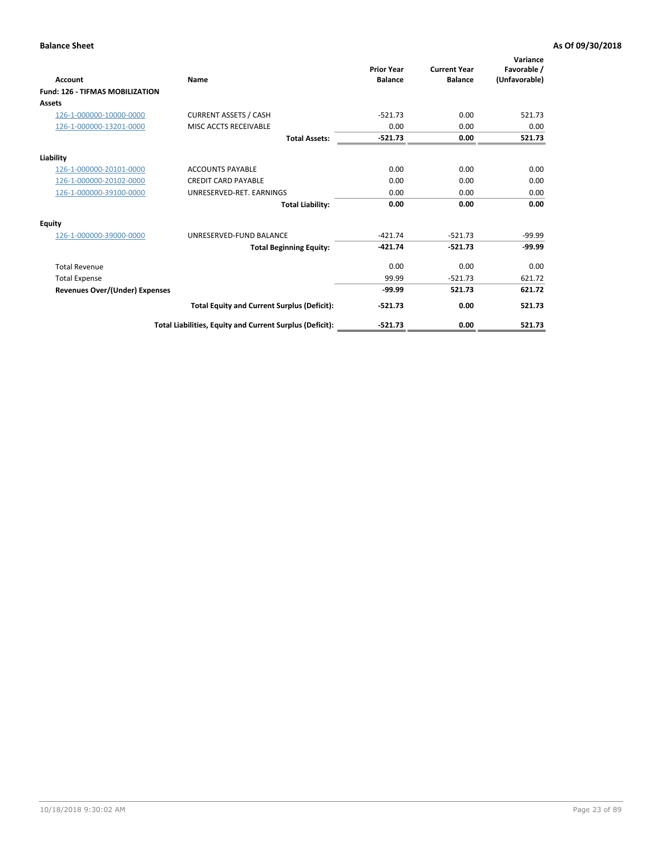| <b>Account</b>                         | <b>Name</b>                                              | <b>Prior Year</b><br><b>Balance</b> | <b>Current Year</b><br><b>Balance</b> | Variance<br>Favorable /<br>(Unfavorable) |
|----------------------------------------|----------------------------------------------------------|-------------------------------------|---------------------------------------|------------------------------------------|
| <b>Fund: 126 - TIFMAS MOBILIZATION</b> |                                                          |                                     |                                       |                                          |
| Assets                                 |                                                          |                                     |                                       |                                          |
| 126-1-000000-10000-0000                | <b>CURRENT ASSETS / CASH</b>                             | $-521.73$                           | 0.00                                  | 521.73                                   |
| 126-1-000000-13201-0000                | MISC ACCTS RECEIVABLE                                    | 0.00                                | 0.00                                  | 0.00                                     |
|                                        | <b>Total Assets:</b>                                     | $-521.73$                           | 0.00                                  | 521.73                                   |
| Liability                              |                                                          |                                     |                                       |                                          |
| 126-1-000000-20101-0000                | <b>ACCOUNTS PAYABLE</b>                                  | 0.00                                | 0.00                                  | 0.00                                     |
| 126-1-000000-20102-0000                | <b>CREDIT CARD PAYABLE</b>                               | 0.00                                | 0.00                                  | 0.00                                     |
| 126-1-000000-39100-0000                | UNRESERVED-RET. EARNINGS                                 | 0.00                                | 0.00                                  | 0.00                                     |
|                                        | <b>Total Liability:</b>                                  | 0.00                                | 0.00                                  | 0.00                                     |
| Equity                                 |                                                          |                                     |                                       |                                          |
| 126-1-000000-39000-0000                | UNRESERVED-FUND BALANCE                                  | $-421.74$                           | $-521.73$                             | $-99.99$                                 |
|                                        | <b>Total Beginning Equity:</b>                           | $-421.74$                           | $-521.73$                             | $-99.99$                                 |
| <b>Total Revenue</b>                   |                                                          | 0.00                                | 0.00                                  | 0.00                                     |
| <b>Total Expense</b>                   |                                                          | 99.99                               | $-521.73$                             | 621.72                                   |
| <b>Revenues Over/(Under) Expenses</b>  |                                                          | $-99.99$                            | 521.73                                | 621.72                                   |
|                                        | <b>Total Equity and Current Surplus (Deficit):</b>       | $-521.73$                           | 0.00                                  | 521.73                                   |
|                                        | Total Liabilities, Equity and Current Surplus (Deficit): | $-521.73$                           | 0.00                                  | 521.73                                   |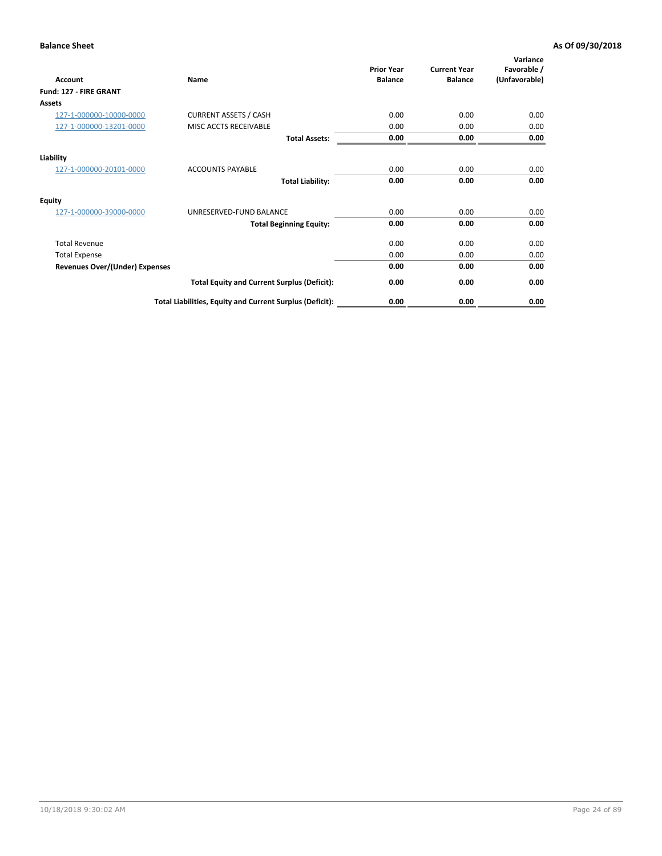| <b>Account</b>                        | Name                                                     | <b>Prior Year</b><br><b>Balance</b> | <b>Current Year</b><br><b>Balance</b> | Variance<br>Favorable /<br>(Unfavorable) |
|---------------------------------------|----------------------------------------------------------|-------------------------------------|---------------------------------------|------------------------------------------|
| Fund: 127 - FIRE GRANT                |                                                          |                                     |                                       |                                          |
| Assets                                |                                                          |                                     |                                       |                                          |
| 127-1-000000-10000-0000               | <b>CURRENT ASSETS / CASH</b>                             | 0.00                                | 0.00                                  | 0.00                                     |
| 127-1-000000-13201-0000               | MISC ACCTS RECEIVABLE                                    | 0.00                                | 0.00                                  | 0.00                                     |
|                                       | <b>Total Assets:</b>                                     | 0.00                                | 0.00                                  | 0.00                                     |
| Liability                             |                                                          |                                     |                                       |                                          |
| 127-1-000000-20101-0000               | <b>ACCOUNTS PAYABLE</b>                                  | 0.00                                | 0.00                                  | 0.00                                     |
|                                       | <b>Total Liability:</b>                                  | 0.00                                | 0.00                                  | 0.00                                     |
| <b>Equity</b>                         |                                                          |                                     |                                       |                                          |
| 127-1-000000-39000-0000               | UNRESERVED-FUND BALANCE                                  | 0.00                                | 0.00                                  | 0.00                                     |
|                                       | <b>Total Beginning Equity:</b>                           | 0.00                                | 0.00                                  | 0.00                                     |
| <b>Total Revenue</b>                  |                                                          | 0.00                                | 0.00                                  | 0.00                                     |
| <b>Total Expense</b>                  |                                                          | 0.00                                | 0.00                                  | 0.00                                     |
| <b>Revenues Over/(Under) Expenses</b> |                                                          | 0.00                                | 0.00                                  | 0.00                                     |
|                                       | <b>Total Equity and Current Surplus (Deficit):</b>       | 0.00                                | 0.00                                  | 0.00                                     |
|                                       | Total Liabilities, Equity and Current Surplus (Deficit): | 0.00                                | 0.00                                  | 0.00                                     |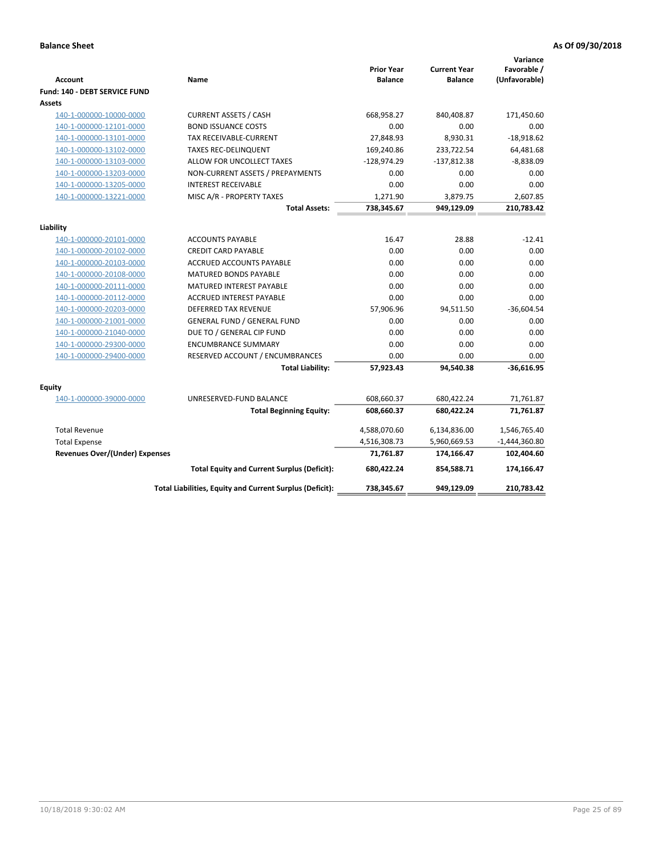| <b>Account</b>                          | <b>Name</b>                                              | <b>Prior Year</b><br><b>Balance</b> | <b>Current Year</b><br><b>Balance</b> | Variance<br>Favorable /<br>(Unfavorable) |
|-----------------------------------------|----------------------------------------------------------|-------------------------------------|---------------------------------------|------------------------------------------|
| Fund: 140 - DEBT SERVICE FUND<br>Assets |                                                          |                                     |                                       |                                          |
| 140-1-000000-10000-0000                 | <b>CURRENT ASSETS / CASH</b>                             | 668,958.27                          | 840,408.87                            | 171,450.60                               |
| 140-1-000000-12101-0000                 | <b>BOND ISSUANCE COSTS</b>                               | 0.00                                | 0.00                                  | 0.00                                     |
| 140-1-000000-13101-0000                 | <b>TAX RECEIVABLE-CURRENT</b>                            | 27,848.93                           | 8,930.31                              | $-18,918.62$                             |
| 140-1-000000-13102-0000                 | <b>TAXES REC-DELINQUENT</b>                              | 169,240.86                          | 233,722.54                            | 64,481.68                                |
| 140-1-000000-13103-0000                 | ALLOW FOR UNCOLLECT TAXES                                | $-128,974.29$                       | $-137,812.38$                         | $-8,838.09$                              |
| 140-1-000000-13203-0000                 | NON-CURRENT ASSETS / PREPAYMENTS                         | 0.00                                | 0.00                                  | 0.00                                     |
| 140-1-000000-13205-0000                 | <b>INTEREST RECEIVABLE</b>                               | 0.00                                | 0.00                                  | 0.00                                     |
| 140-1-000000-13221-0000                 | MISC A/R - PROPERTY TAXES                                | 1,271.90                            | 3,879.75                              | 2,607.85                                 |
|                                         | <b>Total Assets:</b>                                     | 738,345.67                          | 949,129.09                            | 210,783.42                               |
|                                         |                                                          |                                     |                                       |                                          |
| Liability                               |                                                          |                                     |                                       |                                          |
| 140-1-000000-20101-0000                 | <b>ACCOUNTS PAYABLE</b>                                  | 16.47                               | 28.88                                 | $-12.41$                                 |
| 140-1-000000-20102-0000                 | <b>CREDIT CARD PAYABLE</b>                               | 0.00                                | 0.00                                  | 0.00                                     |
| 140-1-000000-20103-0000                 | <b>ACCRUED ACCOUNTS PAYABLE</b>                          | 0.00                                | 0.00                                  | 0.00                                     |
| 140-1-000000-20108-0000                 | <b>MATURED BONDS PAYABLE</b>                             | 0.00                                | 0.00                                  | 0.00                                     |
| 140-1-000000-20111-0000                 | MATURED INTEREST PAYABLE                                 | 0.00                                | 0.00                                  | 0.00                                     |
| 140-1-000000-20112-0000                 | <b>ACCRUED INTEREST PAYABLE</b>                          | 0.00                                | 0.00                                  | 0.00                                     |
| 140-1-000000-20203-0000                 | <b>DEFERRED TAX REVENUE</b>                              | 57,906.96                           | 94,511.50                             | $-36,604.54$                             |
| 140-1-000000-21001-0000                 | <b>GENERAL FUND / GENERAL FUND</b>                       | 0.00                                | 0.00                                  | 0.00                                     |
| 140-1-000000-21040-0000                 | DUE TO / GENERAL CIP FUND                                | 0.00                                | 0.00                                  | 0.00                                     |
| 140-1-000000-29300-0000                 | <b>ENCUMBRANCE SUMMARY</b>                               | 0.00                                | 0.00                                  | 0.00                                     |
| 140-1-000000-29400-0000                 | RESERVED ACCOUNT / ENCUMBRANCES                          | 0.00                                | 0.00                                  | 0.00                                     |
|                                         | <b>Total Liability:</b>                                  | 57,923.43                           | 94,540.38                             | $-36,616.95$                             |
|                                         |                                                          |                                     |                                       |                                          |
| Equity                                  |                                                          |                                     |                                       |                                          |
| 140-1-000000-39000-0000                 | UNRESERVED-FUND BALANCE                                  | 608,660.37                          | 680,422.24                            | 71,761.87                                |
|                                         | <b>Total Beginning Equity:</b>                           | 608,660.37                          | 680,422.24                            | 71,761.87                                |
| <b>Total Revenue</b>                    |                                                          | 4,588,070.60                        | 6,134,836.00                          | 1,546,765.40                             |
| <b>Total Expense</b>                    |                                                          | 4,516,308.73                        | 5,960,669.53                          | $-1,444,360.80$                          |
| <b>Revenues Over/(Under) Expenses</b>   |                                                          | 71,761.87                           | 174,166.47                            | 102,404.60                               |
|                                         | <b>Total Equity and Current Surplus (Deficit):</b>       | 680,422.24                          | 854,588.71                            | 174,166.47                               |
|                                         | Total Liabilities, Equity and Current Surplus (Deficit): | 738,345.67                          | 949,129.09                            | 210,783.42                               |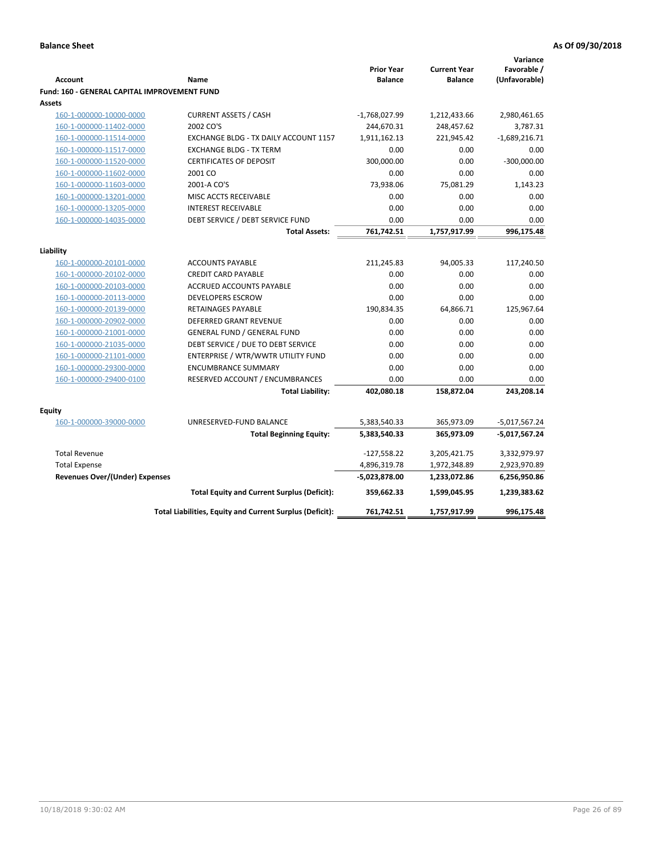|                                              |                                                          |                   |                     | Variance        |
|----------------------------------------------|----------------------------------------------------------|-------------------|---------------------|-----------------|
|                                              |                                                          | <b>Prior Year</b> | <b>Current Year</b> | Favorable /     |
| <b>Account</b>                               | Name                                                     | <b>Balance</b>    | <b>Balance</b>      | (Unfavorable)   |
| Fund: 160 - GENERAL CAPITAL IMPROVEMENT FUND |                                                          |                   |                     |                 |
| <b>Assets</b>                                |                                                          |                   |                     |                 |
| 160-1-000000-10000-0000                      | <b>CURRENT ASSETS / CASH</b>                             | $-1,768,027.99$   | 1,212,433.66        | 2,980,461.65    |
| 160-1-000000-11402-0000                      | 2002 CO'S                                                | 244,670.31        | 248,457.62          | 3,787.31        |
| 160-1-000000-11514-0000                      | EXCHANGE BLDG - TX DAILY ACCOUNT 1157                    | 1,911,162.13      | 221,945.42          | $-1,689,216.71$ |
| 160-1-000000-11517-0000                      | <b>EXCHANGE BLDG - TX TERM</b>                           | 0.00              | 0.00                | 0.00            |
| 160-1-000000-11520-0000                      | <b>CERTIFICATES OF DEPOSIT</b>                           | 300,000.00        | 0.00                | $-300,000.00$   |
| 160-1-000000-11602-0000                      | 2001 CO                                                  | 0.00              | 0.00                | 0.00            |
| 160-1-000000-11603-0000                      | 2001-A CO'S                                              | 73,938.06         | 75,081.29           | 1,143.23        |
| 160-1-000000-13201-0000                      | MISC ACCTS RECEIVABLE                                    | 0.00              | 0.00                | 0.00            |
| 160-1-000000-13205-0000                      | <b>INTEREST RECEIVABLE</b>                               | 0.00              | 0.00                | 0.00            |
| 160-1-000000-14035-0000                      | DEBT SERVICE / DEBT SERVICE FUND                         | 0.00              | 0.00                | 0.00            |
|                                              | <b>Total Assets:</b>                                     | 761,742.51        | 1,757,917.99        | 996,175.48      |
| Liability                                    |                                                          |                   |                     |                 |
|                                              |                                                          |                   |                     |                 |
| 160-1-000000-20101-0000                      | <b>ACCOUNTS PAYABLE</b>                                  | 211,245.83        | 94,005.33           | 117,240.50      |
| 160-1-000000-20102-0000                      | <b>CREDIT CARD PAYABLE</b>                               | 0.00              | 0.00                | 0.00            |
| 160-1-000000-20103-0000                      | ACCRUED ACCOUNTS PAYABLE                                 | 0.00<br>0.00      | 0.00                | 0.00            |
| 160-1-000000-20113-0000                      | <b>DEVELOPERS ESCROW</b>                                 |                   | 0.00                | 0.00            |
| 160-1-000000-20139-0000                      | RETAINAGES PAYABLE                                       | 190,834.35        | 64,866.71           | 125,967.64      |
| 160-1-000000-20902-0000                      | <b>DEFERRED GRANT REVENUE</b>                            | 0.00              | 0.00                | 0.00            |
| 160-1-000000-21001-0000                      | <b>GENERAL FUND / GENERAL FUND</b>                       | 0.00              | 0.00                | 0.00            |
| 160-1-000000-21035-0000                      | DEBT SERVICE / DUE TO DEBT SERVICE                       | 0.00              | 0.00                | 0.00            |
| 160-1-000000-21101-0000                      | ENTERPRISE / WTR/WWTR UTILITY FUND                       | 0.00              | 0.00                | 0.00            |
| 160-1-000000-29300-0000                      | <b>ENCUMBRANCE SUMMARY</b>                               | 0.00              | 0.00                | 0.00            |
| 160-1-000000-29400-0100                      | RESERVED ACCOUNT / ENCUMBRANCES                          | 0.00              | 0.00                | 0.00            |
|                                              | <b>Total Liability:</b>                                  | 402,080.18        | 158,872.04          | 243,208.14      |
| <b>Equity</b>                                |                                                          |                   |                     |                 |
| 160-1-000000-39000-0000                      | UNRESERVED-FUND BALANCE                                  | 5,383,540.33      | 365,973.09          | $-5,017,567.24$ |
|                                              | <b>Total Beginning Equity:</b>                           | 5,383,540.33      | 365,973.09          | -5,017,567.24   |
|                                              |                                                          |                   |                     |                 |
| <b>Total Revenue</b>                         |                                                          | $-127,558.22$     | 3,205,421.75        | 3,332,979.97    |
| <b>Total Expense</b>                         |                                                          | 4,896,319.78      | 1,972,348.89        | 2,923,970.89    |
| Revenues Over/(Under) Expenses               |                                                          | $-5,023,878.00$   | 1,233,072.86        | 6,256,950.86    |
|                                              | <b>Total Equity and Current Surplus (Deficit):</b>       | 359,662.33        | 1,599,045.95        | 1,239,383.62    |
|                                              | Total Liabilities, Equity and Current Surplus (Deficit): | 761,742.51        | 1,757,917.99        | 996,175.48      |
|                                              |                                                          |                   |                     |                 |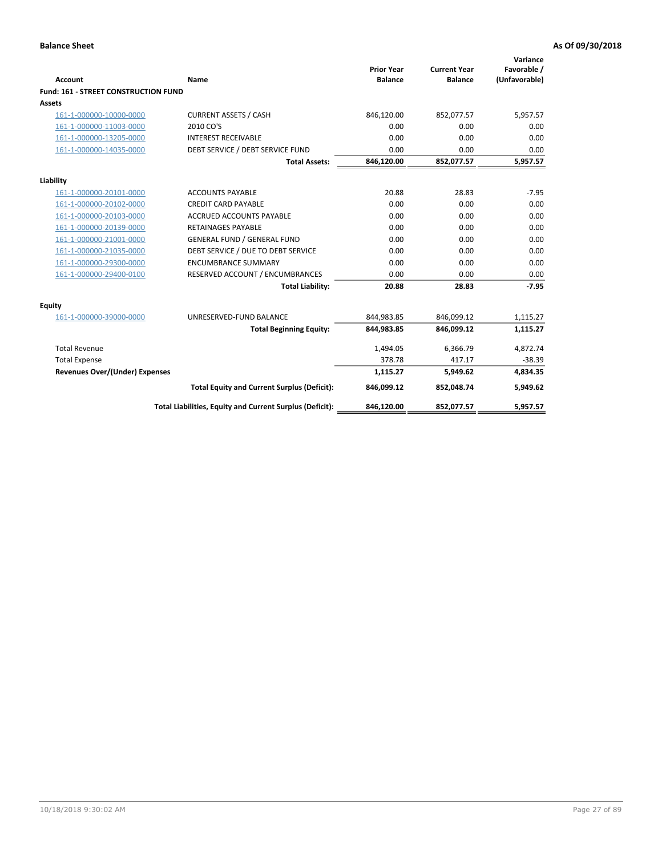| <b>Account</b>                        | Name                                                     | <b>Prior Year</b><br><b>Balance</b> | <b>Current Year</b><br><b>Balance</b> | Variance<br>Favorable /<br>(Unfavorable) |
|---------------------------------------|----------------------------------------------------------|-------------------------------------|---------------------------------------|------------------------------------------|
| Fund: 161 - STREET CONSTRUCTION FUND  |                                                          |                                     |                                       |                                          |
| <b>Assets</b>                         |                                                          |                                     |                                       |                                          |
| 161-1-000000-10000-0000               | <b>CURRENT ASSETS / CASH</b>                             | 846,120.00                          | 852,077.57                            | 5,957.57                                 |
| 161-1-000000-11003-0000               | 2010 CO'S                                                | 0.00                                | 0.00                                  | 0.00                                     |
| 161-1-000000-13205-0000               | <b>INTEREST RECEIVABLE</b>                               | 0.00                                | 0.00                                  | 0.00                                     |
| 161-1-000000-14035-0000               | DEBT SERVICE / DEBT SERVICE FUND                         | 0.00                                | 0.00                                  | 0.00                                     |
|                                       | <b>Total Assets:</b>                                     | 846,120.00                          | 852,077.57                            | 5,957.57                                 |
| Liability                             |                                                          |                                     |                                       |                                          |
| 161-1-000000-20101-0000               | <b>ACCOUNTS PAYABLE</b>                                  | 20.88                               | 28.83                                 | $-7.95$                                  |
| 161-1-000000-20102-0000               | <b>CREDIT CARD PAYABLE</b>                               | 0.00                                | 0.00                                  | 0.00                                     |
| 161-1-000000-20103-0000               | <b>ACCRUED ACCOUNTS PAYABLE</b>                          | 0.00                                | 0.00                                  | 0.00                                     |
| 161-1-000000-20139-0000               | <b>RETAINAGES PAYABLE</b>                                | 0.00                                | 0.00                                  | 0.00                                     |
| 161-1-000000-21001-0000               | <b>GENERAL FUND / GENERAL FUND</b>                       | 0.00                                | 0.00                                  | 0.00                                     |
| 161-1-000000-21035-0000               | DEBT SERVICE / DUE TO DEBT SERVICE                       | 0.00                                | 0.00                                  | 0.00                                     |
| 161-1-000000-29300-0000               | <b>ENCUMBRANCE SUMMARY</b>                               | 0.00                                | 0.00                                  | 0.00                                     |
| 161-1-000000-29400-0100               | RESERVED ACCOUNT / ENCUMBRANCES                          | 0.00                                | 0.00                                  | 0.00                                     |
|                                       | <b>Total Liability:</b>                                  | 20.88                               | 28.83                                 | $-7.95$                                  |
| <b>Equity</b>                         |                                                          |                                     |                                       |                                          |
| 161-1-000000-39000-0000               | UNRESERVED-FUND BALANCE                                  | 844,983.85                          | 846,099.12                            | 1,115.27                                 |
|                                       | <b>Total Beginning Equity:</b>                           | 844,983.85                          | 846,099.12                            | 1,115.27                                 |
| <b>Total Revenue</b>                  |                                                          | 1,494.05                            | 6,366.79                              | 4,872.74                                 |
| <b>Total Expense</b>                  |                                                          | 378.78                              | 417.17                                | $-38.39$                                 |
| <b>Revenues Over/(Under) Expenses</b> |                                                          | 1,115.27                            | 5,949.62                              | 4,834.35                                 |
|                                       | <b>Total Equity and Current Surplus (Deficit):</b>       | 846,099.12                          | 852,048.74                            | 5,949.62                                 |
|                                       | Total Liabilities, Equity and Current Surplus (Deficit): | 846,120.00                          | 852,077.57                            | 5,957.57                                 |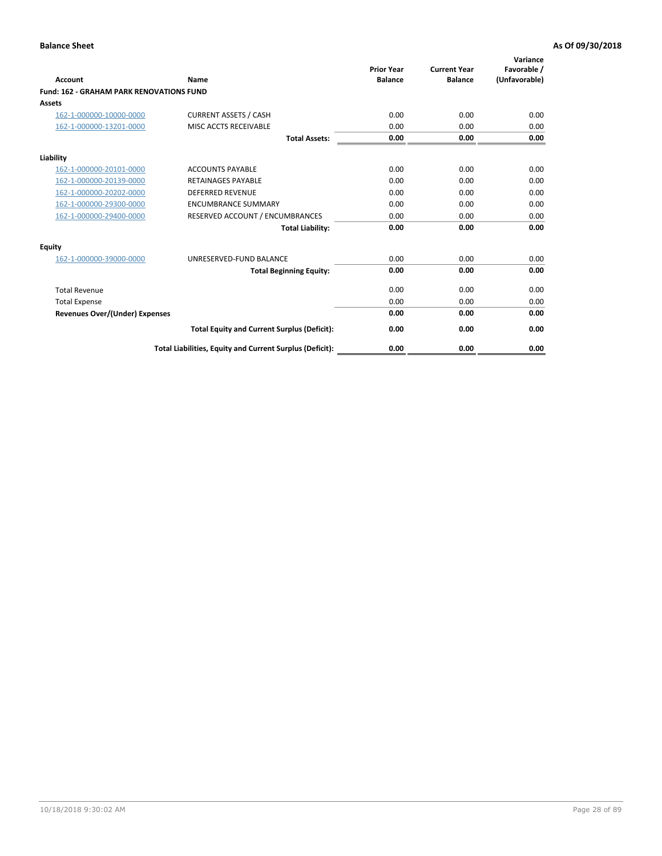| Account                                         | Name                                                     | <b>Prior Year</b><br><b>Balance</b> | <b>Current Year</b><br><b>Balance</b> | Variance<br>Favorable /<br>(Unfavorable) |
|-------------------------------------------------|----------------------------------------------------------|-------------------------------------|---------------------------------------|------------------------------------------|
| <b>Fund: 162 - GRAHAM PARK RENOVATIONS FUND</b> |                                                          |                                     |                                       |                                          |
| <b>Assets</b>                                   |                                                          |                                     |                                       |                                          |
| 162-1-000000-10000-0000                         | <b>CURRENT ASSETS / CASH</b>                             | 0.00                                | 0.00                                  | 0.00                                     |
| 162-1-000000-13201-0000                         | MISC ACCTS RECEIVABLE                                    | 0.00                                | 0.00                                  | 0.00                                     |
|                                                 | <b>Total Assets:</b>                                     | 0.00                                | 0.00                                  | 0.00                                     |
| Liability                                       |                                                          |                                     |                                       |                                          |
| 162-1-000000-20101-0000                         | <b>ACCOUNTS PAYABLE</b>                                  | 0.00                                | 0.00                                  | 0.00                                     |
| 162-1-000000-20139-0000                         | <b>RETAINAGES PAYABLE</b>                                | 0.00                                | 0.00                                  | 0.00                                     |
| 162-1-000000-20202-0000                         | <b>DEFERRED REVENUE</b>                                  | 0.00                                | 0.00                                  | 0.00                                     |
| 162-1-000000-29300-0000                         | <b>ENCUMBRANCE SUMMARY</b>                               | 0.00                                | 0.00                                  | 0.00                                     |
| 162-1-000000-29400-0000                         | RESERVED ACCOUNT / ENCUMBRANCES                          | 0.00                                | 0.00                                  | 0.00                                     |
|                                                 | <b>Total Liability:</b>                                  | 0.00                                | 0.00                                  | 0.00                                     |
| Equity                                          |                                                          |                                     |                                       |                                          |
| 162-1-000000-39000-0000                         | UNRESERVED-FUND BALANCE                                  | 0.00                                | 0.00                                  | 0.00                                     |
|                                                 | <b>Total Beginning Equity:</b>                           | 0.00                                | 0.00                                  | 0.00                                     |
| <b>Total Revenue</b>                            |                                                          | 0.00                                | 0.00                                  | 0.00                                     |
| <b>Total Expense</b>                            |                                                          | 0.00                                | 0.00                                  | 0.00                                     |
| <b>Revenues Over/(Under) Expenses</b>           |                                                          | 0.00                                | 0.00                                  | 0.00                                     |
|                                                 | <b>Total Equity and Current Surplus (Deficit):</b>       | 0.00                                | 0.00                                  | 0.00                                     |
|                                                 | Total Liabilities, Equity and Current Surplus (Deficit): | 0.00                                | 0.00                                  | 0.00                                     |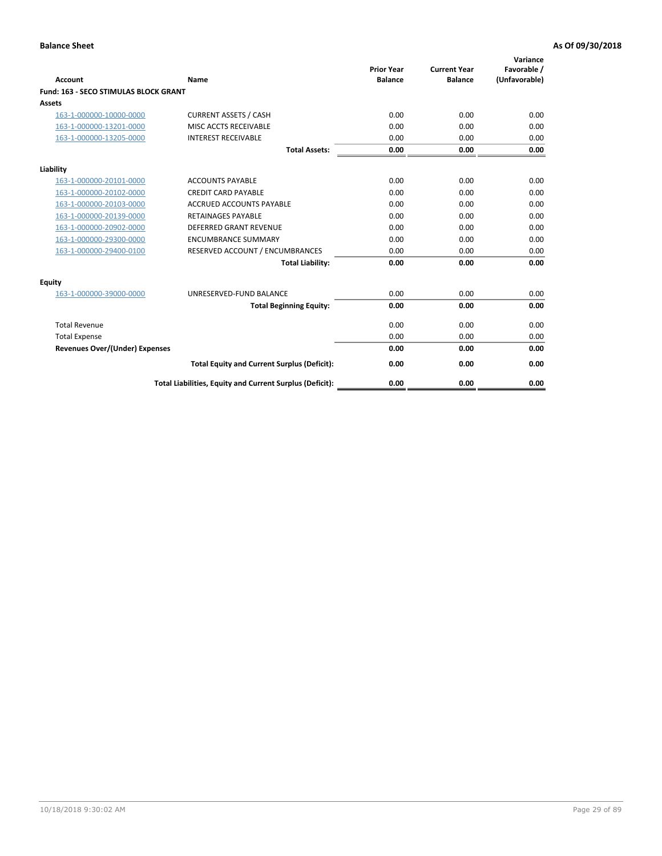| Account                               | Name                                                     | <b>Prior Year</b><br><b>Balance</b> | <b>Current Year</b><br><b>Balance</b> | Variance<br>Favorable /<br>(Unfavorable) |
|---------------------------------------|----------------------------------------------------------|-------------------------------------|---------------------------------------|------------------------------------------|
| Fund: 163 - SECO STIMULAS BLOCK GRANT |                                                          |                                     |                                       |                                          |
| <b>Assets</b>                         |                                                          |                                     |                                       |                                          |
| 163-1-000000-10000-0000               | <b>CURRENT ASSETS / CASH</b>                             | 0.00                                | 0.00                                  | 0.00                                     |
| 163-1-000000-13201-0000               | MISC ACCTS RECEIVABLE                                    | 0.00                                | 0.00                                  | 0.00                                     |
| 163-1-000000-13205-0000               | <b>INTEREST RECEIVABLE</b>                               | 0.00                                | 0.00                                  | 0.00                                     |
|                                       | <b>Total Assets:</b>                                     | 0.00                                | 0.00                                  | 0.00                                     |
| Liability                             |                                                          |                                     |                                       |                                          |
| 163-1-000000-20101-0000               | <b>ACCOUNTS PAYABLE</b>                                  | 0.00                                | 0.00                                  | 0.00                                     |
| 163-1-000000-20102-0000               | <b>CREDIT CARD PAYABLE</b>                               | 0.00                                | 0.00                                  | 0.00                                     |
| 163-1-000000-20103-0000               | <b>ACCRUED ACCOUNTS PAYABLE</b>                          | 0.00                                | 0.00                                  | 0.00                                     |
| 163-1-000000-20139-0000               | <b>RETAINAGES PAYABLE</b>                                | 0.00                                | 0.00                                  | 0.00                                     |
| 163-1-000000-20902-0000               | DEFERRED GRANT REVENUE                                   | 0.00                                | 0.00                                  | 0.00                                     |
| 163-1-000000-29300-0000               | <b>ENCUMBRANCE SUMMARY</b>                               | 0.00                                | 0.00                                  | 0.00                                     |
| 163-1-000000-29400-0100               | RESERVED ACCOUNT / ENCUMBRANCES                          | 0.00                                | 0.00                                  | 0.00                                     |
|                                       | <b>Total Liability:</b>                                  | 0.00                                | 0.00                                  | 0.00                                     |
| <b>Equity</b>                         |                                                          |                                     |                                       |                                          |
| 163-1-000000-39000-0000               | UNRESERVED-FUND BALANCE                                  | 0.00                                | 0.00                                  | 0.00                                     |
|                                       | <b>Total Beginning Equity:</b>                           | 0.00                                | 0.00                                  | 0.00                                     |
| <b>Total Revenue</b>                  |                                                          | 0.00                                | 0.00                                  | 0.00                                     |
| <b>Total Expense</b>                  |                                                          | 0.00                                | 0.00                                  | 0.00                                     |
| <b>Revenues Over/(Under) Expenses</b> |                                                          | 0.00                                | 0.00                                  | 0.00                                     |
|                                       | <b>Total Equity and Current Surplus (Deficit):</b>       | 0.00                                | 0.00                                  | 0.00                                     |
|                                       | Total Liabilities, Equity and Current Surplus (Deficit): | 0.00                                | 0.00                                  | 0.00                                     |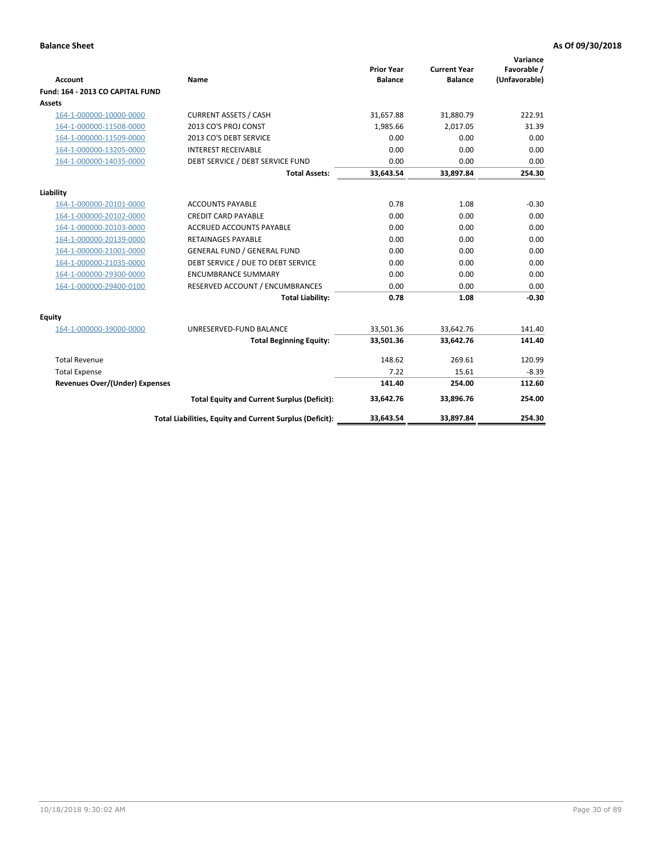|                                       |                                                          |                                     |                                       | Variance                     |
|---------------------------------------|----------------------------------------------------------|-------------------------------------|---------------------------------------|------------------------------|
| <b>Account</b>                        | Name                                                     | <b>Prior Year</b><br><b>Balance</b> | <b>Current Year</b><br><b>Balance</b> | Favorable /<br>(Unfavorable) |
| Fund: 164 - 2013 CO CAPITAL FUND      |                                                          |                                     |                                       |                              |
| Assets                                |                                                          |                                     |                                       |                              |
| 164-1-000000-10000-0000               | <b>CURRENT ASSETS / CASH</b>                             | 31,657.88                           | 31,880.79                             | 222.91                       |
| 164-1-000000-11508-0000               | 2013 CO'S PROJ CONST                                     | 1.985.66                            | 2.017.05                              | 31.39                        |
| 164-1-000000-11509-0000               | 2013 CO'S DEBT SERVICE                                   | 0.00                                | 0.00                                  | 0.00                         |
| 164-1-000000-13205-0000               | <b>INTEREST RECEIVABLE</b>                               | 0.00                                | 0.00                                  | 0.00                         |
| 164-1-000000-14035-0000               | DEBT SERVICE / DEBT SERVICE FUND                         | 0.00                                | 0.00                                  | 0.00                         |
|                                       | <b>Total Assets:</b>                                     | 33,643.54                           | 33,897.84                             | 254.30                       |
| Liability                             |                                                          |                                     |                                       |                              |
| 164-1-000000-20101-0000               | <b>ACCOUNTS PAYABLE</b>                                  | 0.78                                | 1.08                                  | $-0.30$                      |
| 164-1-000000-20102-0000               | <b>CREDIT CARD PAYABLE</b>                               | 0.00                                | 0.00                                  | 0.00                         |
| 164-1-000000-20103-0000               | <b>ACCRUED ACCOUNTS PAYABLE</b>                          | 0.00                                | 0.00                                  | 0.00                         |
| 164-1-000000-20139-0000               | <b>RETAINAGES PAYABLE</b>                                | 0.00                                | 0.00                                  | 0.00                         |
| 164-1-000000-21001-0000               | <b>GENERAL FUND / GENERAL FUND</b>                       | 0.00                                | 0.00                                  | 0.00                         |
| 164-1-000000-21035-0000               | DEBT SERVICE / DUE TO DEBT SERVICE                       | 0.00                                | 0.00                                  | 0.00                         |
| 164-1-000000-29300-0000               | <b>ENCUMBRANCE SUMMARY</b>                               | 0.00                                | 0.00                                  | 0.00                         |
| 164-1-000000-29400-0100               | RESERVED ACCOUNT / ENCUMBRANCES                          | 0.00                                | 0.00                                  | 0.00                         |
|                                       | <b>Total Liability:</b>                                  | 0.78                                | 1.08                                  | $-0.30$                      |
| Equity                                |                                                          |                                     |                                       |                              |
| 164-1-000000-39000-0000               | UNRESERVED-FUND BALANCE                                  | 33,501.36                           | 33,642.76                             | 141.40                       |
|                                       | <b>Total Beginning Equity:</b>                           | 33,501.36                           | 33,642.76                             | 141.40                       |
| <b>Total Revenue</b>                  |                                                          | 148.62                              | 269.61                                | 120.99                       |
| <b>Total Expense</b>                  |                                                          | 7.22                                | 15.61                                 | $-8.39$                      |
| <b>Revenues Over/(Under) Expenses</b> |                                                          | 141.40                              | 254.00                                | 112.60                       |
|                                       | <b>Total Equity and Current Surplus (Deficit):</b>       | 33,642.76                           | 33,896.76                             | 254.00                       |
|                                       | Total Liabilities, Equity and Current Surplus (Deficit): | 33,643.54                           | 33,897.84                             | 254.30                       |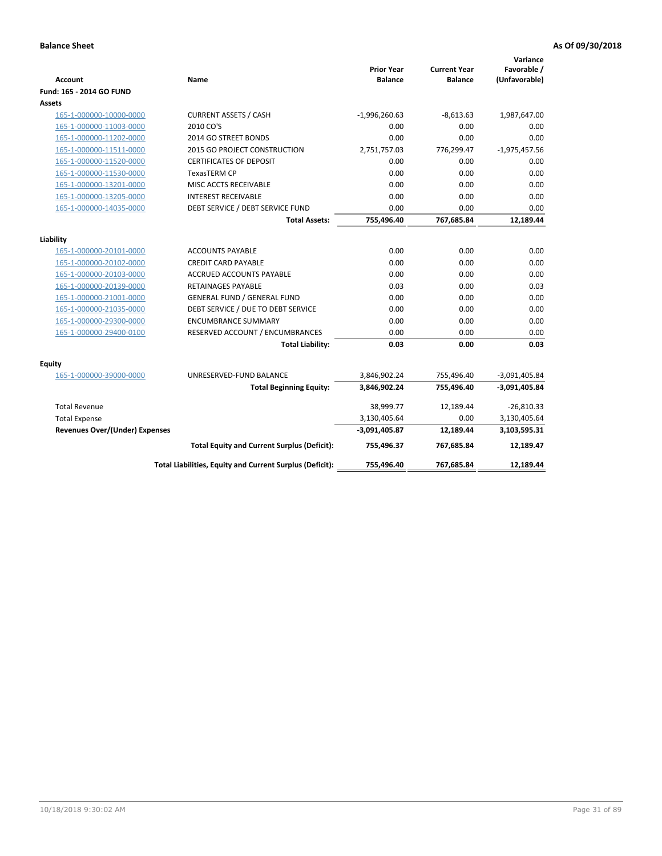| <b>Account</b>                        | Name                                                     | <b>Prior Year</b><br><b>Balance</b> | <b>Current Year</b><br><b>Balance</b> | Variance<br>Favorable /<br>(Unfavorable) |
|---------------------------------------|----------------------------------------------------------|-------------------------------------|---------------------------------------|------------------------------------------|
| Fund: 165 - 2014 GO FUND              |                                                          |                                     |                                       |                                          |
| Assets                                |                                                          |                                     |                                       |                                          |
| 165-1-000000-10000-0000               | <b>CURRENT ASSETS / CASH</b>                             | $-1,996,260.63$                     | $-8,613.63$                           | 1,987,647.00                             |
| 165-1-000000-11003-0000               | 2010 CO'S                                                | 0.00                                | 0.00                                  | 0.00                                     |
| 165-1-000000-11202-0000               | 2014 GO STREET BONDS                                     | 0.00                                | 0.00                                  | 0.00                                     |
| 165-1-000000-11511-0000               | 2015 GO PROJECT CONSTRUCTION                             | 2,751,757.03                        | 776,299.47                            | $-1,975,457.56$                          |
| 165-1-000000-11520-0000               | <b>CERTIFICATES OF DEPOSIT</b>                           | 0.00                                | 0.00                                  | 0.00                                     |
| 165-1-000000-11530-0000               | <b>TexasTERM CP</b>                                      | 0.00                                | 0.00                                  | 0.00                                     |
| 165-1-000000-13201-0000               | MISC ACCTS RECEIVABLE                                    | 0.00                                | 0.00                                  | 0.00                                     |
| 165-1-000000-13205-0000               | <b>INTEREST RECEIVABLE</b>                               | 0.00                                | 0.00                                  | 0.00                                     |
| 165-1-000000-14035-0000               | DEBT SERVICE / DEBT SERVICE FUND                         | 0.00                                | 0.00                                  | 0.00                                     |
|                                       | <b>Total Assets:</b>                                     | 755,496.40                          | 767,685.84                            | 12,189.44                                |
| Liability                             |                                                          |                                     |                                       |                                          |
| 165-1-000000-20101-0000               | <b>ACCOUNTS PAYABLE</b>                                  | 0.00                                | 0.00                                  | 0.00                                     |
| 165-1-000000-20102-0000               | <b>CREDIT CARD PAYABLE</b>                               | 0.00                                | 0.00                                  | 0.00                                     |
| 165-1-000000-20103-0000               | ACCRUED ACCOUNTS PAYABLE                                 | 0.00                                | 0.00                                  | 0.00                                     |
| 165-1-000000-20139-0000               | <b>RETAINAGES PAYABLE</b>                                | 0.03                                | 0.00                                  | 0.03                                     |
| 165-1-000000-21001-0000               | <b>GENERAL FUND / GENERAL FUND</b>                       | 0.00                                | 0.00                                  | 0.00                                     |
| 165-1-000000-21035-0000               | DEBT SERVICE / DUE TO DEBT SERVICE                       | 0.00                                | 0.00                                  | 0.00                                     |
| 165-1-000000-29300-0000               | <b>ENCUMBRANCE SUMMARY</b>                               | 0.00                                | 0.00                                  | 0.00                                     |
| 165-1-000000-29400-0100               | RESERVED ACCOUNT / ENCUMBRANCES                          | 0.00                                | 0.00                                  | 0.00                                     |
|                                       | <b>Total Liability:</b>                                  | 0.03                                | 0.00                                  | 0.03                                     |
| <b>Equity</b>                         |                                                          |                                     |                                       |                                          |
| 165-1-000000-39000-0000               | UNRESERVED-FUND BALANCE                                  | 3,846,902.24                        | 755,496.40                            | $-3,091,405.84$                          |
|                                       | <b>Total Beginning Equity:</b>                           | 3,846,902.24                        | 755,496.40                            | $-3,091,405.84$                          |
| <b>Total Revenue</b>                  |                                                          | 38,999.77                           | 12,189.44                             | $-26,810.33$                             |
| <b>Total Expense</b>                  |                                                          | 3,130,405.64                        | 0.00                                  | 3,130,405.64                             |
| <b>Revenues Over/(Under) Expenses</b> |                                                          | -3,091,405.87                       | 12,189.44                             | 3,103,595.31                             |
|                                       | <b>Total Equity and Current Surplus (Deficit):</b>       | 755,496.37                          | 767,685.84                            | 12,189.47                                |
|                                       | Total Liabilities, Equity and Current Surplus (Deficit): | 755,496.40                          | 767,685.84                            | 12.189.44                                |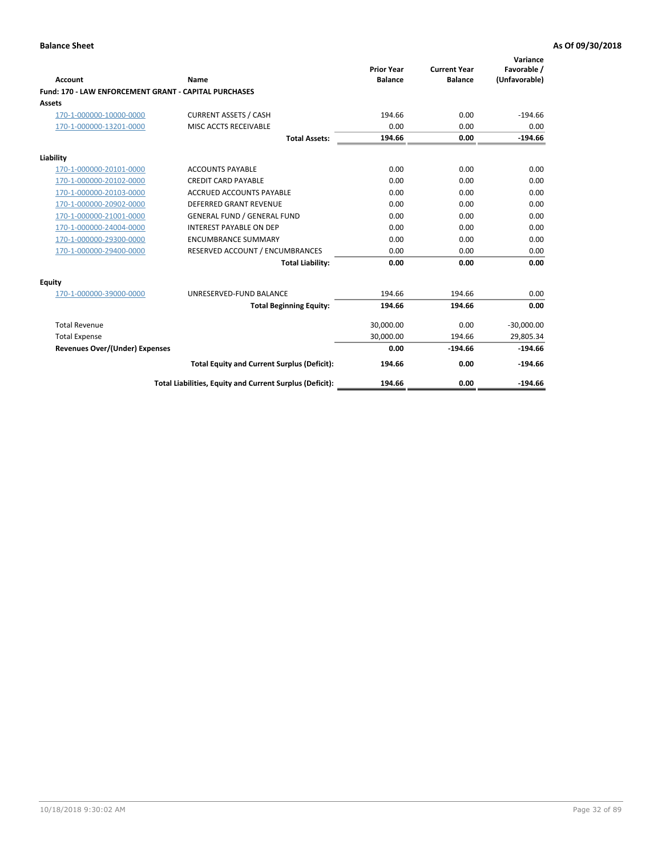| <b>Account</b>                                               | Name                                                     | <b>Prior Year</b><br><b>Balance</b> | <b>Current Year</b><br><b>Balance</b> | Variance<br>Favorable /<br>(Unfavorable) |
|--------------------------------------------------------------|----------------------------------------------------------|-------------------------------------|---------------------------------------|------------------------------------------|
| <b>Fund: 170 - LAW ENFORCEMENT GRANT - CAPITAL PURCHASES</b> |                                                          |                                     |                                       |                                          |
| Assets                                                       |                                                          |                                     |                                       |                                          |
| 170-1-000000-10000-0000                                      | <b>CURRENT ASSETS / CASH</b>                             | 194.66                              | 0.00                                  | $-194.66$                                |
| 170-1-000000-13201-0000                                      | MISC ACCTS RECEIVABLE                                    | 0.00                                | 0.00                                  | 0.00                                     |
|                                                              | <b>Total Assets:</b>                                     | 194.66                              | 0.00                                  | $-194.66$                                |
| Liability                                                    |                                                          |                                     |                                       |                                          |
| 170-1-000000-20101-0000                                      | <b>ACCOUNTS PAYABLE</b>                                  | 0.00                                | 0.00                                  | 0.00                                     |
| 170-1-000000-20102-0000                                      | <b>CREDIT CARD PAYABLE</b>                               | 0.00                                | 0.00                                  | 0.00                                     |
| 170-1-000000-20103-0000                                      | <b>ACCRUED ACCOUNTS PAYABLE</b>                          | 0.00                                | 0.00                                  | 0.00                                     |
| 170-1-000000-20902-0000                                      | <b>DEFERRED GRANT REVENUE</b>                            | 0.00                                | 0.00                                  | 0.00                                     |
| 170-1-000000-21001-0000                                      | <b>GENERAL FUND / GENERAL FUND</b>                       | 0.00                                | 0.00                                  | 0.00                                     |
| 170-1-000000-24004-0000                                      | <b>INTEREST PAYABLE ON DEP</b>                           | 0.00                                | 0.00                                  | 0.00                                     |
| 170-1-000000-29300-0000                                      | <b>ENCUMBRANCE SUMMARY</b>                               | 0.00                                | 0.00                                  | 0.00                                     |
| 170-1-000000-29400-0000                                      | RESERVED ACCOUNT / ENCUMBRANCES                          | 0.00                                | 0.00                                  | 0.00                                     |
|                                                              | <b>Total Liability:</b>                                  | 0.00                                | 0.00                                  | 0.00                                     |
| <b>Equity</b>                                                |                                                          |                                     |                                       |                                          |
| 170-1-000000-39000-0000                                      | UNRESERVED-FUND BALANCE                                  | 194.66                              | 194.66                                | 0.00                                     |
|                                                              | <b>Total Beginning Equity:</b>                           | 194.66                              | 194.66                                | 0.00                                     |
| <b>Total Revenue</b>                                         |                                                          | 30,000.00                           | 0.00                                  | $-30,000.00$                             |
| <b>Total Expense</b>                                         |                                                          | 30,000.00                           | 194.66                                | 29,805.34                                |
| <b>Revenues Over/(Under) Expenses</b>                        |                                                          | 0.00                                | $-194.66$                             | $-194.66$                                |
|                                                              | <b>Total Equity and Current Surplus (Deficit):</b>       | 194.66                              | 0.00                                  | $-194.66$                                |
|                                                              | Total Liabilities, Equity and Current Surplus (Deficit): | 194.66                              | 0.00                                  | $-194.66$                                |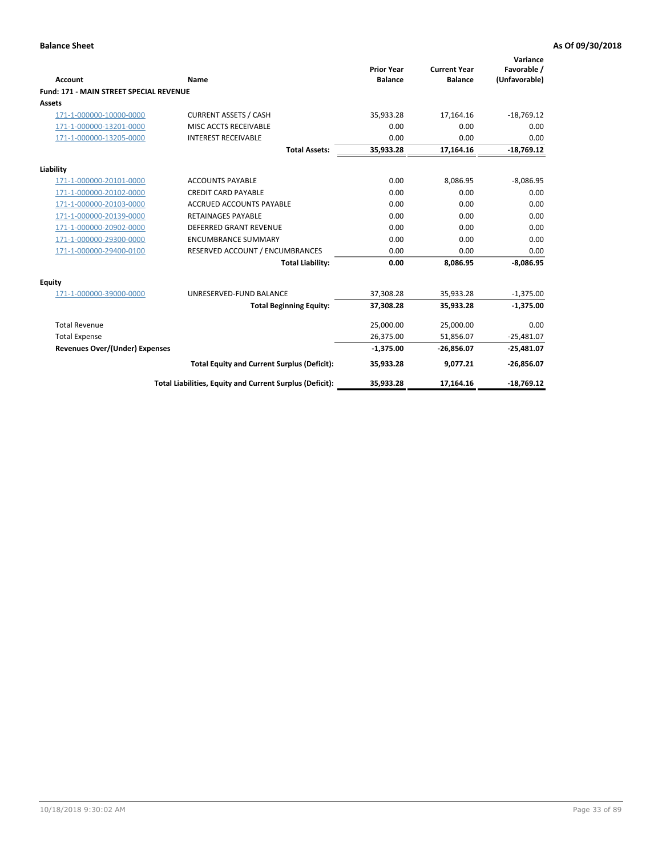|                                                |                                                          | <b>Prior Year</b> | <b>Current Year</b> | Variance<br>Favorable / |
|------------------------------------------------|----------------------------------------------------------|-------------------|---------------------|-------------------------|
| Account                                        | Name                                                     | <b>Balance</b>    | <b>Balance</b>      | (Unfavorable)           |
| <b>Fund: 171 - MAIN STREET SPECIAL REVENUE</b> |                                                          |                   |                     |                         |
| <b>Assets</b>                                  |                                                          |                   |                     |                         |
| 171-1-000000-10000-0000                        | <b>CURRENT ASSETS / CASH</b>                             | 35,933.28         | 17,164.16           | $-18,769.12$            |
| 171-1-000000-13201-0000                        | MISC ACCTS RECEIVABLE                                    | 0.00              | 0.00                | 0.00                    |
| 171-1-000000-13205-0000                        | <b>INTEREST RECEIVABLE</b>                               | 0.00              | 0.00                | 0.00                    |
|                                                | <b>Total Assets:</b>                                     | 35,933.28         | 17,164.16           | $-18,769.12$            |
| Liability                                      |                                                          |                   |                     |                         |
| 171-1-000000-20101-0000                        | <b>ACCOUNTS PAYABLE</b>                                  | 0.00              | 8,086.95            | $-8,086.95$             |
| 171-1-000000-20102-0000                        | <b>CREDIT CARD PAYABLE</b>                               | 0.00              | 0.00                | 0.00                    |
| 171-1-000000-20103-0000                        | <b>ACCRUED ACCOUNTS PAYABLE</b>                          | 0.00              | 0.00                | 0.00                    |
| 171-1-000000-20139-0000                        | <b>RETAINAGES PAYABLE</b>                                | 0.00              | 0.00                | 0.00                    |
| 171-1-000000-20902-0000                        | <b>DEFERRED GRANT REVENUE</b>                            | 0.00              | 0.00                | 0.00                    |
| 171-1-000000-29300-0000                        | <b>ENCUMBRANCE SUMMARY</b>                               | 0.00              | 0.00                | 0.00                    |
| 171-1-000000-29400-0100                        | RESERVED ACCOUNT / ENCUMBRANCES                          | 0.00              | 0.00                | 0.00                    |
|                                                | <b>Total Liability:</b>                                  | 0.00              | 8,086.95            | $-8,086.95$             |
| <b>Equity</b>                                  |                                                          |                   |                     |                         |
| 171-1-000000-39000-0000                        | UNRESERVED-FUND BALANCE                                  | 37,308.28         | 35,933.28           | $-1,375.00$             |
|                                                | <b>Total Beginning Equity:</b>                           | 37,308.28         | 35,933.28           | $-1,375.00$             |
| <b>Total Revenue</b>                           |                                                          | 25,000.00         | 25,000.00           | 0.00                    |
| <b>Total Expense</b>                           |                                                          | 26,375.00         | 51,856.07           | $-25,481.07$            |
| <b>Revenues Over/(Under) Expenses</b>          |                                                          | $-1,375.00$       | $-26,856.07$        | $-25,481.07$            |
|                                                | <b>Total Equity and Current Surplus (Deficit):</b>       | 35,933.28         | 9,077.21            | $-26,856.07$            |
|                                                | Total Liabilities, Equity and Current Surplus (Deficit): | 35,933.28         | 17,164.16           | $-18,769.12$            |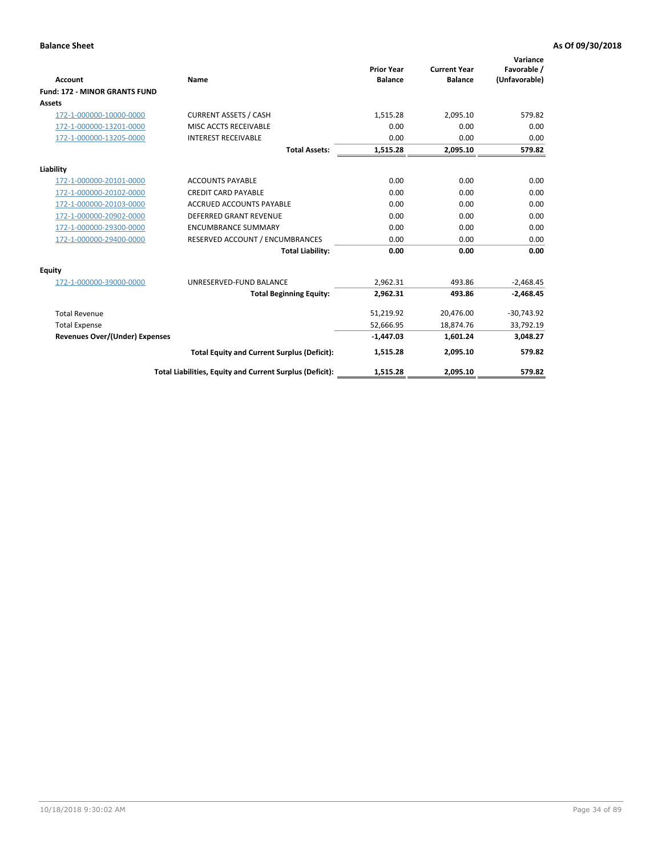|                                       |                                                          |                                     |                                       | Variance                     |
|---------------------------------------|----------------------------------------------------------|-------------------------------------|---------------------------------------|------------------------------|
| <b>Account</b>                        | <b>Name</b>                                              | <b>Prior Year</b><br><b>Balance</b> | <b>Current Year</b><br><b>Balance</b> | Favorable /<br>(Unfavorable) |
| <b>Fund: 172 - MINOR GRANTS FUND</b>  |                                                          |                                     |                                       |                              |
| <b>Assets</b>                         |                                                          |                                     |                                       |                              |
| 172-1-000000-10000-0000               | <b>CURRENT ASSETS / CASH</b>                             | 1,515.28                            | 2,095.10                              | 579.82                       |
| 172-1-000000-13201-0000               | MISC ACCTS RECEIVABLE                                    | 0.00                                | 0.00                                  | 0.00                         |
| 172-1-000000-13205-0000               | <b>INTEREST RECEIVABLE</b>                               | 0.00                                | 0.00                                  | 0.00                         |
|                                       | <b>Total Assets:</b>                                     | 1,515.28                            | 2,095.10                              | 579.82                       |
| Liability                             |                                                          |                                     |                                       |                              |
| 172-1-000000-20101-0000               | <b>ACCOUNTS PAYABLE</b>                                  | 0.00                                | 0.00                                  | 0.00                         |
| 172-1-000000-20102-0000               | <b>CREDIT CARD PAYABLE</b>                               | 0.00                                | 0.00                                  | 0.00                         |
| 172-1-000000-20103-0000               | <b>ACCRUED ACCOUNTS PAYABLE</b>                          | 0.00                                | 0.00                                  | 0.00                         |
| 172-1-000000-20902-0000               | <b>DEFERRED GRANT REVENUE</b>                            | 0.00                                | 0.00                                  | 0.00                         |
| 172-1-000000-29300-0000               | <b>ENCUMBRANCE SUMMARY</b>                               | 0.00                                | 0.00                                  | 0.00                         |
| 172-1-000000-29400-0000               | RESERVED ACCOUNT / ENCUMBRANCES                          | 0.00                                | 0.00                                  | 0.00                         |
|                                       | <b>Total Liability:</b>                                  | 0.00                                | 0.00                                  | 0.00                         |
| Equity                                |                                                          |                                     |                                       |                              |
| 172-1-000000-39000-0000               | UNRESERVED-FUND BALANCE                                  | 2,962.31                            | 493.86                                | $-2,468.45$                  |
|                                       | <b>Total Beginning Equity:</b>                           | 2,962.31                            | 493.86                                | $-2,468.45$                  |
| <b>Total Revenue</b>                  |                                                          | 51,219.92                           | 20,476.00                             | $-30,743.92$                 |
| <b>Total Expense</b>                  |                                                          | 52,666.95                           | 18,874.76                             | 33,792.19                    |
| <b>Revenues Over/(Under) Expenses</b> |                                                          | $-1,447.03$                         | 1,601.24                              | 3,048.27                     |
|                                       | <b>Total Equity and Current Surplus (Deficit):</b>       | 1,515.28                            | 2,095.10                              | 579.82                       |
|                                       | Total Liabilities, Equity and Current Surplus (Deficit): | 1,515.28                            | 2,095.10                              | 579.82                       |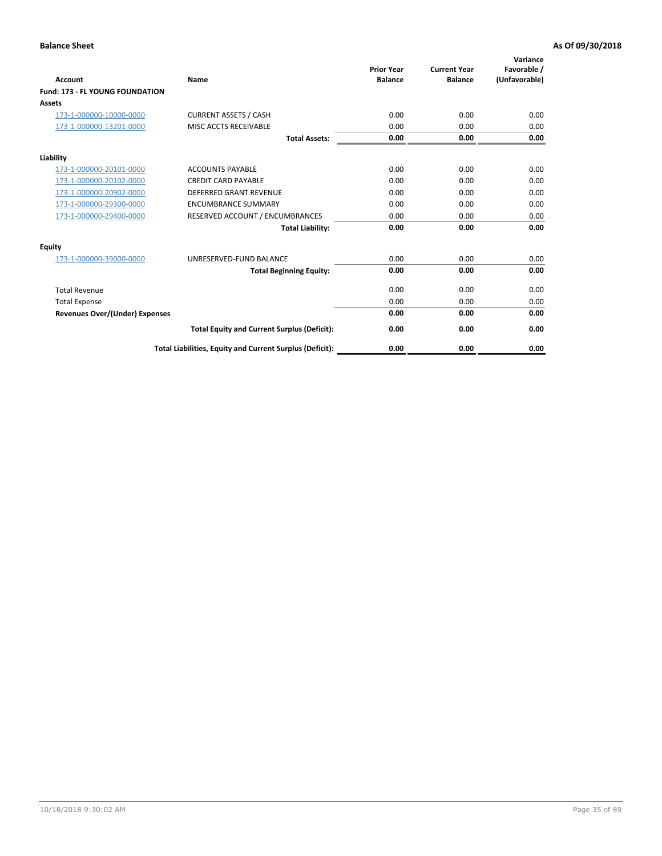| <b>Account</b>                         | <b>Name</b>                                              | <b>Prior Year</b><br><b>Balance</b> | <b>Current Year</b><br><b>Balance</b> | Variance<br>Favorable /<br>(Unfavorable) |
|----------------------------------------|----------------------------------------------------------|-------------------------------------|---------------------------------------|------------------------------------------|
| <b>Fund: 173 - FL YOUNG FOUNDATION</b> |                                                          |                                     |                                       |                                          |
| Assets                                 |                                                          |                                     |                                       |                                          |
| 173-1-000000-10000-0000                | <b>CURRENT ASSETS / CASH</b>                             | 0.00                                | 0.00                                  | 0.00                                     |
| 173-1-000000-13201-0000                | MISC ACCTS RECEIVABLE                                    | 0.00                                | 0.00                                  | 0.00                                     |
|                                        | <b>Total Assets:</b>                                     | 0.00                                | 0.00                                  | 0.00                                     |
| Liability                              |                                                          |                                     |                                       |                                          |
| 173-1-000000-20101-0000                | <b>ACCOUNTS PAYABLE</b>                                  | 0.00                                | 0.00                                  | 0.00                                     |
| 173-1-000000-20102-0000                | <b>CREDIT CARD PAYABLE</b>                               | 0.00                                | 0.00                                  | 0.00                                     |
| 173-1-000000-20902-0000                | <b>DEFERRED GRANT REVENUE</b>                            | 0.00                                | 0.00                                  | 0.00                                     |
| 173-1-000000-29300-0000                | <b>ENCUMBRANCE SUMMARY</b>                               | 0.00                                | 0.00                                  | 0.00                                     |
| 173-1-000000-29400-0000                | RESERVED ACCOUNT / ENCUMBRANCES                          | 0.00                                | 0.00                                  | 0.00                                     |
|                                        | <b>Total Liability:</b>                                  | 0.00                                | 0.00                                  | 0.00                                     |
| Equity                                 |                                                          |                                     |                                       |                                          |
| 173-1-000000-39000-0000                | UNRESERVED-FUND BALANCE                                  | 0.00                                | 0.00                                  | 0.00                                     |
|                                        | <b>Total Beginning Equity:</b>                           | 0.00                                | 0.00                                  | 0.00                                     |
| <b>Total Revenue</b>                   |                                                          | 0.00                                | 0.00                                  | 0.00                                     |
| <b>Total Expense</b>                   |                                                          | 0.00                                | 0.00                                  | 0.00                                     |
| <b>Revenues Over/(Under) Expenses</b>  |                                                          | 0.00                                | 0.00                                  | 0.00                                     |
|                                        | <b>Total Equity and Current Surplus (Deficit):</b>       | 0.00                                | 0.00                                  | 0.00                                     |
|                                        | Total Liabilities, Equity and Current Surplus (Deficit): | 0.00                                | 0.00                                  | 0.00                                     |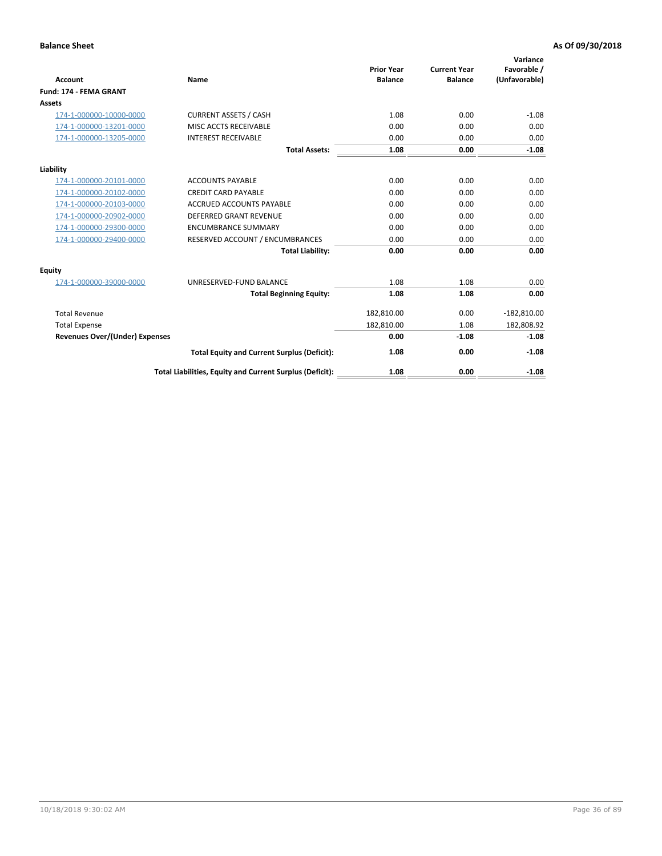| Account                               | Name                                                     | <b>Prior Year</b><br><b>Balance</b> | <b>Current Year</b><br><b>Balance</b> | Variance<br>Favorable /<br>(Unfavorable) |
|---------------------------------------|----------------------------------------------------------|-------------------------------------|---------------------------------------|------------------------------------------|
| Fund: 174 - FEMA GRANT                |                                                          |                                     |                                       |                                          |
| Assets                                |                                                          |                                     |                                       |                                          |
| 174-1-000000-10000-0000               | <b>CURRENT ASSETS / CASH</b>                             | 1.08                                | 0.00                                  | $-1.08$                                  |
| 174-1-000000-13201-0000               | MISC ACCTS RECEIVABLE                                    | 0.00                                | 0.00                                  | 0.00                                     |
| 174-1-000000-13205-0000               | <b>INTEREST RECEIVABLE</b>                               | 0.00                                | 0.00                                  | 0.00                                     |
|                                       | <b>Total Assets:</b>                                     | 1.08                                | 0.00                                  | $-1.08$                                  |
| Liability                             |                                                          |                                     |                                       |                                          |
| 174-1-000000-20101-0000               | <b>ACCOUNTS PAYABLE</b>                                  | 0.00                                | 0.00                                  | 0.00                                     |
| 174-1-000000-20102-0000               | <b>CREDIT CARD PAYABLE</b>                               | 0.00                                | 0.00                                  | 0.00                                     |
| 174-1-000000-20103-0000               | <b>ACCRUED ACCOUNTS PAYABLE</b>                          | 0.00                                | 0.00                                  | 0.00                                     |
| 174-1-000000-20902-0000               | <b>DEFERRED GRANT REVENUE</b>                            | 0.00                                | 0.00                                  | 0.00                                     |
| 174-1-000000-29300-0000               | <b>ENCUMBRANCE SUMMARY</b>                               | 0.00                                | 0.00                                  | 0.00                                     |
| 174-1-000000-29400-0000               | RESERVED ACCOUNT / ENCUMBRANCES                          | 0.00                                | 0.00                                  | 0.00                                     |
|                                       | <b>Total Liability:</b>                                  | 0.00                                | 0.00                                  | 0.00                                     |
| <b>Equity</b>                         |                                                          |                                     |                                       |                                          |
| 174-1-000000-39000-0000               | UNRESERVED-FUND BALANCE                                  | 1.08                                | 1.08                                  | 0.00                                     |
|                                       | <b>Total Beginning Equity:</b>                           | 1.08                                | 1.08                                  | 0.00                                     |
| <b>Total Revenue</b>                  |                                                          | 182,810.00                          | 0.00                                  | $-182,810.00$                            |
| <b>Total Expense</b>                  |                                                          | 182,810.00                          | 1.08                                  | 182,808.92                               |
| <b>Revenues Over/(Under) Expenses</b> |                                                          | 0.00                                | $-1.08$                               | $-1.08$                                  |
|                                       | <b>Total Equity and Current Surplus (Deficit):</b>       | 1.08                                | 0.00                                  | $-1.08$                                  |
|                                       | Total Liabilities, Equity and Current Surplus (Deficit): | 1.08                                | 0.00                                  | $-1.08$                                  |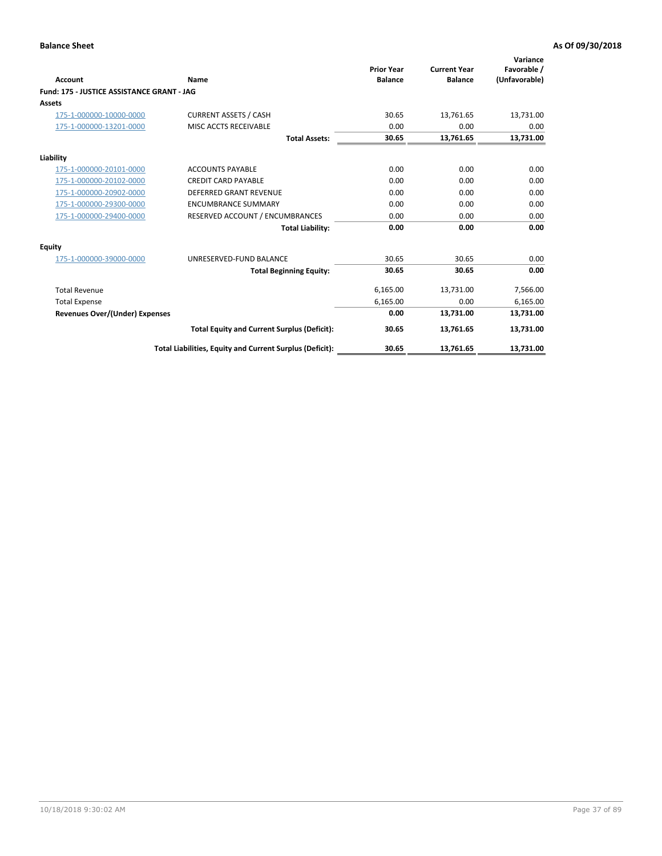| <b>Account</b>                             | Name                                                     | <b>Prior Year</b><br><b>Balance</b> | <b>Current Year</b><br><b>Balance</b> | Variance<br>Favorable /<br>(Unfavorable) |
|--------------------------------------------|----------------------------------------------------------|-------------------------------------|---------------------------------------|------------------------------------------|
| Fund: 175 - JUSTICE ASSISTANCE GRANT - JAG |                                                          |                                     |                                       |                                          |
| <b>Assets</b>                              |                                                          |                                     |                                       |                                          |
| 175-1-000000-10000-0000                    | <b>CURRENT ASSETS / CASH</b>                             | 30.65                               | 13,761.65                             | 13,731.00                                |
| 175-1-000000-13201-0000                    | MISC ACCTS RECEIVABLE                                    | 0.00                                | 0.00                                  | 0.00                                     |
|                                            | <b>Total Assets:</b>                                     | 30.65                               | 13,761.65                             | 13,731.00                                |
| Liability                                  |                                                          |                                     |                                       |                                          |
| 175-1-000000-20101-0000                    | <b>ACCOUNTS PAYABLE</b>                                  | 0.00                                | 0.00                                  | 0.00                                     |
| 175-1-000000-20102-0000                    | <b>CREDIT CARD PAYABLE</b>                               | 0.00                                | 0.00                                  | 0.00                                     |
| 175-1-000000-20902-0000                    | <b>DEFERRED GRANT REVENUE</b>                            | 0.00                                | 0.00                                  | 0.00                                     |
| 175-1-000000-29300-0000                    | <b>ENCUMBRANCE SUMMARY</b>                               | 0.00                                | 0.00                                  | 0.00                                     |
| 175-1-000000-29400-0000                    | RESERVED ACCOUNT / ENCUMBRANCES                          | 0.00                                | 0.00                                  | 0.00                                     |
|                                            | <b>Total Liability:</b>                                  | 0.00                                | 0.00                                  | 0.00                                     |
| Equity                                     |                                                          |                                     |                                       |                                          |
| 175-1-000000-39000-0000                    | UNRESERVED-FUND BALANCE                                  | 30.65                               | 30.65                                 | 0.00                                     |
|                                            | <b>Total Beginning Equity:</b>                           | 30.65                               | 30.65                                 | 0.00                                     |
| <b>Total Revenue</b>                       |                                                          | 6,165.00                            | 13,731.00                             | 7,566.00                                 |
| <b>Total Expense</b>                       |                                                          | 6,165.00                            | 0.00                                  | 6,165.00                                 |
| <b>Revenues Over/(Under) Expenses</b>      |                                                          | 0.00                                | 13,731.00                             | 13,731.00                                |
|                                            | <b>Total Equity and Current Surplus (Deficit):</b>       | 30.65                               | 13,761.65                             | 13,731.00                                |
|                                            | Total Liabilities, Equity and Current Surplus (Deficit): | 30.65                               | 13,761.65                             | 13,731.00                                |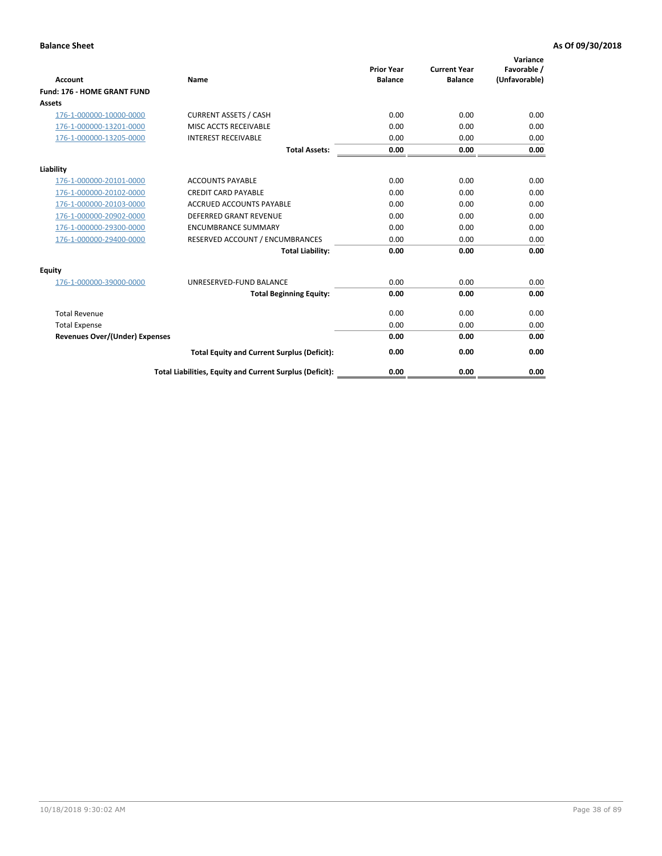| <b>Account</b>                        | Name                                                     | <b>Prior Year</b><br><b>Balance</b> | <b>Current Year</b><br><b>Balance</b> | Variance<br>Favorable /<br>(Unfavorable) |
|---------------------------------------|----------------------------------------------------------|-------------------------------------|---------------------------------------|------------------------------------------|
| Fund: 176 - HOME GRANT FUND           |                                                          |                                     |                                       |                                          |
| Assets                                |                                                          |                                     |                                       |                                          |
| 176-1-000000-10000-0000               | <b>CURRENT ASSETS / CASH</b>                             | 0.00                                | 0.00                                  | 0.00                                     |
| 176-1-000000-13201-0000               | MISC ACCTS RECEIVABLE                                    | 0.00                                | 0.00                                  | 0.00                                     |
| 176-1-000000-13205-0000               | <b>INTEREST RECEIVABLE</b>                               | 0.00                                | 0.00                                  | 0.00                                     |
|                                       | <b>Total Assets:</b>                                     | 0.00                                | 0.00                                  | 0.00                                     |
| Liability                             |                                                          |                                     |                                       |                                          |
| 176-1-000000-20101-0000               | <b>ACCOUNTS PAYABLE</b>                                  | 0.00                                | 0.00                                  | 0.00                                     |
| 176-1-000000-20102-0000               | <b>CREDIT CARD PAYABLE</b>                               | 0.00                                | 0.00                                  | 0.00                                     |
| 176-1-000000-20103-0000               | <b>ACCRUED ACCOUNTS PAYABLE</b>                          | 0.00                                | 0.00                                  | 0.00                                     |
| 176-1-000000-20902-0000               | <b>DEFERRED GRANT REVENUE</b>                            | 0.00                                | 0.00                                  | 0.00                                     |
| 176-1-000000-29300-0000               | <b>ENCUMBRANCE SUMMARY</b>                               | 0.00                                | 0.00                                  | 0.00                                     |
| 176-1-000000-29400-0000               | RESERVED ACCOUNT / ENCUMBRANCES                          | 0.00                                | 0.00                                  | 0.00                                     |
|                                       | <b>Total Liability:</b>                                  | 0.00                                | 0.00                                  | 0.00                                     |
| <b>Equity</b>                         |                                                          |                                     |                                       |                                          |
| 176-1-000000-39000-0000               | UNRESERVED-FUND BALANCE                                  | 0.00                                | 0.00                                  | 0.00                                     |
|                                       | <b>Total Beginning Equity:</b>                           | 0.00                                | 0.00                                  | 0.00                                     |
| <b>Total Revenue</b>                  |                                                          | 0.00                                | 0.00                                  | 0.00                                     |
| <b>Total Expense</b>                  |                                                          | 0.00                                | 0.00                                  | 0.00                                     |
| <b>Revenues Over/(Under) Expenses</b> |                                                          | 0.00                                | 0.00                                  | 0.00                                     |
|                                       | <b>Total Equity and Current Surplus (Deficit):</b>       | 0.00                                | 0.00                                  | 0.00                                     |
|                                       | Total Liabilities, Equity and Current Surplus (Deficit): | 0.00                                | 0.00                                  | 0.00                                     |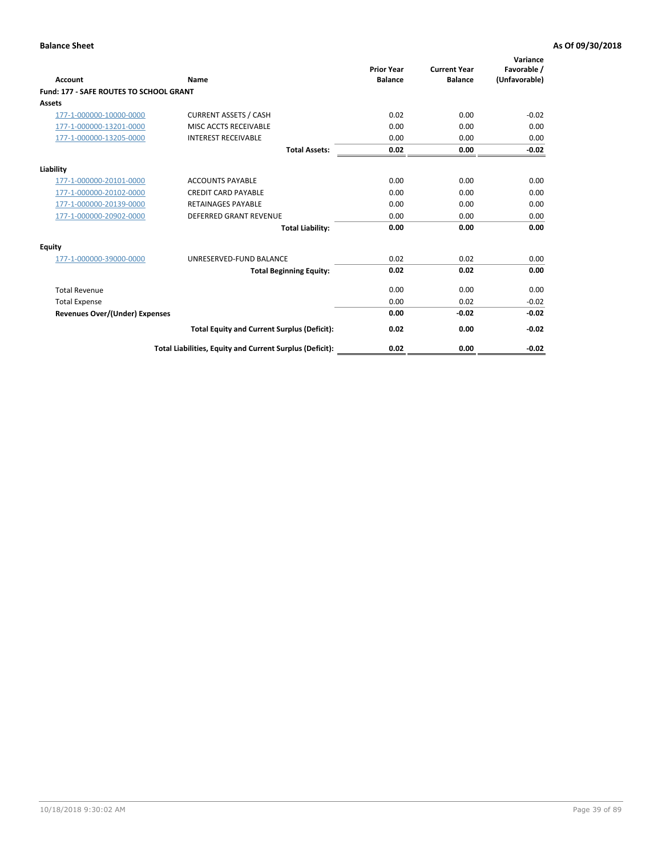| Account                                        | Name                                                     | <b>Prior Year</b><br><b>Balance</b> | <b>Current Year</b><br><b>Balance</b> | Variance<br>Favorable /<br>(Unfavorable) |
|------------------------------------------------|----------------------------------------------------------|-------------------------------------|---------------------------------------|------------------------------------------|
| <b>Fund: 177 - SAFE ROUTES TO SCHOOL GRANT</b> |                                                          |                                     |                                       |                                          |
| <b>Assets</b>                                  |                                                          |                                     |                                       |                                          |
| 177-1-000000-10000-0000                        | <b>CURRENT ASSETS / CASH</b>                             | 0.02                                | 0.00                                  | $-0.02$                                  |
| 177-1-000000-13201-0000                        | MISC ACCTS RECEIVABLE                                    | 0.00                                | 0.00                                  | 0.00                                     |
| 177-1-000000-13205-0000                        | <b>INTEREST RECEIVABLE</b>                               | 0.00                                | 0.00                                  | 0.00                                     |
|                                                | <b>Total Assets:</b>                                     | 0.02                                | 0.00                                  | $-0.02$                                  |
| Liability                                      |                                                          |                                     |                                       |                                          |
| 177-1-000000-20101-0000                        | <b>ACCOUNTS PAYABLE</b>                                  | 0.00                                | 0.00                                  | 0.00                                     |
| 177-1-000000-20102-0000                        | <b>CREDIT CARD PAYABLE</b>                               | 0.00                                | 0.00                                  | 0.00                                     |
| 177-1-000000-20139-0000                        | <b>RETAINAGES PAYABLE</b>                                | 0.00                                | 0.00                                  | 0.00                                     |
| 177-1-000000-20902-0000                        | <b>DEFERRED GRANT REVENUE</b>                            | 0.00                                | 0.00                                  | 0.00                                     |
|                                                | <b>Total Liability:</b>                                  | 0.00                                | 0.00                                  | 0.00                                     |
| Equity                                         |                                                          |                                     |                                       |                                          |
| 177-1-000000-39000-0000                        | UNRESERVED-FUND BALANCE                                  | 0.02                                | 0.02                                  | 0.00                                     |
|                                                | <b>Total Beginning Equity:</b>                           | 0.02                                | 0.02                                  | 0.00                                     |
| <b>Total Revenue</b>                           |                                                          | 0.00                                | 0.00                                  | 0.00                                     |
| <b>Total Expense</b>                           |                                                          | 0.00                                | 0.02                                  | $-0.02$                                  |
| <b>Revenues Over/(Under) Expenses</b>          |                                                          | 0.00                                | $-0.02$                               | $-0.02$                                  |
|                                                | <b>Total Equity and Current Surplus (Deficit):</b>       | 0.02                                | 0.00                                  | $-0.02$                                  |
|                                                | Total Liabilities, Equity and Current Surplus (Deficit): | 0.02                                | 0.00                                  | $-0.02$                                  |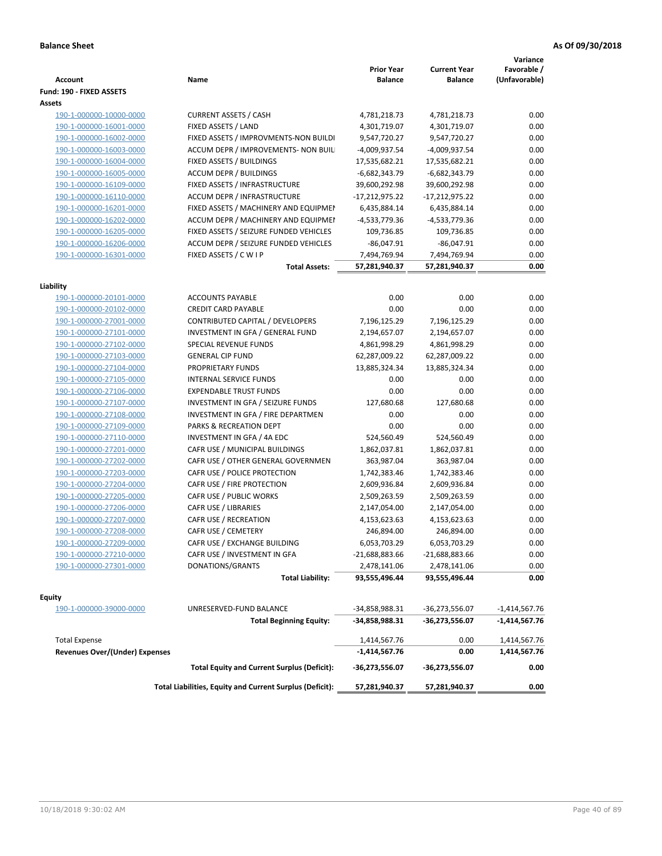| <b>Account</b>                        | Name                                                     | <b>Prior Year</b><br><b>Balance</b> | <b>Current Year</b><br><b>Balance</b> | Variance<br>Favorable /<br>(Unfavorable) |
|---------------------------------------|----------------------------------------------------------|-------------------------------------|---------------------------------------|------------------------------------------|
| Fund: 190 - FIXED ASSETS<br>Assets    |                                                          |                                     |                                       |                                          |
| 190-1-000000-10000-0000               | <b>CURRENT ASSETS / CASH</b>                             | 4,781,218.73                        | 4,781,218.73                          | 0.00                                     |
| 190-1-000000-16001-0000               | FIXED ASSETS / LAND                                      | 4,301,719.07                        | 4,301,719.07                          | 0.00                                     |
| 190-1-000000-16002-0000               | FIXED ASSETS / IMPROVMENTS-NON BUILDI                    | 9,547,720.27                        | 9,547,720.27                          | 0.00                                     |
| 190-1-000000-16003-0000               | ACCUM DEPR / IMPROVEMENTS- NON BUIL                      | -4,009,937.54                       | -4,009,937.54                         | 0.00                                     |
| 190-1-000000-16004-0000               | FIXED ASSETS / BUILDINGS                                 | 17,535,682.21                       | 17,535,682.21                         | 0.00                                     |
| 190-1-000000-16005-0000               | <b>ACCUM DEPR / BUILDINGS</b>                            | $-6,682,343.79$                     | $-6,682,343.79$                       | 0.00                                     |
| 190-1-000000-16109-0000               | FIXED ASSETS / INFRASTRUCTURE                            | 39,600,292.98                       | 39,600,292.98                         | 0.00                                     |
| 190-1-000000-16110-0000               | <b>ACCUM DEPR / INFRASTRUCTURE</b>                       | $-17,212,975.22$                    | -17,212,975.22                        | 0.00                                     |
| 190-1-000000-16201-0000               | FIXED ASSETS / MACHINERY AND EQUIPMEN                    | 6,435,884.14                        | 6,435,884.14                          | 0.00                                     |
| 190-1-000000-16202-0000               | ACCUM DEPR / MACHINERY AND EQUIPMEI                      | -4,533,779.36                       | -4,533,779.36                         | 0.00                                     |
| 190-1-000000-16205-0000               | FIXED ASSETS / SEIZURE FUNDED VEHICLES                   | 109,736.85                          | 109,736.85                            | 0.00                                     |
| 190-1-000000-16206-0000               | ACCUM DEPR / SEIZURE FUNDED VEHICLES                     | $-86,047.91$                        | $-86,047.91$                          | 0.00                                     |
| 190-1-000000-16301-0000               | FIXED ASSETS / C W I P                                   | 7,494,769.94                        | 7,494,769.94                          | 0.00                                     |
|                                       | <b>Total Assets:</b>                                     | 57,281,940.37                       | 57,281,940.37                         | 0.00                                     |
|                                       |                                                          |                                     |                                       |                                          |
| Liability                             |                                                          |                                     |                                       |                                          |
| 190-1-000000-20101-0000               | <b>ACCOUNTS PAYABLE</b>                                  | 0.00                                | 0.00                                  | 0.00                                     |
| 190-1-000000-20102-0000               | <b>CREDIT CARD PAYABLE</b>                               | 0.00                                | 0.00                                  | 0.00                                     |
| 190-1-000000-27001-0000               | CONTRIBUTED CAPITAL / DEVELOPERS                         | 7,196,125.29                        | 7,196,125.29                          | 0.00                                     |
| 190-1-000000-27101-0000               | INVESTMENT IN GFA / GENERAL FUND                         | 2,194,657.07                        | 2,194,657.07                          | 0.00                                     |
| 190-1-000000-27102-0000               | <b>SPECIAL REVENUE FUNDS</b>                             | 4,861,998.29                        | 4,861,998.29                          | 0.00                                     |
| 190-1-000000-27103-0000               | <b>GENERAL CIP FUND</b>                                  | 62,287,009.22                       | 62,287,009.22                         | 0.00                                     |
| 190-1-000000-27104-0000               | PROPRIETARY FUNDS                                        | 13,885,324.34                       | 13,885,324.34                         | 0.00                                     |
| 190-1-000000-27105-0000               | <b>INTERNAL SERVICE FUNDS</b>                            | 0.00                                | 0.00                                  | 0.00                                     |
| 190-1-000000-27106-0000               | <b>EXPENDABLE TRUST FUNDS</b>                            | 0.00                                | 0.00                                  | 0.00                                     |
| 190-1-000000-27107-0000               | INVESTMENT IN GFA / SEIZURE FUNDS                        | 127,680.68                          | 127,680.68                            | 0.00                                     |
| 190-1-000000-27108-0000               | INVESTMENT IN GFA / FIRE DEPARTMEN                       | 0.00                                | 0.00                                  | 0.00                                     |
| 190-1-000000-27109-0000               | PARKS & RECREATION DEPT                                  | 0.00                                | 0.00                                  | 0.00                                     |
| 190-1-000000-27110-0000               | INVESTMENT IN GFA / 4A EDC                               | 524,560.49                          | 524,560.49                            | 0.00                                     |
| 190-1-000000-27201-0000               | CAFR USE / MUNICIPAL BUILDINGS                           | 1,862,037.81                        | 1,862,037.81                          | 0.00                                     |
| 190-1-000000-27202-0000               | CAFR USE / OTHER GENERAL GOVERNMEN                       | 363,987.04                          | 363,987.04                            | 0.00                                     |
| 190-1-000000-27203-0000               | CAFR USE / POLICE PROTECTION                             | 1,742,383.46                        | 1,742,383.46                          | 0.00                                     |
| 190-1-000000-27204-0000               | CAFR USE / FIRE PROTECTION                               | 2,609,936.84                        | 2,609,936.84                          | 0.00                                     |
| 190-1-000000-27205-0000               | CAFR USE / PUBLIC WORKS                                  | 2,509,263.59                        | 2,509,263.59                          | 0.00                                     |
| 190-1-000000-27206-0000               | CAFR USE / LIBRARIES                                     | 2,147,054.00                        | 2,147,054.00                          | 0.00                                     |
| 190-1-000000-27207-0000               | CAFR USE / RECREATION                                    | 4,153,623.63                        | 4,153,623.63                          | 0.00                                     |
| 190-1-000000-27208-0000               | CAFR USE / CEMETERY                                      | 246,894.00                          | 246,894.00                            | 0.00                                     |
| 190-1-000000-27209-0000               | CAFR USE / EXCHANGE BUILDING                             | 6,053,703.29                        | 6,053,703.29                          | 0.00                                     |
| 190-1-000000-27210-0000               | CAFR USE / INVESTMENT IN GFA                             | -21,688,883.66                      | $-21,688,883.66$                      | 0.00                                     |
| 190-1-000000-27301-0000               | DONATIONS/GRANTS                                         | 2,478,141.06                        | 2,478,141.06                          | 0.00                                     |
|                                       | <b>Total Liability:</b>                                  | 93,555,496.44                       | 93,555,496.44                         | 0.00                                     |
| <b>Equity</b>                         |                                                          |                                     |                                       |                                          |
| 190-1-000000-39000-0000               | UNRESERVED-FUND BALANCE                                  | -34,858,988.31                      | -36,273,556.07                        | $-1,414,567.76$                          |
|                                       | <b>Total Beginning Equity:</b>                           | -34,858,988.31                      | -36,273,556.07                        | -1,414,567.76                            |
| <b>Total Expense</b>                  |                                                          |                                     | 0.00                                  |                                          |
| <b>Revenues Over/(Under) Expenses</b> |                                                          | 1,414,567.76<br>$-1,414,567.76$     | 0.00                                  | 1,414,567.76<br>1,414,567.76             |
|                                       | <b>Total Equity and Current Surplus (Deficit):</b>       | -36,273,556.07                      | -36,273,556.07                        | 0.00                                     |
|                                       | Total Liabilities, Equity and Current Surplus (Deficit): | 57,281,940.37                       | 57,281,940.37                         | 0.00                                     |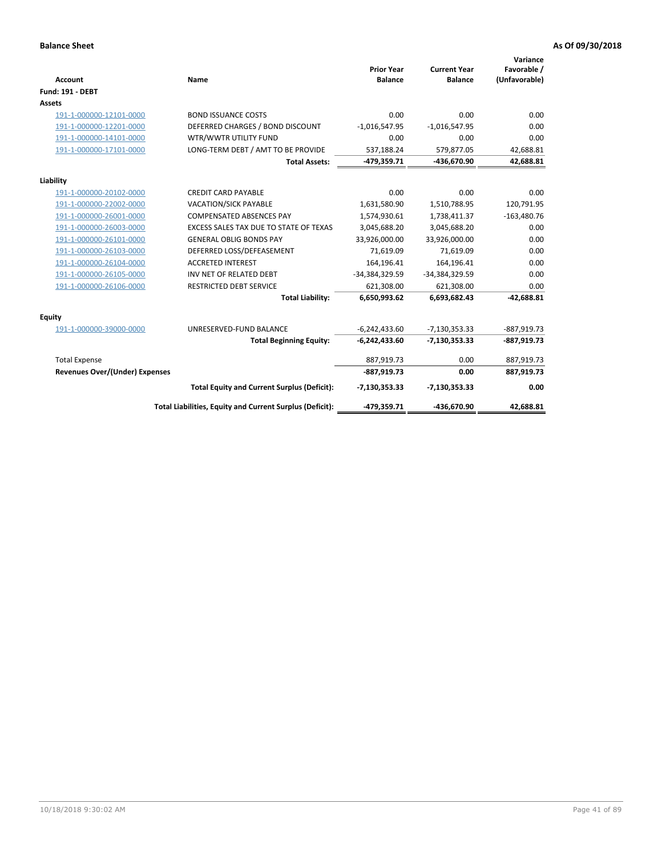| <b>Account</b>                        | Name                                                     | <b>Prior Year</b><br><b>Balance</b> | <b>Current Year</b><br><b>Balance</b> | Variance<br>Favorable /<br>(Unfavorable) |
|---------------------------------------|----------------------------------------------------------|-------------------------------------|---------------------------------------|------------------------------------------|
| <b>Fund: 191 - DEBT</b>               |                                                          |                                     |                                       |                                          |
| Assets                                |                                                          |                                     |                                       |                                          |
| 191-1-000000-12101-0000               | <b>BOND ISSUANCE COSTS</b>                               | 0.00                                | 0.00                                  | 0.00                                     |
| 191-1-000000-12201-0000               | DEFERRED CHARGES / BOND DISCOUNT                         | $-1,016,547.95$                     | $-1,016,547.95$                       | 0.00                                     |
| 191-1-000000-14101-0000               | WTR/WWTR UTILITY FUND                                    | 0.00                                | 0.00                                  | 0.00                                     |
| 191-1-000000-17101-0000               | LONG-TERM DEBT / AMT TO BE PROVIDE                       | 537,188.24                          | 579,877.05                            | 42,688.81                                |
|                                       | <b>Total Assets:</b>                                     | -479,359.71                         | -436,670.90                           | 42,688.81                                |
| Liability                             |                                                          |                                     |                                       |                                          |
| 191-1-000000-20102-0000               | <b>CREDIT CARD PAYABLE</b>                               | 0.00                                | 0.00                                  | 0.00                                     |
| 191-1-000000-22002-0000               | <b>VACATION/SICK PAYABLE</b>                             | 1,631,580.90                        | 1,510,788.95                          | 120,791.95                               |
| 191-1-000000-26001-0000               | <b>COMPENSATED ABSENCES PAY</b>                          | 1,574,930.61                        | 1,738,411.37                          | $-163,480.76$                            |
| 191-1-000000-26003-0000               | EXCESS SALES TAX DUE TO STATE OF TEXAS                   | 3,045,688.20                        | 3,045,688.20                          | 0.00                                     |
| 191-1-000000-26101-0000               | <b>GENERAL OBLIG BONDS PAY</b>                           | 33,926,000.00                       | 33,926,000.00                         | 0.00                                     |
| 191-1-000000-26103-0000               | DEFERRED LOSS/DEFEASEMENT                                | 71,619.09                           | 71,619.09                             | 0.00                                     |
| 191-1-000000-26104-0000               | <b>ACCRETED INTEREST</b>                                 | 164,196.41                          | 164,196.41                            | 0.00                                     |
| 191-1-000000-26105-0000               | INV NET OF RELATED DEBT                                  | -34,384,329.59                      | -34,384,329.59                        | 0.00                                     |
| 191-1-000000-26106-0000               | RESTRICTED DEBT SERVICE                                  | 621,308.00                          | 621,308.00                            | 0.00                                     |
|                                       | <b>Total Liability:</b>                                  | 6,650,993.62                        | 6,693,682.43                          | $-42.688.81$                             |
| Equity                                |                                                          |                                     |                                       |                                          |
| 191-1-000000-39000-0000               | UNRESERVED-FUND BALANCE                                  | $-6,242,433.60$                     | $-7,130,353.33$                       | $-887,919.73$                            |
|                                       | <b>Total Beginning Equity:</b>                           | $-6,242,433.60$                     | $-7,130,353.33$                       | $-887,919.73$                            |
| <b>Total Expense</b>                  |                                                          | 887,919.73                          | 0.00                                  | 887,919.73                               |
| <b>Revenues Over/(Under) Expenses</b> |                                                          | $-887,919.73$                       | 0.00                                  | 887,919.73                               |
|                                       | <b>Total Equity and Current Surplus (Deficit):</b>       | $-7,130,353.33$                     | $-7,130,353.33$                       | 0.00                                     |
|                                       | Total Liabilities, Equity and Current Surplus (Deficit): | -479,359.71                         | -436,670.90                           | 42,688.81                                |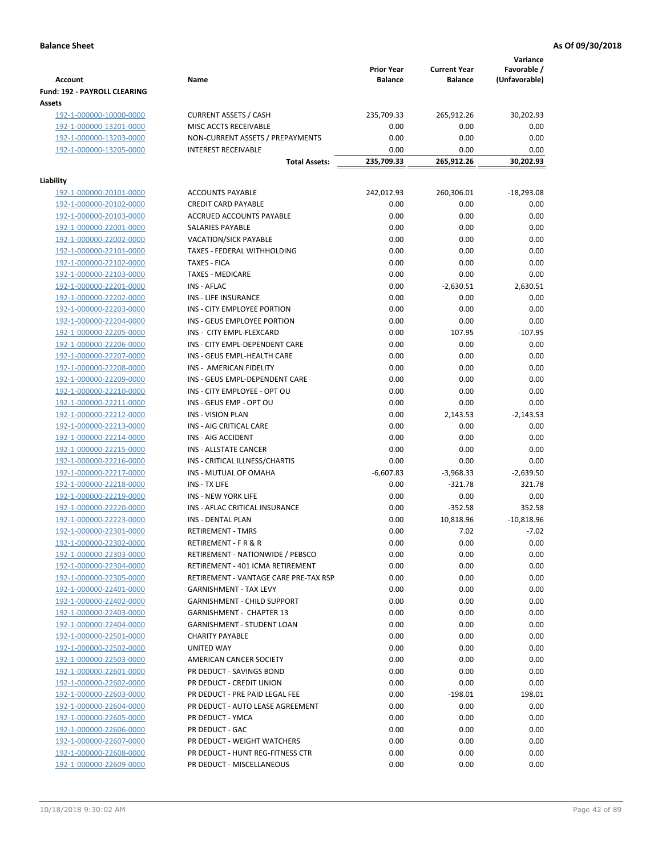| <b>Account</b>                                     | Name                                                   | <b>Prior Year</b><br><b>Balance</b> | <b>Current Year</b><br><b>Balance</b> | Variance<br>Favorable /<br>(Unfavorable) |
|----------------------------------------------------|--------------------------------------------------------|-------------------------------------|---------------------------------------|------------------------------------------|
| <b>Fund: 192 - PAYROLL CLEARING</b><br>Assets      |                                                        |                                     |                                       |                                          |
| 192-1-000000-10000-0000                            | <b>CURRENT ASSETS / CASH</b>                           | 235,709.33                          | 265,912.26                            | 30,202.93                                |
| 192-1-000000-13201-0000                            | MISC ACCTS RECEIVABLE                                  | 0.00                                | 0.00                                  | 0.00                                     |
| 192-1-000000-13203-0000                            | NON-CURRENT ASSETS / PREPAYMENTS                       | 0.00                                | 0.00                                  | 0.00                                     |
| 192-1-000000-13205-0000                            | <b>INTEREST RECEIVABLE</b>                             | 0.00                                | 0.00                                  | 0.00                                     |
|                                                    | <b>Total Assets:</b>                                   | 235,709.33                          | 265,912.26                            | 30,202.93                                |
| Liability                                          |                                                        |                                     |                                       |                                          |
| 192-1-000000-20101-0000                            | <b>ACCOUNTS PAYABLE</b>                                | 242,012.93                          | 260,306.01                            | $-18,293.08$                             |
| 192-1-000000-20102-0000                            | <b>CREDIT CARD PAYABLE</b>                             | 0.00                                | 0.00                                  | 0.00                                     |
| 192-1-000000-20103-0000                            | ACCRUED ACCOUNTS PAYABLE                               | 0.00                                | 0.00                                  | 0.00                                     |
| 192-1-000000-22001-0000                            | SALARIES PAYABLE                                       | 0.00                                | 0.00                                  | 0.00                                     |
| 192-1-000000-22002-0000                            | <b>VACATION/SICK PAYABLE</b>                           | 0.00                                | 0.00                                  | 0.00                                     |
| 192-1-000000-22101-0000                            | TAXES - FEDERAL WITHHOLDING                            | 0.00                                | 0.00                                  | 0.00                                     |
| 192-1-000000-22102-0000                            | <b>TAXES - FICA</b>                                    | 0.00                                | 0.00                                  | 0.00                                     |
| 192-1-000000-22103-0000                            | <b>TAXES - MEDICARE</b>                                | 0.00                                | 0.00                                  | 0.00                                     |
| 192-1-000000-22201-0000                            | INS - AFLAC                                            | 0.00                                | $-2,630.51$                           | 2,630.51                                 |
| 192-1-000000-22202-0000                            | INS - LIFE INSURANCE                                   | 0.00                                | 0.00                                  | 0.00                                     |
| 192-1-000000-22203-0000                            | INS - CITY EMPLOYEE PORTION                            | 0.00                                | 0.00                                  | 0.00                                     |
| 192-1-000000-22204-0000                            | INS - GEUS EMPLOYEE PORTION                            | 0.00                                | 0.00                                  | 0.00                                     |
| 192-1-000000-22205-0000                            | INS - CITY EMPL-FLEXCARD                               | 0.00                                | 107.95                                | $-107.95$                                |
| 192-1-000000-22206-0000                            | INS - CITY EMPL-DEPENDENT CARE                         | 0.00                                | 0.00                                  | 0.00                                     |
| 192-1-000000-22207-0000                            | INS - GEUS EMPL-HEALTH CARE                            | 0.00                                | 0.00                                  | 0.00                                     |
| 192-1-000000-22208-0000                            | INS - AMERICAN FIDELITY                                | 0.00                                | 0.00                                  | 0.00                                     |
| 192-1-000000-22209-0000                            | INS - GEUS EMPL-DEPENDENT CARE                         | 0.00                                | 0.00                                  | 0.00                                     |
| 192-1-000000-22210-0000                            | INS - CITY EMPLOYEE - OPT OU                           | 0.00                                | 0.00                                  | 0.00                                     |
| 192-1-000000-22211-0000                            | INS - GEUS EMP - OPT OU                                | 0.00                                | 0.00                                  | 0.00                                     |
| 192-1-000000-22212-0000                            | <b>INS - VISION PLAN</b>                               | 0.00                                | 2,143.53                              | $-2,143.53$                              |
| 192-1-000000-22213-0000                            | INS - AIG CRITICAL CARE                                | 0.00                                | 0.00                                  | 0.00                                     |
| 192-1-000000-22214-0000                            | INS - AIG ACCIDENT                                     | 0.00                                | 0.00                                  | 0.00                                     |
| 192-1-000000-22215-0000                            | <b>INS - ALLSTATE CANCER</b>                           | 0.00                                | 0.00                                  | 0.00                                     |
| 192-1-000000-22216-0000                            | INS - CRITICAL ILLNESS/CHARTIS                         | 0.00                                | 0.00                                  | 0.00                                     |
| 192-1-000000-22217-0000                            | INS - MUTUAL OF OMAHA                                  | $-6,607.83$                         | $-3,968.33$                           | $-2,639.50$                              |
| 192-1-000000-22218-0000                            | INS - TX LIFE                                          | 0.00                                | $-321.78$                             | 321.78                                   |
| 192-1-000000-22219-0000                            | <b>INS - NEW YORK LIFE</b>                             | 0.00                                | 0.00                                  | 0.00                                     |
| 192-1-000000-22220-0000                            | INS - AFLAC CRITICAL INSURANCE                         | 0.00                                | $-352.58$                             | 352.58                                   |
| 192-1-000000-22223-0000                            | INS - DENTAL PLAN                                      | 0.00                                | 10,818.96                             | $-10,818.96$                             |
| 192-1-000000-22301-0000                            | <b>RETIREMENT - TMRS</b>                               | 0.00                                | 7.02                                  | -7.02                                    |
| 192-1-000000-22302-0000                            | RETIREMENT - F R & R                                   | 0.00                                | 0.00                                  | 0.00                                     |
| 192-1-000000-22303-0000                            | RETIREMENT - NATIONWIDE / PEBSCO                       | 0.00                                | 0.00                                  | 0.00                                     |
| 192-1-000000-22304-0000                            | RETIREMENT - 401 ICMA RETIREMENT                       | 0.00                                | 0.00                                  | 0.00                                     |
| 192-1-000000-22305-0000                            | RETIREMENT - VANTAGE CARE PRE-TAX RSP                  | 0.00                                | 0.00                                  | 0.00                                     |
| 192-1-000000-22401-0000                            | <b>GARNISHMENT - TAX LEVY</b>                          | 0.00                                | 0.00                                  | 0.00                                     |
| 192-1-000000-22402-0000                            | <b>GARNISHMENT - CHILD SUPPORT</b>                     | 0.00                                | 0.00                                  | 0.00                                     |
| 192-1-000000-22403-0000                            | GARNISHMENT - CHAPTER 13<br>GARNISHMENT - STUDENT LOAN | 0.00<br>0.00                        | 0.00<br>0.00                          | 0.00<br>0.00                             |
| 192-1-000000-22404-0000<br>192-1-000000-22501-0000 | <b>CHARITY PAYABLE</b>                                 | 0.00                                | 0.00                                  | 0.00                                     |
| 192-1-000000-22502-0000                            | UNITED WAY                                             | 0.00                                | 0.00                                  | 0.00                                     |
| 192-1-000000-22503-0000                            | AMERICAN CANCER SOCIETY                                | 0.00                                | 0.00                                  | 0.00                                     |
| 192-1-000000-22601-0000                            | PR DEDUCT - SAVINGS BOND                               | 0.00                                | 0.00                                  | 0.00                                     |
| 192-1-000000-22602-0000                            | PR DEDUCT - CREDIT UNION                               | 0.00                                | 0.00                                  | 0.00                                     |
| 192-1-000000-22603-0000                            | PR DEDUCT - PRE PAID LEGAL FEE                         | 0.00                                | $-198.01$                             | 198.01                                   |
| 192-1-000000-22604-0000                            | PR DEDUCT - AUTO LEASE AGREEMENT                       | 0.00                                | 0.00                                  | 0.00                                     |
| 192-1-000000-22605-0000                            | PR DEDUCT - YMCA                                       | 0.00                                | 0.00                                  | 0.00                                     |
| 192-1-000000-22606-0000                            | PR DEDUCT - GAC                                        | 0.00                                | 0.00                                  | 0.00                                     |
| 192-1-000000-22607-0000                            | PR DEDUCT - WEIGHT WATCHERS                            | 0.00                                | 0.00                                  | 0.00                                     |
| 192-1-000000-22608-0000                            | PR DEDUCT - HUNT REG-FITNESS CTR                       | 0.00                                | 0.00                                  | 0.00                                     |
| 192-1-000000-22609-0000                            | PR DEDUCT - MISCELLANEOUS                              | 0.00                                | 0.00                                  | 0.00                                     |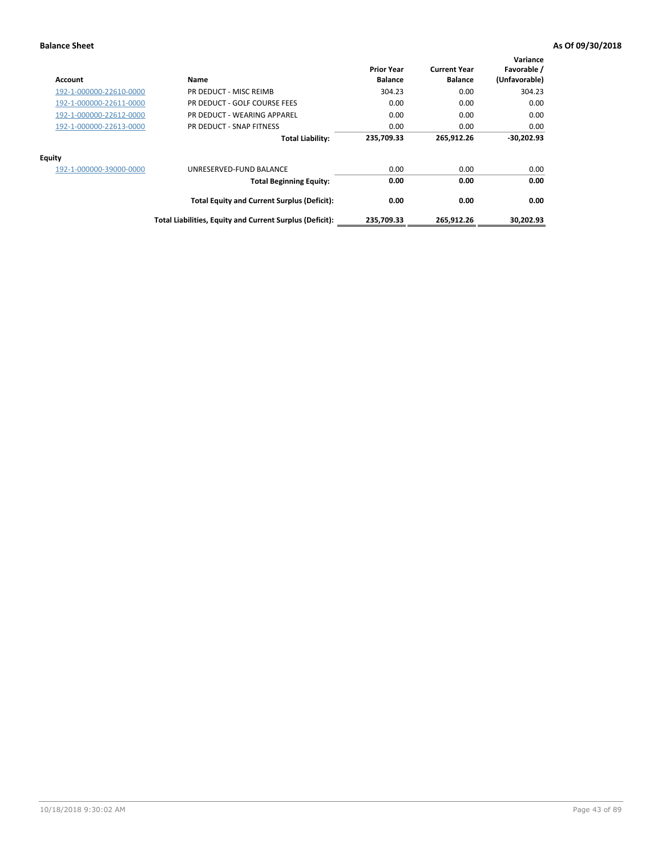| Account                 | Name                                                     | <b>Prior Year</b><br><b>Balance</b> | <b>Current Year</b><br><b>Balance</b> | Variance<br>Favorable /<br>(Unfavorable) |
|-------------------------|----------------------------------------------------------|-------------------------------------|---------------------------------------|------------------------------------------|
| 192-1-000000-22610-0000 | PR DEDUCT - MISC REIMB                                   | 304.23                              | 0.00                                  | 304.23                                   |
| 192-1-000000-22611-0000 | PR DEDUCT - GOLF COURSE FEES                             | 0.00                                | 0.00                                  | 0.00                                     |
| 192-1-000000-22612-0000 | PR DEDUCT - WEARING APPAREL                              | 0.00                                | 0.00                                  | 0.00                                     |
| 192-1-000000-22613-0000 | PR DEDUCT - SNAP FITNESS                                 | 0.00                                | 0.00                                  | 0.00                                     |
|                         | <b>Total Liability:</b>                                  | 235,709.33                          | 265,912.26                            | $-30,202.93$                             |
| <b>Equity</b>           |                                                          |                                     |                                       |                                          |
| 192-1-000000-39000-0000 | UNRESERVED-FUND BALANCE                                  | 0.00                                | 0.00                                  | 0.00                                     |
|                         | <b>Total Beginning Equity:</b>                           | 0.00                                | 0.00                                  | 0.00                                     |
|                         | <b>Total Equity and Current Surplus (Deficit):</b>       | 0.00                                | 0.00                                  | 0.00                                     |
|                         | Total Liabilities, Equity and Current Surplus (Deficit): | 235.709.33                          | 265.912.26                            | 30,202.93                                |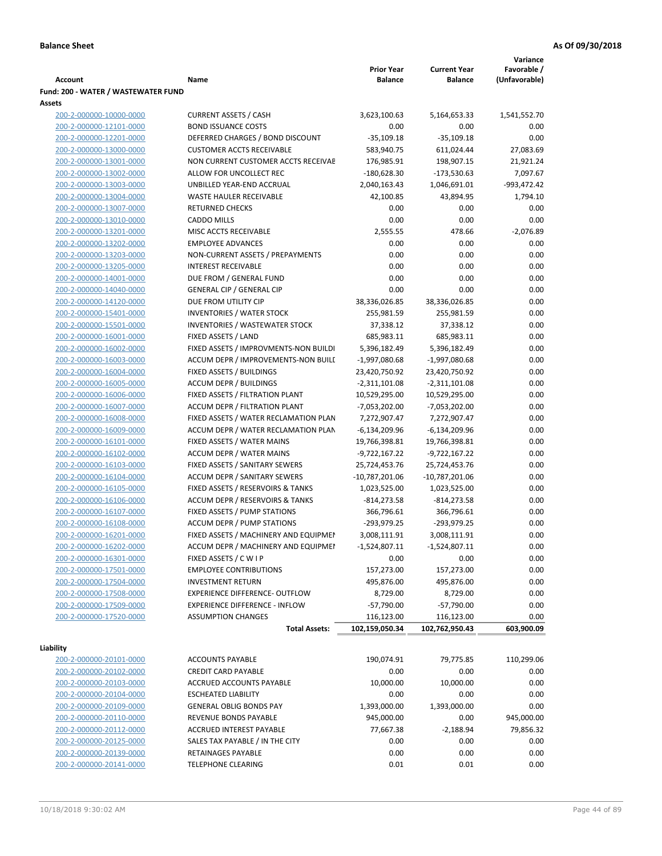|                                                    |                                                                       |                                   |                                   | Variance      |
|----------------------------------------------------|-----------------------------------------------------------------------|-----------------------------------|-----------------------------------|---------------|
|                                                    |                                                                       | <b>Prior Year</b>                 | <b>Current Year</b>               | Favorable /   |
| <b>Account</b>                                     | Name                                                                  | <b>Balance</b>                    | <b>Balance</b>                    | (Unfavorable) |
| Fund: 200 - WATER / WASTEWATER FUND                |                                                                       |                                   |                                   |               |
| Assets<br>200-2-000000-10000-0000                  | <b>CURRENT ASSETS / CASH</b>                                          | 3,623,100.63                      | 5,164,653.33                      | 1,541,552.70  |
| 200-2-000000-12101-0000                            | <b>BOND ISSUANCE COSTS</b>                                            | 0.00                              | 0.00                              | 0.00          |
| 200-2-000000-12201-0000                            | DEFERRED CHARGES / BOND DISCOUNT                                      | $-35,109.18$                      | $-35,109.18$                      | 0.00          |
| 200-2-000000-13000-0000                            | <b>CUSTOMER ACCTS RECEIVABLE</b>                                      | 583,940.75                        | 611,024.44                        | 27,083.69     |
| 200-2-000000-13001-0000                            | NON CURRENT CUSTOMER ACCTS RECEIVAE                                   | 176,985.91                        | 198,907.15                        | 21,921.24     |
| 200-2-000000-13002-0000                            | ALLOW FOR UNCOLLECT REC                                               | $-180,628.30$                     | $-173,530.63$                     | 7,097.67      |
| 200-2-000000-13003-0000                            | UNBILLED YEAR-END ACCRUAL                                             | 2,040,163.43                      | 1,046,691.01                      | -993,472.42   |
| 200-2-000000-13004-0000                            | <b>WASTE HAULER RECEIVABLE</b>                                        | 42,100.85                         | 43,894.95                         | 1,794.10      |
| 200-2-000000-13007-0000                            | <b>RETURNED CHECKS</b>                                                | 0.00                              | 0.00                              | 0.00          |
| 200-2-000000-13010-0000                            | <b>CADDO MILLS</b>                                                    | 0.00                              | 0.00                              | 0.00          |
| 200-2-000000-13201-0000                            | MISC ACCTS RECEIVABLE                                                 | 2,555.55                          | 478.66                            | $-2,076.89$   |
| 200-2-000000-13202-0000                            | <b>EMPLOYEE ADVANCES</b>                                              | 0.00                              | 0.00                              | 0.00          |
| 200-2-000000-13203-0000                            | NON-CURRENT ASSETS / PREPAYMENTS                                      | 0.00                              | 0.00                              | 0.00          |
| 200-2-000000-13205-0000                            | <b>INTEREST RECEIVABLE</b>                                            | 0.00                              | 0.00                              | 0.00          |
| 200-2-000000-14001-0000                            | DUE FROM / GENERAL FUND                                               | 0.00                              | 0.00                              | 0.00          |
| 200-2-000000-14040-0000                            | <b>GENERAL CIP / GENERAL CIP</b>                                      | 0.00                              | 0.00                              | 0.00          |
| 200-2-000000-14120-0000                            | DUE FROM UTILITY CIP                                                  | 38,336,026.85                     | 38,336,026.85                     | 0.00          |
| 200-2-000000-15401-0000                            | <b>INVENTORIES / WATER STOCK</b>                                      | 255,981.59                        | 255,981.59                        | 0.00          |
| 200-2-000000-15501-0000                            | <b>INVENTORIES / WASTEWATER STOCK</b>                                 | 37,338.12                         | 37,338.12                         | 0.00          |
| 200-2-000000-16001-0000                            | FIXED ASSETS / LAND                                                   | 685,983.11                        | 685,983.11                        | 0.00          |
| 200-2-000000-16002-0000                            | FIXED ASSETS / IMPROVMENTS-NON BUILDI                                 | 5,396,182.49                      | 5,396,182.49                      | 0.00          |
| 200-2-000000-16003-0000                            | ACCUM DEPR / IMPROVEMENTS-NON BUILI                                   | $-1,997,080.68$                   | -1,997,080.68                     | 0.00          |
| 200-2-000000-16004-0000                            | FIXED ASSETS / BUILDINGS                                              | 23,420,750.92                     | 23,420,750.92                     | 0.00          |
| 200-2-000000-16005-0000                            | <b>ACCUM DEPR / BUILDINGS</b>                                         | $-2,311,101.08$                   | $-2,311,101.08$                   | 0.00          |
| 200-2-000000-16006-0000                            | FIXED ASSETS / FILTRATION PLANT                                       | 10,529,295.00                     | 10,529,295.00                     | 0.00          |
| 200-2-000000-16007-0000                            | ACCUM DEPR / FILTRATION PLANT                                         | -7,053,202.00                     | $-7,053,202.00$                   | 0.00          |
| 200-2-000000-16008-0000                            | FIXED ASSETS / WATER RECLAMATION PLAN                                 | 7,272,907.47                      | 7,272,907.47                      | 0.00          |
| 200-2-000000-16009-0000                            | ACCUM DEPR / WATER RECLAMATION PLAN                                   | $-6,134,209.96$                   | $-6,134,209.96$                   | 0.00          |
| 200-2-000000-16101-0000                            | FIXED ASSETS / WATER MAINS                                            | 19,766,398.81                     | 19,766,398.81                     | 0.00          |
| 200-2-000000-16102-0000                            | <b>ACCUM DEPR / WATER MAINS</b>                                       | -9,722,167.22                     | -9,722,167.22                     | 0.00          |
| 200-2-000000-16103-0000<br>200-2-000000-16104-0000 | FIXED ASSETS / SANITARY SEWERS<br><b>ACCUM DEPR / SANITARY SEWERS</b> | 25,724,453.76<br>$-10,787,201.06$ | 25,724,453.76<br>$-10,787,201.06$ | 0.00          |
| 200-2-000000-16105-0000                            | FIXED ASSETS / RESERVOIRS & TANKS                                     | 1,023,525.00                      | 1,023,525.00                      | 0.00<br>0.00  |
| 200-2-000000-16106-0000                            | ACCUM DEPR / RESERVOIRS & TANKS                                       | $-814, 273.58$                    | $-814,273.58$                     | 0.00          |
| 200-2-000000-16107-0000                            | FIXED ASSETS / PUMP STATIONS                                          | 366,796.61                        | 366,796.61                        | 0.00          |
| 200-2-000000-16108-0000                            | <b>ACCUM DEPR / PUMP STATIONS</b>                                     | -293,979.25                       | $-293,979.25$                     | 0.00          |
| 200-2-000000-16201-0000                            | FIXED ASSETS / MACHINERY AND EQUIPMEN                                 | 3,008,111.91                      | 3,008,111.91                      | 0.00          |
| 200-2-000000-16202-0000                            | ACCUM DEPR / MACHINERY AND EQUIPMEI                                   | $-1,524,807.11$                   | $-1,524,807.11$                   | 0.00          |
| 200-2-000000-16301-0000                            | FIXED ASSETS / C W I P                                                | 0.00                              | 0.00                              | 0.00          |
| 200-2-000000-17501-0000                            | <b>EMPLOYEE CONTRIBUTIONS</b>                                         | 157,273.00                        | 157,273.00                        | 0.00          |
| 200-2-000000-17504-0000                            | <b>INVESTMENT RETURN</b>                                              | 495,876.00                        | 495,876.00                        | 0.00          |
| 200-2-000000-17508-0000                            | EXPERIENCE DIFFERENCE- OUTFLOW                                        | 8,729.00                          | 8,729.00                          | 0.00          |
| 200-2-000000-17509-0000                            | <b>EXPERIENCE DIFFERENCE - INFLOW</b>                                 | $-57,790.00$                      | $-57,790.00$                      | 0.00          |
| 200-2-000000-17520-0000                            | <b>ASSUMPTION CHANGES</b>                                             | 116,123.00                        | 116,123.00                        | 0.00          |
|                                                    | <b>Total Assets:</b>                                                  | 102,159,050.34                    | 102,762,950.43                    | 603,900.09    |
|                                                    |                                                                       |                                   |                                   |               |
| Liability                                          |                                                                       |                                   |                                   |               |
| 200-2-000000-20101-0000                            | <b>ACCOUNTS PAYABLE</b>                                               | 190,074.91                        | 79,775.85                         | 110,299.06    |
| 200-2-000000-20102-0000                            | <b>CREDIT CARD PAYABLE</b>                                            | 0.00                              | 0.00                              | 0.00          |
| 200-2-000000-20103-0000                            | ACCRUED ACCOUNTS PAYABLE                                              | 10,000.00                         | 10,000.00                         | 0.00          |
| 200-2-000000-20104-0000                            | <b>ESCHEATED LIABILITY</b>                                            | 0.00                              | 0.00                              | 0.00          |
| 200-2-000000-20109-0000                            | <b>GENERAL OBLIG BONDS PAY</b>                                        | 1,393,000.00                      | 1,393,000.00                      | 0.00          |
| 200-2-000000-20110-0000                            | REVENUE BONDS PAYABLE                                                 | 945,000.00                        | 0.00                              | 945,000.00    |
| 200-2-000000-20112-0000                            | ACCRUED INTEREST PAYABLE                                              | 77,667.38                         | $-2,188.94$                       | 79,856.32     |
| 200-2-000000-20125-0000                            | SALES TAX PAYABLE / IN THE CITY                                       | 0.00                              | 0.00                              | 0.00          |
| 200-2-000000-20139-0000                            | RETAINAGES PAYABLE                                                    | 0.00                              | 0.00                              | 0.00          |
| 200-2-000000-20141-0000                            | <b>TELEPHONE CLEARING</b>                                             | 0.01                              | 0.01                              | 0.00          |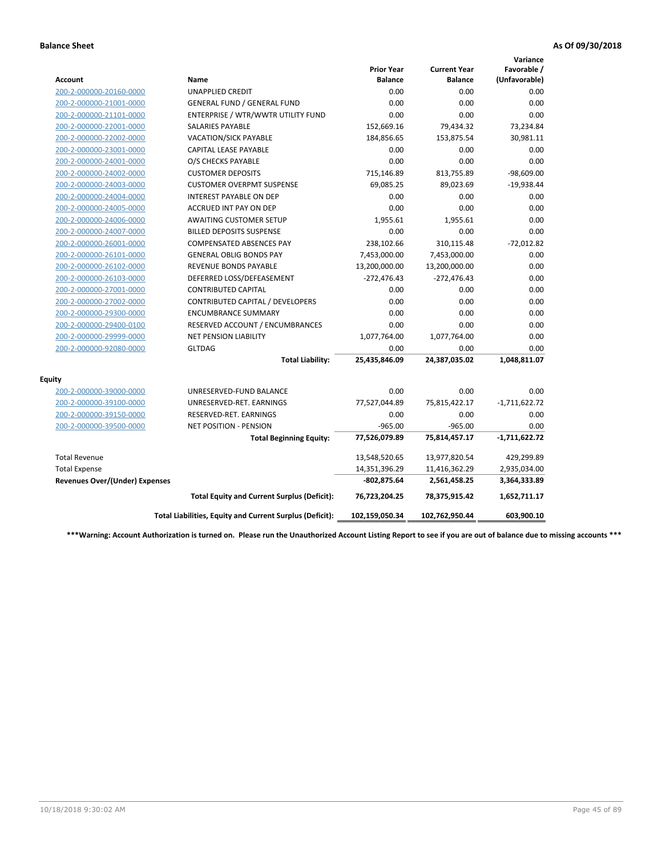|                                       |                                                          |                                     |                                       | Variance                     |
|---------------------------------------|----------------------------------------------------------|-------------------------------------|---------------------------------------|------------------------------|
| <b>Account</b>                        | Name                                                     | <b>Prior Year</b><br><b>Balance</b> | <b>Current Year</b><br><b>Balance</b> | Favorable /<br>(Unfavorable) |
| 200-2-000000-20160-0000               | <b>UNAPPLIED CREDIT</b>                                  | 0.00                                | 0.00                                  | 0.00                         |
| 200-2-000000-21001-0000               | <b>GENERAL FUND / GENERAL FUND</b>                       | 0.00                                | 0.00                                  | 0.00                         |
| 200-2-000000-21101-0000               | ENTERPRISE / WTR/WWTR UTILITY FUND                       | 0.00                                | 0.00                                  | 0.00                         |
| 200-2-000000-22001-0000               | <b>SALARIES PAYABLE</b>                                  | 152,669.16                          | 79,434.32                             | 73,234.84                    |
| 200-2-000000-22002-0000               | VACATION/SICK PAYABLE                                    | 184,856.65                          | 153,875.54                            | 30,981.11                    |
| 200-2-000000-23001-0000               | <b>CAPITAL LEASE PAYABLE</b>                             | 0.00                                | 0.00                                  | 0.00                         |
| 200-2-000000-24001-0000               | O/S CHECKS PAYABLE                                       | 0.00                                | 0.00                                  | 0.00                         |
| 200-2-000000-24002-0000               | <b>CUSTOMER DEPOSITS</b>                                 | 715,146.89                          | 813,755.89                            | $-98,609.00$                 |
| 200-2-000000-24003-0000               | <b>CUSTOMER OVERPMT SUSPENSE</b>                         | 69,085.25                           | 89,023.69                             | $-19,938.44$                 |
| 200-2-000000-24004-0000               | <b>INTEREST PAYABLE ON DEP</b>                           | 0.00                                | 0.00                                  | 0.00                         |
| 200-2-000000-24005-0000               | <b>ACCRUED INT PAY ON DEP</b>                            | 0.00                                | 0.00                                  | 0.00                         |
| 200-2-000000-24006-0000               | <b>AWAITING CUSTOMER SETUP</b>                           | 1,955.61                            | 1,955.61                              | 0.00                         |
| 200-2-000000-24007-0000               | <b>BILLED DEPOSITS SUSPENSE</b>                          | 0.00                                | 0.00                                  | 0.00                         |
| 200-2-000000-26001-0000               | <b>COMPENSATED ABSENCES PAY</b>                          | 238,102.66                          | 310,115.48                            | $-72,012.82$                 |
| 200-2-000000-26101-0000               | <b>GENERAL OBLIG BONDS PAY</b>                           | 7,453,000.00                        | 7,453,000.00                          | 0.00                         |
| 200-2-000000-26102-0000               | <b>REVENUE BONDS PAYABLE</b>                             | 13,200,000.00                       | 13,200,000.00                         | 0.00                         |
| 200-2-000000-26103-0000               | DEFERRED LOSS/DEFEASEMENT                                | $-272,476.43$                       | $-272,476.43$                         | 0.00                         |
| 200-2-000000-27001-0000               | <b>CONTRIBUTED CAPITAL</b>                               | 0.00                                | 0.00                                  | 0.00                         |
| 200-2-000000-27002-0000               | CONTRIBUTED CAPITAL / DEVELOPERS                         | 0.00                                | 0.00                                  | 0.00                         |
| 200-2-000000-29300-0000               | <b>ENCUMBRANCE SUMMARY</b>                               | 0.00                                | 0.00                                  | 0.00                         |
| 200-2-000000-29400-0100               | RESERVED ACCOUNT / ENCUMBRANCES                          | 0.00                                | 0.00                                  | 0.00                         |
| 200-2-000000-29999-0000               | NET PENSION LIABILITY                                    | 1,077,764.00                        | 1,077,764.00                          | 0.00                         |
| 200-2-000000-92080-0000               | <b>GLTDAG</b>                                            | 0.00                                | 0.00                                  | 0.00                         |
|                                       | <b>Total Liability:</b>                                  | 25,435,846.09                       | 24,387,035.02                         | 1,048,811.07                 |
| <b>Equity</b>                         |                                                          |                                     |                                       |                              |
| 200-2-000000-39000-0000               | UNRESERVED-FUND BALANCE                                  | 0.00                                | 0.00                                  | 0.00                         |
| 200-2-000000-39100-0000               | UNRESERVED-RET. EARNINGS                                 | 77,527,044.89                       | 75,815,422.17                         | $-1,711,622.72$              |
| 200-2-000000-39150-0000               | RESERVED-RET. EARNINGS                                   | 0.00                                | 0.00                                  | 0.00                         |
| 200-2-000000-39500-0000               | <b>NET POSITION - PENSION</b>                            | $-965.00$                           | $-965.00$                             | 0.00                         |
|                                       | <b>Total Beginning Equity:</b>                           | 77,526,079.89                       | 75,814,457.17                         | $-1,711,622.72$              |
| <b>Total Revenue</b>                  |                                                          | 13,548,520.65                       | 13,977,820.54                         | 429,299.89                   |
| <b>Total Expense</b>                  |                                                          | 14,351,396.29                       | 11,416,362.29                         | 2,935,034.00                 |
| <b>Revenues Over/(Under) Expenses</b> |                                                          | $-802,875.64$                       | 2,561,458.25                          | 3,364,333.89                 |
|                                       | <b>Total Equity and Current Surplus (Deficit):</b>       | 76,723,204.25                       | 78,375,915.42                         | 1,652,711.17                 |
|                                       | Total Liabilities, Equity and Current Surplus (Deficit): | 102,159,050.34                      | 102,762,950.44                        | 603,900.10                   |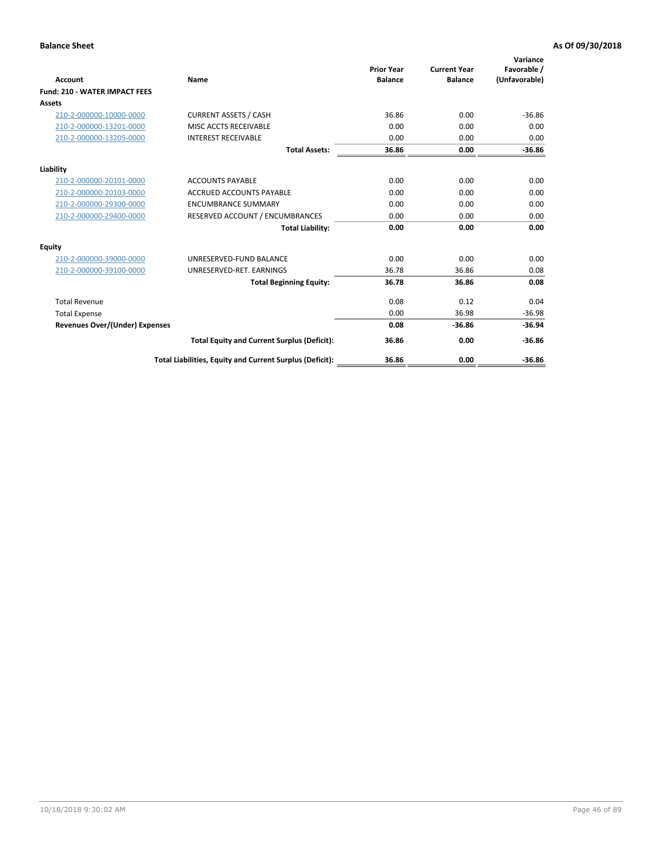| Account                               | Name                                                     | <b>Prior Year</b><br><b>Balance</b> | <b>Current Year</b><br><b>Balance</b> | Variance<br>Favorable /<br>(Unfavorable) |
|---------------------------------------|----------------------------------------------------------|-------------------------------------|---------------------------------------|------------------------------------------|
| <b>Fund: 210 - WATER IMPACT FEES</b>  |                                                          |                                     |                                       |                                          |
| <b>Assets</b>                         |                                                          |                                     |                                       |                                          |
| 210-2-000000-10000-0000               | <b>CURRENT ASSETS / CASH</b>                             | 36.86                               | 0.00                                  | $-36.86$                                 |
| 210-2-000000-13201-0000               | MISC ACCTS RECEIVABLE                                    | 0.00                                | 0.00                                  | 0.00                                     |
| 210-2-000000-13205-0000               | <b>INTEREST RECEIVABLE</b>                               | 0.00                                | 0.00                                  | 0.00                                     |
|                                       | <b>Total Assets:</b>                                     | 36.86                               | 0.00                                  | $-36.86$                                 |
| Liability                             |                                                          |                                     |                                       |                                          |
| 210-2-000000-20101-0000               | <b>ACCOUNTS PAYABLE</b>                                  | 0.00                                | 0.00                                  | 0.00                                     |
| 210-2-000000-20103-0000               | <b>ACCRUED ACCOUNTS PAYABLE</b>                          | 0.00                                | 0.00                                  | 0.00                                     |
| 210-2-000000-29300-0000               | <b>ENCUMBRANCE SUMMARY</b>                               | 0.00                                | 0.00                                  | 0.00                                     |
| 210-2-000000-29400-0000               | RESERVED ACCOUNT / ENCUMBRANCES                          | 0.00                                | 0.00                                  | 0.00                                     |
|                                       | <b>Total Liability:</b>                                  | 0.00                                | 0.00                                  | 0.00                                     |
| Equity                                |                                                          |                                     |                                       |                                          |
| 210-2-000000-39000-0000               | UNRESERVED-FUND BALANCE                                  | 0.00                                | 0.00                                  | 0.00                                     |
| 210-2-000000-39100-0000               | UNRESERVED-RET. EARNINGS                                 | 36.78                               | 36.86                                 | 0.08                                     |
|                                       | <b>Total Beginning Equity:</b>                           | 36.78                               | 36.86                                 | 0.08                                     |
| <b>Total Revenue</b>                  |                                                          | 0.08                                | 0.12                                  | 0.04                                     |
| <b>Total Expense</b>                  |                                                          | 0.00                                | 36.98                                 | $-36.98$                                 |
| <b>Revenues Over/(Under) Expenses</b> |                                                          | 0.08                                | $-36.86$                              | $-36.94$                                 |
|                                       | <b>Total Equity and Current Surplus (Deficit):</b>       | 36.86                               | 0.00                                  | $-36.86$                                 |
|                                       | Total Liabilities, Equity and Current Surplus (Deficit): | 36.86                               | 0.00                                  | $-36.86$                                 |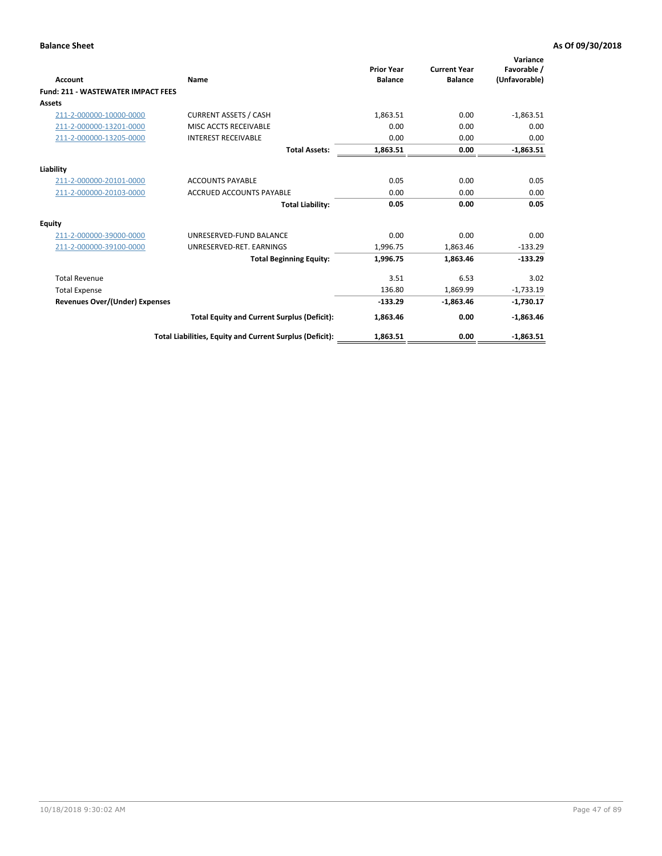| Account                                   | Name                                                     | <b>Prior Year</b><br><b>Balance</b> | <b>Current Year</b><br><b>Balance</b> | Variance<br>Favorable /<br>(Unfavorable) |
|-------------------------------------------|----------------------------------------------------------|-------------------------------------|---------------------------------------|------------------------------------------|
| <b>Fund: 211 - WASTEWATER IMPACT FEES</b> |                                                          |                                     |                                       |                                          |
| <b>Assets</b>                             |                                                          |                                     |                                       |                                          |
| 211-2-000000-10000-0000                   | <b>CURRENT ASSETS / CASH</b>                             | 1,863.51                            | 0.00                                  | $-1,863.51$                              |
| 211-2-000000-13201-0000                   | MISC ACCTS RECEIVABLE                                    | 0.00                                | 0.00                                  | 0.00                                     |
| 211-2-000000-13205-0000                   | <b>INTEREST RECEIVABLE</b>                               | 0.00                                | 0.00                                  | 0.00                                     |
|                                           | <b>Total Assets:</b>                                     | 1,863.51                            | 0.00                                  | $-1,863.51$                              |
| Liability                                 |                                                          |                                     |                                       |                                          |
| 211-2-000000-20101-0000                   | <b>ACCOUNTS PAYABLE</b>                                  | 0.05                                | 0.00                                  | 0.05                                     |
| 211-2-000000-20103-0000                   | <b>ACCRUED ACCOUNTS PAYABLE</b>                          | 0.00                                | 0.00                                  | 0.00                                     |
|                                           | <b>Total Liability:</b>                                  | 0.05                                | 0.00                                  | 0.05                                     |
| Equity                                    |                                                          |                                     |                                       |                                          |
| 211-2-000000-39000-0000                   | UNRESERVED-FUND BALANCE                                  | 0.00                                | 0.00                                  | 0.00                                     |
| 211-2-000000-39100-0000                   | UNRESERVED-RET. EARNINGS                                 | 1,996.75                            | 1,863.46                              | $-133.29$                                |
|                                           | <b>Total Beginning Equity:</b>                           | 1,996.75                            | 1,863.46                              | $-133.29$                                |
| <b>Total Revenue</b>                      |                                                          | 3.51                                | 6.53                                  | 3.02                                     |
| <b>Total Expense</b>                      |                                                          | 136.80                              | 1,869.99                              | $-1,733.19$                              |
| <b>Revenues Over/(Under) Expenses</b>     |                                                          | $-133.29$                           | $-1,863.46$                           | $-1,730.17$                              |
|                                           | <b>Total Equity and Current Surplus (Deficit):</b>       | 1,863.46                            | 0.00                                  | $-1,863.46$                              |
|                                           | Total Liabilities, Equity and Current Surplus (Deficit): | 1,863.51                            | 0.00                                  | $-1.863.51$                              |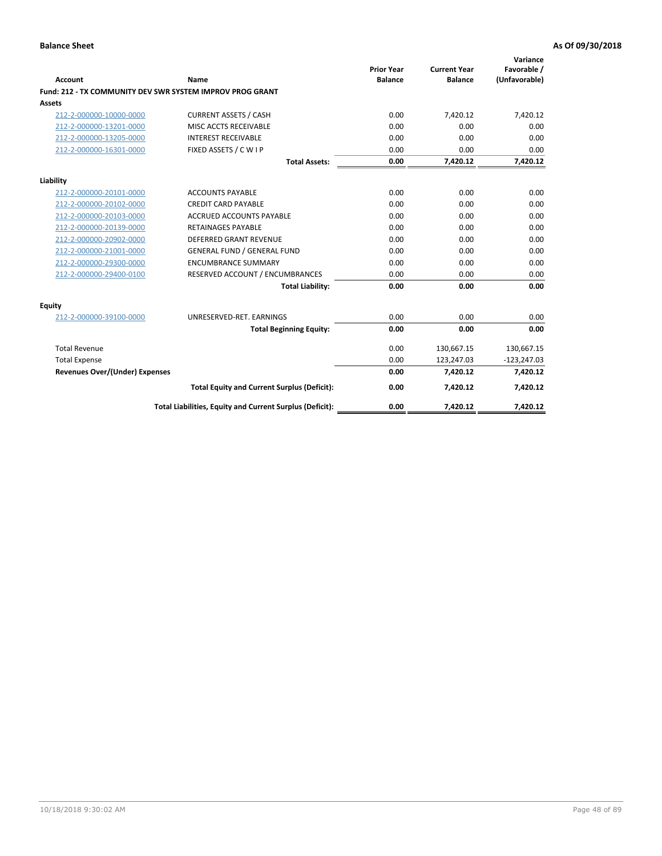| <b>Account</b>                        | Name                                                      | <b>Prior Year</b><br><b>Balance</b> | <b>Current Year</b><br><b>Balance</b> | Variance<br>Favorable /<br>(Unfavorable) |
|---------------------------------------|-----------------------------------------------------------|-------------------------------------|---------------------------------------|------------------------------------------|
|                                       | Fund: 212 - TX COMMUNITY DEV SWR SYSTEM IMPROV PROG GRANT |                                     |                                       |                                          |
| Assets                                |                                                           |                                     |                                       |                                          |
| 212-2-000000-10000-0000               | <b>CURRENT ASSETS / CASH</b>                              | 0.00                                | 7,420.12                              | 7,420.12                                 |
| 212-2-000000-13201-0000               | MISC ACCTS RECEIVABLE                                     | 0.00                                | 0.00                                  | 0.00                                     |
| 212-2-000000-13205-0000               | <b>INTEREST RECEIVABLE</b>                                | 0.00                                | 0.00                                  | 0.00                                     |
| 212-2-000000-16301-0000               | FIXED ASSETS / C W I P                                    | 0.00                                | 0.00                                  | 0.00                                     |
|                                       | <b>Total Assets:</b>                                      | 0.00                                | 7,420.12                              | 7,420.12                                 |
| Liability                             |                                                           |                                     |                                       |                                          |
| 212-2-000000-20101-0000               | <b>ACCOUNTS PAYABLE</b>                                   | 0.00                                | 0.00                                  | 0.00                                     |
| 212-2-000000-20102-0000               | <b>CREDIT CARD PAYABLE</b>                                | 0.00                                | 0.00                                  | 0.00                                     |
| 212-2-000000-20103-0000               | <b>ACCRUED ACCOUNTS PAYABLE</b>                           | 0.00                                | 0.00                                  | 0.00                                     |
| 212-2-000000-20139-0000               | <b>RETAINAGES PAYABLE</b>                                 | 0.00                                | 0.00                                  | 0.00                                     |
| 212-2-000000-20902-0000               | <b>DEFERRED GRANT REVENUE</b>                             | 0.00                                | 0.00                                  | 0.00                                     |
| 212-2-000000-21001-0000               | <b>GENERAL FUND / GENERAL FUND</b>                        | 0.00                                | 0.00                                  | 0.00                                     |
| 212-2-000000-29300-0000               | <b>ENCUMBRANCE SUMMARY</b>                                | 0.00                                | 0.00                                  | 0.00                                     |
| 212-2-000000-29400-0100               | RESERVED ACCOUNT / ENCUMBRANCES                           | 0.00                                | 0.00                                  | 0.00                                     |
|                                       | <b>Total Liability:</b>                                   | 0.00                                | 0.00                                  | 0.00                                     |
| <b>Equity</b>                         |                                                           |                                     |                                       |                                          |
| 212-2-000000-39100-0000               | UNRESERVED-RET. EARNINGS                                  | 0.00                                | 0.00                                  | 0.00                                     |
|                                       | <b>Total Beginning Equity:</b>                            | 0.00                                | 0.00                                  | 0.00                                     |
| <b>Total Revenue</b>                  |                                                           | 0.00                                | 130,667.15                            | 130,667.15                               |
| <b>Total Expense</b>                  |                                                           | 0.00                                | 123,247.03                            | $-123,247.03$                            |
| <b>Revenues Over/(Under) Expenses</b> |                                                           | 0.00                                | 7.420.12                              | 7,420.12                                 |
|                                       | <b>Total Equity and Current Surplus (Deficit):</b>        | 0.00                                | 7,420.12                              | 7,420.12                                 |
|                                       | Total Liabilities, Equity and Current Surplus (Deficit):  | 0.00                                | 7,420.12                              | 7,420.12                                 |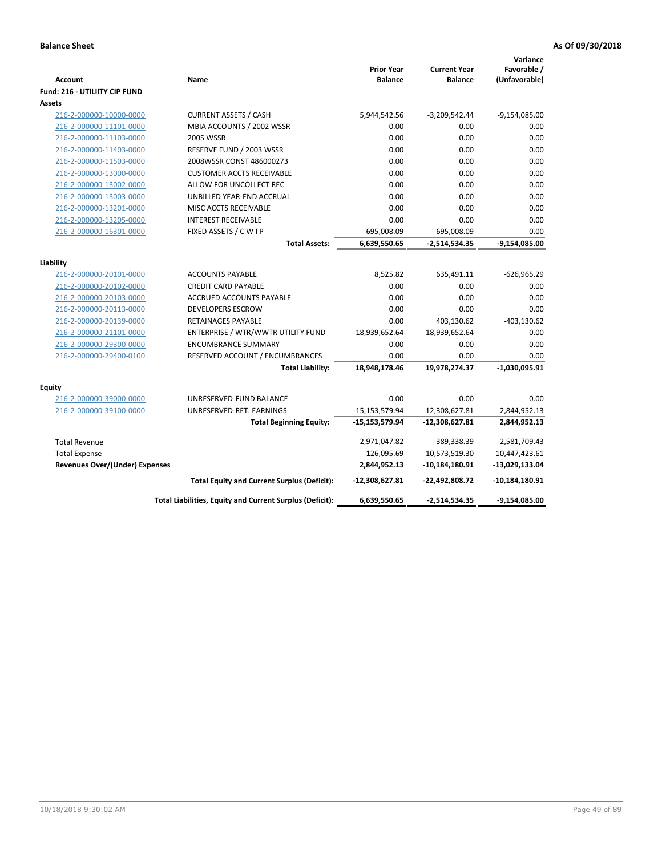| <b>Account</b><br><b>Fund: 216 - UTILIITY CIP FUND</b> | Name                                                     | <b>Prior Year</b><br><b>Balance</b> | <b>Current Year</b><br><b>Balance</b> | Variance<br>Favorable /<br>(Unfavorable) |
|--------------------------------------------------------|----------------------------------------------------------|-------------------------------------|---------------------------------------|------------------------------------------|
| <b>Assets</b>                                          |                                                          |                                     |                                       |                                          |
| 216-2-000000-10000-0000                                | <b>CURRENT ASSETS / CASH</b>                             | 5,944,542.56                        | $-3,209,542.44$                       | $-9,154,085.00$                          |
| 216-2-000000-11101-0000                                | MBIA ACCOUNTS / 2002 WSSR                                | 0.00                                | 0.00                                  | 0.00                                     |
| 216-2-000000-11103-0000                                | <b>2005 WSSR</b>                                         | 0.00                                | 0.00                                  | 0.00                                     |
| 216-2-000000-11403-0000                                | RESERVE FUND / 2003 WSSR                                 | 0.00                                | 0.00                                  | 0.00                                     |
| 216-2-000000-11503-0000                                | 2008WSSR CONST 486000273                                 | 0.00                                | 0.00                                  | 0.00                                     |
| 216-2-000000-13000-0000                                | <b>CUSTOMER ACCTS RECEIVABLE</b>                         | 0.00                                | 0.00                                  | 0.00                                     |
| 216-2-000000-13002-0000                                | ALLOW FOR UNCOLLECT REC                                  | 0.00                                | 0.00                                  | 0.00                                     |
| 216-2-000000-13003-0000                                | UNBILLED YEAR-END ACCRUAL                                | 0.00                                | 0.00                                  | 0.00                                     |
| 216-2-000000-13201-0000                                | MISC ACCTS RECEIVABLE                                    | 0.00                                | 0.00                                  | 0.00                                     |
| 216-2-000000-13205-0000                                | <b>INTEREST RECEIVABLE</b>                               | 0.00                                | 0.00                                  | 0.00                                     |
| 216-2-000000-16301-0000                                | FIXED ASSETS / C W I P                                   | 695,008.09                          | 695,008.09                            | 0.00                                     |
|                                                        | <b>Total Assets:</b>                                     | 6,639,550.65                        | $-2,514,534.35$                       | -9,154,085.00                            |
|                                                        |                                                          |                                     |                                       |                                          |
| Liability                                              | <b>ACCOUNTS PAYABLE</b>                                  | 8,525.82                            | 635,491.11                            |                                          |
| 216-2-000000-20101-0000<br>216-2-000000-20102-0000     | <b>CREDIT CARD PAYABLE</b>                               | 0.00                                | 0.00                                  | $-626,965.29$<br>0.00                    |
| 216-2-000000-20103-0000                                | <b>ACCRUED ACCOUNTS PAYABLE</b>                          | 0.00                                | 0.00                                  | 0.00                                     |
| 216-2-000000-20113-0000                                | <b>DEVELOPERS ESCROW</b>                                 | 0.00                                | 0.00                                  | 0.00                                     |
| 216-2-000000-20139-0000                                | <b>RETAINAGES PAYABLE</b>                                | 0.00                                | 403,130.62                            | $-403, 130.62$                           |
| 216-2-000000-21101-0000                                | ENTERPRISE / WTR/WWTR UTILITY FUND                       | 18,939,652.64                       | 18,939,652.64                         | 0.00                                     |
| 216-2-000000-29300-0000                                | <b>ENCUMBRANCE SUMMARY</b>                               | 0.00                                | 0.00                                  | 0.00                                     |
| 216-2-000000-29400-0100                                | RESERVED ACCOUNT / ENCUMBRANCES                          | 0.00                                | 0.00                                  | 0.00                                     |
|                                                        | <b>Total Liability:</b>                                  | 18,948,178.46                       | 19,978,274.37                         | $-1,030,095.91$                          |
|                                                        |                                                          |                                     |                                       |                                          |
| Equity                                                 |                                                          |                                     |                                       |                                          |
| 216-2-000000-39000-0000                                | UNRESERVED-FUND BALANCE                                  | 0.00                                | 0.00                                  | 0.00                                     |
| 216-2-000000-39100-0000                                | UNRESERVED-RET. EARNINGS                                 | $-15, 153, 579.94$                  | $-12,308,627.81$                      | 2,844,952.13                             |
|                                                        | <b>Total Beginning Equity:</b>                           | $-15,153,579.94$                    | $-12,308,627.81$                      | 2,844,952.13                             |
| <b>Total Revenue</b>                                   |                                                          | 2,971,047.82                        | 389,338.39                            | $-2,581,709.43$                          |
| <b>Total Expense</b>                                   |                                                          | 126,095.69                          | 10,573,519.30                         | $-10,447,423.61$                         |
| <b>Revenues Over/(Under) Expenses</b>                  |                                                          | 2,844,952.13                        | $-10,184,180.91$                      | -13,029,133.04                           |
|                                                        | <b>Total Equity and Current Surplus (Deficit):</b>       | $-12,308,627.81$                    | -22,492,808.72                        | $-10,184,180.91$                         |
|                                                        | Total Liabilities, Equity and Current Surplus (Deficit): | 6,639,550.65                        | $-2,514,534.35$                       | $-9,154,085.00$                          |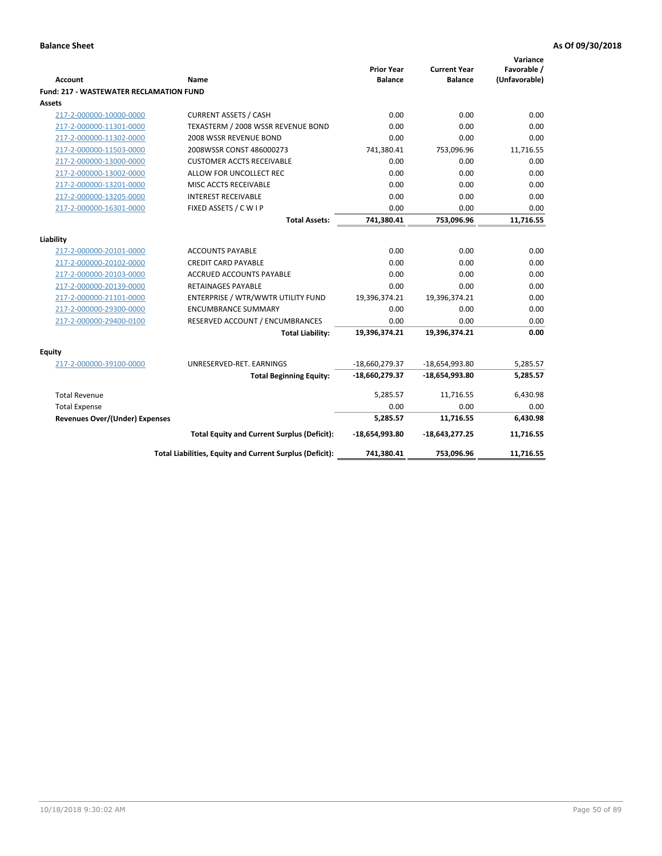| Account                                        | <b>Name</b>                                              | <b>Prior Year</b><br><b>Balance</b> | <b>Current Year</b><br><b>Balance</b> | Variance<br>Favorable /<br>(Unfavorable) |
|------------------------------------------------|----------------------------------------------------------|-------------------------------------|---------------------------------------|------------------------------------------|
| <b>Fund: 217 - WASTEWATER RECLAMATION FUND</b> |                                                          |                                     |                                       |                                          |
| <b>Assets</b>                                  |                                                          |                                     |                                       |                                          |
| 217-2-000000-10000-0000                        | <b>CURRENT ASSETS / CASH</b>                             | 0.00                                | 0.00                                  | 0.00                                     |
| 217-2-000000-11301-0000                        | TEXASTERM / 2008 WSSR REVENUE BOND                       | 0.00                                | 0.00                                  | 0.00                                     |
| 217-2-000000-11302-0000                        | 2008 WSSR REVENUE BOND                                   | 0.00                                | 0.00                                  | 0.00                                     |
| 217-2-000000-11503-0000                        | 2008WSSR CONST 486000273                                 | 741,380.41                          | 753,096.96                            | 11,716.55                                |
| 217-2-000000-13000-0000                        | <b>CUSTOMER ACCTS RECEIVABLE</b>                         | 0.00                                | 0.00                                  | 0.00                                     |
| 217-2-000000-13002-0000                        | ALLOW FOR UNCOLLECT REC                                  | 0.00                                | 0.00                                  | 0.00                                     |
| 217-2-000000-13201-0000                        | MISC ACCTS RECEIVABLE                                    | 0.00                                | 0.00                                  | 0.00                                     |
| 217-2-000000-13205-0000                        | <b>INTEREST RECEIVABLE</b>                               | 0.00                                | 0.00                                  | 0.00                                     |
| 217-2-000000-16301-0000                        | FIXED ASSETS / C W I P                                   | 0.00                                | 0.00                                  | 0.00                                     |
|                                                | <b>Total Assets:</b>                                     | 741,380.41                          | 753,096.96                            | 11,716.55                                |
|                                                |                                                          |                                     |                                       |                                          |
| Liability                                      |                                                          |                                     |                                       |                                          |
| 217-2-000000-20101-0000                        | <b>ACCOUNTS PAYABLE</b>                                  | 0.00                                | 0.00                                  | 0.00                                     |
| 217-2-000000-20102-0000                        | <b>CREDIT CARD PAYABLE</b>                               | 0.00                                | 0.00                                  | 0.00                                     |
| 217-2-000000-20103-0000                        | <b>ACCRUED ACCOUNTS PAYABLE</b>                          | 0.00                                | 0.00                                  | 0.00                                     |
| 217-2-000000-20139-0000                        | <b>RETAINAGES PAYABLE</b>                                | 0.00                                | 0.00                                  | 0.00                                     |
| 217-2-000000-21101-0000                        | ENTERPRISE / WTR/WWTR UTILITY FUND                       | 19,396,374.21                       | 19,396,374.21                         | 0.00                                     |
| 217-2-000000-29300-0000                        | <b>ENCUMBRANCE SUMMARY</b>                               | 0.00                                | 0.00                                  | 0.00                                     |
| 217-2-000000-29400-0100                        | RESERVED ACCOUNT / ENCUMBRANCES                          | 0.00                                | 0.00                                  | 0.00                                     |
|                                                | <b>Total Liability:</b>                                  | 19,396,374.21                       | 19,396,374.21                         | 0.00                                     |
| <b>Equity</b>                                  |                                                          |                                     |                                       |                                          |
| 217-2-000000-39100-0000                        | UNRESERVED-RET. EARNINGS                                 | -18,660,279.37                      | -18,654,993.80                        | 5,285.57                                 |
|                                                | <b>Total Beginning Equity:</b>                           | -18,660,279.37                      | -18,654,993.80                        | 5,285.57                                 |
| <b>Total Revenue</b>                           |                                                          | 5,285.57                            | 11,716.55                             | 6,430.98                                 |
| <b>Total Expense</b>                           |                                                          | 0.00                                | 0.00                                  | 0.00                                     |
| Revenues Over/(Under) Expenses                 |                                                          | 5,285.57                            | 11,716.55                             | 6,430.98                                 |
|                                                | <b>Total Equity and Current Surplus (Deficit):</b>       | $-18,654,993.80$                    | $-18,643,277.25$                      | 11,716.55                                |
|                                                | Total Liabilities, Equity and Current Surplus (Deficit): | 741,380.41                          | 753,096.96                            | 11,716.55                                |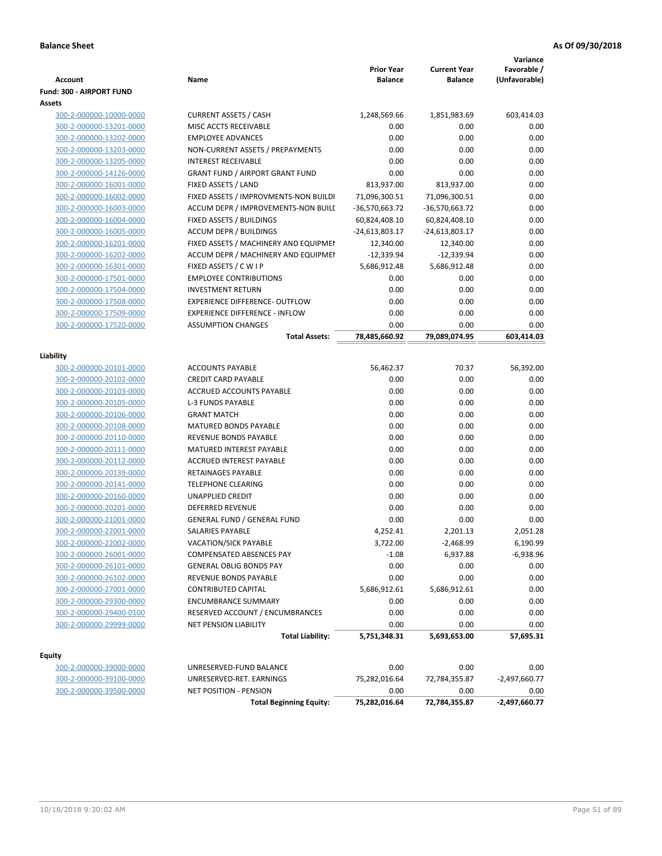| <b>Account</b>           | Name                                   | <b>Prior Year</b><br><b>Balance</b> | <b>Current Year</b><br><b>Balance</b> | Variance<br>Favorable /<br>(Unfavorable) |
|--------------------------|----------------------------------------|-------------------------------------|---------------------------------------|------------------------------------------|
| Fund: 300 - AIRPORT FUND |                                        |                                     |                                       |                                          |
| Assets                   |                                        |                                     |                                       |                                          |
| 300-2-000000-10000-0000  | <b>CURRENT ASSETS / CASH</b>           | 1,248,569.66                        | 1,851,983.69                          | 603,414.03                               |
| 300-2-000000-13201-0000  | MISC ACCTS RECEIVABLE                  | 0.00                                | 0.00                                  | 0.00                                     |
| 300-2-000000-13202-0000  | <b>EMPLOYEE ADVANCES</b>               | 0.00                                | 0.00                                  | 0.00                                     |
| 300-2-000000-13203-0000  | NON-CURRENT ASSETS / PREPAYMENTS       | 0.00                                | 0.00                                  | 0.00                                     |
| 300-2-000000-13205-0000  | <b>INTEREST RECEIVABLE</b>             | 0.00                                | 0.00                                  | 0.00                                     |
| 300-2-000000-14126-0000  | <b>GRANT FUND / AIRPORT GRANT FUND</b> | 0.00                                | 0.00                                  | 0.00                                     |
| 300-2-000000-16001-0000  | FIXED ASSETS / LAND                    | 813,937.00                          | 813,937.00                            | 0.00                                     |
| 300-2-000000-16002-0000  | FIXED ASSETS / IMPROVMENTS-NON BUILDI  | 71,096,300.51                       | 71,096,300.51                         | 0.00                                     |
| 300-2-000000-16003-0000  | ACCUM DEPR / IMPROVEMENTS-NON BUILI    | -36,570,663.72                      | -36,570,663.72                        | 0.00                                     |
| 300-2-000000-16004-0000  | FIXED ASSETS / BUILDINGS               | 60,824,408.10                       | 60,824,408.10                         | 0.00                                     |
| 300-2-000000-16005-0000  | <b>ACCUM DEPR / BUILDINGS</b>          | -24,613,803.17                      | $-24,613,803.17$                      | 0.00                                     |
| 300-2-000000-16201-0000  | FIXED ASSETS / MACHINERY AND EQUIPMEN  | 12,340.00                           | 12,340.00                             | 0.00                                     |
| 300-2-000000-16202-0000  | ACCUM DEPR / MACHINERY AND EQUIPMEI    | $-12,339.94$                        | $-12,339.94$                          | 0.00                                     |
| 300-2-000000-16301-0000  | FIXED ASSETS / C W I P                 | 5,686,912.48                        | 5,686,912.48                          | 0.00                                     |
| 300-2-000000-17501-0000  | <b>EMPLOYEE CONTRIBUTIONS</b>          | 0.00                                | 0.00                                  | 0.00                                     |
| 300-2-000000-17504-0000  | <b>INVESTMENT RETURN</b>               | 0.00                                | 0.00                                  | 0.00                                     |
| 300-2-000000-17508-0000  | <b>EXPERIENCE DIFFERENCE- OUTFLOW</b>  | 0.00                                | 0.00                                  | 0.00                                     |
| 300-2-000000-17509-0000  | <b>EXPERIENCE DIFFERENCE - INFLOW</b>  | 0.00                                | 0.00                                  | 0.00                                     |
| 300-2-000000-17520-0000  | <b>ASSUMPTION CHANGES</b>              | 0.00                                | 0.00                                  | 0.00                                     |
|                          | <b>Total Assets:</b>                   | 78,485,660.92                       | 79,089,074.95                         | 603,414.03                               |
| Liability                |                                        |                                     |                                       |                                          |
| 300-2-000000-20101-0000  | <b>ACCOUNTS PAYABLE</b>                | 56,462.37                           | 70.37                                 | 56,392.00                                |
| 300-2-000000-20102-0000  | <b>CREDIT CARD PAYABLE</b>             | 0.00                                | 0.00                                  | 0.00                                     |
| 300-2-000000-20103-0000  | ACCRUED ACCOUNTS PAYABLE               | 0.00                                | 0.00                                  | 0.00                                     |
| 300-2-000000-20105-0000  | <b>L-3 FUNDS PAYABLE</b>               | 0.00                                | 0.00                                  | 0.00                                     |
| 300-2-000000-20106-0000  | <b>GRANT MATCH</b>                     | 0.00                                | 0.00                                  | 0.00                                     |
| 300-2-000000-20108-0000  | MATURED BONDS PAYABLE                  | 0.00                                | 0.00                                  | 0.00                                     |
| 300-2-000000-20110-0000  | REVENUE BONDS PAYABLE                  | 0.00                                | 0.00                                  | 0.00                                     |
| 300-2-000000-20111-0000  | MATURED INTEREST PAYABLE               | 0.00                                | 0.00                                  | 0.00                                     |
| 300-2-000000-20112-0000  | <b>ACCRUED INTEREST PAYABLE</b>        | 0.00                                | 0.00                                  | 0.00                                     |
| 300-2-000000-20139-0000  | RETAINAGES PAYABLE                     | 0.00                                | 0.00                                  | 0.00                                     |
| 300-2-000000-20141-0000  | <b>TELEPHONE CLEARING</b>              | 0.00                                | 0.00                                  | 0.00                                     |
| 300-2-000000-20160-0000  | <b>UNAPPLIED CREDIT</b>                | 0.00                                | 0.00                                  | 0.00                                     |
| 300-2-000000-20201-0000  | <b>DEFERRED REVENUE</b>                | 0.00                                | 0.00                                  | 0.00                                     |
| 300-2-000000-21001-0000  | <b>GENERAL FUND / GENERAL FUND</b>     | 0.00                                | 0.00                                  | 0.00                                     |
| 300-2-000000-22001-0000  | SALARIES PAYABLE                       | 4,252.41                            | 2,201.13                              | 2,051.28                                 |
| 300-2-000000-22002-0000  | VACATION/SICK PAYABLE                  | 3,722.00                            | $-2,468.99$                           | 6,190.99                                 |
| 300-2-000000-26001-0000  | COMPENSATED ABSENCES PAY               | $-1.08$                             | 6,937.88                              | $-6,938.96$                              |
| 300-2-000000-26101-0000  | <b>GENERAL OBLIG BONDS PAY</b>         | 0.00                                | 0.00                                  | 0.00                                     |
| 300-2-000000-26102-0000  | REVENUE BONDS PAYABLE                  | 0.00                                | 0.00                                  | 0.00                                     |
| 300-2-000000-27001-0000  | <b>CONTRIBUTED CAPITAL</b>             | 5,686,912.61                        | 5,686,912.61                          | 0.00                                     |
| 300-2-000000-29300-0000  | <b>ENCUMBRANCE SUMMARY</b>             | 0.00                                | 0.00                                  | 0.00                                     |
| 300-2-000000-29400-0100  | RESERVED ACCOUNT / ENCUMBRANCES        | 0.00                                | 0.00                                  | 0.00                                     |
| 300-2-000000-29999-0000  | <b>NET PENSION LIABILITY</b>           | 0.00                                | 0.00                                  | 0.00                                     |
|                          | <b>Total Liability:</b>                | 5,751,348.31                        | 5,693,653.00                          | 57,695.31                                |
| Equity                   |                                        |                                     |                                       |                                          |
| 300-2-000000-39000-0000  | UNRESERVED-FUND BALANCE                | 0.00                                | 0.00                                  | 0.00                                     |
| 300-2-000000-39100-0000  | UNRESERVED-RET. EARNINGS               | 75,282,016.64                       | 72,784,355.87                         | $-2,497,660.77$                          |
| 300-2-000000-39500-0000  | <b>NET POSITION - PENSION</b>          | 0.00                                | 0.00                                  | 0.00                                     |
|                          | <b>Total Beginning Equity:</b>         | 75,282,016.64                       | 72,784,355.87                         | $-2,497,660.77$                          |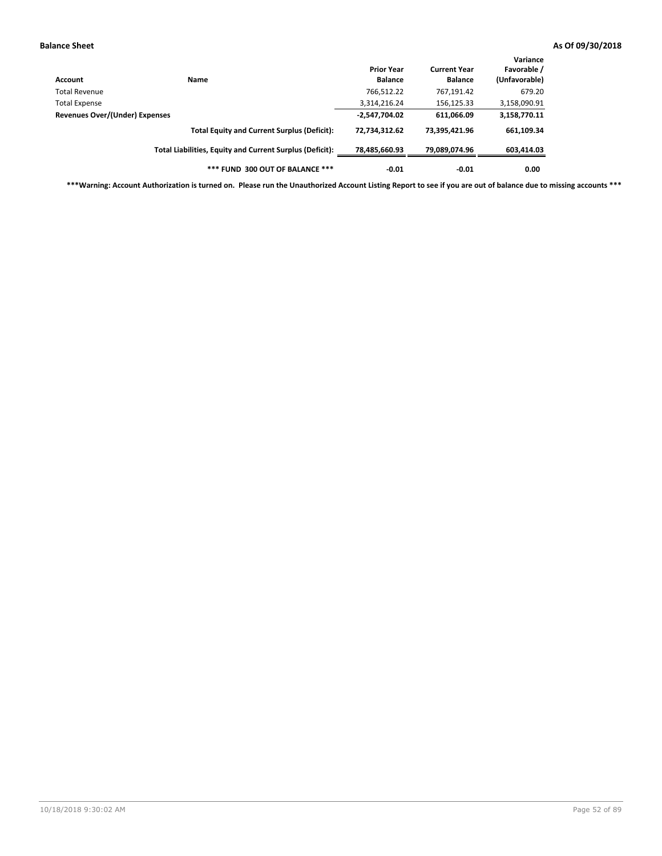| Account                        | Name                                                     | <b>Prior Year</b><br><b>Balance</b> | <b>Current Year</b><br><b>Balance</b> | Variance<br>Favorable /<br>(Unfavorable) |
|--------------------------------|----------------------------------------------------------|-------------------------------------|---------------------------------------|------------------------------------------|
| Total Revenue                  |                                                          | 766,512.22                          | 767,191.42                            | 679.20                                   |
| <b>Total Expense</b>           |                                                          | 3,314,216.24                        | 156,125.33                            | 3,158,090.91                             |
| Revenues Over/(Under) Expenses |                                                          | $-2,547,704.02$                     | 611,066.09                            | 3,158,770.11                             |
|                                | <b>Total Equity and Current Surplus (Deficit):</b>       | 72,734,312.62                       | 73,395,421.96                         | 661,109.34                               |
|                                | Total Liabilities, Equity and Current Surplus (Deficit): | 78,485,660.93                       | 79.089.074.96                         | 603,414.03                               |
|                                | *** FUND 300 OUT OF BALANCE ***                          | $-0.01$                             | $-0.01$                               | 0.00                                     |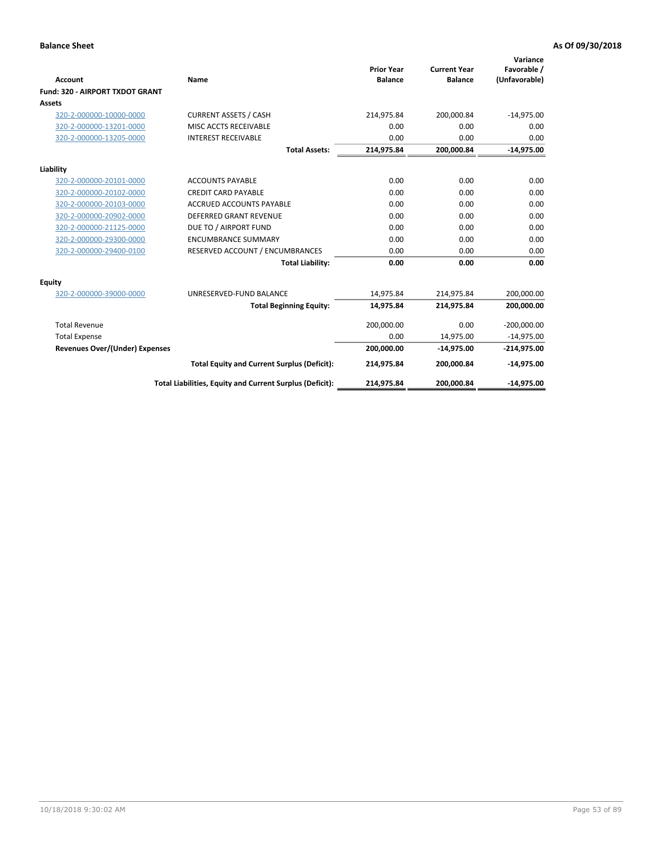|                                 |                                                          |                                     |                                       | Variance                     |
|---------------------------------|----------------------------------------------------------|-------------------------------------|---------------------------------------|------------------------------|
| Account                         | Name                                                     | <b>Prior Year</b><br><b>Balance</b> | <b>Current Year</b><br><b>Balance</b> | Favorable /<br>(Unfavorable) |
| Fund: 320 - AIRPORT TXDOT GRANT |                                                          |                                     |                                       |                              |
| Assets                          |                                                          |                                     |                                       |                              |
| 320-2-000000-10000-0000         | <b>CURRENT ASSETS / CASH</b>                             | 214,975.84                          | 200,000.84                            | $-14,975.00$                 |
| 320-2-000000-13201-0000         | MISC ACCTS RECEIVABLE                                    | 0.00                                | 0.00                                  | 0.00                         |
| 320-2-000000-13205-0000         | <b>INTEREST RECEIVABLE</b>                               | 0.00                                | 0.00                                  | 0.00                         |
|                                 | <b>Total Assets:</b>                                     | 214,975.84                          | 200,000.84                            | $-14,975.00$                 |
| Liability                       |                                                          |                                     |                                       |                              |
| 320-2-000000-20101-0000         | <b>ACCOUNTS PAYABLE</b>                                  | 0.00                                | 0.00                                  | 0.00                         |
| 320-2-000000-20102-0000         | <b>CREDIT CARD PAYABLE</b>                               | 0.00                                | 0.00                                  | 0.00                         |
| 320-2-000000-20103-0000         | <b>ACCRUED ACCOUNTS PAYABLE</b>                          | 0.00                                | 0.00                                  | 0.00                         |
| 320-2-000000-20902-0000         | <b>DEFERRED GRANT REVENUE</b>                            | 0.00                                | 0.00                                  | 0.00                         |
| 320-2-000000-21125-0000         | DUE TO / AIRPORT FUND                                    | 0.00                                | 0.00                                  | 0.00                         |
| 320-2-000000-29300-0000         | <b>ENCUMBRANCE SUMMARY</b>                               | 0.00                                | 0.00                                  | 0.00                         |
| 320-2-000000-29400-0100         | RESERVED ACCOUNT / ENCUMBRANCES                          | 0.00                                | 0.00                                  | 0.00                         |
|                                 | <b>Total Liability:</b>                                  | 0.00                                | 0.00                                  | 0.00                         |
| <b>Equity</b>                   |                                                          |                                     |                                       |                              |
| 320-2-000000-39000-0000         | UNRESERVED-FUND BALANCE                                  | 14,975.84                           | 214,975.84                            | 200,000.00                   |
|                                 | <b>Total Beginning Equity:</b>                           | 14,975.84                           | 214,975.84                            | 200,000.00                   |
| <b>Total Revenue</b>            |                                                          | 200,000.00                          | 0.00                                  | $-200,000.00$                |
| <b>Total Expense</b>            |                                                          | 0.00                                | 14,975.00                             | $-14,975.00$                 |
| Revenues Over/(Under) Expenses  |                                                          | 200,000.00                          | $-14,975.00$                          | $-214,975.00$                |
|                                 | <b>Total Equity and Current Surplus (Deficit):</b>       | 214,975.84                          | 200,000.84                            | $-14,975.00$                 |
|                                 | Total Liabilities, Equity and Current Surplus (Deficit): | 214,975.84                          | 200,000.84                            | $-14,975.00$                 |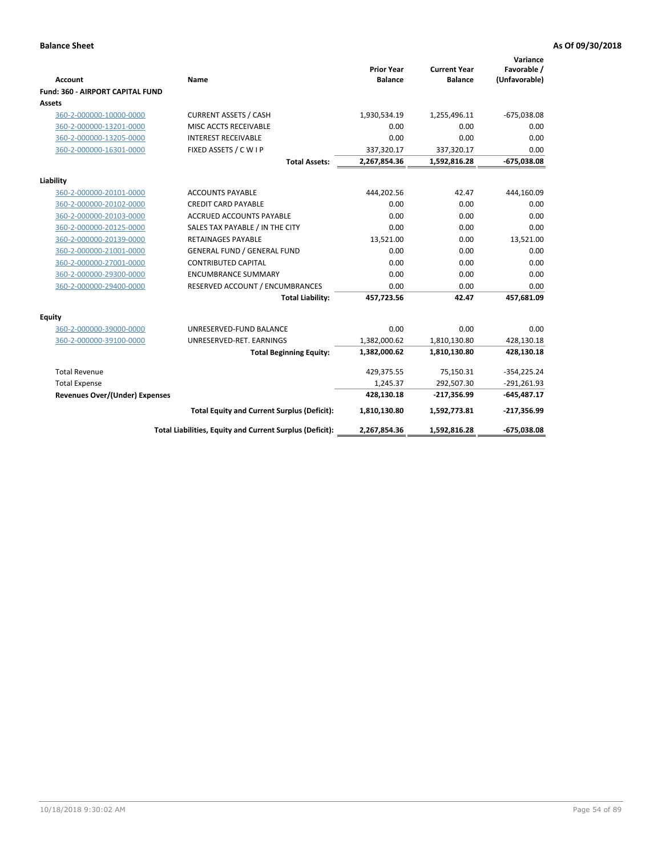| <b>Account</b>                          | Name                                                     | <b>Prior Year</b><br><b>Balance</b> | <b>Current Year</b><br><b>Balance</b> | Variance<br>Favorable /<br>(Unfavorable) |
|-----------------------------------------|----------------------------------------------------------|-------------------------------------|---------------------------------------|------------------------------------------|
| <b>Fund: 360 - AIRPORT CAPITAL FUND</b> |                                                          |                                     |                                       |                                          |
| Assets                                  |                                                          |                                     |                                       |                                          |
| 360-2-000000-10000-0000                 | <b>CURRENT ASSETS / CASH</b>                             | 1,930,534.19                        | 1,255,496.11                          | $-675,038.08$                            |
| 360-2-000000-13201-0000                 | MISC ACCTS RECEIVABLE                                    | 0.00                                | 0.00                                  | 0.00                                     |
| 360-2-000000-13205-0000                 | <b>INTEREST RECEIVABLE</b>                               | 0.00                                | 0.00                                  | 0.00                                     |
| 360-2-000000-16301-0000                 | FIXED ASSETS / C W I P                                   | 337,320.17                          | 337,320.17                            | 0.00                                     |
|                                         | <b>Total Assets:</b>                                     | 2,267,854.36                        | 1,592,816.28                          | $-675,038.08$                            |
| Liability                               |                                                          |                                     |                                       |                                          |
| 360-2-000000-20101-0000                 | <b>ACCOUNTS PAYABLE</b>                                  | 444,202.56                          | 42.47                                 | 444,160.09                               |
| 360-2-000000-20102-0000                 | <b>CREDIT CARD PAYABLE</b>                               | 0.00                                | 0.00                                  | 0.00                                     |
| 360-2-000000-20103-0000                 | <b>ACCRUED ACCOUNTS PAYABLE</b>                          | 0.00                                | 0.00                                  | 0.00                                     |
| 360-2-000000-20125-0000                 | SALES TAX PAYABLE / IN THE CITY                          | 0.00                                | 0.00                                  | 0.00                                     |
| 360-2-000000-20139-0000                 | <b>RETAINAGES PAYABLE</b>                                | 13,521.00                           | 0.00                                  | 13,521.00                                |
| 360-2-000000-21001-0000                 | <b>GENERAL FUND / GENERAL FUND</b>                       | 0.00                                | 0.00                                  | 0.00                                     |
| 360-2-000000-27001-0000                 | <b>CONTRIBUTED CAPITAL</b>                               | 0.00                                | 0.00                                  | 0.00                                     |
| 360-2-000000-29300-0000                 | <b>ENCUMBRANCE SUMMARY</b>                               | 0.00                                | 0.00                                  | 0.00                                     |
| 360-2-000000-29400-0000                 | RESERVED ACCOUNT / ENCUMBRANCES                          | 0.00                                | 0.00                                  | 0.00                                     |
|                                         | <b>Total Liability:</b>                                  | 457,723.56                          | 42.47                                 | 457,681.09                               |
| Equity                                  |                                                          |                                     |                                       |                                          |
| 360-2-000000-39000-0000                 | UNRESERVED-FUND BALANCE                                  | 0.00                                | 0.00                                  | 0.00                                     |
| 360-2-000000-39100-0000                 | UNRESERVED-RET. EARNINGS                                 | 1,382,000.62                        | 1,810,130.80                          | 428,130.18                               |
|                                         | <b>Total Beginning Equity:</b>                           | 1,382,000.62                        | 1,810,130.80                          | 428,130.18                               |
|                                         |                                                          |                                     |                                       |                                          |
| <b>Total Revenue</b>                    |                                                          | 429,375.55                          | 75,150.31                             | $-354,225.24$                            |
| <b>Total Expense</b>                    |                                                          | 1,245.37                            | 292,507.30                            | $-291,261.93$                            |
| <b>Revenues Over/(Under) Expenses</b>   |                                                          | 428,130.18                          | $-217,356.99$                         | $-645,487.17$                            |
|                                         | <b>Total Equity and Current Surplus (Deficit):</b>       | 1,810,130.80                        | 1,592,773.81                          | $-217,356.99$                            |
|                                         | Total Liabilities, Equity and Current Surplus (Deficit): | 2,267,854.36                        | 1,592,816.28                          | $-675,038.08$                            |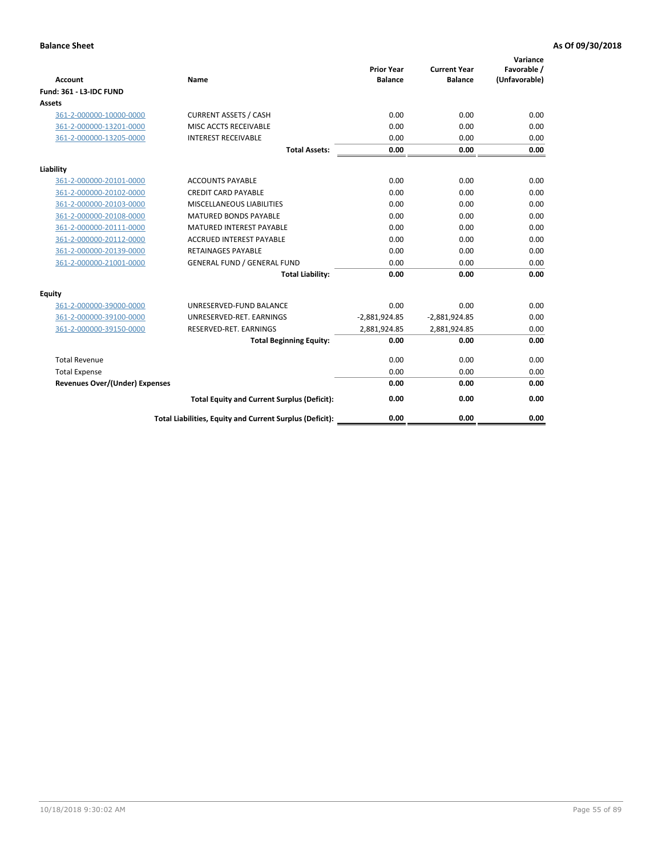| <b>Account</b>                        | <b>Name</b>                                              | <b>Prior Year</b><br><b>Balance</b> | <b>Current Year</b><br><b>Balance</b> | Variance<br>Favorable /<br>(Unfavorable) |
|---------------------------------------|----------------------------------------------------------|-------------------------------------|---------------------------------------|------------------------------------------|
| <b>Fund: 361 - L3-IDC FUND</b>        |                                                          |                                     |                                       |                                          |
| Assets                                |                                                          |                                     |                                       |                                          |
| 361-2-000000-10000-0000               | <b>CURRENT ASSETS / CASH</b>                             | 0.00                                | 0.00                                  | 0.00                                     |
| 361-2-000000-13201-0000               | MISC ACCTS RECEIVABLE                                    | 0.00                                | 0.00                                  | 0.00                                     |
| 361-2-000000-13205-0000               | <b>INTEREST RECEIVABLE</b>                               | 0.00                                | 0.00                                  | 0.00                                     |
|                                       | <b>Total Assets:</b>                                     | 0.00                                | 0.00                                  | 0.00                                     |
| Liability                             |                                                          |                                     |                                       |                                          |
| 361-2-000000-20101-0000               | <b>ACCOUNTS PAYABLE</b>                                  | 0.00                                | 0.00                                  | 0.00                                     |
| 361-2-000000-20102-0000               | <b>CREDIT CARD PAYABLE</b>                               | 0.00                                | 0.00                                  | 0.00                                     |
| 361-2-000000-20103-0000               | MISCELLANEOUS LIABILITIES                                | 0.00                                | 0.00                                  | 0.00                                     |
| 361-2-000000-20108-0000               | <b>MATURED BONDS PAYABLE</b>                             | 0.00                                | 0.00                                  | 0.00                                     |
| 361-2-000000-20111-0000               | <b>MATURED INTEREST PAYABLE</b>                          | 0.00                                | 0.00                                  | 0.00                                     |
| 361-2-000000-20112-0000               | <b>ACCRUED INTEREST PAYABLE</b>                          | 0.00                                | 0.00                                  | 0.00                                     |
| 361-2-000000-20139-0000               | <b>RETAINAGES PAYABLE</b>                                | 0.00                                | 0.00                                  | 0.00                                     |
| 361-2-000000-21001-0000               | <b>GENERAL FUND / GENERAL FUND</b>                       | 0.00                                | 0.00                                  | 0.00                                     |
|                                       | <b>Total Liability:</b>                                  | 0.00                                | 0.00                                  | 0.00                                     |
| Equity                                |                                                          |                                     |                                       |                                          |
| 361-2-000000-39000-0000               | UNRESERVED-FUND BALANCE                                  | 0.00                                | 0.00                                  | 0.00                                     |
| 361-2-000000-39100-0000               | UNRESERVED-RET. EARNINGS                                 | $-2,881,924.85$                     | $-2,881,924.85$                       | 0.00                                     |
| 361-2-000000-39150-0000               | RESERVED-RET. EARNINGS                                   | 2,881,924.85                        | 2,881,924.85                          | 0.00                                     |
|                                       | <b>Total Beginning Equity:</b>                           | 0.00                                | 0.00                                  | 0.00                                     |
| <b>Total Revenue</b>                  |                                                          | 0.00                                | 0.00                                  | 0.00                                     |
| <b>Total Expense</b>                  |                                                          | 0.00                                | 0.00                                  | 0.00                                     |
| <b>Revenues Over/(Under) Expenses</b> |                                                          | 0.00                                | 0.00                                  | 0.00                                     |
|                                       | <b>Total Equity and Current Surplus (Deficit):</b>       | 0.00                                | 0.00                                  | 0.00                                     |
|                                       | Total Liabilities, Equity and Current Surplus (Deficit): | 0.00                                | 0.00                                  | 0.00                                     |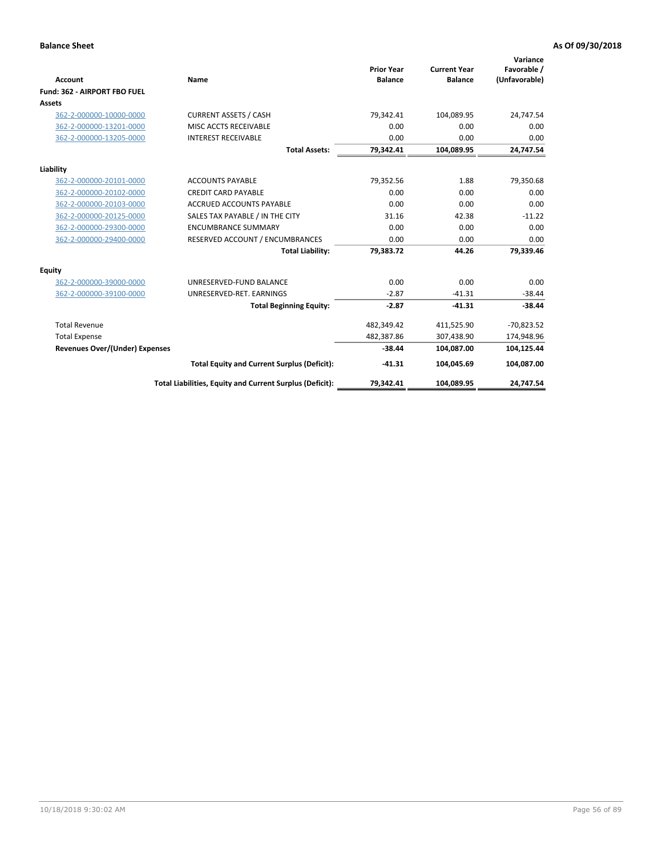|                                       |                                                          |                                     |                                       | Variance                     |
|---------------------------------------|----------------------------------------------------------|-------------------------------------|---------------------------------------|------------------------------|
| <b>Account</b>                        | Name                                                     | <b>Prior Year</b><br><b>Balance</b> | <b>Current Year</b><br><b>Balance</b> | Favorable /<br>(Unfavorable) |
| Fund: 362 - AIRPORT FBO FUEL          |                                                          |                                     |                                       |                              |
| Assets                                |                                                          |                                     |                                       |                              |
| 362-2-000000-10000-0000               | <b>CURRENT ASSETS / CASH</b>                             | 79,342.41                           | 104,089.95                            | 24,747.54                    |
| 362-2-000000-13201-0000               | MISC ACCTS RECEIVABLE                                    | 0.00                                | 0.00                                  | 0.00                         |
| 362-2-000000-13205-0000               | <b>INTEREST RECEIVABLE</b>                               | 0.00                                | 0.00                                  | 0.00                         |
|                                       | <b>Total Assets:</b>                                     | 79,342.41                           | 104,089.95                            | 24,747.54                    |
| Liability                             |                                                          |                                     |                                       |                              |
| 362-2-000000-20101-0000               | <b>ACCOUNTS PAYABLE</b>                                  | 79,352.56                           | 1.88                                  | 79,350.68                    |
| 362-2-000000-20102-0000               | <b>CREDIT CARD PAYABLE</b>                               | 0.00                                | 0.00                                  | 0.00                         |
| 362-2-000000-20103-0000               | <b>ACCRUED ACCOUNTS PAYABLE</b>                          | 0.00                                | 0.00                                  | 0.00                         |
| 362-2-000000-20125-0000               | SALES TAX PAYABLE / IN THE CITY                          | 31.16                               | 42.38                                 | $-11.22$                     |
| 362-2-000000-29300-0000               | <b>ENCUMBRANCE SUMMARY</b>                               | 0.00                                | 0.00                                  | 0.00                         |
| 362-2-000000-29400-0000               | RESERVED ACCOUNT / ENCUMBRANCES                          | 0.00                                | 0.00                                  | 0.00                         |
|                                       | <b>Total Liability:</b>                                  | 79,383.72                           | 44.26                                 | 79,339.46                    |
| <b>Equity</b>                         |                                                          |                                     |                                       |                              |
| 362-2-000000-39000-0000               | UNRESERVED-FUND BALANCE                                  | 0.00                                | 0.00                                  | 0.00                         |
| 362-2-000000-39100-0000               | UNRESERVED-RET. EARNINGS                                 | $-2.87$                             | $-41.31$                              | $-38.44$                     |
|                                       | <b>Total Beginning Equity:</b>                           | $-2.87$                             | $-41.31$                              | $-38.44$                     |
| <b>Total Revenue</b>                  |                                                          | 482,349.42                          | 411,525.90                            | $-70,823.52$                 |
| <b>Total Expense</b>                  |                                                          | 482,387.86                          | 307,438.90                            | 174,948.96                   |
| <b>Revenues Over/(Under) Expenses</b> |                                                          | $-38.44$                            | 104,087.00                            | 104,125.44                   |
|                                       | <b>Total Equity and Current Surplus (Deficit):</b>       | $-41.31$                            | 104,045.69                            | 104,087.00                   |
|                                       | Total Liabilities, Equity and Current Surplus (Deficit): | 79,342.41                           | 104,089.95                            | 24,747.54                    |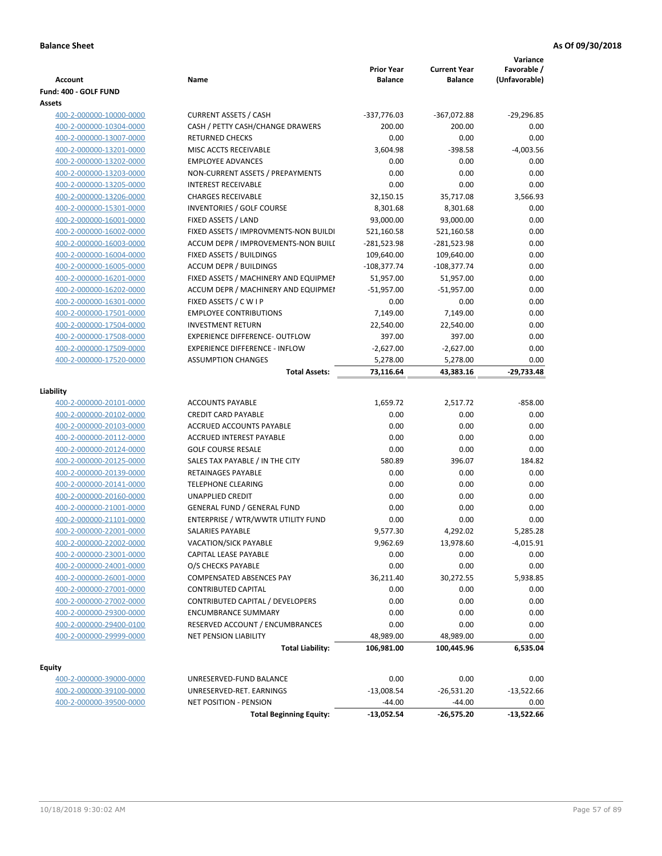| Account                 | Name                                  | <b>Prior Year</b><br><b>Balance</b> | <b>Current Year</b><br><b>Balance</b> | Variance<br>Favorable /<br>(Unfavorable) |
|-------------------------|---------------------------------------|-------------------------------------|---------------------------------------|------------------------------------------|
| Fund: 400 - GOLF FUND   |                                       |                                     |                                       |                                          |
| Assets                  |                                       |                                     |                                       |                                          |
| 400-2-000000-10000-0000 | <b>CURRENT ASSETS / CASH</b>          | -337,776.03                         | -367,072.88                           | $-29,296.85$                             |
| 400-2-000000-10304-0000 | CASH / PETTY CASH/CHANGE DRAWERS      | 200.00                              | 200.00                                | 0.00                                     |
| 400-2-000000-13007-0000 | <b>RETURNED CHECKS</b>                | 0.00                                | 0.00                                  | 0.00                                     |
| 400-2-000000-13201-0000 | MISC ACCTS RECEIVABLE                 | 3,604.98                            | $-398.58$                             | $-4,003.56$                              |
| 400-2-000000-13202-0000 | <b>EMPLOYEE ADVANCES</b>              | 0.00                                | 0.00                                  | 0.00                                     |
| 400-2-000000-13203-0000 | NON-CURRENT ASSETS / PREPAYMENTS      | 0.00                                | 0.00                                  | 0.00                                     |
| 400-2-000000-13205-0000 | <b>INTEREST RECEIVABLE</b>            | 0.00                                | 0.00                                  | 0.00                                     |
| 400-2-000000-13206-0000 | <b>CHARGES RECEIVABLE</b>             | 32,150.15                           | 35,717.08                             | 3,566.93                                 |
| 400-2-000000-15301-0000 | INVENTORIES / GOLF COURSE             | 8,301.68                            | 8,301.68                              | 0.00                                     |
| 400-2-000000-16001-0000 | FIXED ASSETS / LAND                   | 93,000.00                           | 93,000.00                             | 0.00                                     |
| 400-2-000000-16002-0000 | FIXED ASSETS / IMPROVMENTS-NON BUILDI | 521,160.58                          | 521,160.58                            | 0.00                                     |
| 400-2-000000-16003-0000 | ACCUM DEPR / IMPROVEMENTS-NON BUILI   | -281,523.98                         | -281,523.98                           | 0.00                                     |
| 400-2-000000-16004-0000 | FIXED ASSETS / BUILDINGS              | 109,640.00                          | 109,640.00                            | 0.00                                     |
| 400-2-000000-16005-0000 | <b>ACCUM DEPR / BUILDINGS</b>         | $-108,377.74$                       | $-108,377.74$                         | 0.00                                     |
| 400-2-000000-16201-0000 | FIXED ASSETS / MACHINERY AND EQUIPMEN | 51,957.00                           | 51,957.00                             | 0.00                                     |
| 400-2-000000-16202-0000 | ACCUM DEPR / MACHINERY AND EQUIPMEI   | $-51,957.00$                        | $-51,957.00$                          | 0.00                                     |
| 400-2-000000-16301-0000 | FIXED ASSETS / C W I P                | 0.00                                | 0.00                                  | 0.00                                     |
| 400-2-000000-17501-0000 | <b>EMPLOYEE CONTRIBUTIONS</b>         | 7,149.00                            | 7,149.00                              | 0.00                                     |
| 400-2-000000-17504-0000 | <b>INVESTMENT RETURN</b>              | 22,540.00                           | 22,540.00                             | 0.00                                     |
| 400-2-000000-17508-0000 | <b>EXPERIENCE DIFFERENCE- OUTFLOW</b> | 397.00                              | 397.00                                | 0.00                                     |
| 400-2-000000-17509-0000 | <b>EXPERIENCE DIFFERENCE - INFLOW</b> | $-2,627.00$                         | $-2,627.00$                           | 0.00                                     |
| 400-2-000000-17520-0000 | <b>ASSUMPTION CHANGES</b>             | 5,278.00                            | 5,278.00                              | 0.00                                     |
|                         | <b>Total Assets:</b>                  | 73,116.64                           | 43,383.16                             | -29,733.48                               |
|                         |                                       |                                     |                                       |                                          |
| Liability               |                                       |                                     |                                       |                                          |
| 400-2-000000-20101-0000 | <b>ACCOUNTS PAYABLE</b>               | 1,659.72                            | 2,517.72                              | $-858.00$                                |
| 400-2-000000-20102-0000 | <b>CREDIT CARD PAYABLE</b>            | 0.00                                | 0.00                                  | 0.00                                     |
| 400-2-000000-20103-0000 | ACCRUED ACCOUNTS PAYABLE              | 0.00                                | 0.00                                  | 0.00                                     |
| 400-2-000000-20112-0000 | <b>ACCRUED INTEREST PAYABLE</b>       | 0.00                                | 0.00                                  | 0.00                                     |
| 400-2-000000-20124-0000 | <b>GOLF COURSE RESALE</b>             | 0.00                                | 0.00                                  | 0.00                                     |
| 400-2-000000-20125-0000 | SALES TAX PAYABLE / IN THE CITY       | 580.89                              | 396.07                                | 184.82                                   |
| 400-2-000000-20139-0000 | RETAINAGES PAYABLE                    | 0.00                                | 0.00                                  | 0.00                                     |
| 400-2-000000-20141-0000 | <b>TELEPHONE CLEARING</b>             | 0.00                                | 0.00                                  | 0.00                                     |
| 400-2-000000-20160-0000 | <b>UNAPPLIED CREDIT</b>               | 0.00                                | 0.00                                  | 0.00                                     |
| 400-2-000000-21001-0000 | <b>GENERAL FUND / GENERAL FUND</b>    | 0.00                                | 0.00                                  | 0.00                                     |
| 400-2-000000-21101-0000 | ENTERPRISE / WTR/WWTR UTILITY FUND    | 0.00                                | 0.00                                  | 0.00                                     |
| 400-2-000000-22001-0000 | SALARIES PAYABLE                      | 9,577.30                            | 4,292.02                              | 5,285.28                                 |
| 400-2-000000-22002-0000 | VACATION/SICK PAYABLE                 | 9,962.69                            | 13,978.60                             | -4,015.91                                |
| 400-2-000000-23001-0000 | CAPITAL LEASE PAYABLE                 | 0.00                                | 0.00                                  | 0.00                                     |
| 400-2-000000-24001-0000 | O/S CHECKS PAYABLE                    | 0.00                                | 0.00                                  | 0.00                                     |
| 400-2-000000-26001-0000 | <b>COMPENSATED ABSENCES PAY</b>       | 36,211.40                           | 30,272.55                             | 5,938.85                                 |
| 400-2-000000-27001-0000 | <b>CONTRIBUTED CAPITAL</b>            | 0.00                                | 0.00                                  | 0.00                                     |
| 400-2-000000-27002-0000 | CONTRIBUTED CAPITAL / DEVELOPERS      | 0.00                                | 0.00                                  | 0.00                                     |
| 400-2-000000-29300-0000 | <b>ENCUMBRANCE SUMMARY</b>            | 0.00                                | 0.00                                  | 0.00                                     |
| 400-2-000000-29400-0100 | RESERVED ACCOUNT / ENCUMBRANCES       | 0.00                                | 0.00                                  | 0.00                                     |
| 400-2-000000-29999-0000 | <b>NET PENSION LIABILITY</b>          | 48,989.00                           | 48,989.00                             | 0.00                                     |
|                         | <b>Total Liability:</b>               | 106,981.00                          | 100,445.96                            | 6,535.04                                 |
|                         |                                       |                                     |                                       |                                          |
| <b>Equity</b>           |                                       |                                     |                                       |                                          |
| 400-2-000000-39000-0000 | UNRESERVED-FUND BALANCE               | 0.00                                | 0.00                                  | 0.00                                     |
| 400-2-000000-39100-0000 | UNRESERVED-RET. EARNINGS              | $-13,008.54$                        | $-26,531.20$                          | $-13,522.66$                             |
| 400-2-000000-39500-0000 | NET POSITION - PENSION                | $-44.00$                            | $-44.00$                              | 0.00                                     |
|                         | <b>Total Beginning Equity:</b>        | $-13,052.54$                        | -26,575.20                            | $-13,522.66$                             |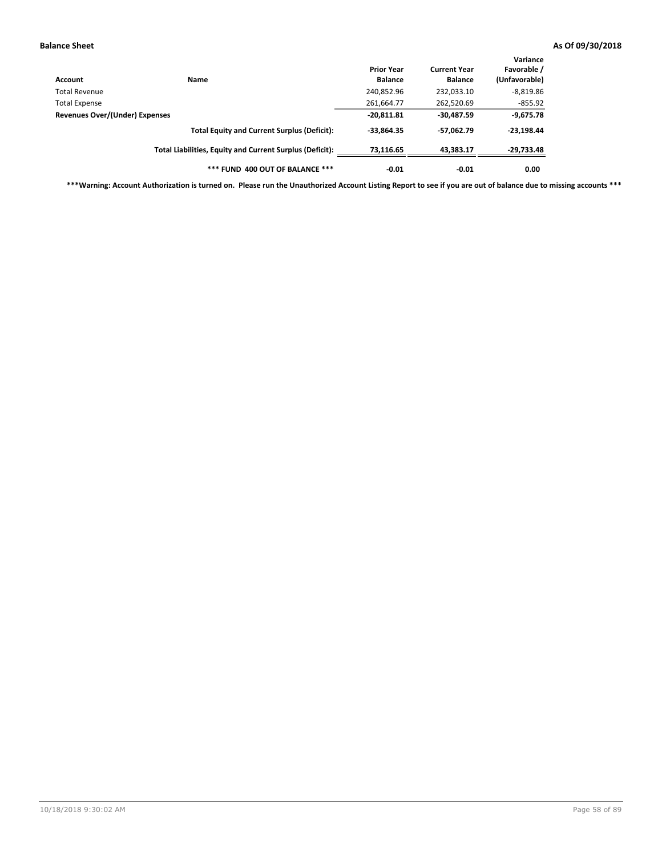| Account                        | Name                                                     | <b>Prior Year</b><br><b>Balance</b> | <b>Current Year</b><br><b>Balance</b> | Variance<br>Favorable /<br>(Unfavorable) |
|--------------------------------|----------------------------------------------------------|-------------------------------------|---------------------------------------|------------------------------------------|
| Total Revenue                  |                                                          | 240,852.96                          | 232,033.10                            | $-8,819.86$                              |
| <b>Total Expense</b>           |                                                          | 261,664.77                          | 262,520.69                            | $-855.92$                                |
| Revenues Over/(Under) Expenses |                                                          | $-20,811.81$                        | $-30,487.59$                          | $-9,675.78$                              |
|                                | <b>Total Equity and Current Surplus (Deficit):</b>       | $-33,864.35$                        | -57,062.79                            | $-23,198.44$                             |
|                                | Total Liabilities, Equity and Current Surplus (Deficit): | 73,116.65                           | 43.383.17                             | -29,733.48                               |
|                                | *** FUND 400 OUT OF BALANCE ***                          | $-0.01$                             | $-0.01$                               | 0.00                                     |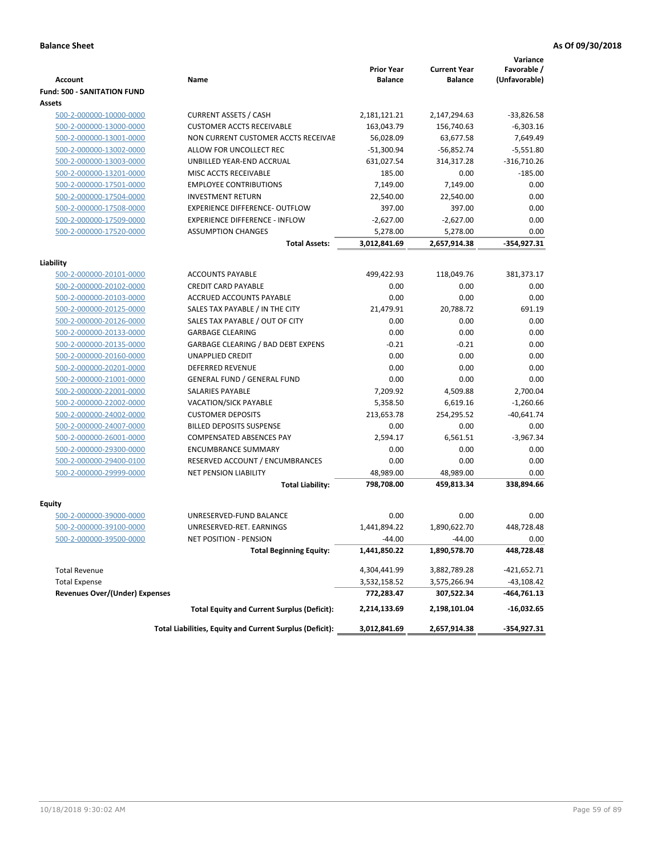|                                                    |                                                                 | <b>Prior Year</b>  | <b>Current Year</b> | Variance<br>Favorable / |
|----------------------------------------------------|-----------------------------------------------------------------|--------------------|---------------------|-------------------------|
| <b>Account</b>                                     | Name                                                            | <b>Balance</b>     | <b>Balance</b>      | (Unfavorable)           |
| <b>Fund: 500 - SANITATION FUND</b>                 |                                                                 |                    |                     |                         |
| Assets                                             |                                                                 |                    |                     |                         |
| 500-2-000000-10000-0000                            | <b>CURRENT ASSETS / CASH</b>                                    | 2,181,121.21       | 2,147,294.63        | $-33,826.58$            |
| 500-2-000000-13000-0000                            | <b>CUSTOMER ACCTS RECEIVABLE</b>                                | 163,043.79         | 156,740.63          | $-6,303.16$             |
| 500-2-000000-13001-0000                            | NON CURRENT CUSTOMER ACCTS RECEIVAE                             | 56,028.09          | 63,677.58           | 7,649.49                |
| 500-2-000000-13002-0000                            | ALLOW FOR UNCOLLECT REC                                         | $-51,300.94$       | $-56,852.74$        | $-5,551.80$             |
| 500-2-000000-13003-0000                            | UNBILLED YEAR-END ACCRUAL                                       | 631,027.54         | 314,317.28          | $-316,710.26$           |
| 500-2-000000-13201-0000                            | MISC ACCTS RECEIVABLE                                           | 185.00             | 0.00                | $-185.00$               |
| 500-2-000000-17501-0000                            | <b>EMPLOYEE CONTRIBUTIONS</b>                                   | 7,149.00           | 7,149.00            | 0.00                    |
| 500-2-000000-17504-0000                            | <b>INVESTMENT RETURN</b>                                        | 22,540.00          | 22,540.00           | 0.00                    |
| 500-2-000000-17508-0000                            | <b>EXPERIENCE DIFFERENCE- OUTFLOW</b>                           | 397.00             | 397.00              | 0.00                    |
| 500-2-000000-17509-0000                            | <b>EXPERIENCE DIFFERENCE - INFLOW</b>                           | $-2,627.00$        | $-2,627.00$         | 0.00                    |
| 500-2-000000-17520-0000                            | <b>ASSUMPTION CHANGES</b>                                       | 5,278.00           | 5,278.00            | 0.00                    |
|                                                    | <b>Total Assets:</b>                                            | 3,012,841.69       | 2,657,914.38        | $-354,927.31$           |
|                                                    |                                                                 |                    |                     |                         |
| Liability                                          |                                                                 |                    |                     |                         |
| 500-2-000000-20101-0000                            | <b>ACCOUNTS PAYABLE</b>                                         | 499,422.93         | 118,049.76          | 381,373.17              |
| 500-2-000000-20102-0000                            | <b>CREDIT CARD PAYABLE</b>                                      | 0.00               | 0.00                | 0.00                    |
| 500-2-000000-20103-0000                            | <b>ACCRUED ACCOUNTS PAYABLE</b>                                 | 0.00               | 0.00                | 0.00                    |
| 500-2-000000-20125-0000                            | SALES TAX PAYABLE / IN THE CITY                                 | 21,479.91          | 20,788.72           | 691.19                  |
| 500-2-000000-20126-0000                            | SALES TAX PAYABLE / OUT OF CITY                                 | 0.00               | 0.00                | 0.00                    |
| 500-2-000000-20133-0000                            | <b>GARBAGE CLEARING</b>                                         | 0.00               | 0.00                | 0.00                    |
| 500-2-000000-20135-0000                            | GARBAGE CLEARING / BAD DEBT EXPENS                              | $-0.21$            | $-0.21$             | 0.00                    |
| 500-2-000000-20160-0000                            | <b>UNAPPLIED CREDIT</b>                                         | 0.00               | 0.00                | 0.00                    |
| 500-2-000000-20201-0000                            | <b>DEFERRED REVENUE</b>                                         | 0.00               | 0.00                | 0.00                    |
| 500-2-000000-21001-0000                            | <b>GENERAL FUND / GENERAL FUND</b>                              | 0.00               | 0.00                | 0.00                    |
| 500-2-000000-22001-0000                            | <b>SALARIES PAYABLE</b>                                         | 7,209.92           | 4,509.88            | 2,700.04                |
| 500-2-000000-22002-0000                            | <b>VACATION/SICK PAYABLE</b><br><b>CUSTOMER DEPOSITS</b>        | 5,358.50           | 6,619.16            | $-1,260.66$             |
| 500-2-000000-24002-0000                            | <b>BILLED DEPOSITS SUSPENSE</b>                                 | 213,653.78<br>0.00 | 254,295.52<br>0.00  | $-40,641.74$<br>0.00    |
| 500-2-000000-24007-0000                            | <b>COMPENSATED ABSENCES PAY</b>                                 |                    |                     |                         |
| 500-2-000000-26001-0000                            |                                                                 | 2,594.17           | 6,561.51            | $-3,967.34$             |
| 500-2-000000-29300-0000                            | <b>ENCUMBRANCE SUMMARY</b>                                      | 0.00               | 0.00                | 0.00                    |
| 500-2-000000-29400-0100<br>500-2-000000-29999-0000 | RESERVED ACCOUNT / ENCUMBRANCES<br><b>NET PENSION LIABILITY</b> | 0.00<br>48,989.00  | 0.00<br>48,989.00   | 0.00<br>0.00            |
|                                                    | <b>Total Liability:</b>                                         | 798,708.00         |                     | 338,894.66              |
|                                                    |                                                                 |                    | 459,813.34          |                         |
| Equity                                             |                                                                 |                    |                     |                         |
| 500-2-000000-39000-0000                            | UNRESERVED-FUND BALANCE                                         | 0.00               | 0.00                | 0.00                    |
| 500-2-000000-39100-0000                            | UNRESERVED-RET. EARNINGS                                        | 1,441,894.22       | 1,890,622.70        | 448,728.48              |
| <u>500-2-000000-39500-0000</u>                     | NET POSITION - PENSION                                          | $-44.00$           | $-44.00$            | 0.00                    |
|                                                    | <b>Total Beginning Equity:</b>                                  | 1,441,850.22       | 1,890,578.70        | 448,728.48              |
| <b>Total Revenue</b>                               |                                                                 | 4,304,441.99       | 3,882,789.28        | -421,652.71             |
| <b>Total Expense</b>                               |                                                                 | 3,532,158.52       | 3,575,266.94        | -43,108.42              |
| <b>Revenues Over/(Under) Expenses</b>              |                                                                 | 772,283.47         | 307,522.34          | -464,761.13             |
|                                                    | <b>Total Equity and Current Surplus (Deficit):</b>              | 2,214,133.69       | 2,198,101.04        | -16,032.65              |
|                                                    | Total Liabilities, Equity and Current Surplus (Deficit):        | 3,012,841.69       | 2,657,914.38        | -354,927.31             |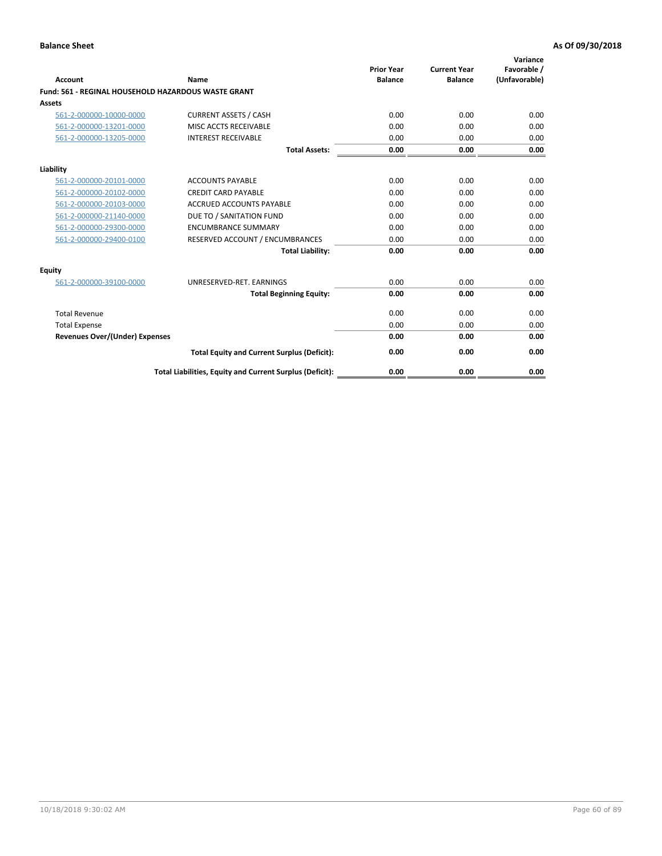| Account                                                    | Name                                                     | <b>Prior Year</b><br><b>Balance</b> | <b>Current Year</b><br><b>Balance</b> | Variance<br>Favorable /<br>(Unfavorable) |
|------------------------------------------------------------|----------------------------------------------------------|-------------------------------------|---------------------------------------|------------------------------------------|
| <b>Fund: 561 - REGINAL HOUSEHOLD HAZARDOUS WASTE GRANT</b> |                                                          |                                     |                                       |                                          |
| <b>Assets</b>                                              |                                                          |                                     |                                       |                                          |
| 561-2-000000-10000-0000                                    | <b>CURRENT ASSETS / CASH</b>                             | 0.00                                | 0.00                                  | 0.00                                     |
| 561-2-000000-13201-0000                                    | MISC ACCTS RECEIVABLE                                    | 0.00                                | 0.00                                  | 0.00                                     |
| 561-2-000000-13205-0000                                    | <b>INTEREST RECEIVABLE</b>                               | 0.00                                | 0.00                                  | 0.00                                     |
|                                                            | <b>Total Assets:</b>                                     | 0.00                                | 0.00                                  | 0.00                                     |
| Liability                                                  |                                                          |                                     |                                       |                                          |
| 561-2-000000-20101-0000                                    | <b>ACCOUNTS PAYABLE</b>                                  | 0.00                                | 0.00                                  | 0.00                                     |
| 561-2-000000-20102-0000                                    | <b>CREDIT CARD PAYABLE</b>                               | 0.00                                | 0.00                                  | 0.00                                     |
| 561-2-000000-20103-0000                                    | <b>ACCRUED ACCOUNTS PAYABLE</b>                          | 0.00                                | 0.00                                  | 0.00                                     |
| 561-2-000000-21140-0000                                    | DUE TO / SANITATION FUND                                 | 0.00                                | 0.00                                  | 0.00                                     |
| 561-2-000000-29300-0000                                    | <b>ENCUMBRANCE SUMMARY</b>                               | 0.00                                | 0.00                                  | 0.00                                     |
| 561-2-000000-29400-0100                                    | RESERVED ACCOUNT / ENCUMBRANCES                          | 0.00                                | 0.00                                  | 0.00                                     |
|                                                            | <b>Total Liability:</b>                                  | 0.00                                | 0.00                                  | 0.00                                     |
| <b>Equity</b>                                              |                                                          |                                     |                                       |                                          |
| 561-2-000000-39100-0000                                    | UNRESERVED-RET. EARNINGS                                 | 0.00                                | 0.00                                  | 0.00                                     |
|                                                            | <b>Total Beginning Equity:</b>                           | 0.00                                | 0.00                                  | 0.00                                     |
| <b>Total Revenue</b>                                       |                                                          | 0.00                                | 0.00                                  | 0.00                                     |
| <b>Total Expense</b>                                       |                                                          | 0.00                                | 0.00                                  | 0.00                                     |
| <b>Revenues Over/(Under) Expenses</b>                      |                                                          | 0.00                                | 0.00                                  | 0.00                                     |
|                                                            | <b>Total Equity and Current Surplus (Deficit):</b>       | 0.00                                | 0.00                                  | 0.00                                     |
|                                                            | Total Liabilities, Equity and Current Surplus (Deficit): | 0.00                                | 0.00                                  | 0.00                                     |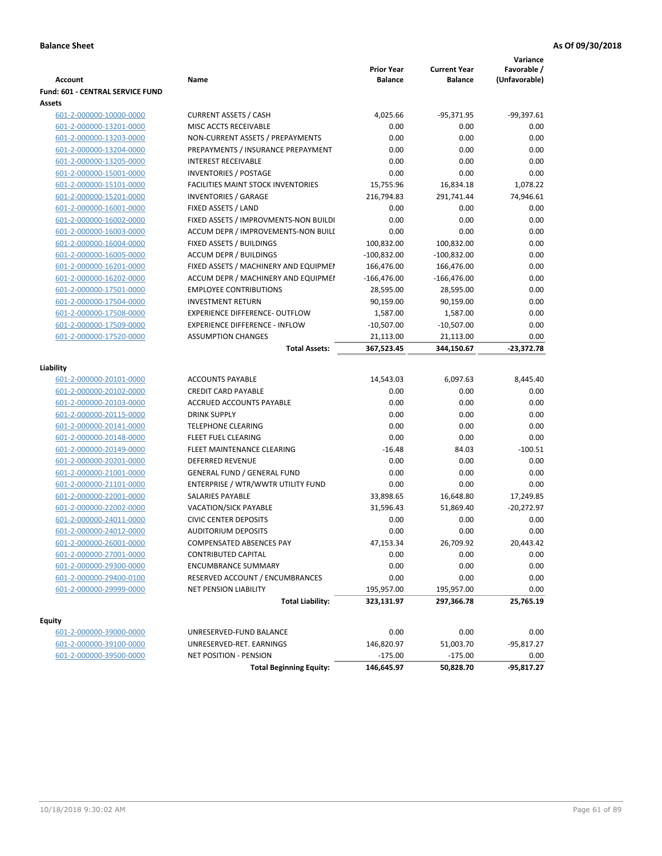| <b>Account</b>                          | Name                                      | <b>Prior Year</b><br><b>Balance</b> | <b>Current Year</b><br><b>Balance</b> | Variance<br>Favorable /<br>(Unfavorable) |
|-----------------------------------------|-------------------------------------------|-------------------------------------|---------------------------------------|------------------------------------------|
| <b>Fund: 601 - CENTRAL SERVICE FUND</b> |                                           |                                     |                                       |                                          |
| Assets                                  |                                           |                                     |                                       |                                          |
| 601-2-000000-10000-0000                 | <b>CURRENT ASSETS / CASH</b>              | 4,025.66                            | $-95,371.95$                          | $-99,397.61$                             |
| 601-2-000000-13201-0000                 | MISC ACCTS RECEIVABLE                     | 0.00                                | 0.00                                  | 0.00                                     |
| 601-2-000000-13203-0000                 | NON-CURRENT ASSETS / PREPAYMENTS          | 0.00                                | 0.00                                  | 0.00                                     |
| 601-2-000000-13204-0000                 | PREPAYMENTS / INSURANCE PREPAYMENT        | 0.00                                | 0.00                                  | 0.00                                     |
| 601-2-000000-13205-0000                 | <b>INTEREST RECEIVABLE</b>                | 0.00                                | 0.00                                  | 0.00                                     |
| 601-2-000000-15001-0000                 | <b>INVENTORIES / POSTAGE</b>              | 0.00                                | 0.00                                  | 0.00                                     |
| 601-2-000000-15101-0000                 | <b>FACILITIES MAINT STOCK INVENTORIES</b> | 15,755.96                           | 16,834.18                             | 1,078.22                                 |
| 601-2-000000-15201-0000                 | <b>INVENTORIES / GARAGE</b>               | 216,794.83                          | 291,741.44                            | 74,946.61                                |
| 601-2-000000-16001-0000                 | FIXED ASSETS / LAND                       | 0.00                                | 0.00                                  | 0.00                                     |
| 601-2-000000-16002-0000                 | FIXED ASSETS / IMPROVMENTS-NON BUILDI     | 0.00                                | 0.00                                  | 0.00                                     |
| 601-2-000000-16003-0000                 | ACCUM DEPR / IMPROVEMENTS-NON BUILI       | 0.00                                | 0.00                                  | 0.00                                     |
| 601-2-000000-16004-0000                 | FIXED ASSETS / BUILDINGS                  | 100,832.00                          | 100,832.00                            | 0.00                                     |
| 601-2-000000-16005-0000                 | <b>ACCUM DEPR / BUILDINGS</b>             | $-100,832.00$                       | $-100,832.00$                         | 0.00                                     |
| 601-2-000000-16201-0000                 | FIXED ASSETS / MACHINERY AND EQUIPMEN     | 166,476.00                          | 166,476.00                            | 0.00                                     |
| 601-2-000000-16202-0000                 | ACCUM DEPR / MACHINERY AND EQUIPMEI       | $-166,476.00$                       | $-166,476.00$                         | 0.00                                     |
| 601-2-000000-17501-0000                 | <b>EMPLOYEE CONTRIBUTIONS</b>             | 28,595.00                           | 28,595.00                             | 0.00                                     |
| 601-2-000000-17504-0000                 | <b>INVESTMENT RETURN</b>                  | 90,159.00                           | 90,159.00                             | 0.00                                     |
| 601-2-000000-17508-0000                 | <b>EXPERIENCE DIFFERENCE- OUTFLOW</b>     | 1,587.00                            | 1,587.00                              | 0.00                                     |
| 601-2-000000-17509-0000                 | <b>EXPERIENCE DIFFERENCE - INFLOW</b>     | $-10,507.00$                        | $-10,507.00$                          | 0.00                                     |
| 601-2-000000-17520-0000                 | <b>ASSUMPTION CHANGES</b>                 | 21,113.00                           | 21,113.00                             | 0.00                                     |
|                                         | <b>Total Assets:</b>                      | 367,523.45                          | 344,150.67                            | $-23,372.78$                             |
|                                         |                                           |                                     |                                       |                                          |
| Liability                               |                                           |                                     |                                       |                                          |
| 601-2-000000-20101-0000                 | <b>ACCOUNTS PAYABLE</b>                   | 14,543.03                           | 6,097.63                              | 8,445.40                                 |
| 601-2-000000-20102-0000                 | <b>CREDIT CARD PAYABLE</b>                | 0.00                                | 0.00                                  | 0.00                                     |
| 601-2-000000-20103-0000                 | ACCRUED ACCOUNTS PAYABLE                  | 0.00                                | 0.00                                  | 0.00                                     |
| 601-2-000000-20115-0000                 | <b>DRINK SUPPLY</b>                       | 0.00                                | 0.00                                  | 0.00                                     |
| 601-2-000000-20141-0000                 | <b>TELEPHONE CLEARING</b>                 | 0.00                                | 0.00                                  | 0.00                                     |
| 601-2-000000-20148-0000                 | FLEET FUEL CLEARING                       | 0.00                                | 0.00                                  | 0.00                                     |
| 601-2-000000-20149-0000                 | FLEET MAINTENANCE CLEARING                | $-16.48$                            | 84.03                                 | $-100.51$                                |
| 601-2-000000-20201-0000                 | <b>DEFERRED REVENUE</b>                   | 0.00                                | 0.00                                  | 0.00                                     |
| 601-2-000000-21001-0000                 | <b>GENERAL FUND / GENERAL FUND</b>        | 0.00                                | 0.00                                  | 0.00                                     |
| 601-2-000000-21101-0000                 | ENTERPRISE / WTR/WWTR UTILITY FUND        | 0.00                                | 0.00                                  | 0.00                                     |
| 601-2-000000-22001-0000                 | SALARIES PAYABLE                          | 33,898.65                           | 16,648.80                             | 17,249.85                                |
| 601-2-000000-22002-0000                 | <b>VACATION/SICK PAYABLE</b>              | 31,596.43                           | 51,869.40                             | $-20,272.97$                             |
| 601-2-000000-24011-0000                 | <b>CIVIC CENTER DEPOSITS</b>              | 0.00                                | 0.00                                  | 0.00                                     |
| 601-2-000000-24012-0000                 | <b>AUDITORIUM DEPOSITS</b>                | 0.00                                | 0.00                                  | 0.00                                     |
| 601-2-000000-26001-0000                 | COMPENSATED ABSENCES PAY                  | 47,153.34                           | 26,709.92                             | 20,443.42                                |
| 601-2-000000-27001-0000                 | <b>CONTRIBUTED CAPITAL</b>                | 0.00                                | 0.00                                  | 0.00                                     |
| 601-2-000000-29300-0000                 | <b>ENCUMBRANCE SUMMARY</b>                | 0.00                                | 0.00                                  | 0.00                                     |
| 601-2-000000-29400-0100                 | RESERVED ACCOUNT / ENCUMBRANCES           | 0.00                                | 0.00                                  | 0.00                                     |
| 601-2-000000-29999-0000                 | NET PENSION LIABILITY                     | 195,957.00                          | 195,957.00                            | 0.00                                     |
|                                         | <b>Total Liability:</b>                   | 323,131.97                          | 297,366.78                            | 25,765.19                                |
|                                         |                                           |                                     |                                       |                                          |
| <b>Equity</b>                           |                                           |                                     |                                       |                                          |
| 601-2-000000-39000-0000                 | UNRESERVED-FUND BALANCE                   | 0.00                                | 0.00                                  | 0.00                                     |
| 601-2-000000-39100-0000                 | UNRESERVED-RET. EARNINGS                  | 146,820.97                          | 51,003.70                             | -95,817.27                               |
| 601-2-000000-39500-0000                 | NET POSITION - PENSION                    | $-175.00$                           | $-175.00$                             | 0.00                                     |
|                                         | <b>Total Beginning Equity:</b>            | 146,645.97                          | 50,828.70                             | -95,817.27                               |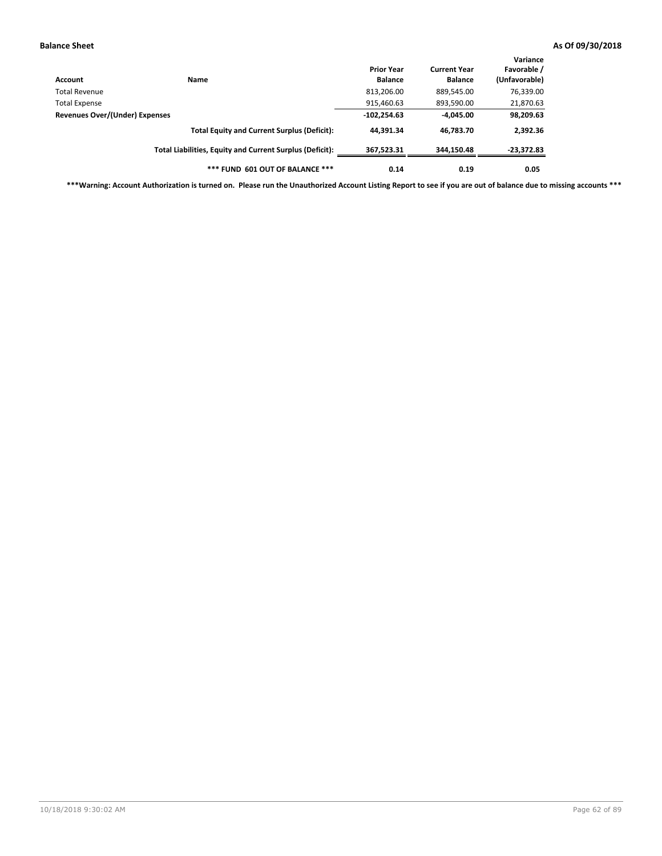| Account                        | Name                                                     | <b>Prior Year</b><br><b>Balance</b> | <b>Current Year</b><br><b>Balance</b> | Variance<br>Favorable /<br>(Unfavorable) |
|--------------------------------|----------------------------------------------------------|-------------------------------------|---------------------------------------|------------------------------------------|
| Total Revenue                  |                                                          | 813,206.00                          | 889,545.00                            | 76,339.00                                |
| <b>Total Expense</b>           |                                                          | 915,460.63                          | 893,590.00                            | 21,870.63                                |
| Revenues Over/(Under) Expenses |                                                          | $-102,254.63$                       | $-4.045.00$                           | 98,209.63                                |
|                                | <b>Total Equity and Current Surplus (Deficit):</b>       | 44.391.34                           | 46.783.70                             | 2,392.36                                 |
|                                | Total Liabilities, Equity and Current Surplus (Deficit): | 367,523.31                          | 344.150.48                            | $-23,372.83$                             |
|                                | *** FUND 601 OUT OF BALANCE ***                          | 0.14                                | 0.19                                  | 0.05                                     |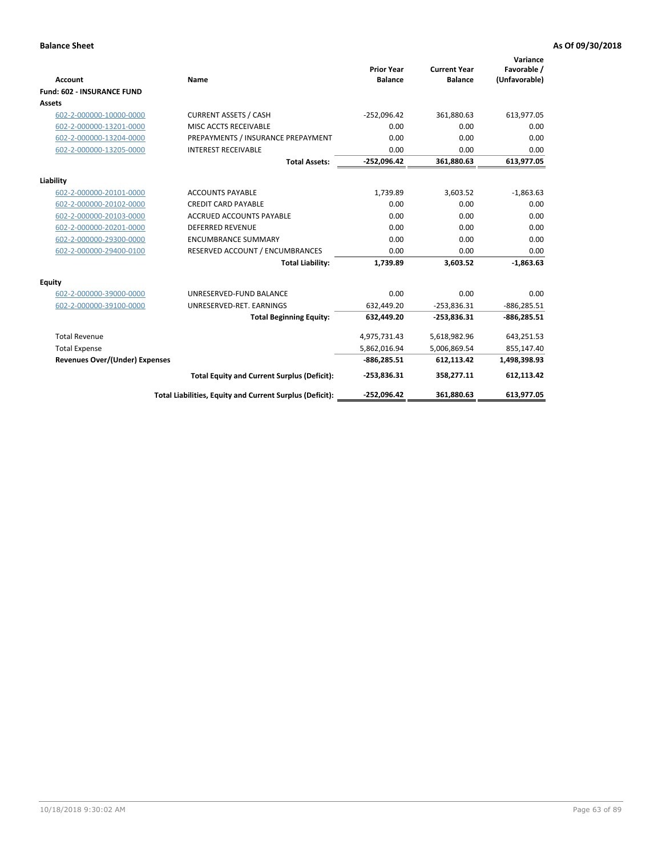|                                   |                                                          |                                     |                                       | Variance                     |
|-----------------------------------|----------------------------------------------------------|-------------------------------------|---------------------------------------|------------------------------|
| <b>Account</b>                    | Name                                                     | <b>Prior Year</b><br><b>Balance</b> | <b>Current Year</b><br><b>Balance</b> | Favorable /<br>(Unfavorable) |
| <b>Fund: 602 - INSURANCE FUND</b> |                                                          |                                     |                                       |                              |
| Assets                            |                                                          |                                     |                                       |                              |
| 602-2-000000-10000-0000           | <b>CURRENT ASSETS / CASH</b>                             | $-252,096.42$                       | 361,880.63                            | 613,977.05                   |
| 602-2-000000-13201-0000           | MISC ACCTS RECEIVABLE                                    | 0.00                                | 0.00                                  | 0.00                         |
| 602-2-000000-13204-0000           | PREPAYMENTS / INSURANCE PREPAYMENT                       | 0.00                                | 0.00                                  | 0.00                         |
| 602-2-000000-13205-0000           | <b>INTEREST RECEIVABLE</b>                               | 0.00                                | 0.00                                  | 0.00                         |
|                                   | <b>Total Assets:</b>                                     | $-252,096.42$                       | 361,880.63                            | 613,977.05                   |
| Liability                         |                                                          |                                     |                                       |                              |
| 602-2-000000-20101-0000           | <b>ACCOUNTS PAYABLE</b>                                  | 1,739.89                            | 3,603.52                              | $-1,863.63$                  |
| 602-2-000000-20102-0000           | <b>CREDIT CARD PAYABLE</b>                               | 0.00                                | 0.00                                  | 0.00                         |
| 602-2-000000-20103-0000           | <b>ACCRUED ACCOUNTS PAYABLE</b>                          | 0.00                                | 0.00                                  | 0.00                         |
| 602-2-000000-20201-0000           | <b>DEFERRED REVENUE</b>                                  | 0.00                                | 0.00                                  | 0.00                         |
| 602-2-000000-29300-0000           | <b>ENCUMBRANCE SUMMARY</b>                               | 0.00                                | 0.00                                  | 0.00                         |
| 602-2-000000-29400-0100           | RESERVED ACCOUNT / ENCUMBRANCES                          | 0.00                                | 0.00                                  | 0.00                         |
|                                   | <b>Total Liability:</b>                                  | 1,739.89                            | 3,603.52                              | $-1.863.63$                  |
| <b>Equity</b>                     |                                                          |                                     |                                       |                              |
| 602-2-000000-39000-0000           | UNRESERVED-FUND BALANCE                                  | 0.00                                | 0.00                                  | 0.00                         |
| 602-2-000000-39100-0000           | UNRESERVED-RET. EARNINGS                                 | 632,449.20                          | $-253,836.31$                         | $-886, 285.51$               |
|                                   | <b>Total Beginning Equity:</b>                           | 632,449.20                          | $-253,836.31$                         | $-886,285.51$                |
| <b>Total Revenue</b>              |                                                          | 4,975,731.43                        | 5,618,982.96                          | 643,251.53                   |
| <b>Total Expense</b>              |                                                          | 5,862,016.94                        | 5,006,869.54                          | 855,147.40                   |
| Revenues Over/(Under) Expenses    |                                                          | $-886,285.51$                       | 612,113.42                            | 1,498,398.93                 |
|                                   | <b>Total Equity and Current Surplus (Deficit):</b>       | $-253,836.31$                       | 358,277.11                            | 612,113.42                   |
|                                   | Total Liabilities, Equity and Current Surplus (Deficit): | -252,096.42                         | 361,880.63                            | 613,977.05                   |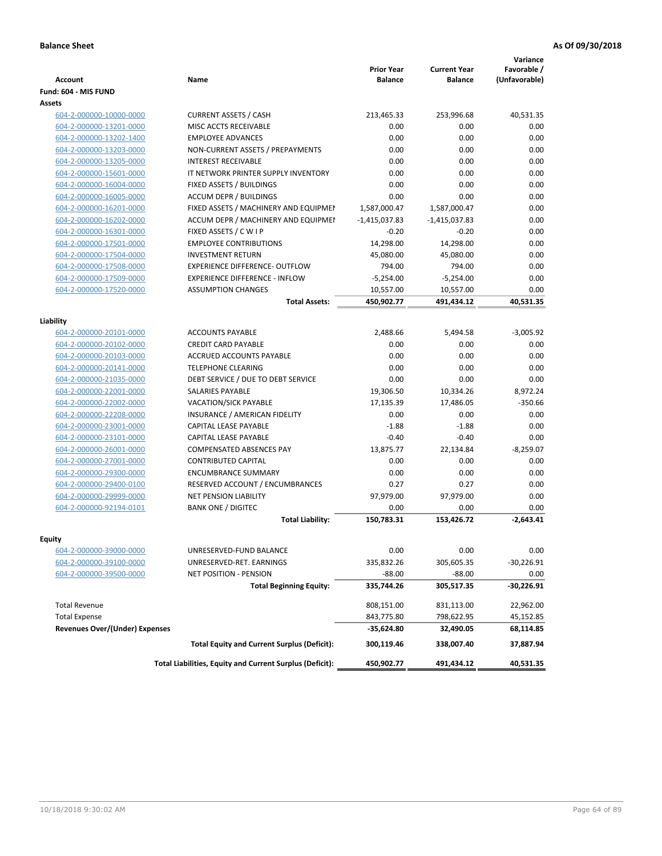|                                       |                                                                              | <b>Prior Year</b>               | <b>Current Year</b>             | Variance<br>Favorable / |
|---------------------------------------|------------------------------------------------------------------------------|---------------------------------|---------------------------------|-------------------------|
| <b>Account</b>                        | Name                                                                         | <b>Balance</b>                  | <b>Balance</b>                  | (Unfavorable)           |
| Fund: 604 - MIS FUND<br>Assets        |                                                                              |                                 |                                 |                         |
| 604-2-000000-10000-0000               | <b>CURRENT ASSETS / CASH</b>                                                 | 213,465.33                      | 253,996.68                      | 40,531.35               |
| 604-2-000000-13201-0000               | MISC ACCTS RECEIVABLE                                                        | 0.00                            | 0.00                            | 0.00                    |
| 604-2-000000-13202-1400               | <b>EMPLOYEE ADVANCES</b>                                                     | 0.00                            | 0.00                            | 0.00                    |
| 604-2-000000-13203-0000               | NON-CURRENT ASSETS / PREPAYMENTS                                             | 0.00                            | 0.00                            | 0.00                    |
| 604-2-000000-13205-0000               | <b>INTEREST RECEIVABLE</b>                                                   | 0.00                            | 0.00                            | 0.00                    |
| 604-2-000000-15601-0000               | IT NETWORK PRINTER SUPPLY INVENTORY                                          | 0.00                            | 0.00                            | 0.00                    |
| 604-2-000000-16004-0000               | FIXED ASSETS / BUILDINGS                                                     | 0.00                            | 0.00                            | 0.00                    |
| 604-2-000000-16005-0000               | <b>ACCUM DEPR / BUILDINGS</b>                                                | 0.00                            | 0.00                            | 0.00                    |
| 604-2-000000-16201-0000               |                                                                              |                                 |                                 | 0.00                    |
|                                       | FIXED ASSETS / MACHINERY AND EQUIPMEN<br>ACCUM DEPR / MACHINERY AND EQUIPMEI | 1,587,000.47<br>$-1,415,037.83$ | 1,587,000.47<br>$-1,415,037.83$ | 0.00                    |
| 604-2-000000-16202-0000               |                                                                              | $-0.20$                         | $-0.20$                         | 0.00                    |
| 604-2-000000-16301-0000               | FIXED ASSETS / C W I P                                                       |                                 | 14,298.00                       |                         |
| 604-2-000000-17501-0000               | <b>EMPLOYEE CONTRIBUTIONS</b>                                                | 14,298.00                       |                                 | 0.00                    |
| 604-2-000000-17504-0000               | <b>INVESTMENT RETURN</b>                                                     | 45,080.00                       | 45,080.00                       | 0.00                    |
| 604-2-000000-17508-0000               | <b>EXPERIENCE DIFFERENCE- OUTFLOW</b>                                        | 794.00                          | 794.00                          | 0.00                    |
| 604-2-000000-17509-0000               | <b>EXPERIENCE DIFFERENCE - INFLOW</b>                                        | $-5,254.00$                     | $-5,254.00$                     | 0.00                    |
| 604-2-000000-17520-0000               | <b>ASSUMPTION CHANGES</b>                                                    | 10,557.00                       | 10,557.00                       | 0.00                    |
|                                       | <b>Total Assets:</b>                                                         | 450,902.77                      | 491,434.12                      | 40,531.35               |
| Liability                             |                                                                              |                                 |                                 |                         |
| 604-2-000000-20101-0000               | <b>ACCOUNTS PAYABLE</b>                                                      | 2,488.66                        | 5,494.58                        | $-3,005.92$             |
| 604-2-000000-20102-0000               | <b>CREDIT CARD PAYABLE</b>                                                   | 0.00                            | 0.00                            | 0.00                    |
| 604-2-000000-20103-0000               | ACCRUED ACCOUNTS PAYABLE                                                     | 0.00                            | 0.00                            | 0.00                    |
| 604-2-000000-20141-0000               | <b>TELEPHONE CLEARING</b>                                                    | 0.00                            | 0.00                            | 0.00                    |
| 604-2-000000-21035-0000               | DEBT SERVICE / DUE TO DEBT SERVICE                                           | 0.00                            | 0.00                            | 0.00                    |
| 604-2-000000-22001-0000               | <b>SALARIES PAYABLE</b>                                                      | 19,306.50                       | 10,334.26                       | 8,972.24                |
| 604-2-000000-22002-0000               | <b>VACATION/SICK PAYABLE</b>                                                 | 17,135.39                       | 17,486.05                       | $-350.66$               |
| 604-2-000000-22208-0000               | INSURANCE / AMERICAN FIDELITY                                                | 0.00                            | 0.00                            | 0.00                    |
| 604-2-000000-23001-0000               | CAPITAL LEASE PAYABLE                                                        | $-1.88$                         | $-1.88$                         | 0.00                    |
| 604-2-000000-23101-0000               | CAPITAL LEASE PAYABLE                                                        | $-0.40$                         | $-0.40$                         | 0.00                    |
| 604-2-000000-26001-0000               | <b>COMPENSATED ABSENCES PAY</b>                                              | 13,875.77                       | 22,134.84                       | $-8,259.07$             |
| 604-2-000000-27001-0000               | <b>CONTRIBUTED CAPITAL</b>                                                   | 0.00                            | 0.00                            | 0.00                    |
| 604-2-000000-29300-0000               | <b>ENCUMBRANCE SUMMARY</b>                                                   | 0.00                            | 0.00                            | 0.00                    |
| 604-2-000000-29400-0100               | RESERVED ACCOUNT / ENCUMBRANCES                                              | 0.27                            | 0.27                            | 0.00                    |
| 604-2-000000-29999-0000               | <b>NET PENSION LIABILITY</b>                                                 | 97,979.00                       | 97,979.00                       | 0.00                    |
| 604-2-000000-92194-0101               | <b>BANK ONE / DIGITEC</b>                                                    | 0.00                            | 0.00                            | 0.00                    |
|                                       | <b>Total Liability:</b>                                                      | 150,783.31                      | 153,426.72                      | $-2.643.41$             |
|                                       |                                                                              |                                 |                                 |                         |
| Equity                                |                                                                              |                                 |                                 |                         |
| 604-2-000000-39000-0000               | UNRESERVED-FUND BALANCE                                                      | 0.00                            | 0.00                            | 0.00                    |
| 604-2-000000-39100-0000               | UNRESERVED-RET. EARNINGS                                                     | 335,832.26                      | 305,605.35                      | $-30,226.91$            |
| 604-2-000000-39500-0000               | NET POSITION - PENSION                                                       | $-88.00$                        | $-88.00$                        | 0.00                    |
|                                       | <b>Total Beginning Equity:</b>                                               | 335,744.26                      | 305,517.35                      | $-30,226.91$            |
| <b>Total Revenue</b>                  |                                                                              | 808,151.00                      | 831,113.00                      | 22,962.00               |
| <b>Total Expense</b>                  |                                                                              | 843,775.80                      | 798,622.95                      | 45,152.85               |
| <b>Revenues Over/(Under) Expenses</b> |                                                                              | -35,624.80                      | 32,490.05                       | 68,114.85               |
|                                       | <b>Total Equity and Current Surplus (Deficit):</b>                           | 300,119.46                      | 338,007.40                      | 37,887.94               |
|                                       | Total Liabilities, Equity and Current Surplus (Deficit):                     | 450,902.77                      | 491,434.12                      | 40,531.35               |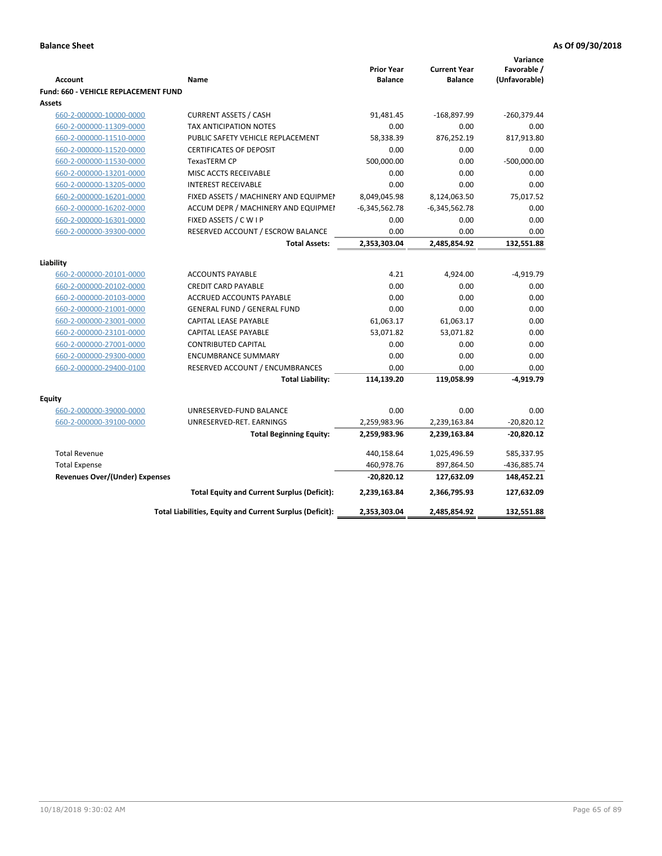|                                             |                                                          |                                     |                                       | Variance                     |
|---------------------------------------------|----------------------------------------------------------|-------------------------------------|---------------------------------------|------------------------------|
| <b>Account</b>                              | Name                                                     | <b>Prior Year</b><br><b>Balance</b> | <b>Current Year</b><br><b>Balance</b> | Favorable /<br>(Unfavorable) |
| <b>Fund: 660 - VEHICLE REPLACEMENT FUND</b> |                                                          |                                     |                                       |                              |
| Assets                                      |                                                          |                                     |                                       |                              |
| 660-2-000000-10000-0000                     | <b>CURRENT ASSETS / CASH</b>                             | 91,481.45                           | -168,897.99                           | $-260,379.44$                |
| 660-2-000000-11309-0000                     | <b>TAX ANTICIPATION NOTES</b>                            | 0.00                                | 0.00                                  | 0.00                         |
| 660-2-000000-11510-0000                     | PUBLIC SAFETY VEHICLE REPLACEMENT                        | 58,338.39                           | 876,252.19                            | 817,913.80                   |
| 660-2-000000-11520-0000                     | <b>CERTIFICATES OF DEPOSIT</b>                           | 0.00                                | 0.00                                  | 0.00                         |
| 660-2-000000-11530-0000                     | <b>TexasTERM CP</b>                                      | 500,000.00                          | 0.00                                  | $-500,000.00$                |
| 660-2-000000-13201-0000                     | MISC ACCTS RECEIVABLE                                    | 0.00                                | 0.00                                  | 0.00                         |
| 660-2-000000-13205-0000                     | <b>INTEREST RECEIVABLE</b>                               | 0.00                                | 0.00                                  | 0.00                         |
| 660-2-000000-16201-0000                     | FIXED ASSETS / MACHINERY AND EQUIPMEN                    | 8,049,045.98                        | 8,124,063.50                          | 75,017.52                    |
| 660-2-000000-16202-0000                     | ACCUM DEPR / MACHINERY AND EQUIPMEI                      | $-6,345,562.78$                     | $-6,345,562.78$                       | 0.00                         |
| 660-2-000000-16301-0000                     | FIXED ASSETS / C W I P                                   | 0.00                                | 0.00                                  | 0.00                         |
| 660-2-000000-39300-0000                     | RESERVED ACCOUNT / ESCROW BALANCE                        | 0.00                                | 0.00                                  | 0.00                         |
|                                             | <b>Total Assets:</b>                                     | 2,353,303.04                        | 2,485,854.92                          | 132,551.88                   |
|                                             |                                                          |                                     |                                       |                              |
| Liability                                   |                                                          |                                     |                                       |                              |
| 660-2-000000-20101-0000                     | <b>ACCOUNTS PAYABLE</b>                                  | 4.21                                | 4,924.00                              | $-4,919.79$                  |
| 660-2-000000-20102-0000                     | <b>CREDIT CARD PAYABLE</b>                               | 0.00                                | 0.00                                  | 0.00                         |
| 660-2-000000-20103-0000                     | ACCRUED ACCOUNTS PAYABLE                                 | 0.00                                | 0.00                                  | 0.00                         |
| 660-2-000000-21001-0000                     | <b>GENERAL FUND / GENERAL FUND</b>                       | 0.00                                | 0.00                                  | 0.00                         |
| 660-2-000000-23001-0000                     | CAPITAL LEASE PAYABLE                                    | 61,063.17                           | 61,063.17                             | 0.00                         |
| 660-2-000000-23101-0000                     | <b>CAPITAL LEASE PAYABLE</b>                             | 53,071.82                           | 53,071.82                             | 0.00                         |
| 660-2-000000-27001-0000                     | <b>CONTRIBUTED CAPITAL</b>                               | 0.00                                | 0.00                                  | 0.00                         |
| 660-2-000000-29300-0000                     | <b>ENCUMBRANCE SUMMARY</b>                               | 0.00                                | 0.00                                  | 0.00                         |
| 660-2-000000-29400-0100                     | RESERVED ACCOUNT / ENCUMBRANCES                          | 0.00                                | 0.00                                  | 0.00                         |
|                                             | <b>Total Liability:</b>                                  | 114,139.20                          | 119,058.99                            | $-4,919.79$                  |
| <b>Equity</b>                               |                                                          |                                     |                                       |                              |
| 660-2-000000-39000-0000                     | UNRESERVED-FUND BALANCE                                  | 0.00                                | 0.00                                  | 0.00                         |
| 660-2-000000-39100-0000                     | UNRESERVED-RET. EARNINGS                                 | 2,259,983.96                        | 2,239,163.84                          | $-20,820.12$                 |
|                                             | <b>Total Beginning Equity:</b>                           | 2,259,983.96                        | 2,239,163.84                          | $-20,820.12$                 |
|                                             |                                                          |                                     |                                       |                              |
| <b>Total Revenue</b>                        |                                                          | 440,158.64                          | 1,025,496.59                          | 585,337.95                   |
| <b>Total Expense</b>                        |                                                          | 460,978.76                          | 897,864.50                            | -436,885.74                  |
| Revenues Over/(Under) Expenses              |                                                          | $-20,820.12$                        | 127,632.09                            | 148,452.21                   |
|                                             | <b>Total Equity and Current Surplus (Deficit):</b>       | 2,239,163.84                        | 2,366,795.93                          | 127,632.09                   |
|                                             | Total Liabilities, Equity and Current Surplus (Deficit): | 2,353,303.04                        | 2,485,854.92                          | 132,551.88                   |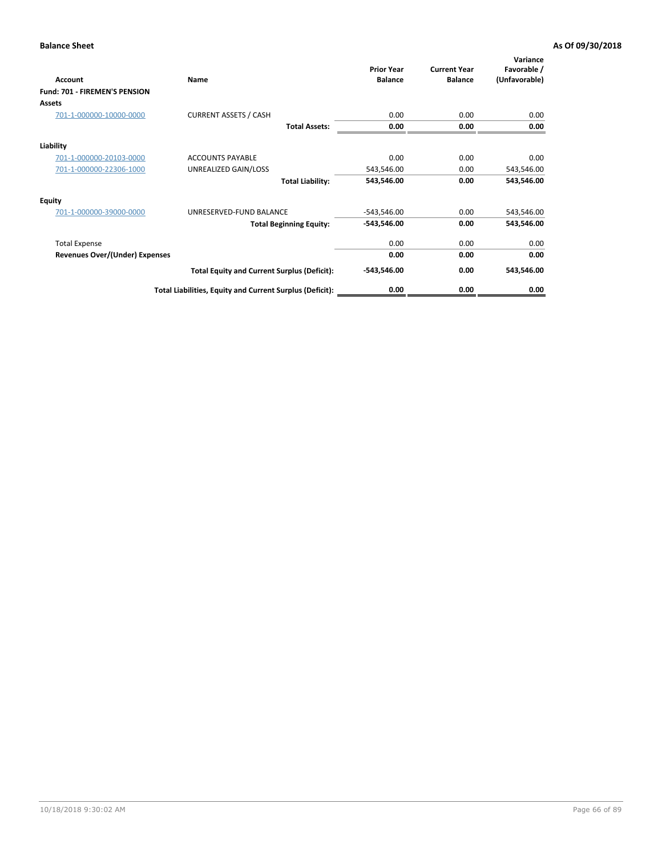| Account                               | Name                                                     | <b>Prior Year</b><br><b>Balance</b> | <b>Current Year</b><br><b>Balance</b> | Variance<br>Favorable /<br>(Unfavorable) |
|---------------------------------------|----------------------------------------------------------|-------------------------------------|---------------------------------------|------------------------------------------|
| Fund: 701 - FIREMEN'S PENSION         |                                                          |                                     |                                       |                                          |
| <b>Assets</b>                         |                                                          |                                     |                                       |                                          |
| 701-1-000000-10000-0000               | <b>CURRENT ASSETS / CASH</b>                             | 0.00                                | 0.00                                  | 0.00                                     |
|                                       | <b>Total Assets:</b>                                     | 0.00                                | 0.00                                  | 0.00                                     |
| Liability                             |                                                          |                                     |                                       |                                          |
| 701-1-000000-20103-0000               | <b>ACCOUNTS PAYABLE</b>                                  | 0.00                                | 0.00                                  | 0.00                                     |
| 701-1-000000-22306-1000               | UNREALIZED GAIN/LOSS                                     | 543,546.00                          | 0.00                                  | 543,546.00                               |
|                                       | <b>Total Liability:</b>                                  | 543,546.00                          | 0.00                                  | 543,546.00                               |
| <b>Equity</b>                         |                                                          |                                     |                                       |                                          |
| 701-1-000000-39000-0000               | UNRESERVED-FUND BALANCE                                  | $-543,546.00$                       | 0.00                                  | 543,546.00                               |
|                                       | <b>Total Beginning Equity:</b>                           | $-543,546.00$                       | 0.00                                  | 543,546.00                               |
| <b>Total Expense</b>                  |                                                          | 0.00                                | 0.00                                  | 0.00                                     |
| <b>Revenues Over/(Under) Expenses</b> |                                                          | 0.00                                | 0.00                                  | 0.00                                     |
|                                       | <b>Total Equity and Current Surplus (Deficit):</b>       | $-543,546.00$                       | 0.00                                  | 543,546.00                               |
|                                       | Total Liabilities, Equity and Current Surplus (Deficit): | 0.00                                | 0.00                                  | 0.00                                     |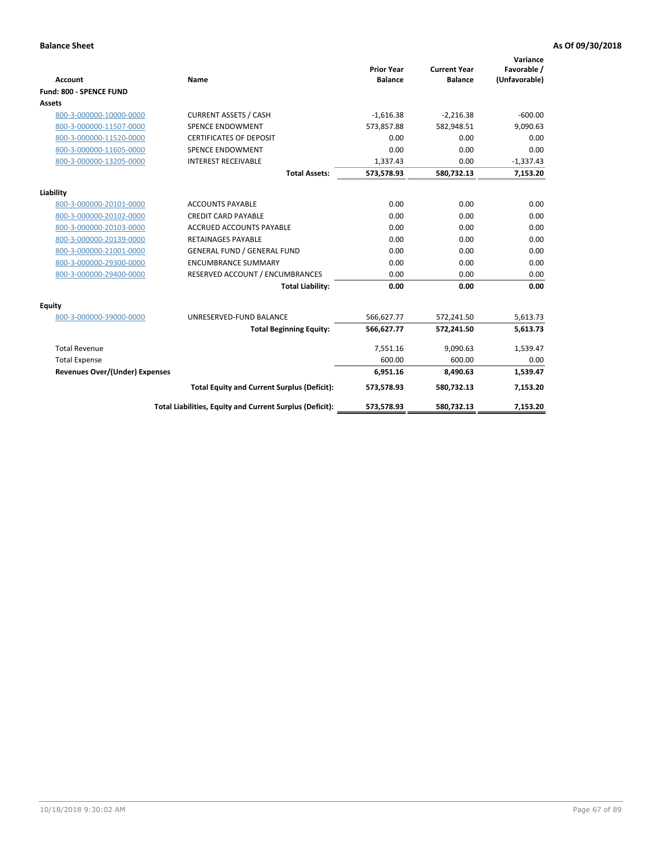|                                       |                                                          |                                     |                                       | Variance                     |
|---------------------------------------|----------------------------------------------------------|-------------------------------------|---------------------------------------|------------------------------|
| <b>Account</b>                        | Name                                                     | <b>Prior Year</b><br><b>Balance</b> | <b>Current Year</b><br><b>Balance</b> | Favorable /<br>(Unfavorable) |
| Fund: 800 - SPENCE FUND               |                                                          |                                     |                                       |                              |
| <b>Assets</b>                         |                                                          |                                     |                                       |                              |
| 800-3-000000-10000-0000               | <b>CURRENT ASSETS / CASH</b>                             | $-1,616.38$                         | $-2,216.38$                           | $-600.00$                    |
| 800-3-000000-11507-0000               | <b>SPENCE ENDOWMENT</b>                                  | 573,857.88                          | 582,948.51                            | 9,090.63                     |
| 800-3-000000-11520-0000               | <b>CERTIFICATES OF DEPOSIT</b>                           | 0.00                                | 0.00                                  | 0.00                         |
| 800-3-000000-11605-0000               | <b>SPENCE ENDOWMENT</b>                                  | 0.00                                | 0.00                                  | 0.00                         |
| 800-3-000000-13205-0000               | <b>INTEREST RECEIVABLE</b>                               | 1,337.43                            | 0.00                                  | $-1,337.43$                  |
|                                       | <b>Total Assets:</b>                                     | 573,578.93                          | 580,732.13                            | 7,153.20                     |
| Liability                             |                                                          |                                     |                                       |                              |
| 800-3-000000-20101-0000               | <b>ACCOUNTS PAYABLE</b>                                  | 0.00                                | 0.00                                  | 0.00                         |
| 800-3-000000-20102-0000               | <b>CREDIT CARD PAYABLE</b>                               | 0.00                                | 0.00                                  | 0.00                         |
| 800-3-000000-20103-0000               | <b>ACCRUED ACCOUNTS PAYABLE</b>                          | 0.00                                | 0.00                                  | 0.00                         |
| 800-3-000000-20139-0000               | <b>RETAINAGES PAYABLE</b>                                | 0.00                                | 0.00                                  | 0.00                         |
| 800-3-000000-21001-0000               | <b>GENERAL FUND / GENERAL FUND</b>                       | 0.00                                | 0.00                                  | 0.00                         |
| 800-3-000000-29300-0000               | <b>ENCUMBRANCE SUMMARY</b>                               | 0.00                                | 0.00                                  | 0.00                         |
| 800-3-000000-29400-0000               | RESERVED ACCOUNT / ENCUMBRANCES                          | 0.00                                | 0.00                                  | 0.00                         |
|                                       | <b>Total Liability:</b>                                  | 0.00                                | 0.00                                  | 0.00                         |
| Equity                                |                                                          |                                     |                                       |                              |
| 800-3-000000-39000-0000               | UNRESERVED-FUND BALANCE                                  | 566,627.77                          | 572,241.50                            | 5,613.73                     |
|                                       | <b>Total Beginning Equity:</b>                           | 566,627.77                          | 572,241.50                            | 5,613.73                     |
| <b>Total Revenue</b>                  |                                                          | 7,551.16                            | 9,090.63                              | 1,539.47                     |
| <b>Total Expense</b>                  |                                                          | 600.00                              | 600.00                                | 0.00                         |
| <b>Revenues Over/(Under) Expenses</b> |                                                          | 6,951.16                            | 8,490.63                              | 1,539.47                     |
|                                       | <b>Total Equity and Current Surplus (Deficit):</b>       | 573,578.93                          | 580,732.13                            | 7,153.20                     |
|                                       | Total Liabilities, Equity and Current Surplus (Deficit): | 573,578.93                          | 580,732.13                            | 7,153.20                     |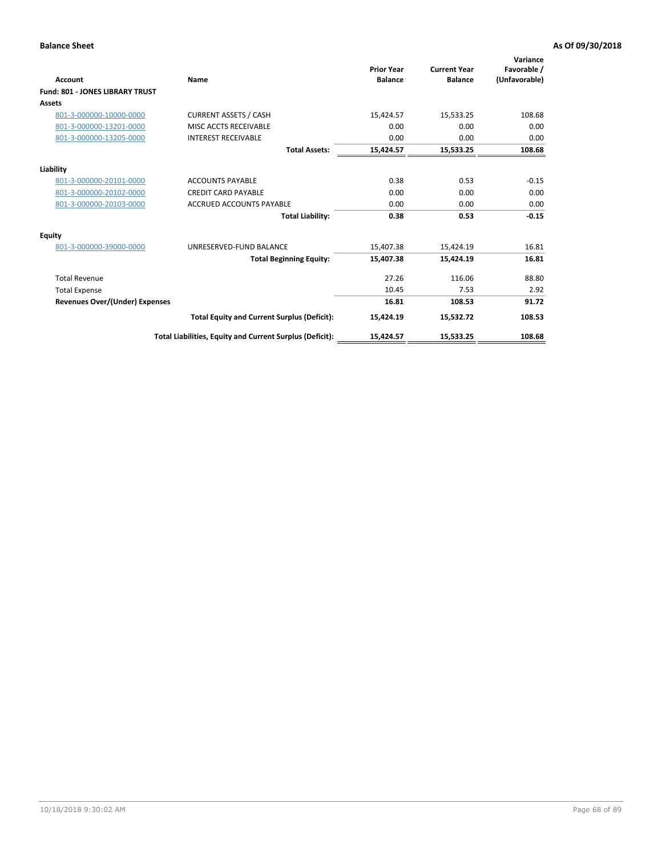| <b>Account</b>                         | Name                                                     | <b>Prior Year</b><br><b>Balance</b> | <b>Current Year</b><br><b>Balance</b> | Variance<br>Favorable /<br>(Unfavorable) |
|----------------------------------------|----------------------------------------------------------|-------------------------------------|---------------------------------------|------------------------------------------|
| <b>Fund: 801 - JONES LIBRARY TRUST</b> |                                                          |                                     |                                       |                                          |
| Assets                                 |                                                          |                                     |                                       |                                          |
| 801-3-000000-10000-0000                | <b>CURRENT ASSETS / CASH</b>                             | 15,424.57                           | 15,533.25                             | 108.68                                   |
| 801-3-000000-13201-0000                | MISC ACCTS RECEIVABLE                                    | 0.00                                | 0.00                                  | 0.00                                     |
| 801-3-000000-13205-0000                | <b>INTEREST RECEIVABLE</b>                               | 0.00                                | 0.00                                  | 0.00                                     |
|                                        | <b>Total Assets:</b>                                     | 15,424.57                           | 15,533.25                             | 108.68                                   |
| Liability                              |                                                          |                                     |                                       |                                          |
| 801-3-000000-20101-0000                | <b>ACCOUNTS PAYABLE</b>                                  | 0.38                                | 0.53                                  | $-0.15$                                  |
| 801-3-000000-20102-0000                | <b>CREDIT CARD PAYABLE</b>                               | 0.00                                | 0.00                                  | 0.00                                     |
| 801-3-000000-20103-0000                | <b>ACCRUED ACCOUNTS PAYABLE</b>                          | 0.00                                | 0.00                                  | 0.00                                     |
|                                        | <b>Total Liability:</b>                                  | 0.38                                | 0.53                                  | $-0.15$                                  |
| Equity                                 |                                                          |                                     |                                       |                                          |
| 801-3-000000-39000-0000                | UNRESERVED-FUND BALANCE                                  | 15,407.38                           | 15,424.19                             | 16.81                                    |
|                                        | <b>Total Beginning Equity:</b>                           | 15,407.38                           | 15,424.19                             | 16.81                                    |
| <b>Total Revenue</b>                   |                                                          | 27.26                               | 116.06                                | 88.80                                    |
| <b>Total Expense</b>                   |                                                          | 10.45                               | 7.53                                  | 2.92                                     |
| <b>Revenues Over/(Under) Expenses</b>  |                                                          | 16.81                               | 108.53                                | 91.72                                    |
|                                        | <b>Total Equity and Current Surplus (Deficit):</b>       | 15,424.19                           | 15,532.72                             | 108.53                                   |
|                                        | Total Liabilities, Equity and Current Surplus (Deficit): | 15,424.57                           | 15,533.25                             | 108.68                                   |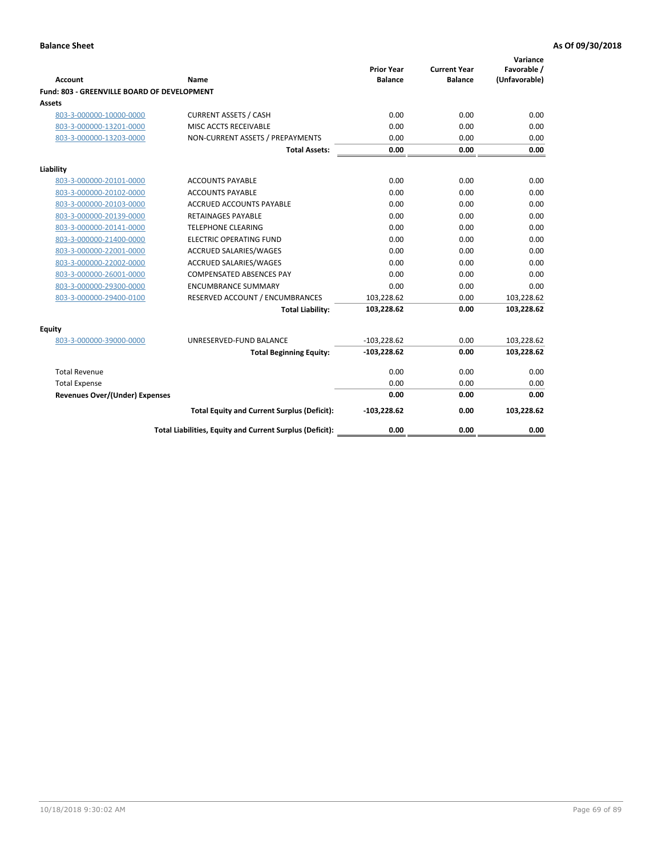| <b>Account</b>                              | Name                                                     | <b>Prior Year</b><br><b>Balance</b> | <b>Current Year</b><br><b>Balance</b> | Variance<br>Favorable /<br>(Unfavorable) |
|---------------------------------------------|----------------------------------------------------------|-------------------------------------|---------------------------------------|------------------------------------------|
| Fund: 803 - GREENVILLE BOARD OF DEVELOPMENT |                                                          |                                     |                                       |                                          |
| Assets                                      |                                                          |                                     |                                       |                                          |
| 803-3-000000-10000-0000                     | <b>CURRENT ASSETS / CASH</b>                             | 0.00                                | 0.00                                  | 0.00                                     |
| 803-3-000000-13201-0000                     | MISC ACCTS RECEIVABLE                                    | 0.00                                | 0.00                                  | 0.00                                     |
| 803-3-000000-13203-0000                     | NON-CURRENT ASSETS / PREPAYMENTS                         | 0.00                                | 0.00                                  | 0.00                                     |
|                                             | <b>Total Assets:</b>                                     | 0.00                                | 0.00                                  | 0.00                                     |
| Liability                                   |                                                          |                                     |                                       |                                          |
| 803-3-000000-20101-0000                     | <b>ACCOUNTS PAYABLE</b>                                  | 0.00                                | 0.00                                  | 0.00                                     |
| 803-3-000000-20102-0000                     | <b>ACCOUNTS PAYABLE</b>                                  | 0.00                                | 0.00                                  | 0.00                                     |
| 803-3-000000-20103-0000                     | <b>ACCRUED ACCOUNTS PAYABLE</b>                          | 0.00                                | 0.00                                  | 0.00                                     |
| 803-3-000000-20139-0000                     | <b>RETAINAGES PAYABLE</b>                                | 0.00                                | 0.00                                  | 0.00                                     |
| 803-3-000000-20141-0000                     | <b>TELEPHONE CLEARING</b>                                | 0.00                                | 0.00                                  | 0.00                                     |
| 803-3-000000-21400-0000                     | <b>ELECTRIC OPERATING FUND</b>                           | 0.00                                | 0.00                                  | 0.00                                     |
| 803-3-000000-22001-0000                     | ACCRUED SALARIES/WAGES                                   | 0.00                                | 0.00                                  | 0.00                                     |
| 803-3-000000-22002-0000                     | <b>ACCRUED SALARIES/WAGES</b>                            | 0.00                                | 0.00                                  | 0.00                                     |
| 803-3-000000-26001-0000                     | <b>COMPENSATED ABSENCES PAY</b>                          | 0.00                                | 0.00                                  | 0.00                                     |
| 803-3-000000-29300-0000                     | <b>ENCUMBRANCE SUMMARY</b>                               | 0.00                                | 0.00                                  | 0.00                                     |
| 803-3-000000-29400-0100                     | RESERVED ACCOUNT / ENCUMBRANCES                          | 103,228.62                          | 0.00                                  | 103,228.62                               |
|                                             | <b>Total Liability:</b>                                  | 103,228.62                          | 0.00                                  | 103,228.62                               |
| Equity                                      |                                                          |                                     |                                       |                                          |
| 803-3-000000-39000-0000                     | UNRESERVED-FUND BALANCE                                  | $-103,228.62$                       | 0.00                                  | 103,228.62                               |
|                                             | <b>Total Beginning Equity:</b>                           | $-103,228.62$                       | 0.00                                  | 103,228.62                               |
| <b>Total Revenue</b>                        |                                                          | 0.00                                | 0.00                                  | 0.00                                     |
| <b>Total Expense</b>                        |                                                          | 0.00                                | 0.00                                  | 0.00                                     |
| <b>Revenues Over/(Under) Expenses</b>       |                                                          | 0.00                                | 0.00                                  | 0.00                                     |
|                                             | <b>Total Equity and Current Surplus (Deficit):</b>       | $-103,228.62$                       | 0.00                                  | 103,228.62                               |
|                                             | Total Liabilities, Equity and Current Surplus (Deficit): | 0.00                                | 0.00                                  | 0.00                                     |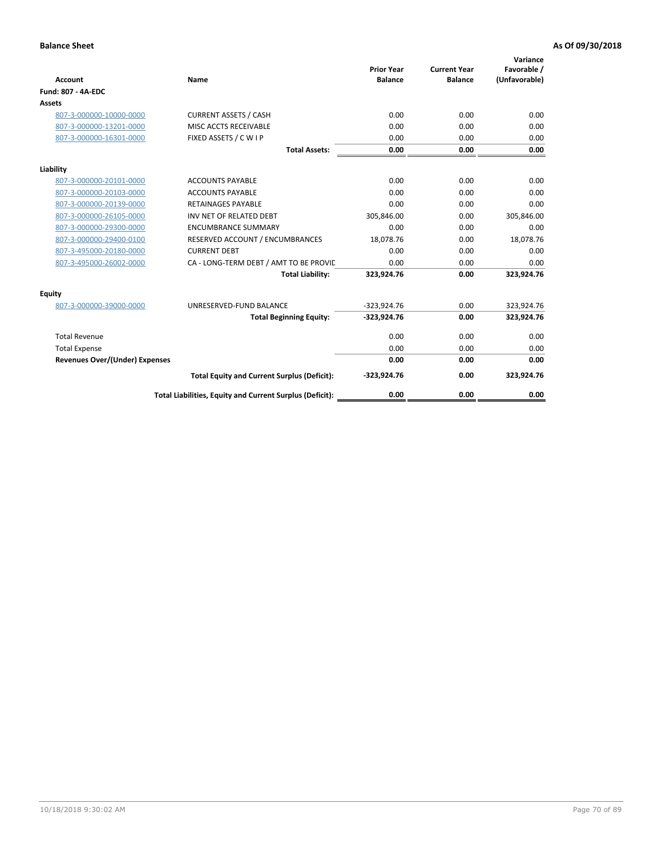| <b>Account</b>                        | Name                                                     | <b>Prior Year</b><br><b>Balance</b> | <b>Current Year</b><br><b>Balance</b> | Variance<br>Favorable /<br>(Unfavorable) |
|---------------------------------------|----------------------------------------------------------|-------------------------------------|---------------------------------------|------------------------------------------|
| <b>Fund: 807 - 4A-EDC</b>             |                                                          |                                     |                                       |                                          |
| <b>Assets</b>                         |                                                          |                                     |                                       |                                          |
| 807-3-000000-10000-0000               | <b>CURRENT ASSETS / CASH</b>                             | 0.00                                | 0.00                                  | 0.00                                     |
| 807-3-000000-13201-0000               | MISC ACCTS RECEIVABLE                                    | 0.00                                | 0.00                                  | 0.00                                     |
| 807-3-000000-16301-0000               | FIXED ASSETS / C W I P                                   | 0.00                                | 0.00                                  | 0.00                                     |
|                                       | <b>Total Assets:</b>                                     | 0.00                                | 0.00                                  | 0.00                                     |
| Liability                             |                                                          |                                     |                                       |                                          |
| 807-3-000000-20101-0000               | <b>ACCOUNTS PAYABLE</b>                                  | 0.00                                | 0.00                                  | 0.00                                     |
| 807-3-000000-20103-0000               | <b>ACCOUNTS PAYABLE</b>                                  | 0.00                                | 0.00                                  | 0.00                                     |
| 807-3-000000-20139-0000               | <b>RETAINAGES PAYABLE</b>                                | 0.00                                | 0.00                                  | 0.00                                     |
| 807-3-000000-26105-0000               | INV NET OF RELATED DEBT                                  | 305,846.00                          | 0.00                                  | 305,846.00                               |
| 807-3-000000-29300-0000               | <b>ENCUMBRANCE SUMMARY</b>                               | 0.00                                | 0.00                                  | 0.00                                     |
| 807-3-000000-29400-0100               | RESERVED ACCOUNT / ENCUMBRANCES                          | 18,078.76                           | 0.00                                  | 18,078.76                                |
| 807-3-495000-20180-0000               | <b>CURRENT DEBT</b>                                      | 0.00                                | 0.00                                  | 0.00                                     |
| 807-3-495000-26002-0000               | CA - LONG-TERM DEBT / AMT TO BE PROVIL                   | 0.00                                | 0.00                                  | 0.00                                     |
|                                       | <b>Total Liability:</b>                                  | 323,924.76                          | 0.00                                  | 323,924.76                               |
| Equity                                |                                                          |                                     |                                       |                                          |
| 807-3-000000-39000-0000               | UNRESERVED-FUND BALANCE                                  | $-323,924.76$                       | 0.00                                  | 323,924.76                               |
|                                       | <b>Total Beginning Equity:</b>                           | -323,924.76                         | 0.00                                  | 323,924.76                               |
| <b>Total Revenue</b>                  |                                                          | 0.00                                | 0.00                                  | 0.00                                     |
| <b>Total Expense</b>                  |                                                          | 0.00                                | 0.00                                  | 0.00                                     |
| <b>Revenues Over/(Under) Expenses</b> |                                                          | 0.00                                | 0.00                                  | 0.00                                     |
|                                       | <b>Total Equity and Current Surplus (Deficit):</b>       | $-323,924.76$                       | 0.00                                  | 323,924.76                               |
|                                       | Total Liabilities, Equity and Current Surplus (Deficit): | 0.00                                | 0.00                                  | 0.00                                     |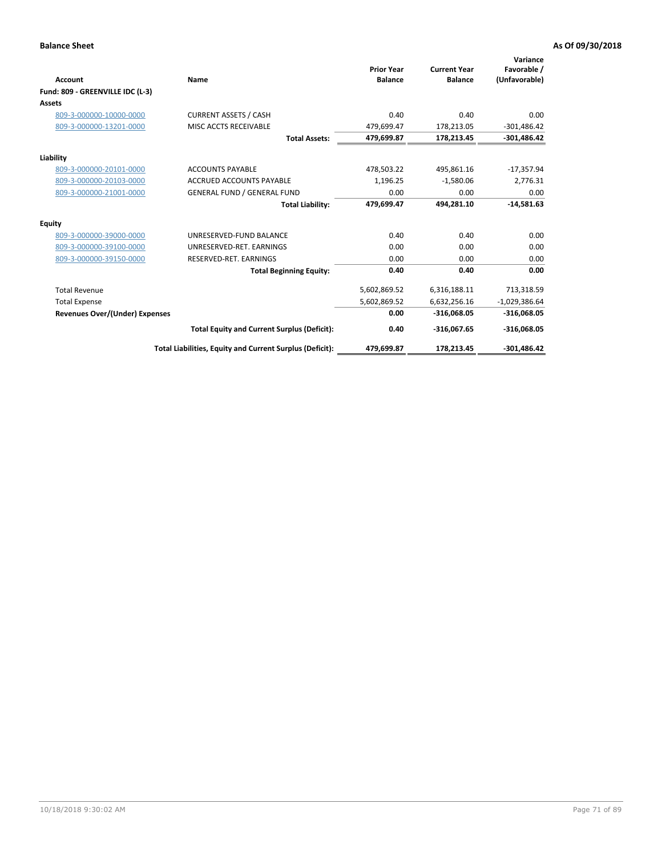|                                       |                                                          | <b>Prior Year</b> | <b>Current Year</b> | Variance<br>Favorable / |
|---------------------------------------|----------------------------------------------------------|-------------------|---------------------|-------------------------|
| Account                               | Name                                                     | <b>Balance</b>    | <b>Balance</b>      | (Unfavorable)           |
| Fund: 809 - GREENVILLE IDC (L-3)      |                                                          |                   |                     |                         |
| Assets                                |                                                          |                   |                     |                         |
| 809-3-000000-10000-0000               | <b>CURRENT ASSETS / CASH</b>                             | 0.40              | 0.40                | 0.00                    |
| 809-3-000000-13201-0000               | MISC ACCTS RECEIVABLE                                    | 479,699.47        | 178,213.05          | $-301,486.42$           |
|                                       | <b>Total Assets:</b>                                     | 479,699.87        | 178,213.45          | $-301,486.42$           |
| Liability                             |                                                          |                   |                     |                         |
| 809-3-000000-20101-0000               | <b>ACCOUNTS PAYABLE</b>                                  | 478,503.22        | 495,861.16          | $-17,357.94$            |
| 809-3-000000-20103-0000               | <b>ACCRUED ACCOUNTS PAYABLE</b>                          | 1,196.25          | $-1,580.06$         | 2,776.31                |
| 809-3-000000-21001-0000               | <b>GENERAL FUND / GENERAL FUND</b>                       | 0.00              | 0.00                | 0.00                    |
|                                       | <b>Total Liability:</b>                                  | 479,699.47        | 494,281.10          | $-14,581.63$            |
| Equity                                |                                                          |                   |                     |                         |
| 809-3-000000-39000-0000               | UNRESERVED-FUND BALANCE                                  | 0.40              | 0.40                | 0.00                    |
| 809-3-000000-39100-0000               | UNRESERVED-RET. EARNINGS                                 | 0.00              | 0.00                | 0.00                    |
| 809-3-000000-39150-0000               | RESERVED-RET. EARNINGS                                   | 0.00              | 0.00                | 0.00                    |
|                                       | <b>Total Beginning Equity:</b>                           | 0.40              | 0.40                | 0.00                    |
| <b>Total Revenue</b>                  |                                                          | 5,602,869.52      | 6,316,188.11        | 713,318.59              |
| <b>Total Expense</b>                  |                                                          | 5,602,869.52      | 6,632,256.16        | $-1,029,386.64$         |
| <b>Revenues Over/(Under) Expenses</b> |                                                          | 0.00              | $-316,068.05$       | $-316,068.05$           |
|                                       | <b>Total Equity and Current Surplus (Deficit):</b>       | 0.40              | $-316,067.65$       | $-316,068.05$           |
|                                       | Total Liabilities, Equity and Current Surplus (Deficit): | 479,699.87        | 178,213.45          | $-301.486.42$           |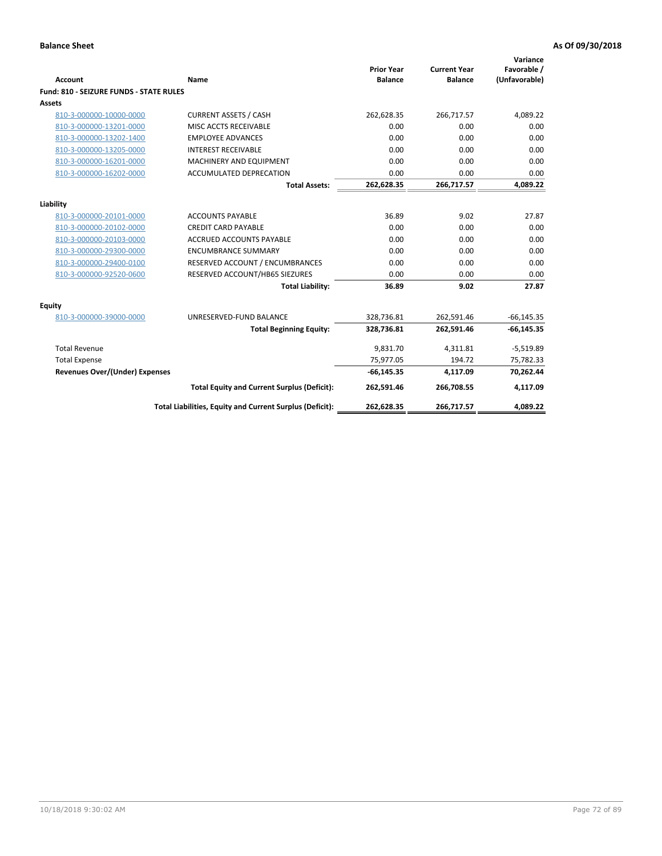| <b>Account</b>                                 | Name                                                     | <b>Prior Year</b><br><b>Balance</b> | <b>Current Year</b><br><b>Balance</b> | Variance<br>Favorable /<br>(Unfavorable) |
|------------------------------------------------|----------------------------------------------------------|-------------------------------------|---------------------------------------|------------------------------------------|
| <b>Fund: 810 - SEIZURE FUNDS - STATE RULES</b> |                                                          |                                     |                                       |                                          |
| Assets                                         |                                                          |                                     |                                       |                                          |
| 810-3-000000-10000-0000                        | <b>CURRENT ASSETS / CASH</b>                             | 262,628.35                          | 266,717.57                            | 4,089.22                                 |
| 810-3-000000-13201-0000                        | MISC ACCTS RECEIVABLE                                    | 0.00                                | 0.00                                  | 0.00                                     |
| 810-3-000000-13202-1400                        | <b>EMPLOYEE ADVANCES</b>                                 | 0.00                                | 0.00                                  | 0.00                                     |
| 810-3-000000-13205-0000                        | <b>INTEREST RECEIVABLE</b>                               | 0.00                                | 0.00                                  | 0.00                                     |
| 810-3-000000-16201-0000                        | <b>MACHINERY AND EQUIPMENT</b>                           | 0.00                                | 0.00                                  | 0.00                                     |
| 810-3-000000-16202-0000                        | ACCUMULATED DEPRECATION                                  | 0.00                                | 0.00                                  | 0.00                                     |
|                                                | <b>Total Assets:</b>                                     | 262,628.35                          | 266,717.57                            | 4,089.22                                 |
|                                                |                                                          |                                     |                                       |                                          |
| Liability                                      |                                                          |                                     |                                       |                                          |
| 810-3-000000-20101-0000                        | <b>ACCOUNTS PAYABLE</b>                                  | 36.89                               | 9.02                                  | 27.87                                    |
| 810-3-000000-20102-0000                        | <b>CREDIT CARD PAYABLE</b>                               | 0.00                                | 0.00                                  | 0.00                                     |
| 810-3-000000-20103-0000                        | <b>ACCRUED ACCOUNTS PAYABLE</b>                          | 0.00                                | 0.00                                  | 0.00                                     |
| 810-3-000000-29300-0000                        | <b>ENCUMBRANCE SUMMARY</b>                               | 0.00                                | 0.00                                  | 0.00                                     |
| 810-3-000000-29400-0100                        | RESERVED ACCOUNT / ENCUMBRANCES                          | 0.00                                | 0.00                                  | 0.00                                     |
| 810-3-000000-92520-0600                        | RESERVED ACCOUNT/HB65 SIEZURES                           | 0.00                                | 0.00                                  | 0.00                                     |
|                                                | <b>Total Liability:</b>                                  | 36.89                               | 9.02                                  | 27.87                                    |
| <b>Equity</b>                                  |                                                          |                                     |                                       |                                          |
| 810-3-000000-39000-0000                        | UNRESERVED-FUND BALANCE                                  | 328,736.81                          | 262,591.46                            | $-66, 145.35$                            |
|                                                | <b>Total Beginning Equity:</b>                           | 328,736.81                          | 262,591.46                            | $-66, 145.35$                            |
| <b>Total Revenue</b>                           |                                                          | 9,831.70                            | 4,311.81                              | $-5,519.89$                              |
| <b>Total Expense</b>                           |                                                          | 75,977.05                           | 194.72                                | 75,782.33                                |
| Revenues Over/(Under) Expenses                 |                                                          | $-66, 145.35$                       | 4,117.09                              | 70,262.44                                |
|                                                | <b>Total Equity and Current Surplus (Deficit):</b>       | 262,591.46                          | 266,708.55                            | 4,117.09                                 |
|                                                | Total Liabilities, Equity and Current Surplus (Deficit): | 262,628.35                          | 266,717.57                            | 4,089.22                                 |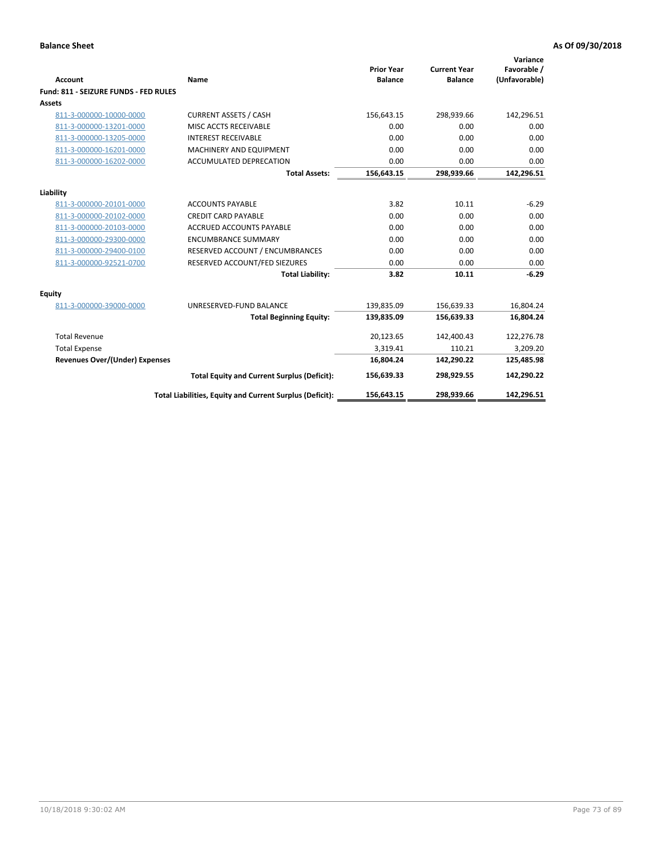| <b>Account</b>                        | Name                                                     | <b>Prior Year</b><br><b>Balance</b> | <b>Current Year</b><br><b>Balance</b> | Variance<br>Favorable /<br>(Unfavorable) |
|---------------------------------------|----------------------------------------------------------|-------------------------------------|---------------------------------------|------------------------------------------|
| Fund: 811 - SEIZURE FUNDS - FED RULES |                                                          |                                     |                                       |                                          |
| <b>Assets</b>                         |                                                          |                                     |                                       |                                          |
| 811-3-000000-10000-0000               | <b>CURRENT ASSETS / CASH</b>                             | 156,643.15                          | 298,939.66                            | 142,296.51                               |
| 811-3-000000-13201-0000               | MISC ACCTS RECEIVABLE                                    | 0.00                                | 0.00                                  | 0.00                                     |
| 811-3-000000-13205-0000               | <b>INTEREST RECEIVABLE</b>                               | 0.00                                | 0.00                                  | 0.00                                     |
| 811-3-000000-16201-0000               | <b>MACHINERY AND EQUIPMENT</b>                           | 0.00                                | 0.00                                  | 0.00                                     |
| 811-3-000000-16202-0000               | <b>ACCUMULATED DEPRECATION</b>                           | 0.00                                | 0.00                                  | 0.00                                     |
|                                       | <b>Total Assets:</b>                                     | 156,643.15                          | 298,939.66                            | 142,296.51                               |
| Liability                             |                                                          |                                     |                                       |                                          |
| 811-3-000000-20101-0000               | <b>ACCOUNTS PAYABLE</b>                                  | 3.82                                | 10.11                                 | $-6.29$                                  |
| 811-3-000000-20102-0000               | <b>CREDIT CARD PAYABLE</b>                               | 0.00                                | 0.00                                  | 0.00                                     |
| 811-3-000000-20103-0000               | <b>ACCRUED ACCOUNTS PAYABLE</b>                          | 0.00                                | 0.00                                  | 0.00                                     |
| 811-3-000000-29300-0000               | <b>ENCUMBRANCE SUMMARY</b>                               | 0.00                                | 0.00                                  | 0.00                                     |
| 811-3-000000-29400-0100               | RESERVED ACCOUNT / ENCUMBRANCES                          | 0.00                                | 0.00                                  | 0.00                                     |
| 811-3-000000-92521-0700               | RESERVED ACCOUNT/FED SIEZURES                            | 0.00                                | 0.00                                  | 0.00                                     |
|                                       | <b>Total Liability:</b>                                  | 3.82                                | 10.11                                 | $-6.29$                                  |
|                                       |                                                          |                                     |                                       |                                          |
| Equity<br>811-3-000000-39000-0000     | UNRESERVED-FUND BALANCE                                  | 139,835.09                          | 156,639.33                            | 16,804.24                                |
|                                       | <b>Total Beginning Equity:</b>                           | 139,835.09                          | 156,639.33                            | 16,804.24                                |
|                                       |                                                          |                                     |                                       |                                          |
| <b>Total Revenue</b>                  |                                                          | 20,123.65                           | 142,400.43                            | 122,276.78                               |
| <b>Total Expense</b>                  |                                                          | 3,319.41                            | 110.21                                | 3,209.20                                 |
| Revenues Over/(Under) Expenses        |                                                          | 16,804.24                           | 142,290.22                            | 125,485.98                               |
|                                       | <b>Total Equity and Current Surplus (Deficit):</b>       | 156,639.33                          | 298,929.55                            | 142,290.22                               |
|                                       | Total Liabilities, Equity and Current Surplus (Deficit): | 156,643.15                          | 298.939.66                            | 142.296.51                               |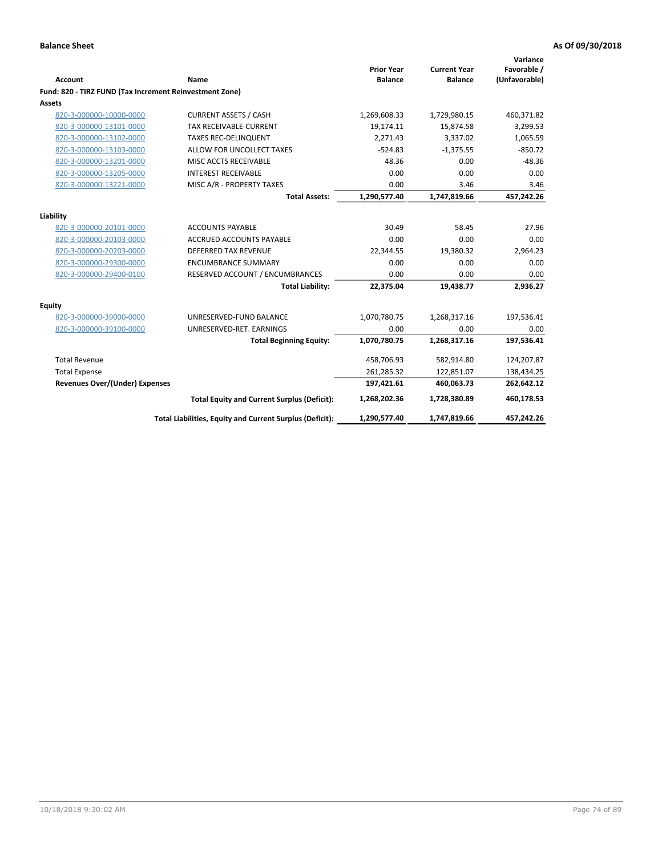| <b>Account</b>                                          | Name                                                     | <b>Prior Year</b><br><b>Balance</b> | <b>Current Year</b><br><b>Balance</b> | Variance<br>Favorable /<br>(Unfavorable) |
|---------------------------------------------------------|----------------------------------------------------------|-------------------------------------|---------------------------------------|------------------------------------------|
| Fund: 820 - TIRZ FUND (Tax Increment Reinvestment Zone) |                                                          |                                     |                                       |                                          |
| Assets                                                  |                                                          |                                     |                                       |                                          |
| 820-3-000000-10000-0000                                 | <b>CURRENT ASSETS / CASH</b>                             | 1,269,608.33                        | 1,729,980.15                          | 460,371.82                               |
| 820-3-000000-13101-0000                                 | <b>TAX RECEIVABLE-CURRENT</b>                            | 19,174.11                           | 15,874.58                             | $-3,299.53$                              |
| 820-3-000000-13102-0000                                 | <b>TAXES REC-DELINQUENT</b>                              | 2,271.43                            | 3,337.02                              | 1,065.59                                 |
| 820-3-000000-13103-0000                                 | ALLOW FOR UNCOLLECT TAXES                                | $-524.83$                           | $-1,375.55$                           | $-850.72$                                |
| 820-3-000000-13201-0000                                 | MISC ACCTS RECEIVABLE                                    | 48.36                               | 0.00                                  | $-48.36$                                 |
| 820-3-000000-13205-0000                                 | <b>INTEREST RECEIVABLE</b>                               | 0.00                                | 0.00                                  | 0.00                                     |
| 820-3-000000-13221-0000                                 | MISC A/R - PROPERTY TAXES                                | 0.00                                | 3.46                                  | 3.46                                     |
|                                                         | <b>Total Assets:</b>                                     | 1,290,577.40                        | 1,747,819.66                          | 457,242.26                               |
| Liability                                               |                                                          |                                     |                                       |                                          |
| 820-3-000000-20101-0000                                 | <b>ACCOUNTS PAYABLE</b>                                  | 30.49                               | 58.45                                 | $-27.96$                                 |
| 820-3-000000-20103-0000                                 | ACCRUED ACCOUNTS PAYABLE                                 | 0.00                                | 0.00                                  | 0.00                                     |
| 820-3-000000-20203-0000                                 | <b>DEFERRED TAX REVENUE</b>                              | 22,344.55                           | 19,380.32                             | 2,964.23                                 |
| 820-3-000000-29300-0000                                 | <b>ENCUMBRANCE SUMMARY</b>                               | 0.00                                | 0.00                                  | 0.00                                     |
| 820-3-000000-29400-0100                                 | RESERVED ACCOUNT / ENCUMBRANCES                          | 0.00                                | 0.00                                  | 0.00                                     |
|                                                         | <b>Total Liability:</b>                                  | 22,375.04                           | 19,438.77                             | 2,936.27                                 |
| <b>Equity</b>                                           |                                                          |                                     |                                       |                                          |
| 820-3-000000-39000-0000                                 | UNRESERVED-FUND BALANCE                                  | 1,070,780.75                        | 1,268,317.16                          | 197,536.41                               |
| 820-3-000000-39100-0000                                 | UNRESERVED-RET. EARNINGS                                 | 0.00                                | 0.00                                  | 0.00                                     |
|                                                         | <b>Total Beginning Equity:</b>                           | 1,070,780.75                        | 1,268,317.16                          | 197,536.41                               |
| <b>Total Revenue</b>                                    |                                                          | 458,706.93                          | 582,914.80                            | 124,207.87                               |
| <b>Total Expense</b>                                    |                                                          | 261,285.32                          | 122,851.07                            | 138,434.25                               |
| <b>Revenues Over/(Under) Expenses</b>                   |                                                          | 197,421.61                          | 460,063.73                            | 262,642.12                               |
|                                                         | <b>Total Equity and Current Surplus (Deficit):</b>       | 1,268,202.36                        | 1,728,380.89                          | 460,178.53                               |
|                                                         | Total Liabilities, Equity and Current Surplus (Deficit): | 1,290,577.40                        | 1,747,819.66                          | 457,242.26                               |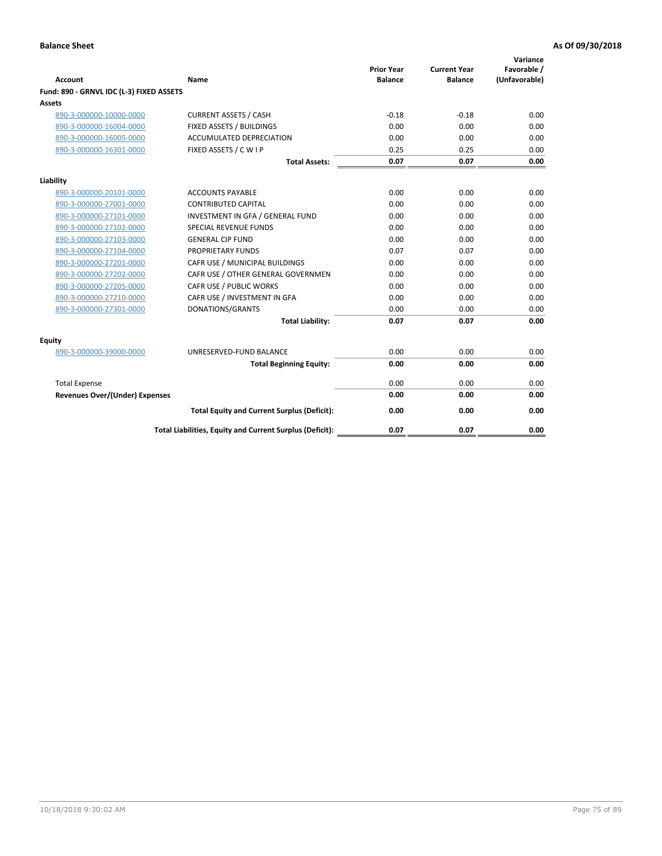| <b>Account</b>                           | Name                                                     | <b>Prior Year</b><br><b>Balance</b> | <b>Current Year</b><br><b>Balance</b> | Variance<br>Favorable /<br>(Unfavorable) |
|------------------------------------------|----------------------------------------------------------|-------------------------------------|---------------------------------------|------------------------------------------|
| Fund: 890 - GRNVL IDC (L-3) FIXED ASSETS |                                                          |                                     |                                       |                                          |
| <b>Assets</b>                            |                                                          |                                     |                                       |                                          |
| 890-3-000000-10000-0000                  | <b>CURRENT ASSETS / CASH</b>                             | $-0.18$                             | $-0.18$                               | 0.00                                     |
| 890-3-000000-16004-0000                  | FIXED ASSETS / BUILDINGS                                 | 0.00                                | 0.00                                  | 0.00                                     |
| 890-3-000000-16005-0000                  | <b>ACCUMULATED DEPRECIATION</b>                          | 0.00                                | 0.00                                  | 0.00                                     |
| 890-3-000000-16301-0000                  | FIXED ASSETS / C W I P                                   | 0.25                                | 0.25                                  | 0.00                                     |
|                                          | <b>Total Assets:</b>                                     | 0.07                                | 0.07                                  | 0.00                                     |
| Liability                                |                                                          |                                     |                                       |                                          |
| 890-3-000000-20101-0000                  | <b>ACCOUNTS PAYABLE</b>                                  | 0.00                                | 0.00                                  | 0.00                                     |
| 890-3-000000-27001-0000                  | <b>CONTRIBUTED CAPITAL</b>                               | 0.00                                | 0.00                                  | 0.00                                     |
| 890-3-000000-27101-0000                  | INVESTMENT IN GFA / GENERAL FUND                         | 0.00                                | 0.00                                  | 0.00                                     |
| 890-3-000000-27102-0000                  | <b>SPECIAL REVENUE FUNDS</b>                             | 0.00                                | 0.00                                  | 0.00                                     |
| 890-3-000000-27103-0000                  | <b>GENERAL CIP FUND</b>                                  | 0.00                                | 0.00                                  | 0.00                                     |
| 890-3-000000-27104-0000                  | PROPRIETARY FUNDS                                        | 0.07                                | 0.07                                  | 0.00                                     |
| 890-3-000000-27201-0000                  | CAFR USE / MUNICIPAL BUILDINGS                           | 0.00                                | 0.00                                  | 0.00                                     |
| 890-3-000000-27202-0000                  | CAFR USE / OTHER GENERAL GOVERNMEN                       | 0.00                                | 0.00                                  | 0.00                                     |
| 890-3-000000-27205-0000                  | CAFR USE / PUBLIC WORKS                                  | 0.00                                | 0.00                                  | 0.00                                     |
| 890-3-000000-27210-0000                  | CAFR USE / INVESTMENT IN GFA                             | 0.00                                | 0.00                                  | 0.00                                     |
| 890-3-000000-27301-0000                  | DONATIONS/GRANTS                                         | 0.00                                | 0.00                                  | 0.00                                     |
|                                          | <b>Total Liability:</b>                                  | 0.07                                | 0.07                                  | 0.00                                     |
| Equity                                   |                                                          |                                     |                                       |                                          |
| 890-3-000000-39000-0000                  | UNRESERVED-FUND BALANCE                                  | 0.00                                | 0.00                                  | 0.00                                     |
|                                          | <b>Total Beginning Equity:</b>                           | 0.00                                | 0.00                                  | 0.00                                     |
| <b>Total Expense</b>                     |                                                          | 0.00                                | 0.00                                  | 0.00                                     |
| Revenues Over/(Under) Expenses           |                                                          | 0.00                                | 0.00                                  | 0.00                                     |
|                                          |                                                          |                                     |                                       |                                          |
|                                          | <b>Total Equity and Current Surplus (Deficit):</b>       | 0.00                                | 0.00                                  | 0.00                                     |
|                                          | Total Liabilities, Equity and Current Surplus (Deficit): | 0.07                                | 0.07                                  | 0.00                                     |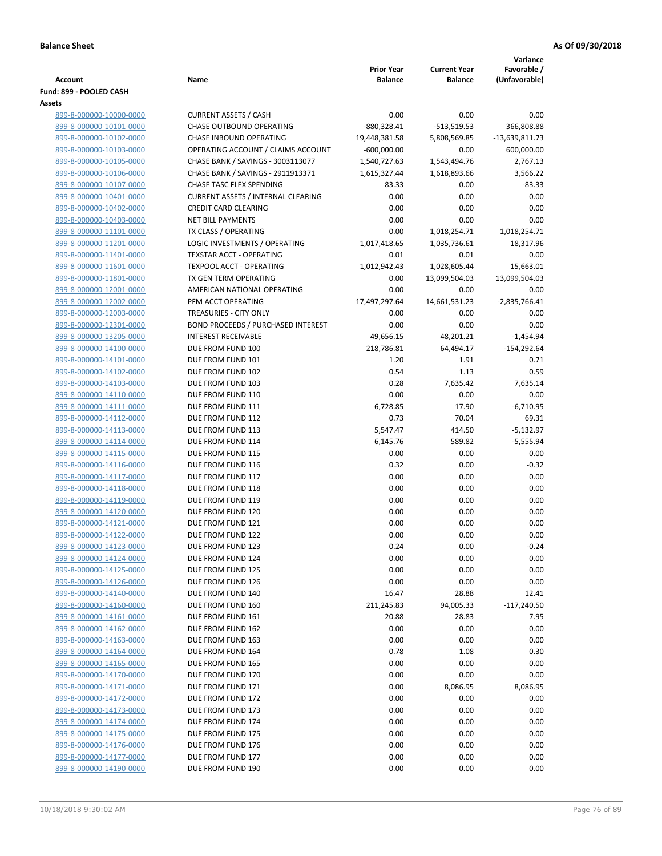|                                                    |                                           |                   |                     | Variance        |
|----------------------------------------------------|-------------------------------------------|-------------------|---------------------|-----------------|
|                                                    |                                           | <b>Prior Year</b> | <b>Current Year</b> | Favorable /     |
| <b>Account</b><br>Fund: 899 - POOLED CASH          | Name                                      | <b>Balance</b>    | <b>Balance</b>      | (Unfavorable)   |
| Assets                                             |                                           |                   |                     |                 |
| 899-8-000000-10000-0000                            | <b>CURRENT ASSETS / CASH</b>              | 0.00              | 0.00                | 0.00            |
| 899-8-000000-10101-0000                            | <b>CHASE OUTBOUND OPERATING</b>           | $-880,328.41$     | $-513,519.53$       | 366,808.88      |
| 899-8-000000-10102-0000                            | CHASE INBOUND OPERATING                   | 19,448,381.58     | 5,808,569.85        | -13,639,811.73  |
| 899-8-000000-10103-0000                            | OPERATING ACCOUNT / CLAIMS ACCOUNT        | $-600,000.00$     | 0.00                | 600,000.00      |
| 899-8-000000-10105-0000                            | CHASE BANK / SAVINGS - 3003113077         | 1,540,727.63      | 1,543,494.76        | 2,767.13        |
| 899-8-000000-10106-0000                            | CHASE BANK / SAVINGS - 2911913371         | 1,615,327.44      | 1,618,893.66        | 3,566.22        |
| 899-8-000000-10107-0000                            | CHASE TASC FLEX SPENDING                  | 83.33             | 0.00                | $-83.33$        |
| 899-8-000000-10401-0000                            | <b>CURRENT ASSETS / INTERNAL CLEARING</b> | 0.00              | 0.00                | 0.00            |
| 899-8-000000-10402-0000                            | <b>CREDIT CARD CLEARING</b>               | 0.00              | 0.00                | 0.00            |
| 899-8-000000-10403-0000                            | <b>NET BILL PAYMENTS</b>                  | 0.00              | 0.00                | 0.00            |
| 899-8-000000-11101-0000                            | TX CLASS / OPERATING                      | 0.00              | 1,018,254.71        | 1,018,254.71    |
| 899-8-000000-11201-0000                            | LOGIC INVESTMENTS / OPERATING             | 1,017,418.65      | 1,035,736.61        | 18,317.96       |
| 899-8-000000-11401-0000                            | TEXSTAR ACCT - OPERATING                  | 0.01              | 0.01                | 0.00            |
| 899-8-000000-11601-0000                            | TEXPOOL ACCT - OPERATING                  | 1,012,942.43      | 1,028,605.44        | 15,663.01       |
| 899-8-000000-11801-0000                            | TX GEN TERM OPERATING                     | 0.00              | 13,099,504.03       | 13,099,504.03   |
| 899-8-000000-12001-0000                            | AMERICAN NATIONAL OPERATING               | 0.00              | 0.00                | 0.00            |
| 899-8-000000-12002-0000                            | PFM ACCT OPERATING                        | 17,497,297.64     | 14,661,531.23       | $-2,835,766.41$ |
| 899-8-000000-12003-0000                            | <b>TREASURIES - CITY ONLY</b>             | 0.00              | 0.00                | 0.00            |
| 899-8-000000-12301-0000                            | BOND PROCEEDS / PURCHASED INTEREST        | 0.00              | 0.00                | 0.00            |
| 899-8-000000-13205-0000                            | <b>INTEREST RECEIVABLE</b>                | 49,656.15         | 48,201.21           | $-1,454.94$     |
| 899-8-000000-14100-0000                            | DUE FROM FUND 100                         | 218,786.81        | 64,494.17           | $-154,292.64$   |
| 899-8-000000-14101-0000                            | DUE FROM FUND 101                         | 1.20              | 1.91                | 0.71            |
| 899-8-000000-14102-0000                            | DUE FROM FUND 102                         | 0.54              | 1.13                | 0.59            |
| 899-8-000000-14103-0000                            | DUE FROM FUND 103                         | 0.28              | 7,635.42            | 7,635.14        |
| 899-8-000000-14110-0000                            | DUE FROM FUND 110                         | 0.00              | 0.00                | 0.00            |
| 899-8-000000-14111-0000                            | DUE FROM FUND 111                         | 6,728.85          | 17.90               | $-6,710.95$     |
| 899-8-000000-14112-0000                            | DUE FROM FUND 112                         | 0.73              | 70.04               | 69.31           |
| 899-8-000000-14113-0000                            | DUE FROM FUND 113                         | 5,547.47          | 414.50              | $-5,132.97$     |
| 899-8-000000-14114-0000                            | DUE FROM FUND 114                         | 6,145.76          | 589.82              | $-5,555.94$     |
| 899-8-000000-14115-0000                            | DUE FROM FUND 115                         | 0.00              | 0.00                | 0.00            |
| 899-8-000000-14116-0000                            | DUE FROM FUND 116                         | 0.32              | 0.00                | $-0.32$         |
| 899-8-000000-14117-0000                            | DUE FROM FUND 117                         | 0.00              | 0.00                | 0.00            |
| 899-8-000000-14118-0000                            | DUE FROM FUND 118                         | 0.00              | 0.00                | 0.00            |
| 899-8-000000-14119-0000                            | DUE FROM FUND 119<br>DUE FROM FUND 120    | 0.00              | 0.00                | 0.00            |
| 899-8-000000-14120-0000                            |                                           | 0.00              | 0.00                | 0.00            |
| 899-8-000000-14121-0000<br>899-8-000000-14122-0000 | DUE FROM FUND 121<br>DUE FROM FUND 122    | 0.00              | 0.00                | 0.00            |
| 899-8-000000-14123-0000                            | DUE FROM FUND 123                         | 0.00<br>0.24      | 0.00<br>0.00        | 0.00            |
| 899-8-000000-14124-0000                            | DUE FROM FUND 124                         | 0.00              | 0.00                | $-0.24$<br>0.00 |
| 899-8-000000-14125-0000                            | DUE FROM FUND 125                         | 0.00              | 0.00                | 0.00            |
| 899-8-000000-14126-0000                            | DUE FROM FUND 126                         | 0.00              | 0.00                | 0.00            |
| 899-8-000000-14140-0000                            | DUE FROM FUND 140                         | 16.47             | 28.88               | 12.41           |
| 899-8-000000-14160-0000                            | DUE FROM FUND 160                         | 211,245.83        | 94,005.33           | $-117,240.50$   |
| 899-8-000000-14161-0000                            | DUE FROM FUND 161                         | 20.88             | 28.83               | 7.95            |
| 899-8-000000-14162-0000                            | DUE FROM FUND 162                         | 0.00              | 0.00                | 0.00            |
| 899-8-000000-14163-0000                            | DUE FROM FUND 163                         | 0.00              | 0.00                | 0.00            |
| 899-8-000000-14164-0000                            | DUE FROM FUND 164                         | 0.78              | 1.08                | 0.30            |
| 899-8-000000-14165-0000                            | DUE FROM FUND 165                         | 0.00              | 0.00                | 0.00            |
| 899-8-000000-14170-0000                            | DUE FROM FUND 170                         | 0.00              | 0.00                | 0.00            |
| 899-8-000000-14171-0000                            | DUE FROM FUND 171                         | 0.00              | 8,086.95            | 8,086.95        |
| 899-8-000000-14172-0000                            | DUE FROM FUND 172                         | 0.00              | 0.00                | 0.00            |
| 899-8-000000-14173-0000                            | DUE FROM FUND 173                         | 0.00              | 0.00                | 0.00            |
| 899-8-000000-14174-0000                            | DUE FROM FUND 174                         | 0.00              | 0.00                | 0.00            |
| 899-8-000000-14175-0000                            | DUE FROM FUND 175                         | 0.00              | 0.00                | 0.00            |
| 899-8-000000-14176-0000                            | DUE FROM FUND 176                         | 0.00              | 0.00                | 0.00            |
| 899-8-000000-14177-0000                            | DUE FROM FUND 177                         | 0.00              | 0.00                | 0.00            |
| 899-8-000000-14190-0000                            | DUE FROM FUND 190                         | 0.00              | 0.00                | 0.00            |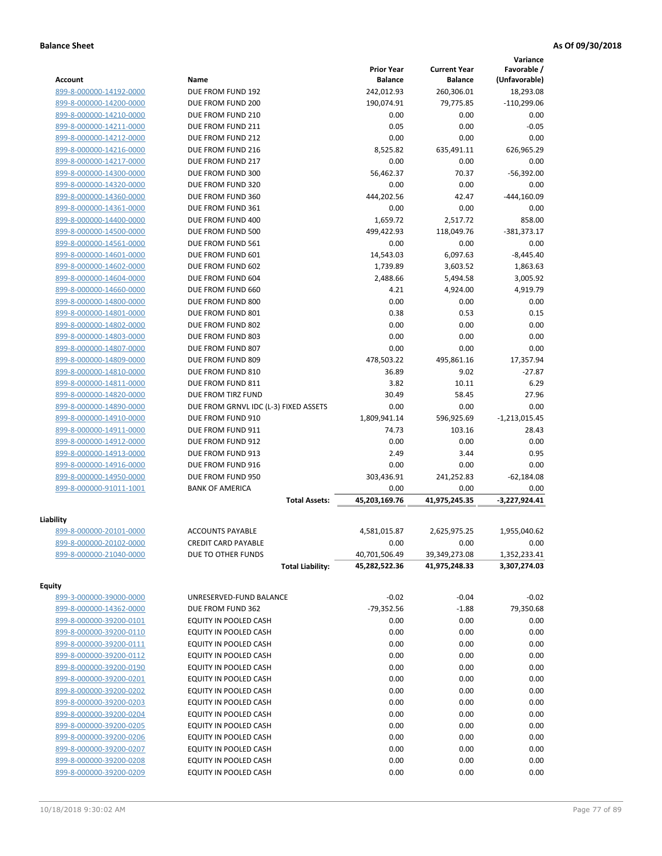|                         |                                       |                   |                     | Variance        |
|-------------------------|---------------------------------------|-------------------|---------------------|-----------------|
|                         |                                       | <b>Prior Year</b> | <b>Current Year</b> | Favorable /     |
| <b>Account</b>          | Name                                  | <b>Balance</b>    | <b>Balance</b>      | (Unfavorable)   |
| 899-8-000000-14192-0000 | DUE FROM FUND 192                     | 242,012.93        | 260,306.01          | 18,293.08       |
| 899-8-000000-14200-0000 | DUE FROM FUND 200                     | 190,074.91        | 79,775.85           | $-110,299.06$   |
| 899-8-000000-14210-0000 | DUE FROM FUND 210                     | 0.00              | 0.00                | 0.00            |
| 899-8-000000-14211-0000 | DUE FROM FUND 211                     | 0.05              | 0.00                | $-0.05$         |
| 899-8-000000-14212-0000 | DUE FROM FUND 212                     | 0.00              | 0.00                | 0.00            |
| 899-8-000000-14216-0000 | DUE FROM FUND 216                     | 8,525.82          | 635,491.11          | 626,965.29      |
| 899-8-000000-14217-0000 | DUE FROM FUND 217                     | 0.00              | 0.00                | 0.00            |
| 899-8-000000-14300-0000 | DUE FROM FUND 300                     | 56.462.37         | 70.37               | $-56,392.00$    |
| 899-8-000000-14320-0000 | DUE FROM FUND 320                     | 0.00              | 0.00                | 0.00            |
| 899-8-000000-14360-0000 | DUE FROM FUND 360                     | 444,202.56        | 42.47               | $-444,160.09$   |
| 899-8-000000-14361-0000 | DUE FROM FUND 361                     | 0.00              | 0.00                | 0.00            |
| 899-8-000000-14400-0000 | DUE FROM FUND 400                     | 1,659.72          | 2,517.72            | 858.00          |
| 899-8-000000-14500-0000 | DUE FROM FUND 500                     | 499,422.93        | 118,049.76          | $-381,373.17$   |
| 899-8-000000-14561-0000 | DUE FROM FUND 561                     | 0.00              | 0.00                | 0.00            |
| 899-8-000000-14601-0000 | DUE FROM FUND 601                     | 14,543.03         | 6,097.63            | $-8,445.40$     |
| 899-8-000000-14602-0000 | DUE FROM FUND 602                     | 1,739.89          | 3,603.52            | 1,863.63        |
| 899-8-000000-14604-0000 | DUE FROM FUND 604                     | 2,488.66          | 5,494.58            | 3,005.92        |
| 899-8-000000-14660-0000 | DUE FROM FUND 660                     | 4.21              | 4,924.00            | 4,919.79        |
| 899-8-000000-14800-0000 | DUE FROM FUND 800                     | 0.00              | 0.00                | 0.00            |
| 899-8-000000-14801-0000 | DUE FROM FUND 801                     | 0.38              | 0.53                | 0.15            |
| 899-8-000000-14802-0000 | DUE FROM FUND 802                     | 0.00              | 0.00                | 0.00            |
| 899-8-000000-14803-0000 | DUE FROM FUND 803                     | 0.00              | 0.00                | 0.00            |
| 899-8-000000-14807-0000 | DUE FROM FUND 807                     | 0.00              | 0.00                | 0.00            |
| 899-8-000000-14809-0000 | DUE FROM FUND 809                     | 478,503.22        | 495,861.16          | 17,357.94       |
| 899-8-000000-14810-0000 | DUE FROM FUND 810                     | 36.89             | 9.02                | $-27.87$        |
| 899-8-000000-14811-0000 | DUE FROM FUND 811                     | 3.82              | 10.11               | 6.29            |
| 899-8-000000-14820-0000 | DUE FROM TIRZ FUND                    | 30.49             | 58.45               | 27.96           |
| 899-8-000000-14890-0000 | DUE FROM GRNVL IDC (L-3) FIXED ASSETS | 0.00              | 0.00                | 0.00            |
| 899-8-000000-14910-0000 | DUE FROM FUND 910                     | 1,809,941.14      | 596,925.69          | $-1,213,015.45$ |
| 899-8-000000-14911-0000 | DUE FROM FUND 911                     | 74.73             | 103.16              | 28.43           |
| 899-8-000000-14912-0000 | DUE FROM FUND 912                     | 0.00              | 0.00                | 0.00            |
| 899-8-000000-14913-0000 | DUE FROM FUND 913                     | 2.49              | 3.44                | 0.95            |
| 899-8-000000-14916-0000 | DUE FROM FUND 916                     | 0.00              | 0.00                | 0.00            |
| 899-8-000000-14950-0000 | DUE FROM FUND 950                     | 303,436.91        | 241,252.83          | $-62,184.08$    |
| 899-8-000000-91011-1001 | <b>BANK OF AMERICA</b>                | 0.00              | 0.00                | 0.00            |
|                         | <b>Total Assets:</b>                  | 45,203,169.76     | 41,975,245.35       | $-3,227,924.41$ |
|                         |                                       |                   |                     |                 |
| Liability               |                                       |                   |                     |                 |
| 899-8-000000-20101-0000 | <b>ACCOUNTS PAYABLE</b>               | 4,581,015.87      | 2,625,975.25        | 1,955,040.62    |
| 899-8-000000-20102-0000 | <b>CREDIT CARD PAYABLE</b>            | 0.00              | 0.00                | 0.00            |
| 899-8-000000-21040-0000 | DUE TO OTHER FUNDS                    | 40,701,506.49     | 39,349,273.08       | 1,352,233.41    |
|                         | <b>Total Liability:</b>               | 45,282,522.36     | 41,975,248.33       | 3,307,274.03    |
| <b>Equity</b>           |                                       |                   |                     |                 |
| 899-3-000000-39000-0000 | UNRESERVED-FUND BALANCE               | $-0.02$           | $-0.04$             | $-0.02$         |
| 899-8-000000-14362-0000 | DUE FROM FUND 362                     | $-79,352.56$      | $-1.88$             | 79,350.68       |
| 899-8-000000-39200-0101 | EQUITY IN POOLED CASH                 | 0.00              | 0.00                | 0.00            |
| 899-8-000000-39200-0110 | EQUITY IN POOLED CASH                 | 0.00              | 0.00                | 0.00            |
| 899-8-000000-39200-0111 | EQUITY IN POOLED CASH                 | 0.00              | 0.00                | 0.00            |
| 899-8-000000-39200-0112 | EQUITY IN POOLED CASH                 | 0.00              | 0.00                | 0.00            |
| 899-8-000000-39200-0190 | EQUITY IN POOLED CASH                 | 0.00              | 0.00                | 0.00            |
| 899-8-000000-39200-0201 | EQUITY IN POOLED CASH                 | 0.00              | 0.00                | 0.00            |
| 899-8-000000-39200-0202 | EQUITY IN POOLED CASH                 | 0.00              | 0.00                | 0.00            |
| 899-8-000000-39200-0203 | EQUITY IN POOLED CASH                 | 0.00              | 0.00                | 0.00            |
| 899-8-000000-39200-0204 | EQUITY IN POOLED CASH                 | 0.00              | 0.00                | 0.00            |
| 899-8-000000-39200-0205 | EQUITY IN POOLED CASH                 | 0.00              | 0.00                | 0.00            |
|                         | EQUITY IN POOLED CASH                 | 0.00              | 0.00                | 0.00            |
| 899-8-000000-39200-0206 |                                       | 0.00              | 0.00                | 0.00            |
| 899-8-000000-39200-0207 | EQUITY IN POOLED CASH                 |                   |                     |                 |
| 899-8-000000-39200-0208 | EQUITY IN POOLED CASH                 | 0.00              | 0.00                | 0.00            |
| 899-8-000000-39200-0209 | EQUITY IN POOLED CASH                 | 0.00              | 0.00                | 0.00            |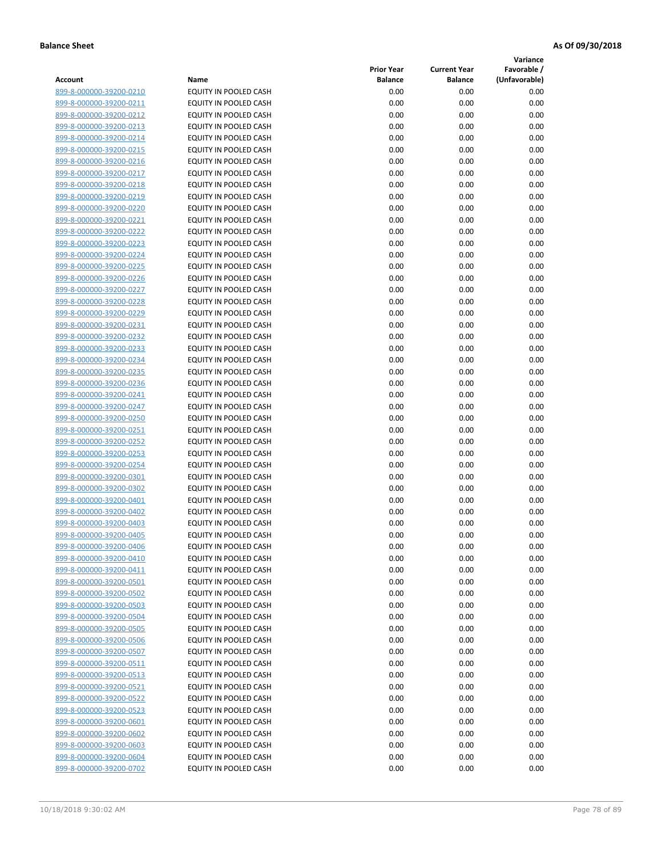**Variance**

|                         |                              | <b>Prior Year</b> | <b>Current Year</b> | Favorable /   |
|-------------------------|------------------------------|-------------------|---------------------|---------------|
| Account                 | Name                         | Balance           | <b>Balance</b>      | (Unfavorable) |
| 899-8-000000-39200-0210 | EQUITY IN POOLED CASH        | 0.00              | 0.00                | 0.00          |
| 899-8-000000-39200-0211 | EQUITY IN POOLED CASH        | 0.00              | 0.00                | 0.00          |
| 899-8-000000-39200-0212 | EQUITY IN POOLED CASH        | 0.00              | 0.00                | 0.00          |
| 899-8-000000-39200-0213 | EQUITY IN POOLED CASH        | 0.00              | 0.00                | 0.00          |
| 899-8-000000-39200-0214 | EQUITY IN POOLED CASH        | 0.00              | 0.00                | 0.00          |
| 899-8-000000-39200-0215 | EQUITY IN POOLED CASH        | 0.00              | 0.00                | 0.00          |
| 899-8-000000-39200-0216 | EQUITY IN POOLED CASH        | 0.00              | 0.00                | 0.00          |
| 899-8-000000-39200-0217 | EQUITY IN POOLED CASH        | 0.00              | 0.00                | 0.00          |
| 899-8-000000-39200-0218 | <b>EQUITY IN POOLED CASH</b> | 0.00              | 0.00                | 0.00          |
| 899-8-000000-39200-0219 | EQUITY IN POOLED CASH        | 0.00              | 0.00                | 0.00          |
| 899-8-000000-39200-0220 | EQUITY IN POOLED CASH        | 0.00              | 0.00                | 0.00          |
| 899-8-000000-39200-0221 | EQUITY IN POOLED CASH        | 0.00              | 0.00                | 0.00          |
| 899-8-000000-39200-0222 | EQUITY IN POOLED CASH        | 0.00              | 0.00                | 0.00          |
| 899-8-000000-39200-0223 | EQUITY IN POOLED CASH        | 0.00              | 0.00                | 0.00          |
| 899-8-000000-39200-0224 | EQUITY IN POOLED CASH        | 0.00              | 0.00                | 0.00          |
| 899-8-000000-39200-0225 | EQUITY IN POOLED CASH        | 0.00              | 0.00                | 0.00          |
| 899-8-000000-39200-0226 | EQUITY IN POOLED CASH        | 0.00              | 0.00                | 0.00          |
| 899-8-000000-39200-0227 | EQUITY IN POOLED CASH        | 0.00              | 0.00                | 0.00          |
| 899-8-000000-39200-0228 | <b>EQUITY IN POOLED CASH</b> | 0.00              | 0.00                | 0.00          |
| 899-8-000000-39200-0229 | <b>EQUITY IN POOLED CASH</b> | 0.00              | 0.00                | 0.00          |
| 899-8-000000-39200-0231 | <b>EQUITY IN POOLED CASH</b> | 0.00              | 0.00                | 0.00          |
| 899-8-000000-39200-0232 | EQUITY IN POOLED CASH        | 0.00              | 0.00                | 0.00          |
| 899-8-000000-39200-0233 | EQUITY IN POOLED CASH        | 0.00              | 0.00                | 0.00          |
| 899-8-000000-39200-0234 | EQUITY IN POOLED CASH        | 0.00              | 0.00                | 0.00          |
| 899-8-000000-39200-0235 | EQUITY IN POOLED CASH        | 0.00              | 0.00                | 0.00          |
| 899-8-000000-39200-0236 | EQUITY IN POOLED CASH        | 0.00              | 0.00                | 0.00          |
| 899-8-000000-39200-0241 | EQUITY IN POOLED CASH        | 0.00              | 0.00                | 0.00          |
| 899-8-000000-39200-0247 | EQUITY IN POOLED CASH        | 0.00              | 0.00                | 0.00          |
| 899-8-000000-39200-0250 | EQUITY IN POOLED CASH        | 0.00              | 0.00                | 0.00          |
| 899-8-000000-39200-0251 | EQUITY IN POOLED CASH        | 0.00              | 0.00                | 0.00          |
| 899-8-000000-39200-0252 | EQUITY IN POOLED CASH        | 0.00              | 0.00                | 0.00          |
| 899-8-000000-39200-0253 | EQUITY IN POOLED CASH        | 0.00              | 0.00                | 0.00          |
| 899-8-000000-39200-0254 | EQUITY IN POOLED CASH        | 0.00              | 0.00                | 0.00          |
| 899-8-000000-39200-0301 | EQUITY IN POOLED CASH        | 0.00              | 0.00                | 0.00          |
| 899-8-000000-39200-0302 | <b>EQUITY IN POOLED CASH</b> | 0.00              | 0.00                | 0.00          |
| 899-8-000000-39200-0401 | EQUITY IN POOLED CASH        | 0.00              | 0.00                | 0.00          |
| 899-8-000000-39200-0402 | EQUITY IN POOLED CASH        | 0.00              | 0.00                | 0.00          |
| 899-8-000000-39200-0403 | EQUITY IN POOLED CASH        | 0.00              | 0.00                | 0.00          |
| 899-8-000000-39200-0405 | <b>EQUITY IN POOLED CASH</b> | 0.00              | 0.00                | 0.00          |
| 899-8-000000-39200-0406 | EQUITY IN POOLED CASH        | 0.00              | 0.00                | 0.00          |
| 899-8-000000-39200-0410 | EQUITY IN POOLED CASH        | 0.00              | 0.00                | 0.00          |
| 899-8-000000-39200-0411 | EQUITY IN POOLED CASH        | 0.00              | 0.00                | 0.00          |
| 899-8-000000-39200-0501 | EQUITY IN POOLED CASH        | 0.00              | 0.00                | 0.00          |
| 899-8-000000-39200-0502 | EQUITY IN POOLED CASH        | 0.00              | 0.00                | 0.00          |
| 899-8-000000-39200-0503 | EQUITY IN POOLED CASH        | 0.00              | 0.00                | 0.00          |
| 899-8-000000-39200-0504 | EQUITY IN POOLED CASH        | 0.00              | 0.00                | 0.00          |
| 899-8-000000-39200-0505 | EQUITY IN POOLED CASH        | 0.00              | 0.00                | 0.00          |
| 899-8-000000-39200-0506 | EQUITY IN POOLED CASH        | 0.00              | 0.00                | 0.00          |
| 899-8-000000-39200-0507 | EQUITY IN POOLED CASH        | 0.00              | 0.00                | 0.00          |
| 899-8-000000-39200-0511 | EQUITY IN POOLED CASH        | 0.00              | 0.00                | 0.00          |
| 899-8-000000-39200-0513 | EQUITY IN POOLED CASH        | 0.00              | 0.00                | 0.00          |
| 899-8-000000-39200-0521 | EQUITY IN POOLED CASH        | 0.00              | 0.00                | 0.00          |
| 899-8-000000-39200-0522 | EQUITY IN POOLED CASH        | 0.00              | 0.00                | 0.00          |
| 899-8-000000-39200-0523 | EQUITY IN POOLED CASH        | 0.00              | 0.00                | 0.00          |
| 899-8-000000-39200-0601 | EQUITY IN POOLED CASH        | 0.00              | 0.00                | 0.00          |
| 899-8-000000-39200-0602 | EQUITY IN POOLED CASH        | 0.00              | 0.00                | 0.00          |
| 899-8-000000-39200-0603 | EQUITY IN POOLED CASH        | 0.00              | 0.00                | 0.00          |
| 899-8-000000-39200-0604 | EQUITY IN POOLED CASH        | 0.00              | 0.00                | 0.00          |
| 899-8-000000-39200-0702 | EQUITY IN POOLED CASH        | 0.00              | 0.00                | 0.00          |
|                         |                              |                   |                     |               |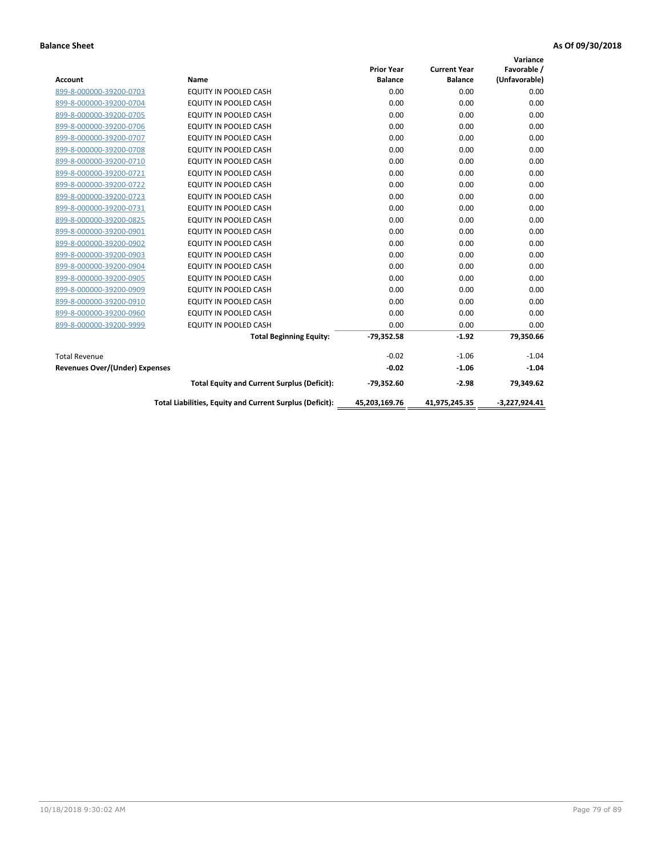|                                |                                                          |                   |                     | Variance        |
|--------------------------------|----------------------------------------------------------|-------------------|---------------------|-----------------|
|                                |                                                          | <b>Prior Year</b> | <b>Current Year</b> | Favorable /     |
| <b>Account</b>                 | Name                                                     | <b>Balance</b>    | <b>Balance</b>      | (Unfavorable)   |
| 899-8-000000-39200-0703        | EQUITY IN POOLED CASH                                    | 0.00              | 0.00                | 0.00            |
| 899-8-000000-39200-0704        | EQUITY IN POOLED CASH                                    | 0.00              | 0.00                | 0.00            |
| 899-8-000000-39200-0705        | EQUITY IN POOLED CASH                                    | 0.00              | 0.00                | 0.00            |
| 899-8-000000-39200-0706        | <b>EQUITY IN POOLED CASH</b>                             | 0.00              | 0.00                | 0.00            |
| 899-8-000000-39200-0707        | <b>EQUITY IN POOLED CASH</b>                             | 0.00              | 0.00                | 0.00            |
| 899-8-000000-39200-0708        | <b>EQUITY IN POOLED CASH</b>                             | 0.00              | 0.00                | 0.00            |
| 899-8-000000-39200-0710        | EQUITY IN POOLED CASH                                    | 0.00              | 0.00                | 0.00            |
| 899-8-000000-39200-0721        | <b>EQUITY IN POOLED CASH</b>                             | 0.00              | 0.00                | 0.00            |
| 899-8-000000-39200-0722        | <b>EQUITY IN POOLED CASH</b>                             | 0.00              | 0.00                | 0.00            |
| 899-8-000000-39200-0723        | <b>EQUITY IN POOLED CASH</b>                             | 0.00              | 0.00                | 0.00            |
| 899-8-000000-39200-0731        | <b>EQUITY IN POOLED CASH</b>                             | 0.00              | 0.00                | 0.00            |
| 899-8-000000-39200-0825        | <b>EQUITY IN POOLED CASH</b>                             | 0.00              | 0.00                | 0.00            |
| 899-8-000000-39200-0901        | <b>EQUITY IN POOLED CASH</b>                             | 0.00              | 0.00                | 0.00            |
| 899-8-000000-39200-0902        | EQUITY IN POOLED CASH                                    | 0.00              | 0.00                | 0.00            |
| 899-8-000000-39200-0903        | <b>EQUITY IN POOLED CASH</b>                             | 0.00              | 0.00                | 0.00            |
| 899-8-000000-39200-0904        | <b>EQUITY IN POOLED CASH</b>                             | 0.00              | 0.00                | 0.00            |
| 899-8-000000-39200-0905        | <b>EQUITY IN POOLED CASH</b>                             | 0.00              | 0.00                | 0.00            |
| 899-8-000000-39200-0909        | EQUITY IN POOLED CASH                                    | 0.00              | 0.00                | 0.00            |
| 899-8-000000-39200-0910        | <b>EQUITY IN POOLED CASH</b>                             | 0.00              | 0.00                | 0.00            |
| 899-8-000000-39200-0960        | <b>EQUITY IN POOLED CASH</b>                             | 0.00              | 0.00                | 0.00            |
| 899-8-000000-39200-9999        | EQUITY IN POOLED CASH                                    | 0.00              | 0.00                | 0.00            |
|                                | <b>Total Beginning Equity:</b>                           | $-79,352.58$      | $-1.92$             | 79,350.66       |
| <b>Total Revenue</b>           |                                                          | $-0.02$           | $-1.06$             | $-1.04$         |
| Revenues Over/(Under) Expenses |                                                          | $-0.02$           | $-1.06$             | $-1.04$         |
|                                | <b>Total Equity and Current Surplus (Deficit):</b>       | $-79,352.60$      | $-2.98$             | 79,349.62       |
|                                | Total Liabilities, Equity and Current Surplus (Deficit): | 45,203,169.76     | 41,975,245.35       | $-3,227,924.41$ |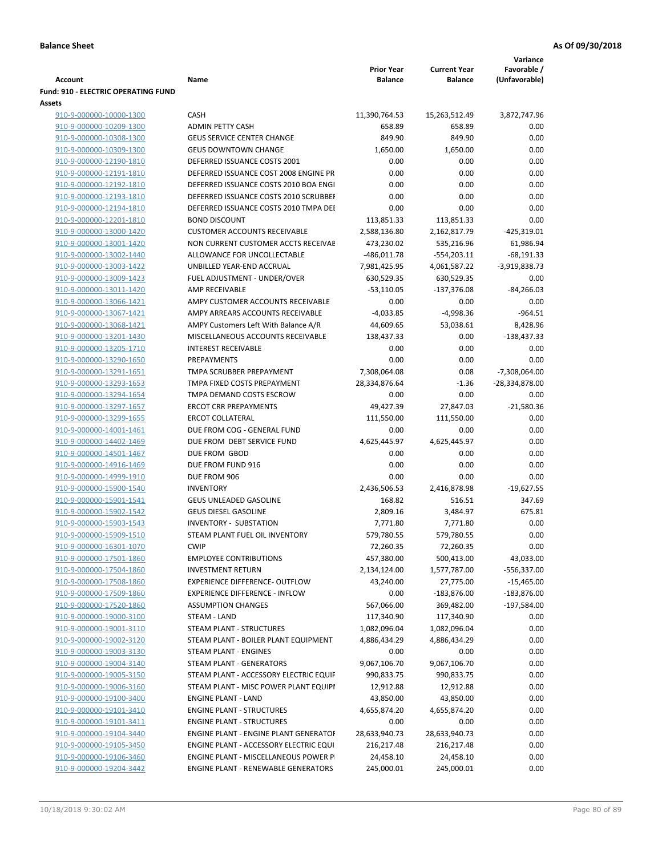| <b>Account</b>                                     | Name                                                                      | <b>Prior Year</b><br><b>Balance</b> | <b>Current Year</b><br><b>Balance</b> | Variance<br>Favorable /<br>(Unfavorable) |
|----------------------------------------------------|---------------------------------------------------------------------------|-------------------------------------|---------------------------------------|------------------------------------------|
| <b>Fund: 910 - ELECTRIC OPERATING FUND</b>         |                                                                           |                                     |                                       |                                          |
| Assets                                             |                                                                           |                                     |                                       |                                          |
| 910-9-000000-10000-1300                            | <b>CASH</b>                                                               | 11,390,764.53                       | 15,263,512.49                         | 3,872,747.96                             |
| 910-9-000000-10209-1300                            | <b>ADMIN PETTY CASH</b>                                                   | 658.89                              | 658.89                                | 0.00                                     |
| 910-9-000000-10308-1300                            | <b>GEUS SERVICE CENTER CHANGE</b>                                         | 849.90                              | 849.90                                | 0.00                                     |
| 910-9-000000-10309-1300                            | <b>GEUS DOWNTOWN CHANGE</b>                                               | 1,650.00                            | 1,650.00                              | 0.00                                     |
| 910-9-000000-12190-1810                            | DEFERRED ISSUANCE COSTS 2001                                              | 0.00                                | 0.00                                  | 0.00                                     |
| 910-9-000000-12191-1810                            | DEFERRED ISSUANCE COST 2008 ENGINE PR                                     | 0.00                                | 0.00                                  | 0.00                                     |
| 910-9-000000-12192-1810                            | DEFERRED ISSUANCE COSTS 2010 BOA ENGI                                     | 0.00                                | 0.00                                  | 0.00                                     |
| 910-9-000000-12193-1810                            | DEFERRED ISSUANCE COSTS 2010 SCRUBBEI                                     | 0.00                                | 0.00                                  | 0.00                                     |
| 910-9-000000-12194-1810                            | DEFERRED ISSUANCE COSTS 2010 TMPA DEI                                     | 0.00                                | 0.00                                  | 0.00                                     |
| 910-9-000000-12201-1810                            | <b>BOND DISCOUNT</b>                                                      | 113,851.33                          | 113,851.33                            | 0.00                                     |
| 910-9-000000-13000-1420                            | <b>CUSTOMER ACCOUNTS RECEIVABLE</b>                                       | 2,588,136.80                        | 2,162,817.79                          | $-425,319.01$                            |
| 910-9-000000-13001-1420                            | NON CURRENT CUSTOMER ACCTS RECEIVAE                                       | 473,230.02                          | 535,216.96                            | 61,986.94                                |
| 910-9-000000-13002-1440                            | ALLOWANCE FOR UNCOLLECTABLE                                               | $-486,011.78$                       | $-554,203.11$                         | $-68,191.33$                             |
| 910-9-000000-13003-1422                            | UNBILLED YEAR-END ACCRUAL                                                 | 7,981,425.95                        | 4,061,587.22                          | $-3,919,838.73$                          |
| 910-9-000000-13009-1423                            | FUEL ADJUSTMENT - UNDER/OVER                                              | 630,529.35                          | 630,529.35                            | 0.00                                     |
| 910-9-000000-13011-1420                            | AMP RECEIVABLE                                                            | $-53,110.05$                        | $-137,376.08$                         | $-84,266.03$                             |
| 910-9-000000-13066-1421                            | AMPY CUSTOMER ACCOUNTS RECEIVABLE                                         | 0.00                                | 0.00                                  | 0.00                                     |
| 910-9-000000-13067-1421                            | AMPY ARREARS ACCOUNTS RECEIVABLE                                          | $-4,033.85$                         | $-4,998.36$                           | $-964.51$                                |
| 910-9-000000-13068-1421                            | AMPY Customers Left With Balance A/R<br>MISCELLANEOUS ACCOUNTS RECEIVABLE | 44,609.65                           | 53,038.61<br>0.00                     | 8,428.96                                 |
| 910-9-000000-13201-1430<br>910-9-000000-13205-1710 | <b>INTEREST RECEIVABLE</b>                                                | 138,437.33<br>0.00                  | 0.00                                  | $-138,437.33$<br>0.00                    |
| 910-9-000000-13290-1650                            | PREPAYMENTS                                                               | 0.00                                | 0.00                                  | 0.00                                     |
| 910-9-000000-13291-1651                            | TMPA SCRUBBER PREPAYMENT                                                  | 7,308,064.08                        | 0.08                                  | $-7,308,064.00$                          |
| 910-9-000000-13293-1653                            | TMPA FIXED COSTS PREPAYMENT                                               | 28,334,876.64                       | $-1.36$                               | -28,334,878.00                           |
| 910-9-000000-13294-1654                            | TMPA DEMAND COSTS ESCROW                                                  | 0.00                                | 0.00                                  | 0.00                                     |
| 910-9-000000-13297-1657                            | <b>ERCOT CRR PREPAYMENTS</b>                                              | 49,427.39                           | 27,847.03                             | $-21,580.36$                             |
| 910-9-000000-13299-1655                            | <b>ERCOT COLLATERAL</b>                                                   | 111,550.00                          | 111,550.00                            | 0.00                                     |
| 910-9-000000-14001-1461                            | DUE FROM COG - GENERAL FUND                                               | 0.00                                | 0.00                                  | 0.00                                     |
| 910-9-000000-14402-1469                            | DUE FROM DEBT SERVICE FUND                                                | 4,625,445.97                        | 4,625,445.97                          | 0.00                                     |
| 910-9-000000-14501-1467                            | DUE FROM GBOD                                                             | 0.00                                | 0.00                                  | 0.00                                     |
| 910-9-000000-14916-1469                            | DUE FROM FUND 916                                                         | 0.00                                | 0.00                                  | 0.00                                     |
| 910-9-000000-14999-1910                            | DUE FROM 906                                                              | 0.00                                | 0.00                                  | 0.00                                     |
| 910-9-000000-15900-1540                            | <b>INVENTORY</b>                                                          | 2,436,506.53                        | 2,416,878.98                          | $-19,627.55$                             |
| 910-9-000000-15901-1541                            | <b>GEUS UNLEADED GASOLINE</b>                                             | 168.82                              | 516.51                                | 347.69                                   |
| 910-9-000000-15902-1542                            | <b>GEUS DIESEL GASOLINE</b>                                               | 2,809.16                            | 3,484.97                              | 675.81                                   |
| 910-9-000000-15903-1543                            | <b>INVENTORY - SUBSTATION</b>                                             | 7,771.80                            | 7,771.80                              | 0.00                                     |
| 910-9-000000-15909-1510                            | STEAM PLANT FUEL OIL INVENTORY                                            | 579,780.55                          | 579,780.55                            | 0.00                                     |
| 910-9-000000-16301-1070                            | <b>CWIP</b>                                                               | 72,260.35                           | 72,260.35                             | 0.00                                     |
| 910-9-000000-17501-1860                            | <b>EMPLOYEE CONTRIBUTIONS</b>                                             | 457,380.00                          | 500,413.00                            | 43,033.00                                |
| 910-9-000000-17504-1860                            | <b>INVESTMENT RETURN</b>                                                  | 2,134,124.00                        | 1,577,787.00                          | -556,337.00                              |
| 910-9-000000-17508-1860                            | EXPERIENCE DIFFERENCE- OUTFLOW                                            | 43,240.00                           | 27,775.00                             | $-15,465.00$                             |
| 910-9-000000-17509-1860                            | <b>EXPERIENCE DIFFERENCE - INFLOW</b>                                     | 0.00                                | $-183,876.00$                         | $-183,876.00$                            |
| 910-9-000000-17520-1860                            | <b>ASSUMPTION CHANGES</b>                                                 | 567,066.00                          | 369,482.00                            | $-197,584.00$                            |
| 910-9-000000-19000-3100                            | STEAM - LAND                                                              | 117,340.90                          | 117,340.90                            | 0.00                                     |
| 910-9-000000-19001-3110                            | STEAM PLANT - STRUCTURES                                                  | 1,082,096.04                        | 1,082,096.04                          | 0.00                                     |
| 910-9-000000-19002-3120                            | STEAM PLANT - BOILER PLANT EQUIPMENT                                      | 4,886,434.29                        | 4,886,434.29                          | 0.00                                     |
| 910-9-000000-19003-3130                            | STEAM PLANT - ENGINES                                                     | 0.00                                | 0.00                                  | 0.00                                     |
| 910-9-000000-19004-3140                            | <b>STEAM PLANT - GENERATORS</b>                                           | 9,067,106.70                        | 9,067,106.70                          | 0.00                                     |
| 910-9-000000-19005-3150                            | STEAM PLANT - ACCESSORY ELECTRIC EQUIF                                    | 990,833.75                          | 990,833.75                            | 0.00                                     |
| 910-9-000000-19006-3160                            | STEAM PLANT - MISC POWER PLANT EQUIPI                                     | 12,912.88                           | 12,912.88                             | 0.00                                     |
| 910-9-000000-19100-3400                            | <b>ENGINE PLANT - LAND</b>                                                | 43,850.00                           | 43,850.00                             | 0.00                                     |
| 910-9-000000-19101-3410                            | <b>ENGINE PLANT - STRUCTURES</b>                                          | 4,655,874.20                        | 4,655,874.20                          | 0.00                                     |
| 910-9-000000-19101-3411                            | <b>ENGINE PLANT - STRUCTURES</b>                                          | 0.00                                | 0.00                                  | 0.00                                     |
| 910-9-000000-19104-3440                            | <b>ENGINE PLANT - ENGINE PLANT GENERATOF</b>                              | 28,633,940.73                       | 28,633,940.73                         | 0.00                                     |
| 910-9-000000-19105-3450                            | ENGINE PLANT - ACCESSORY ELECTRIC EQUI                                    | 216,217.48                          | 216,217.48                            | 0.00                                     |
| 910-9-000000-19106-3460                            | ENGINE PLANT - MISCELLANEOUS POWER P                                      | 24,458.10                           | 24,458.10                             | 0.00                                     |
| 910-9-000000-19204-3442                            | ENGINE PLANT - RENEWABLE GENERATORS                                       | 245,000.01                          | 245,000.01                            | 0.00                                     |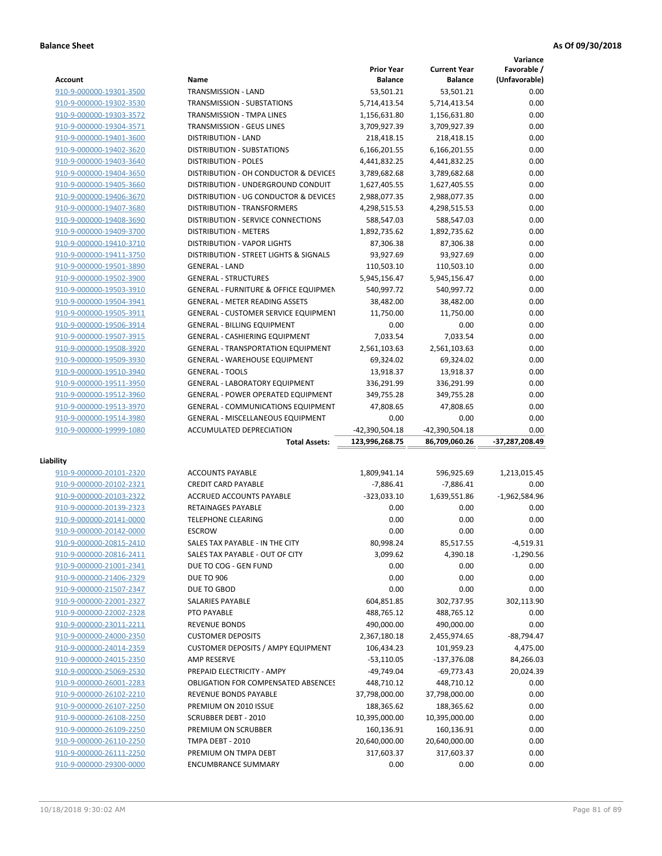|                                                    |                                                                             |                    |                     | Variance        |
|----------------------------------------------------|-----------------------------------------------------------------------------|--------------------|---------------------|-----------------|
|                                                    |                                                                             | <b>Prior Year</b>  | <b>Current Year</b> | Favorable /     |
| <b>Account</b>                                     | Name                                                                        | <b>Balance</b>     | <b>Balance</b>      | (Unfavorable)   |
| 910-9-000000-19301-3500                            | TRANSMISSION - LAND                                                         | 53,501.21          | 53,501.21           | 0.00            |
| 910-9-000000-19302-3530                            | TRANSMISSION - SUBSTATIONS                                                  | 5,714,413.54       | 5,714,413.54        | 0.00            |
| 910-9-000000-19303-3572                            | <b>TRANSMISSION - TMPA LINES</b>                                            | 1,156,631.80       | 1,156,631.80        | 0.00            |
| 910-9-000000-19304-3571                            | <b>TRANSMISSION - GEUS LINES</b>                                            | 3,709,927.39       | 3,709,927.39        | 0.00            |
| 910-9-000000-19401-3600                            | <b>DISTRIBUTION - LAND</b>                                                  | 218,418.15         | 218,418.15          | 0.00            |
| 910-9-000000-19402-3620                            | <b>DISTRIBUTION - SUBSTATIONS</b>                                           | 6,166,201.55       | 6,166,201.55        | 0.00            |
| 910-9-000000-19403-3640                            | <b>DISTRIBUTION - POLES</b>                                                 | 4,441,832.25       | 4,441,832.25        | 0.00            |
| 910-9-000000-19404-3650                            | DISTRIBUTION - OH CONDUCTOR & DEVICES                                       | 3,789,682.68       | 3,789,682.68        | 0.00            |
| 910-9-000000-19405-3660                            | DISTRIBUTION - UNDERGROUND CONDUIT                                          | 1,627,405.55       | 1,627,405.55        | 0.00            |
| 910-9-000000-19406-3670                            | DISTRIBUTION - UG CONDUCTOR & DEVICES                                       | 2,988,077.35       | 2,988,077.35        | 0.00            |
| 910-9-000000-19407-3680                            | DISTRIBUTION - TRANSFORMERS                                                 | 4,298,515.53       | 4,298,515.53        | 0.00            |
| 910-9-000000-19408-3690                            | DISTRIBUTION - SERVICE CONNECTIONS                                          | 588,547.03         | 588,547.03          | 0.00            |
| 910-9-000000-19409-3700                            | <b>DISTRIBUTION - METERS</b>                                                | 1,892,735.62       | 1,892,735.62        | 0.00            |
| 910-9-000000-19410-3710                            | <b>DISTRIBUTION - VAPOR LIGHTS</b>                                          | 87,306.38          | 87,306.38           | 0.00            |
| 910-9-000000-19411-3750                            | DISTRIBUTION - STREET LIGHTS & SIGNALS                                      | 93,927.69          | 93,927.69           | 0.00            |
| 910-9-000000-19501-3890                            | <b>GENERAL - LAND</b>                                                       | 110,503.10         | 110,503.10          | 0.00            |
| 910-9-000000-19502-3900                            | <b>GENERAL - STRUCTURES</b>                                                 | 5,945,156.47       | 5,945,156.47        | 0.00            |
| 910-9-000000-19503-3910                            | <b>GENERAL - FURNITURE &amp; OFFICE EQUIPMEN</b>                            | 540,997.72         | 540,997.72          | 0.00            |
| 910-9-000000-19504-3941                            | <b>GENERAL - METER READING ASSETS</b>                                       | 38,482.00          | 38,482.00           | 0.00            |
| 910-9-000000-19505-3911                            | <b>GENERAL - CUSTOMER SERVICE EQUIPMENT</b>                                 | 11,750.00          | 11,750.00           | 0.00            |
| 910-9-000000-19506-3914                            |                                                                             | 0.00               |                     | 0.00            |
| 910-9-000000-19507-3915                            | <b>GENERAL - BILLING EQUIPMENT</b><br><b>GENERAL - CASHIERING EQUIPMENT</b> | 7.033.54           | 0.00                | 0.00            |
|                                                    |                                                                             |                    | 7,033.54            |                 |
| 910-9-000000-19508-3920                            | <b>GENERAL - TRANSPORTATION EQUIPMENT</b>                                   | 2,561,103.63       | 2,561,103.63        | 0.00            |
| 910-9-000000-19509-3930                            | <b>GENERAL - WAREHOUSE EQUIPMENT</b>                                        | 69,324.02          | 69,324.02           | 0.00            |
| 910-9-000000-19510-3940                            | <b>GENERAL - TOOLS</b>                                                      | 13,918.37          | 13,918.37           | 0.00            |
| 910-9-000000-19511-3950                            | <b>GENERAL - LABORATORY EQUIPMENT</b>                                       | 336,291.99         | 336,291.99          | 0.00            |
| 910-9-000000-19512-3960                            | <b>GENERAL - POWER OPERATED EQUIPMENT</b>                                   | 349,755.28         | 349,755.28          | 0.00            |
| 910-9-000000-19513-3970                            | <b>GENERAL - COMMUNICATIONS EQUIPMENT</b>                                   | 47,808.65          | 47,808.65           | 0.00            |
|                                                    | <b>GENERAL - MISCELLANEOUS EQUIPMENT</b>                                    | 0.00               | 0.00                | 0.00            |
| 910-9-000000-19514-3980                            |                                                                             |                    |                     |                 |
| 910-9-000000-19999-1080                            | ACCUMULATED DEPRECIATION                                                    | -42,390,504.18     | -42,390,504.18      | 0.00            |
|                                                    | <b>Total Assets:</b>                                                        | 123,996,268.75     | 86,709,060.26       | -37,287,208.49  |
|                                                    |                                                                             |                    |                     |                 |
| Liability                                          |                                                                             |                    |                     |                 |
| 910-9-000000-20101-2320                            | <b>ACCOUNTS PAYABLE</b>                                                     | 1,809,941.14       | 596,925.69          | 1,213,015.45    |
| 910-9-000000-20102-2321                            | <b>CREDIT CARD PAYABLE</b>                                                  | $-7,886.41$        | $-7,886.41$         | 0.00            |
| 910-9-000000-20103-2322                            | <b>ACCRUED ACCOUNTS PAYABLE</b>                                             | $-323,033.10$      | 1,639,551.86        | $-1,962,584.96$ |
| 910-9-000000-20139-2323                            | RETAINAGES PAYABLE                                                          | 0.00               | 0.00                | 0.00            |
| 910-9-000000-20141-0000                            | <b>TELEPHONE CLEARING</b>                                                   | 0.00               | 0.00                | 0.00            |
| 910-9-000000-20142-0000                            | <b>ESCROW</b>                                                               | 0.00               | 0.00                | 0.00            |
| 910-9-000000-20815-2410                            | SALES TAX PAYABLE - IN THE CITY                                             | 80,998.24          | 85,517.55           | $-4,519.31$     |
| 910-9-000000-20816-2411                            | SALES TAX PAYABLE - OUT OF CITY                                             | 3,099.62           | 4,390.18            | $-1,290.56$     |
| 910-9-000000-21001-2341                            | DUE TO COG - GEN FUND                                                       | 0.00               | 0.00                | 0.00            |
| 910-9-000000-21406-2329                            | <b>DUE TO 906</b>                                                           | 0.00               | 0.00                | 0.00            |
| 910-9-000000-21507-2347                            | DUE TO GBOD                                                                 | 0.00               | 0.00                | 0.00            |
| 910-9-000000-22001-2327                            | SALARIES PAYABLE                                                            | 604,851.85         | 302,737.95          | 302,113.90      |
| 910-9-000000-22002-2328                            | PTO PAYABLE                                                                 | 488,765.12         | 488,765.12          | 0.00            |
| 910-9-000000-23011-2211                            | <b>REVENUE BONDS</b>                                                        | 490,000.00         | 490,000.00          | 0.00            |
| 910-9-000000-24000-2350                            | <b>CUSTOMER DEPOSITS</b>                                                    | 2,367,180.18       | 2,455,974.65        | $-88,794.47$    |
| 910-9-000000-24014-2359                            | <b>CUSTOMER DEPOSITS / AMPY EQUIPMENT</b>                                   | 106,434.23         | 101,959.23          | 4,475.00        |
| 910-9-000000-24015-2350                            | AMP RESERVE                                                                 | $-53,110.05$       | $-137,376.08$       | 84,266.03       |
| 910-9-000000-25069-2530                            | PREPAID ELECTRICITY - AMPY                                                  | $-49,749.04$       | $-69,773.43$        | 20,024.39       |
| 910-9-000000-26001-2283                            | <b>OBLIGATION FOR COMPENSATED ABSENCES</b>                                  | 448,710.12         | 448,710.12          | 0.00            |
| 910-9-000000-26102-2210                            | REVENUE BONDS PAYABLE                                                       | 37,798,000.00      | 37,798,000.00       | 0.00            |
| 910-9-000000-26107-2250                            | PREMIUM ON 2010 ISSUE                                                       | 188,365.62         | 188,365.62          | 0.00            |
|                                                    | <b>SCRUBBER DEBT - 2010</b>                                                 |                    |                     | 0.00            |
| 910-9-000000-26108-2250                            |                                                                             | 10,395,000.00      | 10,395,000.00       |                 |
| 910-9-000000-26109-2250                            | PREMIUM ON SCRUBBER                                                         | 160,136.91         | 160,136.91          | 0.00            |
| 910-9-000000-26110-2250                            | TMPA DEBT - 2010                                                            | 20,640,000.00      | 20,640,000.00       | 0.00            |
| 910-9-000000-26111-2250<br>910-9-000000-29300-0000 | PREMIUM ON TMPA DEBT<br><b>ENCUMBRANCE SUMMARY</b>                          | 317,603.37<br>0.00 | 317,603.37<br>0.00  | 0.00<br>0.00    |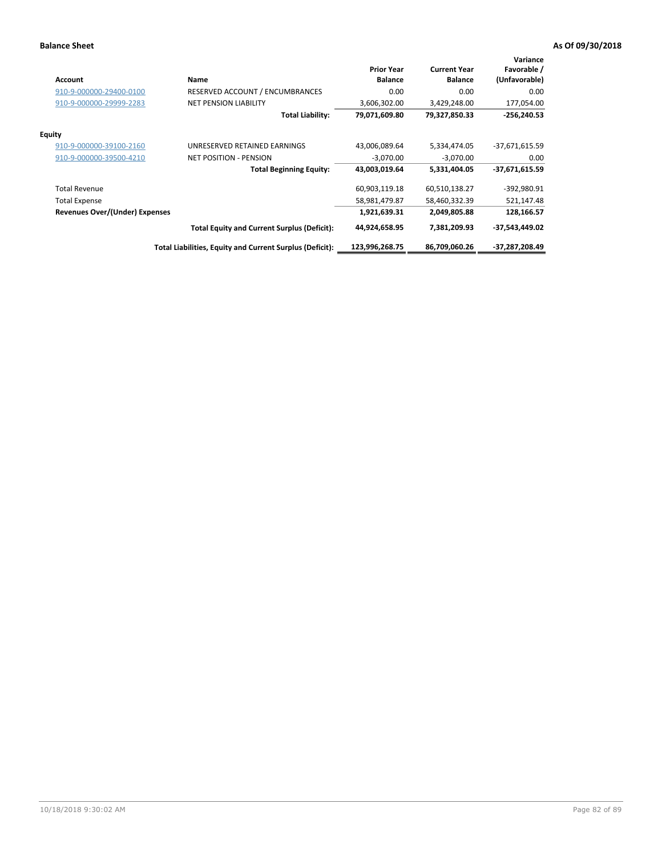| <b>Account</b>                        | Name                                                     | <b>Prior Year</b><br><b>Balance</b> | <b>Current Year</b><br><b>Balance</b> | Variance<br>Favorable /<br>(Unfavorable) |
|---------------------------------------|----------------------------------------------------------|-------------------------------------|---------------------------------------|------------------------------------------|
| 910-9-000000-29400-0100               | RESERVED ACCOUNT / ENCUMBRANCES                          | 0.00                                | 0.00                                  | 0.00                                     |
| 910-9-000000-29999-2283               | <b>NET PENSION LIABILITY</b>                             | 3,606,302.00                        | 3,429,248.00                          | 177,054.00                               |
|                                       | <b>Total Liability:</b>                                  | 79,071,609.80                       | 79,327,850.33                         | $-256,240.53$                            |
| <b>Equity</b>                         |                                                          |                                     |                                       |                                          |
| 910-9-000000-39100-2160               | UNRESERVED RETAINED EARNINGS                             | 43,006,089.64                       | 5,334,474.05                          | $-37,671,615.59$                         |
| 910-9-000000-39500-4210               | <b>NET POSITION - PENSION</b>                            | $-3,070.00$                         | $-3,070.00$                           | 0.00                                     |
|                                       | <b>Total Beginning Equity:</b>                           | 43,003,019.64                       | 5,331,404.05                          | $-37,671,615.59$                         |
| <b>Total Revenue</b>                  |                                                          | 60,903,119.18                       | 60,510,138.27                         | -392,980.91                              |
| <b>Total Expense</b>                  |                                                          | 58,981,479.87                       | 58,460,332.39                         | 521,147.48                               |
| <b>Revenues Over/(Under) Expenses</b> |                                                          | 1,921,639.31                        | 2,049,805.88                          | 128,166.57                               |
|                                       | <b>Total Equity and Current Surplus (Deficit):</b>       | 44,924,658.95                       | 7,381,209.93                          | $-37,543,449.02$                         |
|                                       | Total Liabilities, Equity and Current Surplus (Deficit): | 123,996,268.75                      | 86,709,060.26                         | -37,287,208.49                           |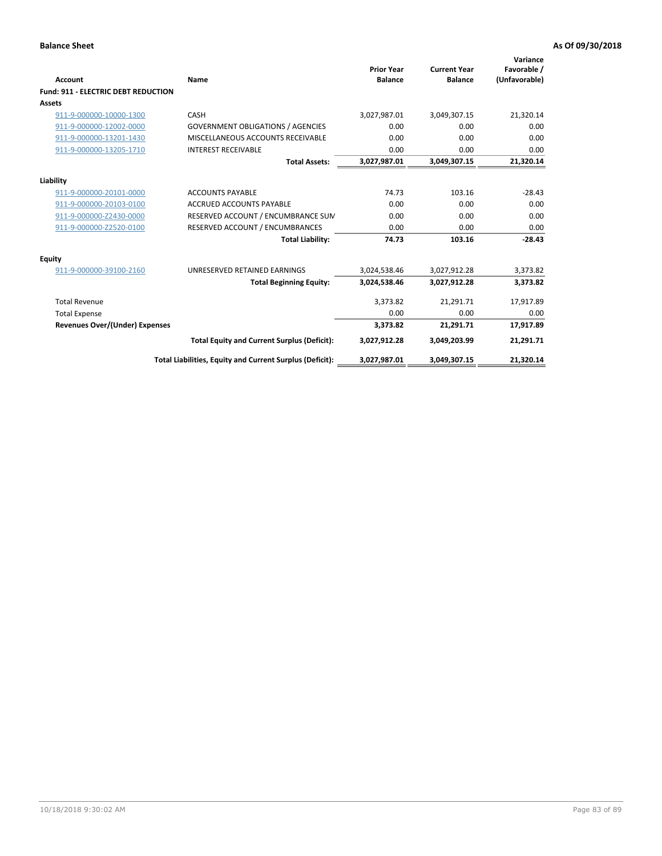| <b>Account</b>                             | Name                                                     | <b>Prior Year</b><br><b>Balance</b> | <b>Current Year</b><br><b>Balance</b> | Variance<br>Favorable /<br>(Unfavorable) |
|--------------------------------------------|----------------------------------------------------------|-------------------------------------|---------------------------------------|------------------------------------------|
| <b>Fund: 911 - ELECTRIC DEBT REDUCTION</b> |                                                          |                                     |                                       |                                          |
| Assets                                     |                                                          |                                     |                                       |                                          |
| 911-9-000000-10000-1300                    | CASH                                                     | 3,027,987.01                        | 3,049,307.15                          | 21,320.14                                |
| 911-9-000000-12002-0000                    | <b>GOVERNMENT OBLIGATIONS / AGENCIES</b>                 | 0.00                                | 0.00                                  | 0.00                                     |
| 911-9-000000-13201-1430                    | MISCELLANEOUS ACCOUNTS RECEIVABLE                        | 0.00                                | 0.00                                  | 0.00                                     |
| 911-9-000000-13205-1710                    | <b>INTEREST RECEIVABLE</b>                               | 0.00                                | 0.00                                  | 0.00                                     |
|                                            | <b>Total Assets:</b>                                     | 3,027,987.01                        | 3,049,307.15                          | 21,320.14                                |
| Liability                                  |                                                          |                                     |                                       |                                          |
| 911-9-000000-20101-0000                    | <b>ACCOUNTS PAYABLE</b>                                  | 74.73                               | 103.16                                | $-28.43$                                 |
| 911-9-000000-20103-0100                    | <b>ACCRUED ACCOUNTS PAYABLE</b>                          | 0.00                                | 0.00                                  | 0.00                                     |
| 911-9-000000-Z2430-0000                    | RESERVED ACCOUNT / ENCUMBRANCE SUM                       | 0.00                                | 0.00                                  | 0.00                                     |
| 911-9-000000-Z2520-0100                    | RESERVED ACCOUNT / ENCUMBRANCES                          | 0.00                                | 0.00                                  | 0.00                                     |
|                                            | <b>Total Liability:</b>                                  | 74.73                               | 103.16                                | $-28.43$                                 |
| <b>Equity</b>                              |                                                          |                                     |                                       |                                          |
| 911-9-000000-39100-2160                    | UNRESERVED RETAINED EARNINGS                             | 3,024,538.46                        | 3,027,912.28                          | 3,373.82                                 |
|                                            | <b>Total Beginning Equity:</b>                           | 3,024,538.46                        | 3,027,912.28                          | 3,373.82                                 |
| <b>Total Revenue</b>                       |                                                          | 3,373.82                            | 21,291.71                             | 17,917.89                                |
| <b>Total Expense</b>                       |                                                          | 0.00                                | 0.00                                  | 0.00                                     |
| <b>Revenues Over/(Under) Expenses</b>      |                                                          | 3,373.82                            | 21,291.71                             | 17,917.89                                |
|                                            | <b>Total Equity and Current Surplus (Deficit):</b>       | 3,027,912.28                        | 3,049,203.99                          | 21,291.71                                |
|                                            | Total Liabilities, Equity and Current Surplus (Deficit): | 3,027,987.01                        | 3,049,307.15                          | 21,320.14                                |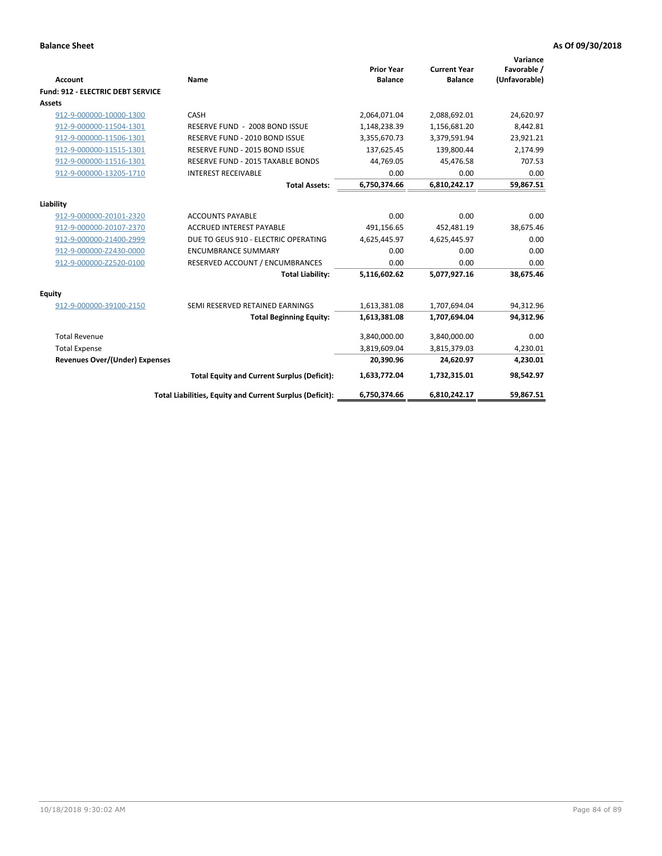| Account                                  | Name                                                     | <b>Prior Year</b><br><b>Balance</b> | <b>Current Year</b><br><b>Balance</b> | Variance<br>Favorable /<br>(Unfavorable) |
|------------------------------------------|----------------------------------------------------------|-------------------------------------|---------------------------------------|------------------------------------------|
| <b>Fund: 912 - ELECTRIC DEBT SERVICE</b> |                                                          |                                     |                                       |                                          |
| <b>Assets</b>                            |                                                          |                                     |                                       |                                          |
| 912-9-000000-10000-1300                  | CASH                                                     | 2,064,071.04                        | 2,088,692.01                          | 24,620.97                                |
| 912-9-000000-11504-1301                  | RESERVE FUND - 2008 BOND ISSUE                           | 1,148,238.39                        | 1,156,681.20                          | 8,442.81                                 |
| 912-9-000000-11506-1301                  | RESERVE FUND - 2010 BOND ISSUE                           | 3,355,670.73                        | 3,379,591.94                          | 23,921.21                                |
| 912-9-000000-11515-1301                  | RESERVE FUND - 2015 BOND ISSUE                           | 137,625.45                          | 139,800.44                            | 2,174.99                                 |
| 912-9-000000-11516-1301                  | RESERVE FUND - 2015 TAXABLE BONDS                        | 44,769.05                           | 45,476.58                             | 707.53                                   |
| 912-9-000000-13205-1710                  | <b>INTEREST RECEIVABLE</b>                               | 0.00                                | 0.00                                  | 0.00                                     |
|                                          | <b>Total Assets:</b>                                     | 6,750,374.66                        | 6,810,242.17                          | 59,867.51                                |
| Liability                                |                                                          |                                     |                                       |                                          |
| 912-9-000000-20101-2320                  | <b>ACCOUNTS PAYABLE</b>                                  | 0.00                                | 0.00                                  | 0.00                                     |
| 912-9-000000-20107-2370                  | <b>ACCRUED INTEREST PAYABLE</b>                          | 491,156.65                          | 452,481.19                            | 38,675.46                                |
| 912-9-000000-21400-2999                  | DUE TO GEUS 910 - ELECTRIC OPERATING                     | 4,625,445.97                        | 4,625,445.97                          | 0.00                                     |
| 912-9-000000-Z2430-0000                  | <b>ENCUMBRANCE SUMMARY</b>                               | 0.00                                | 0.00                                  | 0.00                                     |
| 912-9-000000-Z2520-0100                  | RESERVED ACCOUNT / ENCUMBRANCES                          | 0.00                                | 0.00                                  | 0.00                                     |
|                                          | <b>Total Liability:</b>                                  | 5,116,602.62                        | 5,077,927.16                          | 38,675.46                                |
| Equity                                   |                                                          |                                     |                                       |                                          |
| 912-9-000000-39100-2150                  | SEMI RESERVED RETAINED EARNINGS                          | 1,613,381.08                        | 1,707,694.04                          | 94,312.96                                |
|                                          | <b>Total Beginning Equity:</b>                           | 1,613,381.08                        | 1,707,694.04                          | 94,312.96                                |
| <b>Total Revenue</b>                     |                                                          | 3,840,000.00                        | 3,840,000.00                          | 0.00                                     |
| <b>Total Expense</b>                     |                                                          | 3,819,609.04                        | 3,815,379.03                          | 4,230.01                                 |
| <b>Revenues Over/(Under) Expenses</b>    |                                                          | 20,390.96                           | 24,620.97                             | 4,230.01                                 |
|                                          | <b>Total Equity and Current Surplus (Deficit):</b>       | 1,633,772.04                        | 1,732,315.01                          | 98,542.97                                |
|                                          | Total Liabilities, Equity and Current Surplus (Deficit): | 6,750,374.66                        | 6,810,242.17                          | 59.867.51                                |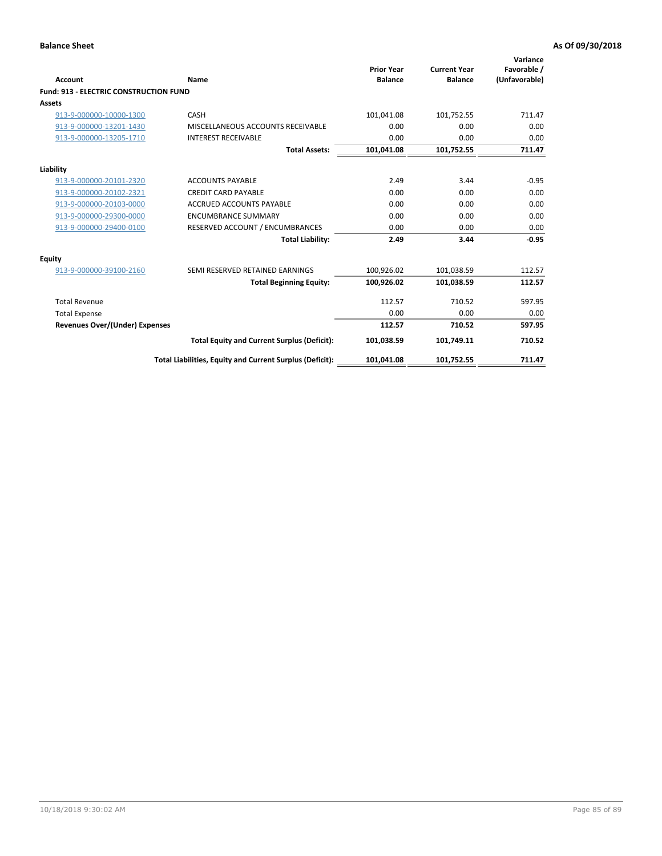| Account                                       | Name                                                     | <b>Prior Year</b><br><b>Balance</b> | <b>Current Year</b><br><b>Balance</b> | Variance<br>Favorable /<br>(Unfavorable) |
|-----------------------------------------------|----------------------------------------------------------|-------------------------------------|---------------------------------------|------------------------------------------|
| <b>Fund: 913 - ELECTRIC CONSTRUCTION FUND</b> |                                                          |                                     |                                       |                                          |
| <b>Assets</b>                                 |                                                          |                                     |                                       |                                          |
| 913-9-000000-10000-1300                       | CASH                                                     | 101,041.08                          | 101,752.55                            | 711.47                                   |
| 913-9-000000-13201-1430                       | MISCELLANEOUS ACCOUNTS RECEIVABLE                        | 0.00                                | 0.00                                  | 0.00                                     |
| 913-9-000000-13205-1710                       | <b>INTEREST RECEIVABLE</b>                               | 0.00                                | 0.00                                  | 0.00                                     |
|                                               | <b>Total Assets:</b>                                     | 101,041.08                          | 101,752.55                            | 711.47                                   |
| Liability                                     |                                                          |                                     |                                       |                                          |
| 913-9-000000-20101-2320                       | <b>ACCOUNTS PAYABLE</b>                                  | 2.49                                | 3.44                                  | $-0.95$                                  |
| 913-9-000000-20102-2321                       | <b>CREDIT CARD PAYABLE</b>                               | 0.00                                | 0.00                                  | 0.00                                     |
| 913-9-000000-20103-0000                       | <b>ACCRUED ACCOUNTS PAYABLE</b>                          | 0.00                                | 0.00                                  | 0.00                                     |
| 913-9-000000-29300-0000                       | <b>ENCUMBRANCE SUMMARY</b>                               | 0.00                                | 0.00                                  | 0.00                                     |
| 913-9-000000-29400-0100                       | RESERVED ACCOUNT / ENCUMBRANCES                          | 0.00                                | 0.00                                  | 0.00                                     |
|                                               | <b>Total Liability:</b>                                  | 2.49                                | 3.44                                  | $-0.95$                                  |
| <b>Equity</b>                                 |                                                          |                                     |                                       |                                          |
| 913-9-000000-39100-2160                       | SEMI RESERVED RETAINED EARNINGS                          | 100,926.02                          | 101,038.59                            | 112.57                                   |
|                                               | <b>Total Beginning Equity:</b>                           | 100,926.02                          | 101,038.59                            | 112.57                                   |
| <b>Total Revenue</b>                          |                                                          | 112.57                              | 710.52                                | 597.95                                   |
| <b>Total Expense</b>                          |                                                          | 0.00                                | 0.00                                  | 0.00                                     |
| Revenues Over/(Under) Expenses                |                                                          | 112.57                              | 710.52                                | 597.95                                   |
|                                               | <b>Total Equity and Current Surplus (Deficit):</b>       | 101,038.59                          | 101,749.11                            | 710.52                                   |
|                                               | Total Liabilities, Equity and Current Surplus (Deficit): | 101,041.08                          | 101,752.55                            | 711.47                                   |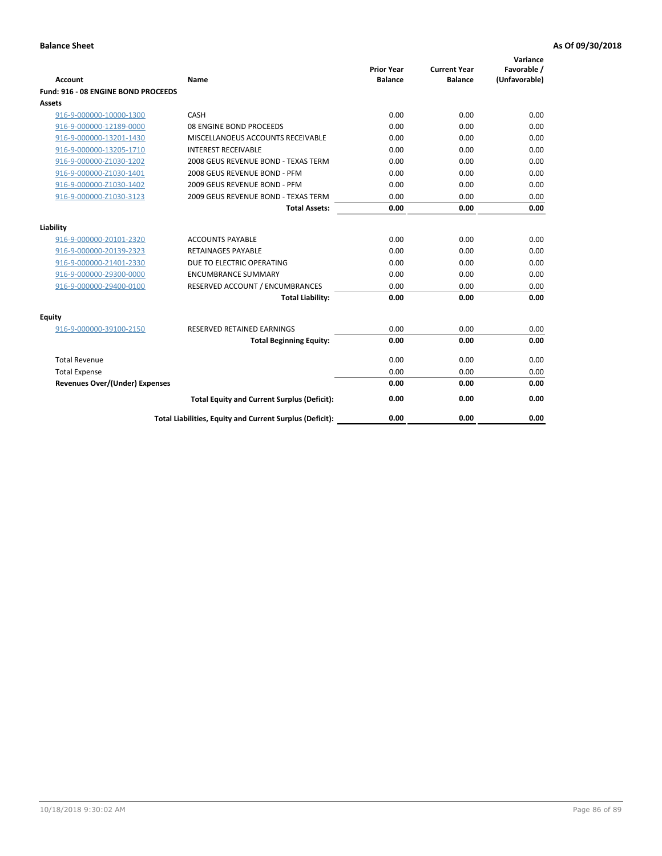| <b>Account</b>                        | Name                                                     | <b>Prior Year</b><br><b>Balance</b> | <b>Current Year</b><br><b>Balance</b> | Variance<br>Favorable /<br>(Unfavorable) |
|---------------------------------------|----------------------------------------------------------|-------------------------------------|---------------------------------------|------------------------------------------|
| Fund: 916 - 08 ENGINE BOND PROCEEDS   |                                                          |                                     |                                       |                                          |
| Assets                                |                                                          |                                     |                                       |                                          |
| 916-9-000000-10000-1300               | CASH                                                     | 0.00                                | 0.00                                  | 0.00                                     |
| 916-9-000000-12189-0000               | 08 ENGINE BOND PROCEEDS                                  | 0.00                                | 0.00                                  | 0.00                                     |
| 916-9-000000-13201-1430               | MISCELLANOEUS ACCOUNTS RECEIVABLE                        | 0.00                                | 0.00                                  | 0.00                                     |
| 916-9-000000-13205-1710               | <b>INTEREST RECEIVABLE</b>                               | 0.00                                | 0.00                                  | 0.00                                     |
| 916-9-000000-Z1030-1202               | 2008 GEUS REVENUE BOND - TEXAS TERM                      | 0.00                                | 0.00                                  | 0.00                                     |
| 916-9-000000-Z1030-1401               | 2008 GEUS REVENUE BOND - PFM                             | 0.00                                | 0.00                                  | 0.00                                     |
| 916-9-000000-Z1030-1402               | 2009 GEUS REVENUE BOND - PFM                             | 0.00                                | 0.00                                  | 0.00                                     |
| 916-9-000000-Z1030-3123               | 2009 GEUS REVENUE BOND - TEXAS TERM                      | 0.00                                | 0.00                                  | 0.00                                     |
|                                       | <b>Total Assets:</b>                                     | 0.00                                | 0.00                                  | 0.00                                     |
| Liability                             |                                                          |                                     |                                       |                                          |
| 916-9-000000-20101-2320               | <b>ACCOUNTS PAYABLE</b>                                  | 0.00                                | 0.00                                  | 0.00                                     |
| 916-9-000000-20139-2323               | <b>RETAINAGES PAYABLE</b>                                | 0.00                                | 0.00                                  | 0.00                                     |
| 916-9-000000-21401-2330               | DUE TO ELECTRIC OPERATING                                | 0.00                                | 0.00                                  | 0.00                                     |
| 916-9-000000-29300-0000               | <b>ENCUMBRANCE SUMMARY</b>                               | 0.00                                | 0.00                                  | 0.00                                     |
| 916-9-000000-29400-0100               | RESERVED ACCOUNT / ENCUMBRANCES                          | 0.00                                | 0.00                                  | 0.00                                     |
|                                       | <b>Total Liability:</b>                                  | 0.00                                | 0.00                                  | 0.00                                     |
|                                       |                                                          |                                     |                                       |                                          |
| Equity                                |                                                          |                                     |                                       |                                          |
| 916-9-000000-39100-2150               | <b>RESERVED RETAINED EARNINGS</b>                        | 0.00                                | 0.00                                  | 0.00                                     |
|                                       | <b>Total Beginning Equity:</b>                           | 0.00                                | 0.00                                  | 0.00                                     |
| <b>Total Revenue</b>                  |                                                          | 0.00                                | 0.00                                  | 0.00                                     |
| <b>Total Expense</b>                  |                                                          | 0.00                                | 0.00                                  | 0.00                                     |
| <b>Revenues Over/(Under) Expenses</b> |                                                          | 0.00                                | 0.00                                  | 0.00                                     |
|                                       | <b>Total Equity and Current Surplus (Deficit):</b>       | 0.00                                | 0.00                                  | 0.00                                     |
|                                       | Total Liabilities, Equity and Current Surplus (Deficit): | 0.00                                | 0.00                                  | 0.00                                     |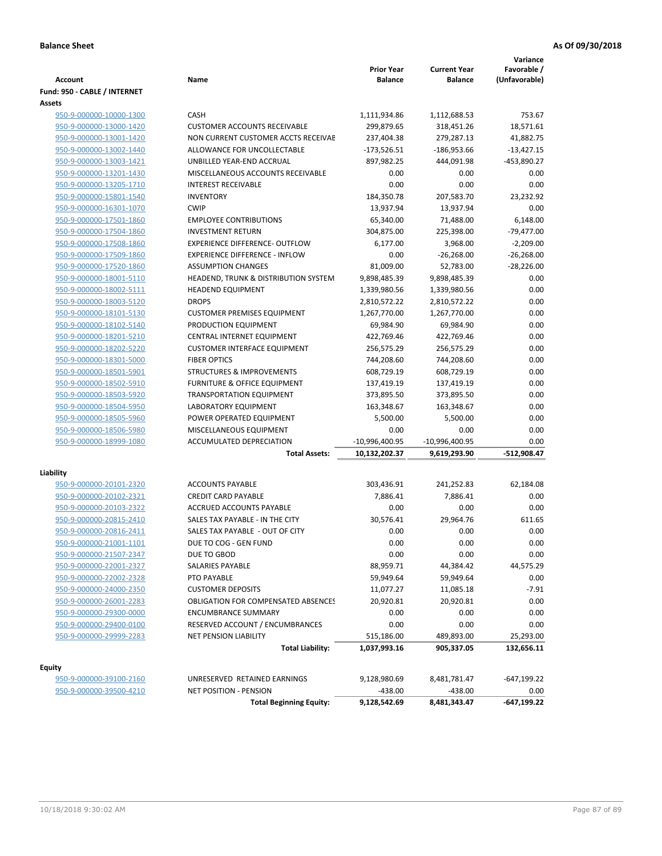| <b>Account</b>               | Name                                                          | <b>Prior Year</b><br><b>Balance</b> | <b>Current Year</b><br><b>Balance</b> | Variance<br>Favorable /<br>(Unfavorable) |
|------------------------------|---------------------------------------------------------------|-------------------------------------|---------------------------------------|------------------------------------------|
| Fund: 950 - CABLE / INTERNET |                                                               |                                     |                                       |                                          |
| Assets                       |                                                               |                                     |                                       |                                          |
| 950-9-000000-10000-1300      | CASH                                                          | 1,111,934.86                        | 1,112,688.53                          | 753.67                                   |
| 950-9-000000-13000-1420      | <b>CUSTOMER ACCOUNTS RECEIVABLE</b>                           | 299,879.65                          | 318,451.26                            | 18,571.61                                |
| 950-9-000000-13001-1420      | NON CURRENT CUSTOMER ACCTS RECEIVAE                           | 237,404.38                          | 279,287.13                            | 41,882.75                                |
| 950-9-000000-13002-1440      | ALLOWANCE FOR UNCOLLECTABLE                                   | $-173,526.51$                       | $-186,953.66$                         | $-13,427.15$                             |
| 950-9-000000-13003-1421      | UNBILLED YEAR-END ACCRUAL                                     | 897,982.25                          | 444,091.98                            | -453,890.27                              |
| 950-9-000000-13201-1430      | MISCELLANEOUS ACCOUNTS RECEIVABLE                             | 0.00                                | 0.00                                  | 0.00                                     |
| 950-9-000000-13205-1710      | <b>INTEREST RECEIVABLE</b>                                    | 0.00                                | 0.00                                  | 0.00                                     |
| 950-9-000000-15801-1540      | <b>INVENTORY</b>                                              | 184,350.78                          | 207,583.70                            | 23,232.92                                |
| 950-9-000000-16301-1070      | <b>CWIP</b>                                                   | 13,937.94                           | 13,937.94                             | 0.00                                     |
| 950-9-000000-17501-1860      | <b>EMPLOYEE CONTRIBUTIONS</b>                                 | 65,340.00                           | 71,488.00                             | 6,148.00                                 |
| 950-9-000000-17504-1860      | <b>INVESTMENT RETURN</b>                                      | 304,875.00                          | 225,398.00                            | $-79,477.00$                             |
| 950-9-000000-17508-1860      | EXPERIENCE DIFFERENCE- OUTFLOW                                | 6,177.00                            | 3,968.00                              | $-2,209.00$                              |
| 950-9-000000-17509-1860      | <b>EXPERIENCE DIFFERENCE - INFLOW</b>                         | 0.00                                | $-26,268.00$                          | $-26,268.00$                             |
| 950-9-000000-17520-1860      | <b>ASSUMPTION CHANGES</b>                                     | 81,009.00                           | 52,783.00                             | $-28,226.00$                             |
| 950-9-000000-18001-5110      | HEADEND, TRUNK & DISTRIBUTION SYSTEM                          | 9,898,485.39                        | 9,898,485.39                          | 0.00                                     |
| 950-9-000000-18002-5111      | <b>HEADEND EQUIPMENT</b>                                      | 1,339,980.56                        | 1,339,980.56                          | 0.00                                     |
| 950-9-000000-18003-5120      | <b>DROPS</b>                                                  | 2,810,572.22                        | 2,810,572.22                          | 0.00                                     |
| 950-9-000000-18101-5130      | <b>CUSTOMER PREMISES EQUIPMENT</b>                            | 1,267,770.00                        | 1,267,770.00                          | 0.00                                     |
| 950-9-000000-18102-5140      | PRODUCTION EQUIPMENT                                          | 69,984.90                           | 69,984.90                             | 0.00                                     |
| 950-9-000000-18201-5210      | CENTRAL INTERNET EQUIPMENT                                    | 422,769.46                          | 422,769.46                            | 0.00                                     |
| 950-9-000000-18202-5220      | <b>CUSTOMER INTERFACE EQUIPMENT</b>                           | 256,575.29                          | 256,575.29                            | 0.00                                     |
| 950-9-000000-18301-5000      | <b>FIBER OPTICS</b>                                           | 744,208.60                          | 744,208.60                            | 0.00                                     |
| 950-9-000000-18501-5901      | <b>STRUCTURES &amp; IMPROVEMENTS</b>                          | 608,729.19                          | 608,729.19                            | 0.00                                     |
| 950-9-000000-18502-5910      | <b>FURNITURE &amp; OFFICE EQUIPMENT</b>                       | 137,419.19                          | 137,419.19                            | 0.00                                     |
| 950-9-000000-18503-5920      | <b>TRANSPORTATION EQUIPMENT</b>                               | 373,895.50                          | 373,895.50                            | 0.00                                     |
| 950-9-000000-18504-5950      | LABORATORY EQUIPMENT                                          | 163,348.67                          | 163,348.67                            | 0.00                                     |
| 950-9-000000-18505-5960      | POWER OPERATED EQUIPMENT                                      | 5,500.00                            | 5,500.00                              | 0.00                                     |
| 950-9-000000-18506-5980      | MISCELLANEOUS EQUIPMENT                                       | 0.00                                | 0.00                                  | 0.00                                     |
| 950-9-000000-18999-1080      | ACCUMULATED DEPRECIATION                                      | -10,996,400.95                      | $-10,996,400.95$                      | 0.00                                     |
|                              | <b>Total Assets:</b>                                          | 10,132,202.37                       | 9,619,293.90                          | $-512,908.47$                            |
|                              |                                                               |                                     |                                       |                                          |
| Liability                    | <b>ACCOUNTS PAYABLE</b>                                       |                                     | 241,252.83                            |                                          |
| 950-9-000000-20101-2320      |                                                               | 303,436.91                          |                                       | 62,184.08                                |
| 950-9-000000-20102-2321      | <b>CREDIT CARD PAYABLE</b><br><b>ACCRUED ACCOUNTS PAYABLE</b> | 7,886.41                            | 7,886.41                              | 0.00                                     |
| 950-9-000000-20103-2322      |                                                               | 0.00                                | 0.00                                  | 0.00                                     |
| 950-9-000000-20815-2410      | SALES TAX PAYABLE - IN THE CITY                               | 30,576.41                           | 29,964.76                             | 611.65                                   |
| 950-9-000000-20816-2411      | SALES TAX PAYABLE - OUT OF CITY                               | 0.00                                | 0.00                                  | 0.00                                     |
| 950-9-000000-21001-1101      | DUE TO COG - GEN FUND                                         | 0.00                                | 0.00                                  | 0.00                                     |
| 950-9-000000-21507-2347      | DUE TO GBOD                                                   | 0.00                                | 0.00                                  | 0.00                                     |
| 950-9-000000-22001-2327      | SALARIES PAYABLE                                              | 88,959.71                           | 44,384.42                             | 44,575.29                                |
| 950-9-000000-22002-2328      | PTO PAYABLE                                                   | 59,949.64                           | 59,949.64                             | 0.00                                     |
| 950-9-000000-24000-2350      | <b>CUSTOMER DEPOSITS</b>                                      | 11,077.27                           | 11,085.18                             | $-7.91$                                  |
| 950-9-000000-26001-2283      | <b>OBLIGATION FOR COMPENSATED ABSENCES</b>                    | 20,920.81                           | 20,920.81                             | 0.00                                     |
| 950-9-000000-29300-0000      | <b>ENCUMBRANCE SUMMARY</b>                                    | 0.00                                | 0.00                                  | 0.00                                     |
| 950-9-000000-29400-0100      | RESERVED ACCOUNT / ENCUMBRANCES                               | 0.00                                | 0.00                                  | 0.00                                     |
| 950-9-000000-29999-2283      | <b>NET PENSION LIABILITY</b><br><b>Total Liability:</b>       | 515,186.00<br>1,037,993.16          | 489,893.00<br>905,337.05              | 25,293.00<br>132,656.11                  |
|                              |                                                               |                                     |                                       |                                          |
| Equity                       |                                                               |                                     |                                       |                                          |
| 950-9-000000-39100-2160      | UNRESERVED RETAINED EARNINGS                                  | 9,128,980.69                        | 8,481,781.47                          | $-647,199.22$                            |
| 950-9-000000-39500-4210      | <b>NET POSITION - PENSION</b>                                 | -438.00                             | $-438.00$                             | 0.00                                     |
|                              | <b>Total Beginning Equity:</b>                                | 9,128,542.69                        | 8,481,343.47                          | -647,199.22                              |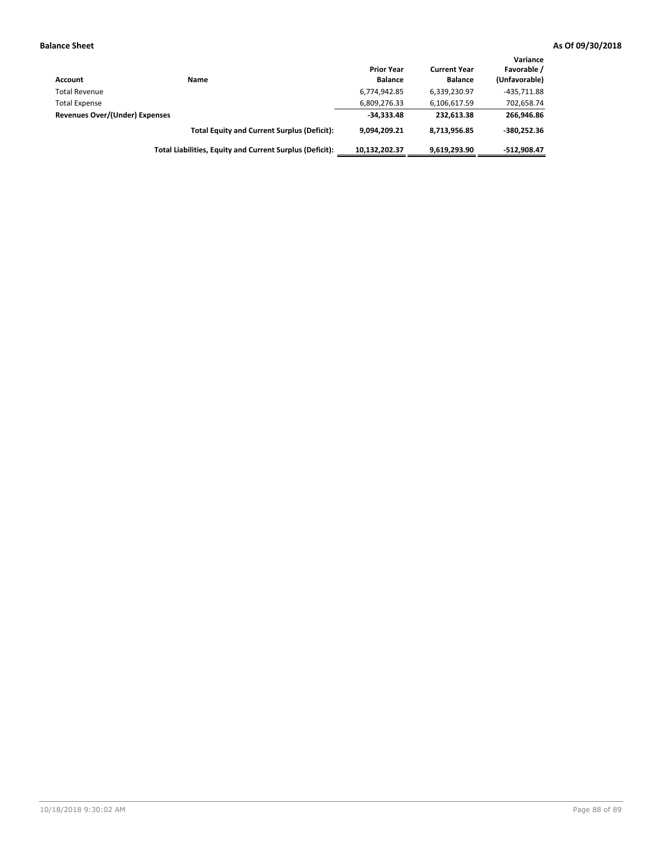| Account                        | <b>Name</b>                                              | <b>Prior Year</b><br><b>Balance</b> | <b>Current Year</b><br><b>Balance</b> | Variance<br>Favorable /<br>(Unfavorable) |
|--------------------------------|----------------------------------------------------------|-------------------------------------|---------------------------------------|------------------------------------------|
| <b>Total Revenue</b>           |                                                          | 6,774,942.85                        | 6,339,230.97                          | $-435.711.88$                            |
| <b>Total Expense</b>           |                                                          | 6,809,276.33                        | 6,106,617.59                          | 702,658.74                               |
| Revenues Over/(Under) Expenses |                                                          | $-34,333.48$                        | 232.613.38                            | 266,946.86                               |
|                                | <b>Total Equity and Current Surplus (Deficit):</b>       | 9.094.209.21                        | 8.713.956.85                          | -380.252.36                              |
|                                | Total Liabilities, Equity and Current Surplus (Deficit): | 10,132,202.37                       | 9,619,293.90                          | $-512,908.47$                            |